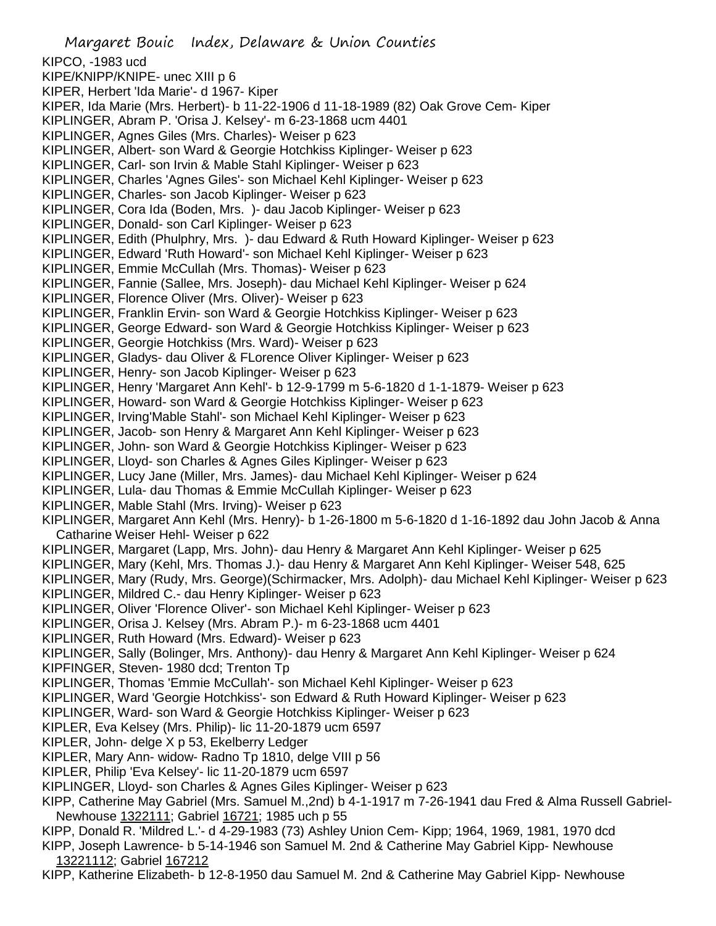Margaret Bouic Index, Delaware & Union Counties KIPCO, -1983 ucd KIPE/KNIPP/KNIPE- unec XIII p 6 KIPER, Herbert 'Ida Marie'- d 1967- Kiper KIPER, Ida Marie (Mrs. Herbert)- b 11-22-1906 d 11-18-1989 (82) Oak Grove Cem- Kiper KIPLINGER, Abram P. 'Orisa J. Kelsey'- m 6-23-1868 ucm 4401 KIPLINGER, Agnes Giles (Mrs. Charles)- Weiser p 623 KIPLINGER, Albert- son Ward & Georgie Hotchkiss Kiplinger- Weiser p 623 KIPLINGER, Carl- son Irvin & Mable Stahl Kiplinger- Weiser p 623 KIPLINGER, Charles 'Agnes Giles'- son Michael Kehl Kiplinger- Weiser p 623 KIPLINGER, Charles- son Jacob Kiplinger- Weiser p 623 KIPLINGER, Cora Ida (Boden, Mrs. )- dau Jacob Kiplinger- Weiser p 623 KIPLINGER, Donald- son Carl Kiplinger- Weiser p 623 KIPLINGER, Edith (Phulphry, Mrs. )- dau Edward & Ruth Howard Kiplinger- Weiser p 623 KIPLINGER, Edward 'Ruth Howard'- son Michael Kehl Kiplinger- Weiser p 623 KIPLINGER, Emmie McCullah (Mrs. Thomas)- Weiser p 623 KIPLINGER, Fannie (Sallee, Mrs. Joseph)- dau Michael Kehl Kiplinger- Weiser p 624 KIPLINGER, Florence Oliver (Mrs. Oliver)- Weiser p 623 KIPLINGER, Franklin Ervin- son Ward & Georgie Hotchkiss Kiplinger- Weiser p 623 KIPLINGER, George Edward- son Ward & Georgie Hotchkiss Kiplinger- Weiser p 623 KIPLINGER, Georgie Hotchkiss (Mrs. Ward)- Weiser p 623 KIPLINGER, Gladys- dau Oliver & FLorence Oliver Kiplinger- Weiser p 623 KIPLINGER, Henry- son Jacob Kiplinger- Weiser p 623 KIPLINGER, Henry 'Margaret Ann Kehl'- b 12-9-1799 m 5-6-1820 d 1-1-1879- Weiser p 623 KIPLINGER, Howard- son Ward & Georgie Hotchkiss Kiplinger- Weiser p 623 KIPLINGER, Irving'Mable Stahl'- son Michael Kehl Kiplinger- Weiser p 623 KIPLINGER, Jacob- son Henry & Margaret Ann Kehl Kiplinger- Weiser p 623 KIPLINGER, John- son Ward & Georgie Hotchkiss Kiplinger- Weiser p 623 KIPLINGER, Lloyd- son Charles & Agnes Giles Kiplinger- Weiser p 623 KIPLINGER, Lucy Jane (Miller, Mrs. James)- dau Michael Kehl Kiplinger- Weiser p 624 KIPLINGER, Lula- dau Thomas & Emmie McCullah Kiplinger- Weiser p 623 KIPLINGER, Mable Stahl (Mrs. Irving)- Weiser p 623 KIPLINGER, Margaret Ann Kehl (Mrs. Henry)- b 1-26-1800 m 5-6-1820 d 1-16-1892 dau John Jacob & Anna Catharine Weiser Hehl- Weiser p 622 KIPLINGER, Margaret (Lapp, Mrs. John)- dau Henry & Margaret Ann Kehl Kiplinger- Weiser p 625 KIPLINGER, Mary (Kehl, Mrs. Thomas J.)- dau Henry & Margaret Ann Kehl Kiplinger- Weiser 548, 625 KIPLINGER, Mary (Rudy, Mrs. George)(Schirmacker, Mrs. Adolph)- dau Michael Kehl Kiplinger- Weiser p 623 KIPLINGER, Mildred C.- dau Henry Kiplinger- Weiser p 623 KIPLINGER, Oliver 'Florence Oliver'- son Michael Kehl Kiplinger- Weiser p 623 KIPLINGER, Orisa J. Kelsey (Mrs. Abram P.)- m 6-23-1868 ucm 4401 KIPLINGER, Ruth Howard (Mrs. Edward)- Weiser p 623 KIPLINGER, Sally (Bolinger, Mrs. Anthony)- dau Henry & Margaret Ann Kehl Kiplinger- Weiser p 624 KIPFINGER, Steven- 1980 dcd; Trenton Tp KIPLINGER, Thomas 'Emmie McCullah'- son Michael Kehl Kiplinger- Weiser p 623 KIPLINGER, Ward 'Georgie Hotchkiss'- son Edward & Ruth Howard Kiplinger- Weiser p 623 KIPLINGER, Ward- son Ward & Georgie Hotchkiss Kiplinger- Weiser p 623 KIPLER, Eva Kelsey (Mrs. Philip)- lic 11-20-1879 ucm 6597 KIPLER, John- delge X p 53, Ekelberry Ledger KIPLER, Mary Ann- widow- Radno Tp 1810, delge VIII p 56 KIPLER, Philip 'Eva Kelsey'- lic 11-20-1879 ucm 6597 KIPLINGER, Lloyd- son Charles & Agnes Giles Kiplinger- Weiser p 623 KIPP, Catherine May Gabriel (Mrs. Samuel M.,2nd) b 4-1-1917 m 7-26-1941 dau Fred & Alma Russell Gabriel-Newhouse 1322111; Gabriel 16721; 1985 uch p 55 KIPP, Donald R. 'Mildred L.'- d 4-29-1983 (73) Ashley Union Cem- Kipp; 1964, 1969, 1981, 1970 dcd KIPP, Joseph Lawrence- b 5-14-1946 son Samuel M. 2nd & Catherine May Gabriel Kipp- Newhouse 13221112; Gabriel 167212 KIPP, Katherine Elizabeth- b 12-8-1950 dau Samuel M. 2nd & Catherine May Gabriel Kipp- Newhouse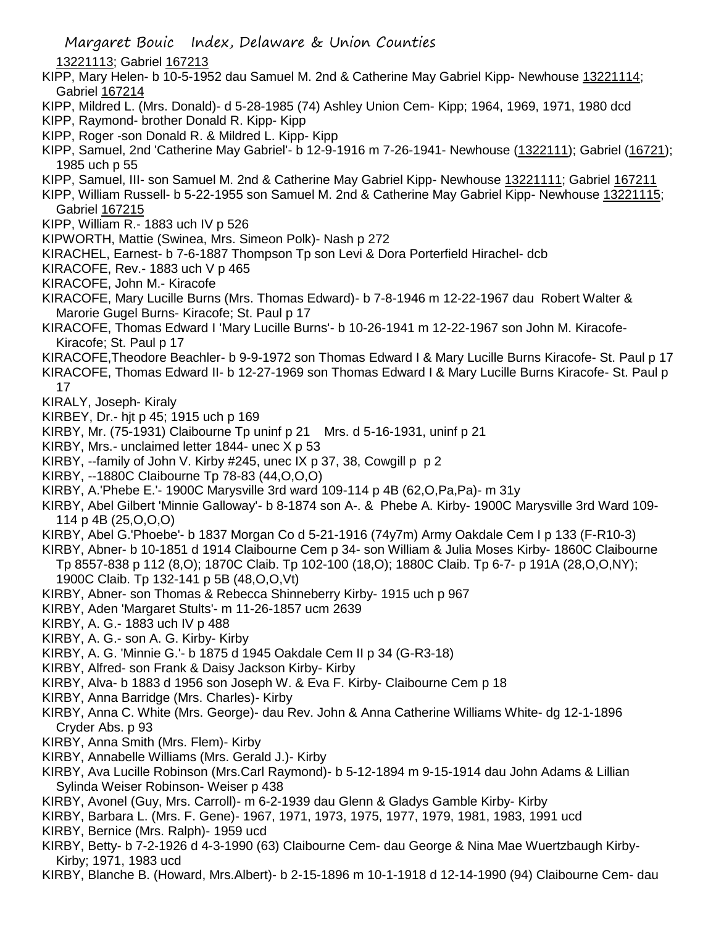13221113; Gabriel 167213

- KIPP, Mary Helen- b 10-5-1952 dau Samuel M. 2nd & Catherine May Gabriel Kipp- Newhouse 13221114; Gabriel 167214
- KIPP, Mildred L. (Mrs. Donald)- d 5-28-1985 (74) Ashley Union Cem- Kipp; 1964, 1969, 1971, 1980 dcd
- KIPP, Raymond- brother Donald R. Kipp- Kipp
- KIPP, Roger -son Donald R. & Mildred L. Kipp- Kipp
- KIPP, Samuel, 2nd 'Catherine May Gabriel'- b 12-9-1916 m 7-26-1941- Newhouse (1322111); Gabriel (16721); 1985 uch p 55
- KIPP, Samuel, III- son Samuel M. 2nd & Catherine May Gabriel Kipp- Newhouse 13221111; Gabriel 167211
- KIPP, William Russell- b 5-22-1955 son Samuel M. 2nd & Catherine May Gabriel Kipp- Newhouse 13221115; Gabriel 167215
- KIPP, William R.- 1883 uch IV p 526
- KIPWORTH, Mattie (Swinea, Mrs. Simeon Polk)- Nash p 272
- KIRACHEL, Earnest- b 7-6-1887 Thompson Tp son Levi & Dora Porterfield Hirachel- dcb
- KIRACOFE, Rev.- 1883 uch V p 465
- KIRACOFE, John M.- Kiracofe
- KIRACOFE, Mary Lucille Burns (Mrs. Thomas Edward)- b 7-8-1946 m 12-22-1967 dau Robert Walter & Marorie Gugel Burns- Kiracofe; St. Paul p 17
- KIRACOFE, Thomas Edward I 'Mary Lucille Burns'- b 10-26-1941 m 12-22-1967 son John M. Kiracofe-Kiracofe; St. Paul p 17
- KIRACOFE,Theodore Beachler- b 9-9-1972 son Thomas Edward I & Mary Lucille Burns Kiracofe- St. Paul p 17
- KIRACOFE, Thomas Edward II- b 12-27-1969 son Thomas Edward I & Mary Lucille Burns Kiracofe- St. Paul p 17
- KIRALY, Joseph- Kiraly
- KIRBEY, Dr.- hjt p 45; 1915 uch p 169
- KIRBY, Mr. (75-1931) Claibourne Tp uninf p 21 Mrs. d 5-16-1931, uninf p 21
- KIRBY, Mrs.- unclaimed letter 1844- unec X p 53
- KIRBY, --family of John V. Kirby #245, unec IX p 37, 38, Cowgill p p 2
- KIRBY, --1880C Claibourne Tp 78-83 (44,O,O,O)
- KIRBY, A.'Phebe E.'- 1900C Marysville 3rd ward 109-114 p 4B (62,O,Pa,Pa)- m 31y
- KIRBY, Abel Gilbert 'Minnie Galloway'- b 8-1874 son A-. & Phebe A. Kirby- 1900C Marysville 3rd Ward 109- 114 p 4B (25,O,O,O)
- KIRBY, Abel G.'Phoebe'- b 1837 Morgan Co d 5-21-1916 (74y7m) Army Oakdale Cem I p 133 (F-R10-3)
- KIRBY, Abner- b 10-1851 d 1914 Claibourne Cem p 34- son William & Julia Moses Kirby- 1860C Claibourne Tp 8557-838 p 112 (8,O); 1870C Claib. Tp 102-100 (18,O); 1880C Claib. Tp 6-7- p 191A (28,O,O,NY); 1900C Claib. Tp 132-141 p 5B (48,O,O,Vt)
- KIRBY, Abner- son Thomas & Rebecca Shinneberry Kirby- 1915 uch p 967
- KIRBY, Aden 'Margaret Stults'- m 11-26-1857 ucm 2639
- KIRBY, A. G.- 1883 uch IV p 488
- KIRBY, A. G.- son A. G. Kirby- Kirby
- KIRBY, A. G. 'Minnie G.'- b 1875 d 1945 Oakdale Cem II p 34 (G-R3-18)
- KIRBY, Alfred- son Frank & Daisy Jackson Kirby- Kirby
- KIRBY, Alva- b 1883 d 1956 son Joseph W. & Eva F. Kirby- Claibourne Cem p 18
- KIRBY, Anna Barridge (Mrs. Charles)- Kirby
- KIRBY, Anna C. White (Mrs. George)- dau Rev. John & Anna Catherine Williams White- dg 12-1-1896 Cryder Abs. p 93
- KIRBY, Anna Smith (Mrs. Flem)- Kirby
- KIRBY, Annabelle Williams (Mrs. Gerald J.)- Kirby
- KIRBY, Ava Lucille Robinson (Mrs.Carl Raymond)- b 5-12-1894 m 9-15-1914 dau John Adams & Lillian Sylinda Weiser Robinson- Weiser p 438
- KIRBY, Avonel (Guy, Mrs. Carroll)- m 6-2-1939 dau Glenn & Gladys Gamble Kirby- Kirby
- KIRBY, Barbara L. (Mrs. F. Gene)- 1967, 1971, 1973, 1975, 1977, 1979, 1981, 1983, 1991 ucd
- KIRBY, Bernice (Mrs. Ralph)- 1959 ucd
- KIRBY, Betty- b 7-2-1926 d 4-3-1990 (63) Claibourne Cem- dau George & Nina Mae Wuertzbaugh Kirby-Kirby; 1971, 1983 ucd
- KIRBY, Blanche B. (Howard, Mrs.Albert)- b 2-15-1896 m 10-1-1918 d 12-14-1990 (94) Claibourne Cem- dau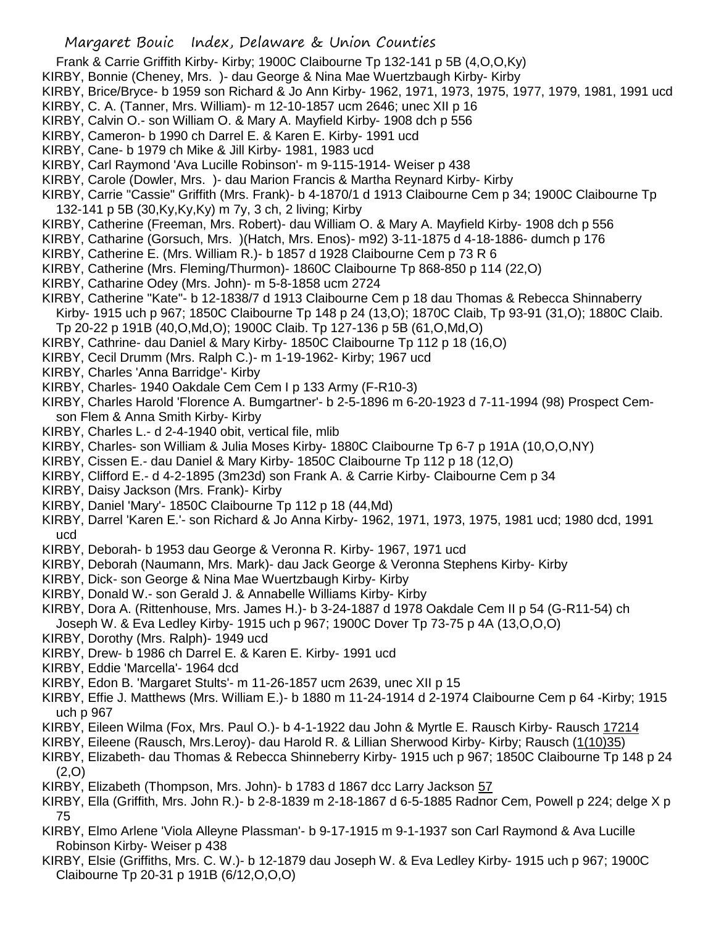- Frank & Carrie Griffith Kirby- Kirby; 1900C Claibourne Tp 132-141 p 5B (4,O,O,Ky)
- KIRBY, Bonnie (Cheney, Mrs. )- dau George & Nina Mae Wuertzbaugh Kirby- Kirby
- KIRBY, Brice/Bryce- b 1959 son Richard & Jo Ann Kirby- 1962, 1971, 1973, 1975, 1977, 1979, 1981, 1991 ucd
- KIRBY, C. A. (Tanner, Mrs. William)- m 12-10-1857 ucm 2646; unec XII p 16
- KIRBY, Calvin O.- son William O. & Mary A. Mayfield Kirby- 1908 dch p 556
- KIRBY, Cameron- b 1990 ch Darrel E. & Karen E. Kirby- 1991 ucd
- KIRBY, Cane- b 1979 ch Mike & Jill Kirby- 1981, 1983 ucd
- KIRBY, Carl Raymond 'Ava Lucille Robinson'- m 9-115-1914- Weiser p 438
- KIRBY, Carole (Dowler, Mrs. )- dau Marion Francis & Martha Reynard Kirby- Kirby
- KIRBY, Carrie "Cassie" Griffith (Mrs. Frank)- b 4-1870/1 d 1913 Claibourne Cem p 34; 1900C Claibourne Tp 132-141 p 5B (30,Ky,Ky,Ky) m 7y, 3 ch, 2 living; Kirby
- KIRBY, Catherine (Freeman, Mrs. Robert)- dau William O. & Mary A. Mayfield Kirby- 1908 dch p 556
- KIRBY, Catharine (Gorsuch, Mrs. )(Hatch, Mrs. Enos)- m92) 3-11-1875 d 4-18-1886- dumch p 176
- KIRBY, Catherine E. (Mrs. William R.)- b 1857 d 1928 Claibourne Cem p 73 R 6
- KIRBY, Catherine (Mrs. Fleming/Thurmon)- 1860C Claibourne Tp 868-850 p 114 (22,O)
- KIRBY, Catharine Odey (Mrs. John)- m 5-8-1858 ucm 2724
- KIRBY, Catherine "Kate"- b 12-1838/7 d 1913 Claibourne Cem p 18 dau Thomas & Rebecca Shinnaberry
- Kirby- 1915 uch p 967; 1850C Claibourne Tp 148 p 24 (13,O); 1870C Claib, Tp 93-91 (31,O); 1880C Claib. Tp 20-22 p 191B (40,O,Md,O); 1900C Claib. Tp 127-136 p 5B (61,O,Md,O)
- KIRBY, Cathrine- dau Daniel & Mary Kirby- 1850C Claibourne Tp 112 p 18 (16,O)
- KIRBY, Cecil Drumm (Mrs. Ralph C.)- m 1-19-1962- Kirby; 1967 ucd
- KIRBY, Charles 'Anna Barridge'- Kirby
- KIRBY, Charles- 1940 Oakdale Cem Cem I p 133 Army (F-R10-3)
- KIRBY, Charles Harold 'Florence A. Bumgartner'- b 2-5-1896 m 6-20-1923 d 7-11-1994 (98) Prospect Cemson Flem & Anna Smith Kirby- Kirby
- KIRBY, Charles L.- d 2-4-1940 obit, vertical file, mlib
- KIRBY, Charles- son William & Julia Moses Kirby- 1880C Claibourne Tp 6-7 p 191A (10,O,O,NY)
- KIRBY, Cissen E.- dau Daniel & Mary Kirby- 1850C Claibourne Tp 112 p 18 (12,O)
- KIRBY, Clifford E.- d 4-2-1895 (3m23d) son Frank A. & Carrie Kirby- Claibourne Cem p 34
- KIRBY, Daisy Jackson (Mrs. Frank)- Kirby
- KIRBY, Daniel 'Mary'- 1850C Claibourne Tp 112 p 18 (44,Md)
- KIRBY, Darrel 'Karen E.'- son Richard & Jo Anna Kirby- 1962, 1971, 1973, 1975, 1981 ucd; 1980 dcd, 1991 ucd
- KIRBY, Deborah- b 1953 dau George & Veronna R. Kirby- 1967, 1971 ucd
- KIRBY, Deborah (Naumann, Mrs. Mark)- dau Jack George & Veronna Stephens Kirby- Kirby
- KIRBY, Dick- son George & Nina Mae Wuertzbaugh Kirby- Kirby
- KIRBY, Donald W.- son Gerald J. & Annabelle Williams Kirby- Kirby
- KIRBY, Dora A. (Rittenhouse, Mrs. James H.)- b 3-24-1887 d 1978 Oakdale Cem II p 54 (G-R11-54) ch Joseph W. & Eva Ledley Kirby- 1915 uch p 967; 1900C Dover Tp 73-75 p 4A (13,O,O,O)
- KIRBY, Dorothy (Mrs. Ralph)- 1949 ucd
- KIRBY, Drew- b 1986 ch Darrel E. & Karen E. Kirby- 1991 ucd
- KIRBY, Eddie 'Marcella'- 1964 dcd
- KIRBY, Edon B. 'Margaret Stults'- m 11-26-1857 ucm 2639, unec XII p 15
- KIRBY, Effie J. Matthews (Mrs. William E.)- b 1880 m 11-24-1914 d 2-1974 Claibourne Cem p 64 -Kirby; 1915 uch p 967
- KIRBY, Eileen Wilma (Fox, Mrs. Paul O.)- b 4-1-1922 dau John & Myrtle E. Rausch Kirby- Rausch 17214
- KIRBY, Eileene (Rausch, Mrs.Leroy)- dau Harold R. & Lillian Sherwood Kirby- Kirby; Rausch (1(10)35)
- KIRBY, Elizabeth- dau Thomas & Rebecca Shinneberry Kirby- 1915 uch p 967; 1850C Claibourne Tp 148 p 24 (2,O)
- KIRBY, Elizabeth (Thompson, Mrs. John)- b 1783 d 1867 dcc Larry Jackson 57
- KIRBY, Ella (Griffith, Mrs. John R.)- b 2-8-1839 m 2-18-1867 d 6-5-1885 Radnor Cem, Powell p 224; delge X p 75
- KIRBY, Elmo Arlene 'Viola Alleyne Plassman'- b 9-17-1915 m 9-1-1937 son Carl Raymond & Ava Lucille Robinson Kirby- Weiser p 438
- KIRBY, Elsie (Griffiths, Mrs. C. W.)- b 12-1879 dau Joseph W. & Eva Ledley Kirby- 1915 uch p 967; 1900C Claibourne Tp 20-31 p 191B (6/12,O,O,O)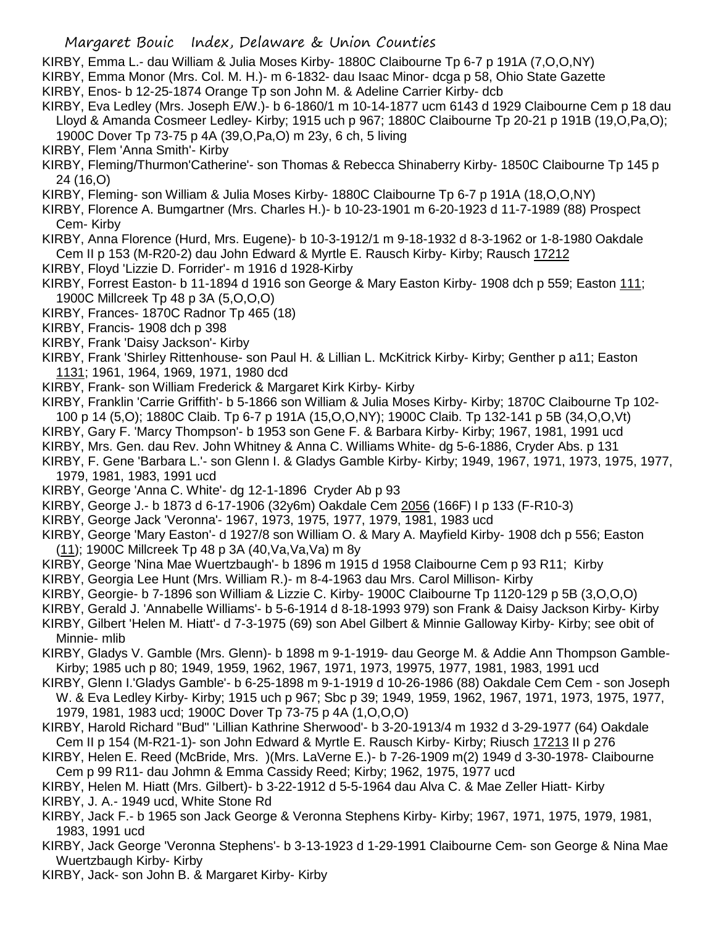KIRBY, Emma L.- dau William & Julia Moses Kirby- 1880C Claibourne Tp 6-7 p 191A (7,O,O,NY)

KIRBY, Emma Monor (Mrs. Col. M. H.)- m 6-1832- dau Isaac Minor- dcga p 58, Ohio State Gazette KIRBY, Enos- b 12-25-1874 Orange Tp son John M. & Adeline Carrier Kirby- dcb

KIRBY, Eva Ledley (Mrs. Joseph E/W.)- b 6-1860/1 m 10-14-1877 ucm 6143 d 1929 Claibourne Cem p 18 dau Lloyd & Amanda Cosmeer Ledley- Kirby; 1915 uch p 967; 1880C Claibourne Tp 20-21 p 191B (19,O,Pa,O); 1900C Dover Tp 73-75 p 4A (39,O,Pa,O) m 23y, 6 ch, 5 living

- KIRBY, Flem 'Anna Smith'- Kirby
- KIRBY, Fleming/Thurmon'Catherine'- son Thomas & Rebecca Shinaberry Kirby- 1850C Claibourne Tp 145 p 24 (16,O)
- KIRBY, Fleming- son William & Julia Moses Kirby- 1880C Claibourne Tp 6-7 p 191A (18,O,O,NY)
- KIRBY, Florence A. Bumgartner (Mrs. Charles H.)- b 10-23-1901 m 6-20-1923 d 11-7-1989 (88) Prospect Cem- Kirby
- KIRBY, Anna Florence (Hurd, Mrs. Eugene)- b 10-3-1912/1 m 9-18-1932 d 8-3-1962 or 1-8-1980 Oakdale Cem II p 153 (M-R20-2) dau John Edward & Myrtle E. Rausch Kirby- Kirby; Rausch 17212
- KIRBY, Floyd 'Lizzie D. Forrider'- m 1916 d 1928-Kirby
- KIRBY, Forrest Easton- b 11-1894 d 1916 son George & Mary Easton Kirby- 1908 dch p 559; Easton 111; 1900C Millcreek Tp 48 p 3A (5,O,O,O)
- KIRBY, Frances- 1870C Radnor Tp 465 (18)
- KIRBY, Francis- 1908 dch p 398
- KIRBY, Frank 'Daisy Jackson'- Kirby
- KIRBY, Frank 'Shirley Rittenhouse- son Paul H. & Lillian L. McKitrick Kirby- Kirby; Genther p a11; Easton 1131; 1961, 1964, 1969, 1971, 1980 dcd
- KIRBY, Frank- son William Frederick & Margaret Kirk Kirby- Kirby
- KIRBY, Franklin 'Carrie Griffith'- b 5-1866 son William & Julia Moses Kirby- Kirby; 1870C Claibourne Tp 102-
- 100 p 14 (5,O); 1880C Claib. Tp 6-7 p 191A (15,O,O,NY); 1900C Claib. Tp 132-141 p 5B (34,O,O,Vt)
- KIRBY, Gary F. 'Marcy Thompson'- b 1953 son Gene F. & Barbara Kirby- Kirby; 1967, 1981, 1991 ucd
- KIRBY, Mrs. Gen. dau Rev. John Whitney & Anna C. Williams White- dg 5-6-1886, Cryder Abs. p 131
- KIRBY, F. Gene 'Barbara L.'- son Glenn I. & Gladys Gamble Kirby- Kirby; 1949, 1967, 1971, 1973, 1975, 1977, 1979, 1981, 1983, 1991 ucd
- KIRBY, George 'Anna C. White'- dg 12-1-1896 Cryder Ab p 93
- KIRBY, George J.- b 1873 d 6-17-1906 (32y6m) Oakdale Cem 2056 (166F) I p 133 (F-R10-3)
- KIRBY, George Jack 'Veronna'- 1967, 1973, 1975, 1977, 1979, 1981, 1983 ucd
- KIRBY, George 'Mary Easton'- d 1927/8 son William O. & Mary A. Mayfield Kirby- 1908 dch p 556; Easton (11); 1900C Millcreek Tp 48 p 3A (40,Va,Va,Va) m 8y
- KIRBY, George 'Nina Mae Wuertzbaugh'- b 1896 m 1915 d 1958 Claibourne Cem p 93 R11; Kirby
- KIRBY, Georgia Lee Hunt (Mrs. William R.)- m 8-4-1963 dau Mrs. Carol Millison- Kirby
- KIRBY, Georgie- b 7-1896 son William & Lizzie C. Kirby- 1900C Claibourne Tp 1120-129 p 5B (3,O,O,O)
- KIRBY, Gerald J. 'Annabelle Williams'- b 5-6-1914 d 8-18-1993 979) son Frank & Daisy Jackson Kirby- Kirby
- KIRBY, Gilbert 'Helen M. Hiatt'- d 7-3-1975 (69) son Abel Gilbert & Minnie Galloway Kirby- Kirby; see obit of Minnie- mlib
- KIRBY, Gladys V. Gamble (Mrs. Glenn)- b 1898 m 9-1-1919- dau George M. & Addie Ann Thompson Gamble-Kirby; 1985 uch p 80; 1949, 1959, 1962, 1967, 1971, 1973, 19975, 1977, 1981, 1983, 1991 ucd
- KIRBY, Glenn I.'Gladys Gamble'- b 6-25-1898 m 9-1-1919 d 10-26-1986 (88) Oakdale Cem Cem son Joseph W. & Eva Ledley Kirby- Kirby; 1915 uch p 967; Sbc p 39; 1949, 1959, 1962, 1967, 1971, 1973, 1975, 1977, 1979, 1981, 1983 ucd; 1900C Dover Tp 73-75 p 4A (1,O,O,O)
- KIRBY, Harold Richard "Bud" 'Lillian Kathrine Sherwood'- b 3-20-1913/4 m 1932 d 3-29-1977 (64) Oakdale Cem II p 154 (M-R21-1)- son John Edward & Myrtle E. Rausch Kirby- Kirby; Riusch 17213 II p 276
- KIRBY, Helen E. Reed (McBride, Mrs. )(Mrs. LaVerne E.)- b 7-26-1909 m(2) 1949 d 3-30-1978- Claibourne Cem p 99 R11- dau Johmn & Emma Cassidy Reed; Kirby; 1962, 1975, 1977 ucd
- KIRBY, Helen M. Hiatt (Mrs. Gilbert)- b 3-22-1912 d 5-5-1964 dau Alva C. & Mae Zeller Hiatt- Kirby
- KIRBY, J. A.- 1949 ucd, White Stone Rd
- KIRBY, Jack F.- b 1965 son Jack George & Veronna Stephens Kirby- Kirby; 1967, 1971, 1975, 1979, 1981, 1983, 1991 ucd
- KIRBY, Jack George 'Veronna Stephens'- b 3-13-1923 d 1-29-1991 Claibourne Cem- son George & Nina Mae Wuertzbaugh Kirby- Kirby
- KIRBY, Jack- son John B. & Margaret Kirby- Kirby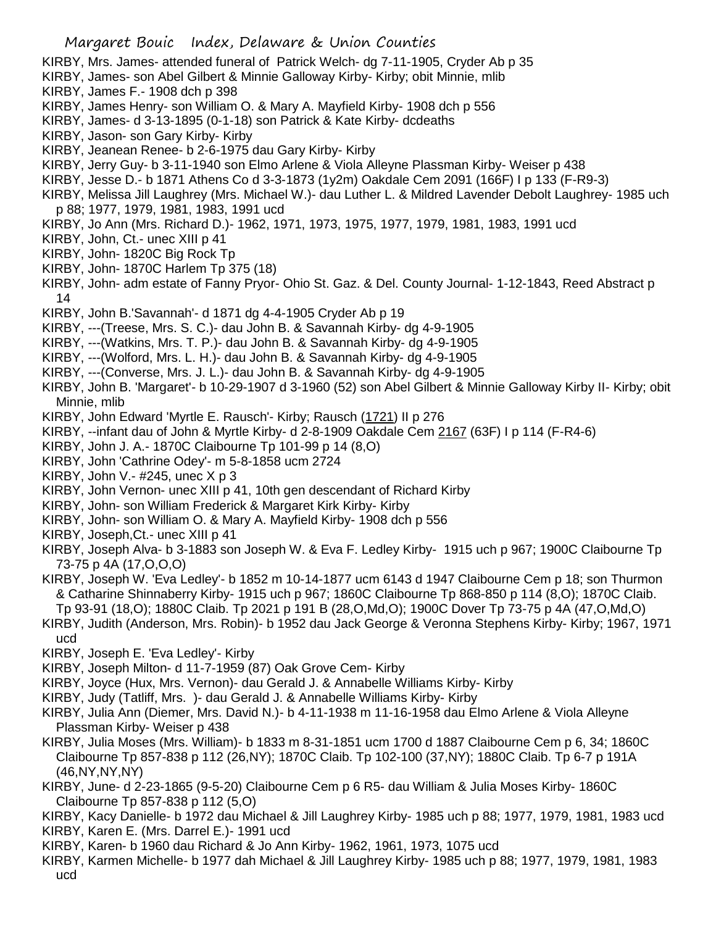- KIRBY, Mrs. James- attended funeral of Patrick Welch- dg 7-11-1905, Cryder Ab p 35
- KIRBY, James- son Abel Gilbert & Minnie Galloway Kirby- Kirby; obit Minnie, mlib
- KIRBY, James F.- 1908 dch p 398
- KIRBY, James Henry- son William O. & Mary A. Mayfield Kirby- 1908 dch p 556
- KIRBY, James- d 3-13-1895 (0-1-18) son Patrick & Kate Kirby- dcdeaths
- KIRBY, Jason- son Gary Kirby- Kirby
- KIRBY, Jeanean Renee- b 2-6-1975 dau Gary Kirby- Kirby
- KIRBY, Jerry Guy- b 3-11-1940 son Elmo Arlene & Viola Alleyne Plassman Kirby- Weiser p 438
- KIRBY, Jesse D.- b 1871 Athens Co d 3-3-1873 (1y2m) Oakdale Cem 2091 (166F) I p 133 (F-R9-3)
- KIRBY, Melissa Jill Laughrey (Mrs. Michael W.)- dau Luther L. & Mildred Lavender Debolt Laughrey- 1985 uch p 88; 1977, 1979, 1981, 1983, 1991 ucd
- KIRBY, Jo Ann (Mrs. Richard D.)- 1962, 1971, 1973, 1975, 1977, 1979, 1981, 1983, 1991 ucd
- KIRBY, John, Ct.- unec XIII p 41
- KIRBY, John- 1820C Big Rock Tp
- KIRBY, John- 1870C Harlem Tp 375 (18)
- KIRBY, John- adm estate of Fanny Pryor- Ohio St. Gaz. & Del. County Journal- 1-12-1843, Reed Abstract p 14
- KIRBY, John B.'Savannah'- d 1871 dg 4-4-1905 Cryder Ab p 19
- KIRBY, ---(Treese, Mrs. S. C.)- dau John B. & Savannah Kirby- dg 4-9-1905
- KIRBY, ---(Watkins, Mrs. T. P.)- dau John B. & Savannah Kirby- dg 4-9-1905
- KIRBY, ---(Wolford, Mrs. L. H.)- dau John B. & Savannah Kirby- dg 4-9-1905
- KIRBY, ---(Converse, Mrs. J. L.)- dau John B. & Savannah Kirby- dg 4-9-1905
- KIRBY, John B. 'Margaret'- b 10-29-1907 d 3-1960 (52) son Abel Gilbert & Minnie Galloway Kirby II- Kirby; obit Minnie, mlib
- KIRBY, John Edward 'Myrtle E. Rausch'- Kirby; Rausch (1721) II p 276
- KIRBY, --infant dau of John & Myrtle Kirby- d 2-8-1909 Oakdale Cem 2167 (63F) I p 114 (F-R4-6)
- KIRBY, John J. A.- 1870C Claibourne Tp 101-99 p 14 (8,O)
- KIRBY, John 'Cathrine Odey'- m 5-8-1858 ucm 2724
- KIRBY, John V.- #245, unec X p 3
- KIRBY, John Vernon- unec XIII p 41, 10th gen descendant of Richard Kirby
- KIRBY, John- son William Frederick & Margaret Kirk Kirby- Kirby
- KIRBY, John- son William O. & Mary A. Mayfield Kirby- 1908 dch p 556
- KIRBY, Joseph,Ct.- unec XIII p 41
- KIRBY, Joseph Alva- b 3-1883 son Joseph W. & Eva F. Ledley Kirby- 1915 uch p 967; 1900C Claibourne Tp 73-75 p 4A (17,O,O,O)
- KIRBY, Joseph W. 'Eva Ledley'- b 1852 m 10-14-1877 ucm 6143 d 1947 Claibourne Cem p 18; son Thurmon & Catharine Shinnaberry Kirby- 1915 uch p 967; 1860C Claibourne Tp 868-850 p 114 (8,O); 1870C Claib. Tp 93-91 (18,O); 1880C Claib. Tp 2021 p 191 B (28,O,Md,O); 1900C Dover Tp 73-75 p 4A (47,O,Md,O)
- KIRBY, Judith (Anderson, Mrs. Robin)- b 1952 dau Jack George & Veronna Stephens Kirby- Kirby; 1967, 1971 ucd
- KIRBY, Joseph E. 'Eva Ledley'- Kirby
- KIRBY, Joseph Milton- d 11-7-1959 (87) Oak Grove Cem- Kirby
- KIRBY, Joyce (Hux, Mrs. Vernon)- dau Gerald J. & Annabelle Williams Kirby- Kirby
- KIRBY, Judy (Tatliff, Mrs. )- dau Gerald J. & Annabelle Williams Kirby- Kirby
- KIRBY, Julia Ann (Diemer, Mrs. David N.)- b 4-11-1938 m 11-16-1958 dau Elmo Arlene & Viola Alleyne Plassman Kirby- Weiser p 438
- KIRBY, Julia Moses (Mrs. William)- b 1833 m 8-31-1851 ucm 1700 d 1887 Claibourne Cem p 6, 34; 1860C Claibourne Tp 857-838 p 112 (26,NY); 1870C Claib. Tp 102-100 (37,NY); 1880C Claib. Tp 6-7 p 191A (46,NY,NY,NY)
- KIRBY, June- d 2-23-1865 (9-5-20) Claibourne Cem p 6 R5- dau William & Julia Moses Kirby- 1860C Claibourne Tp 857-838 p 112 (5,O)
- KIRBY, Kacy Danielle- b 1972 dau Michael & Jill Laughrey Kirby- 1985 uch p 88; 1977, 1979, 1981, 1983 ucd KIRBY, Karen E. (Mrs. Darrel E.)- 1991 ucd
- KIRBY, Karen- b 1960 dau Richard & Jo Ann Kirby- 1962, 1961, 1973, 1075 ucd
- KIRBY, Karmen Michelle- b 1977 dah Michael & Jill Laughrey Kirby- 1985 uch p 88; 1977, 1979, 1981, 1983 ucd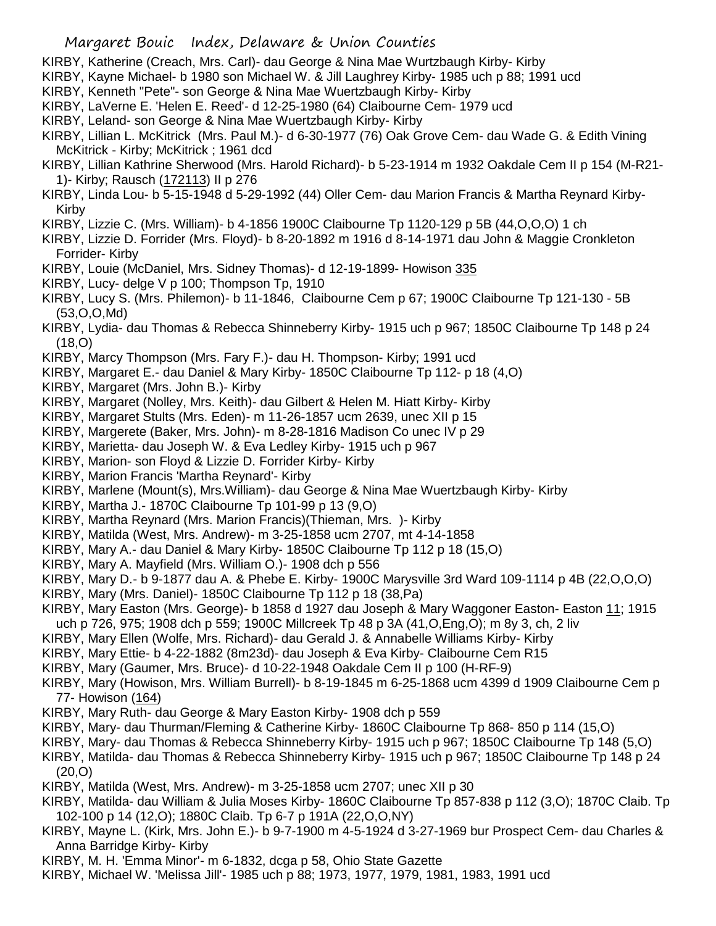- KIRBY, Katherine (Creach, Mrs. Carl)- dau George & Nina Mae Wurtzbaugh Kirby- Kirby
- KIRBY, Kayne Michael- b 1980 son Michael W. & Jill Laughrey Kirby- 1985 uch p 88; 1991 ucd
- KIRBY, Kenneth "Pete"- son George & Nina Mae Wuertzbaugh Kirby- Kirby
- KIRBY, LaVerne E. 'Helen E. Reed'- d 12-25-1980 (64) Claibourne Cem- 1979 ucd
- KIRBY, Leland- son George & Nina Mae Wuertzbaugh Kirby- Kirby
- KIRBY, Lillian L. McKitrick (Mrs. Paul M.)- d 6-30-1977 (76) Oak Grove Cem- dau Wade G. & Edith Vining McKitrick - Kirby; McKitrick ; 1961 dcd
- KIRBY, Lillian Kathrine Sherwood (Mrs. Harold Richard)- b 5-23-1914 m 1932 Oakdale Cem II p 154 (M-R21- 1)- Kirby; Rausch (172113) II p 276
- KIRBY, Linda Lou- b 5-15-1948 d 5-29-1992 (44) Oller Cem- dau Marion Francis & Martha Reynard Kirby-Kirby
- KIRBY, Lizzie C. (Mrs. William)- b 4-1856 1900C Claibourne Tp 1120-129 p 5B (44,O,O,O) 1 ch
- KIRBY, Lizzie D. Forrider (Mrs. Floyd)- b 8-20-1892 m 1916 d 8-14-1971 dau John & Maggie Cronkleton Forrider- Kirby
- KIRBY, Louie (McDaniel, Mrs. Sidney Thomas)- d 12-19-1899- Howison 335
- KIRBY, Lucy- delge V p 100; Thompson Tp, 1910
- KIRBY, Lucy S. (Mrs. Philemon)- b 11-1846, Claibourne Cem p 67; 1900C Claibourne Tp 121-130 5B (53,O,O,Md)
- KIRBY, Lydia- dau Thomas & Rebecca Shinneberry Kirby- 1915 uch p 967; 1850C Claibourne Tp 148 p 24 (18,O)
- KIRBY, Marcy Thompson (Mrs. Fary F.)- dau H. Thompson- Kirby; 1991 ucd
- KIRBY, Margaret E.- dau Daniel & Mary Kirby- 1850C Claibourne Tp 112- p 18 (4,O)
- KIRBY, Margaret (Mrs. John B.)- Kirby
- KIRBY, Margaret (Nolley, Mrs. Keith)- dau Gilbert & Helen M. Hiatt Kirby- Kirby
- KIRBY, Margaret Stults (Mrs. Eden)- m 11-26-1857 ucm 2639, unec XII p 15
- KIRBY, Margerete (Baker, Mrs. John)- m 8-28-1816 Madison Co unec IV p 29
- KIRBY, Marietta- dau Joseph W. & Eva Ledley Kirby- 1915 uch p 967
- KIRBY, Marion- son Floyd & Lizzie D. Forrider Kirby- Kirby
- KIRBY, Marion Francis 'Martha Reynard'- Kirby
- KIRBY, Marlene (Mount(s), Mrs.William)- dau George & Nina Mae Wuertzbaugh Kirby- Kirby
- KIRBY, Martha J.- 1870C Claibourne Tp 101-99 p 13 (9,O)
- KIRBY, Martha Reynard (Mrs. Marion Francis)(Thieman, Mrs. )- Kirby
- KIRBY, Matilda (West, Mrs. Andrew)- m 3-25-1858 ucm 2707, mt 4-14-1858
- KIRBY, Mary A.- dau Daniel & Mary Kirby- 1850C Claibourne Tp 112 p 18 (15,O)
- KIRBY, Mary A. Mayfield (Mrs. William O.)- 1908 dch p 556
- KIRBY, Mary D.- b 9-1877 dau A. & Phebe E. Kirby- 1900C Marysville 3rd Ward 109-1114 p 4B (22,O,O,O)
- KIRBY, Mary (Mrs. Daniel)- 1850C Claibourne Tp 112 p 18 (38,Pa)
- KIRBY, Mary Easton (Mrs. George)- b 1858 d 1927 dau Joseph & Mary Waggoner Easton- Easton 11; 1915 uch p 726, 975; 1908 dch p 559; 1900C Millcreek Tp 48 p 3A (41,O,Eng,O); m 8y 3, ch, 2 liv
- KIRBY, Mary Ellen (Wolfe, Mrs. Richard)- dau Gerald J. & Annabelle Williams Kirby- Kirby
- KIRBY, Mary Ettie- b 4-22-1882 (8m23d)- dau Joseph & Eva Kirby- Claibourne Cem R15
- KIRBY, Mary (Gaumer, Mrs. Bruce)- d 10-22-1948 Oakdale Cem II p 100 (H-RF-9)
- KIRBY, Mary (Howison, Mrs. William Burrell)- b 8-19-1845 m 6-25-1868 ucm 4399 d 1909 Claibourne Cem p 77- Howison (164)
- KIRBY, Mary Ruth- dau George & Mary Easton Kirby- 1908 dch p 559
- KIRBY, Mary- dau Thurman/Fleming & Catherine Kirby- 1860C Claibourne Tp 868- 850 p 114 (15,O)
- KIRBY, Mary- dau Thomas & Rebecca Shinneberry Kirby- 1915 uch p 967; 1850C Claibourne Tp 148 (5,O)
- KIRBY, Matilda- dau Thomas & Rebecca Shinneberry Kirby- 1915 uch p 967; 1850C Claibourne Tp 148 p 24 (20,O)
- KIRBY, Matilda (West, Mrs. Andrew)- m 3-25-1858 ucm 2707; unec XII p 30
- KIRBY, Matilda- dau William & Julia Moses Kirby- 1860C Claibourne Tp 857-838 p 112 (3,O); 1870C Claib. Tp 102-100 p 14 (12,O); 1880C Claib. Tp 6-7 p 191A (22,O,O,NY)
- KIRBY, Mayne L. (Kirk, Mrs. John E.)- b 9-7-1900 m 4-5-1924 d 3-27-1969 bur Prospect Cem- dau Charles & Anna Barridge Kirby- Kirby
- KIRBY, M. H. 'Emma Minor'- m 6-1832, dcga p 58, Ohio State Gazette
- KIRBY, Michael W. 'Melissa Jill'- 1985 uch p 88; 1973, 1977, 1979, 1981, 1983, 1991 ucd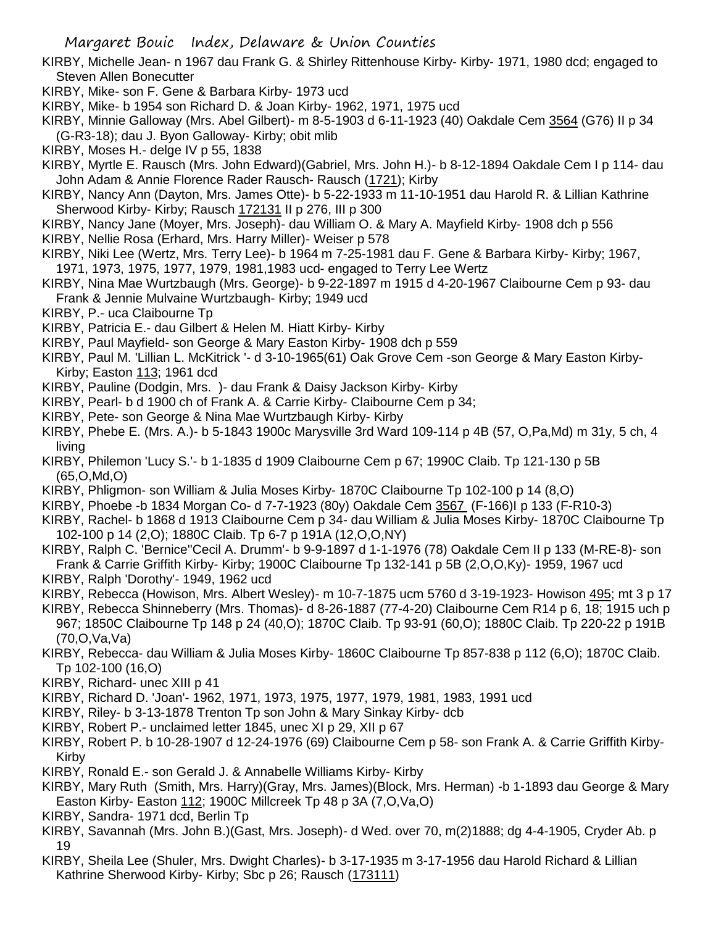- KIRBY, Michelle Jean- n 1967 dau Frank G. & Shirley Rittenhouse Kirby- Kirby- 1971, 1980 dcd; engaged to Steven Allen Bonecutter
- KIRBY, Mike- son F. Gene & Barbara Kirby- 1973 ucd
- KIRBY, Mike- b 1954 son Richard D. & Joan Kirby- 1962, 1971, 1975 ucd
- KIRBY, Minnie Galloway (Mrs. Abel Gilbert)- m 8-5-1903 d 6-11-1923 (40) Oakdale Cem 3564 (G76) II p 34 (G-R3-18); dau J. Byon Galloway- Kirby; obit mlib
- KIRBY, Moses H.- delge IV p 55, 1838
- KIRBY, Myrtle E. Rausch (Mrs. John Edward)(Gabriel, Mrs. John H.)- b 8-12-1894 Oakdale Cem I p 114- dau John Adam & Annie Florence Rader Rausch- Rausch (1721); Kirby
- KIRBY, Nancy Ann (Dayton, Mrs. James Otte)- b 5-22-1933 m 11-10-1951 dau Harold R. & Lillian Kathrine Sherwood Kirby- Kirby; Rausch 172131 II p 276, III p 300
- KIRBY, Nancy Jane (Moyer, Mrs. Joseph)- dau William O. & Mary A. Mayfield Kirby- 1908 dch p 556
- KIRBY, Nellie Rosa (Erhard, Mrs. Harry Miller)- Weiser p 578
- KIRBY, Niki Lee (Wertz, Mrs. Terry Lee)- b 1964 m 7-25-1981 dau F. Gene & Barbara Kirby- Kirby; 1967, 1971, 1973, 1975, 1977, 1979, 1981,1983 ucd- engaged to Terry Lee Wertz
- KIRBY, Nina Mae Wurtzbaugh (Mrs. George)- b 9-22-1897 m 1915 d 4-20-1967 Claibourne Cem p 93- dau Frank & Jennie Mulvaine Wurtzbaugh- Kirby; 1949 ucd
- KIRBY, P.- uca Claibourne Tp
- KIRBY, Patricia E.- dau Gilbert & Helen M. Hiatt Kirby- Kirby
- KIRBY, Paul Mayfield- son George & Mary Easton Kirby- 1908 dch p 559
- KIRBY, Paul M. 'Lillian L. McKitrick '- d 3-10-1965(61) Oak Grove Cem -son George & Mary Easton Kirby-Kirby; Easton 113; 1961 dcd
- KIRBY, Pauline (Dodgin, Mrs. )- dau Frank & Daisy Jackson Kirby- Kirby
- KIRBY, Pearl- b d 1900 ch of Frank A. & Carrie Kirby- Claibourne Cem p 34;
- KIRBY, Pete- son George & Nina Mae Wurtzbaugh Kirby- Kirby
- KIRBY, Phebe E. (Mrs. A.)- b 5-1843 1900c Marysville 3rd Ward 109-114 p 4B (57, O,Pa,Md) m 31y, 5 ch, 4 living
- KIRBY, Philemon 'Lucy S.'- b 1-1835 d 1909 Claibourne Cem p 67; 1990C Claib. Tp 121-130 p 5B (65,O,Md,O)
- KIRBY, Phligmon- son William & Julia Moses Kirby- 1870C Claibourne Tp 102-100 p 14 (8,O)
- KIRBY, Phoebe -b 1834 Morgan Co- d 7-7-1923 (80y) Oakdale Cem 3567 (F-166)I p 133 (F-R10-3)
- KIRBY, Rachel- b 1868 d 1913 Claibourne Cem p 34- dau William & Julia Moses Kirby- 1870C Claibourne Tp 102-100 p 14 (2,O); 1880C Claib. Tp 6-7 p 191A (12,O,O,NY)
- KIRBY, Ralph C. 'Bernice''Cecil A. Drumm'- b 9-9-1897 d 1-1-1976 (78) Oakdale Cem II p 133 (M-RE-8)- son Frank & Carrie Griffith Kirby- Kirby; 1900C Claibourne Tp 132-141 p 5B (2,O,O,Ky)- 1959, 1967 ucd
- KIRBY, Ralph 'Dorothy'- 1949, 1962 ucd
- KIRBY, Rebecca (Howison, Mrs. Albert Wesley)- m 10-7-1875 ucm 5760 d 3-19-1923- Howison 495; mt 3 p 17
- KIRBY, Rebecca Shinneberry (Mrs. Thomas)- d 8-26-1887 (77-4-20) Claibourne Cem R14 p 6, 18; 1915 uch p 967; 1850C Claibourne Tp 148 p 24 (40,O); 1870C Claib. Tp 93-91 (60,O); 1880C Claib. Tp 220-22 p 191B (70,O,Va,Va)
- KIRBY, Rebecca- dau William & Julia Moses Kirby- 1860C Claibourne Tp 857-838 p 112 (6,O); 1870C Claib. Tp 102-100 (16,O)
- KIRBY, Richard- unec XIII p 41
- KIRBY, Richard D. 'Joan'- 1962, 1971, 1973, 1975, 1977, 1979, 1981, 1983, 1991 ucd
- KIRBY, Riley- b 3-13-1878 Trenton Tp son John & Mary Sinkay Kirby- dcb
- KIRBY, Robert P.- unclaimed letter 1845, unec XI p 29, XII p 67
- KIRBY, Robert P. b 10-28-1907 d 12-24-1976 (69) Claibourne Cem p 58- son Frank A. & Carrie Griffith Kirby-Kirby
- KIRBY, Ronald E.- son Gerald J. & Annabelle Williams Kirby- Kirby
- KIRBY, Mary Ruth (Smith, Mrs. Harry)(Gray, Mrs. James)(Block, Mrs. Herman) -b 1-1893 dau George & Mary Easton Kirby- Easton 112; 1900C Millcreek Tp 48 p 3A (7,O,Va,O)
- KIRBY, Sandra- 1971 dcd, Berlin Tp
- KIRBY, Savannah (Mrs. John B.)(Gast, Mrs. Joseph)- d Wed. over 70, m(2)1888; dg 4-4-1905, Cryder Ab. p 19
- KIRBY, Sheila Lee (Shuler, Mrs. Dwight Charles)- b 3-17-1935 m 3-17-1956 dau Harold Richard & Lillian Kathrine Sherwood Kirby- Kirby; Sbc p 26; Rausch (173111)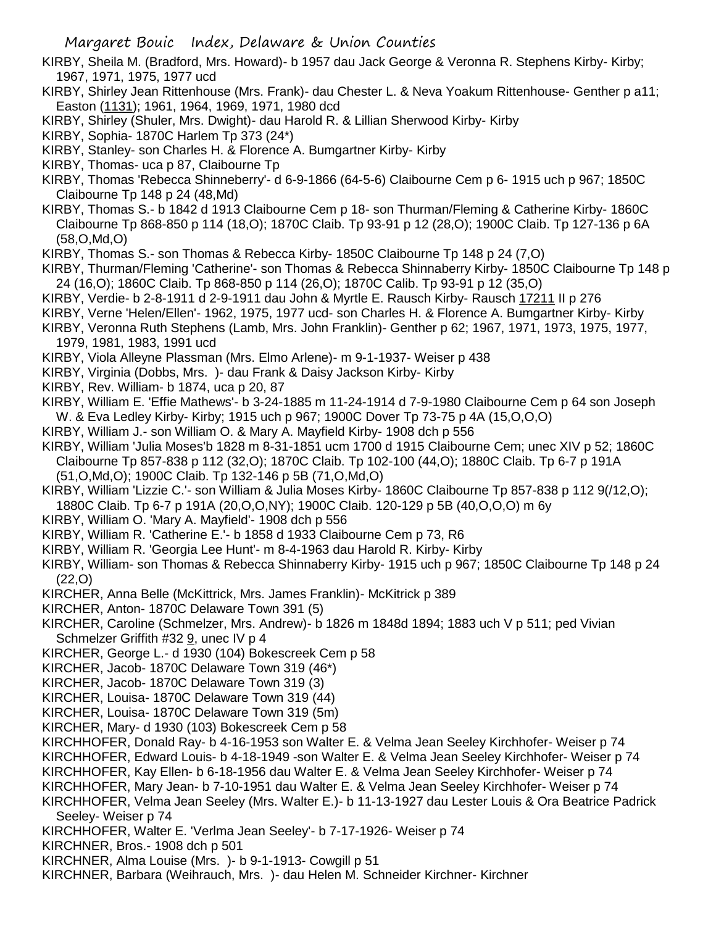- KIRBY, Sheila M. (Bradford, Mrs. Howard)- b 1957 dau Jack George & Veronna R. Stephens Kirby- Kirby; 1967, 1971, 1975, 1977 ucd
- KIRBY, Shirley Jean Rittenhouse (Mrs. Frank)- dau Chester L. & Neva Yoakum Rittenhouse- Genther p a11; Easton (1131); 1961, 1964, 1969, 1971, 1980 dcd
- KIRBY, Shirley (Shuler, Mrs. Dwight)- dau Harold R. & Lillian Sherwood Kirby- Kirby
- KIRBY, Sophia- 1870C Harlem Tp 373 (24\*)
- KIRBY, Stanley- son Charles H. & Florence A. Bumgartner Kirby- Kirby
- KIRBY, Thomas- uca p 87, Claibourne Tp
- KIRBY, Thomas 'Rebecca Shinneberry'- d 6-9-1866 (64-5-6) Claibourne Cem p 6- 1915 uch p 967; 1850C Claibourne Tp 148 p 24 (48,Md)
- KIRBY, Thomas S.- b 1842 d 1913 Claibourne Cem p 18- son Thurman/Fleming & Catherine Kirby- 1860C Claibourne Tp 868-850 p 114 (18,O); 1870C Claib. Tp 93-91 p 12 (28,O); 1900C Claib. Tp 127-136 p 6A (58,O,Md,O)
- KIRBY, Thomas S.- son Thomas & Rebecca Kirby- 1850C Claibourne Tp 148 p 24 (7,O)
- KIRBY, Thurman/Fleming 'Catherine'- son Thomas & Rebecca Shinnaberry Kirby- 1850C Claibourne Tp 148 p 24 (16,O); 1860C Claib. Tp 868-850 p 114 (26,O); 1870C Calib. Tp 93-91 p 12 (35,O)
- KIRBY, Verdie- b 2-8-1911 d 2-9-1911 dau John & Myrtle E. Rausch Kirby- Rausch 17211 II p 276
- KIRBY, Verne 'Helen/Ellen'- 1962, 1975, 1977 ucd- son Charles H. & Florence A. Bumgartner Kirby- Kirby
- KIRBY, Veronna Ruth Stephens (Lamb, Mrs. John Franklin)- Genther p 62; 1967, 1971, 1973, 1975, 1977, 1979, 1981, 1983, 1991 ucd
- KIRBY, Viola Alleyne Plassman (Mrs. Elmo Arlene)- m 9-1-1937- Weiser p 438
- KIRBY, Virginia (Dobbs, Mrs. )- dau Frank & Daisy Jackson Kirby- Kirby
- KIRBY, Rev. William- b 1874, uca p 20, 87
- KIRBY, William E. 'Effie Mathews'- b 3-24-1885 m 11-24-1914 d 7-9-1980 Claibourne Cem p 64 son Joseph W. & Eva Ledley Kirby- Kirby; 1915 uch p 967; 1900C Dover Tp 73-75 p 4A (15,O,O,O)
- KIRBY, William J.- son William O. & Mary A. Mayfield Kirby- 1908 dch p 556
- KIRBY, William 'Julia Moses'b 1828 m 8-31-1851 ucm 1700 d 1915 Claibourne Cem; unec XIV p 52; 1860C Claibourne Tp 857-838 p 112 (32,O); 1870C Claib. Tp 102-100 (44,O); 1880C Claib. Tp 6-7 p 191A (51,O,Md,O); 1900C Claib. Tp 132-146 p 5B (71,O,Md,O)
- KIRBY, William 'Lizzie C.'- son William & Julia Moses Kirby- 1860C Claibourne Tp 857-838 p 112 9(/12,O); 1880C Claib. Tp 6-7 p 191A (20,O,O,NY); 1900C Claib. 120-129 p 5B (40,O,O,O) m 6y
- KIRBY, William O. 'Mary A. Mayfield'- 1908 dch p 556
- KIRBY, William R. 'Catherine E.'- b 1858 d 1933 Claibourne Cem p 73, R6
- KIRBY, William R. 'Georgia Lee Hunt'- m 8-4-1963 dau Harold R. Kirby- Kirby
- KIRBY, William- son Thomas & Rebecca Shinnaberry Kirby- 1915 uch p 967; 1850C Claibourne Tp 148 p 24 (22,O)
- KIRCHER, Anna Belle (McKittrick, Mrs. James Franklin)- McKitrick p 389
- KIRCHER, Anton- 1870C Delaware Town 391 (5)
- KIRCHER, Caroline (Schmelzer, Mrs. Andrew)- b 1826 m 1848d 1894; 1883 uch V p 511; ped Vivian Schmelzer Griffith #32 9, unec IV p 4
- KIRCHER, George L.- d 1930 (104) Bokescreek Cem p 58
- KIRCHER, Jacob- 1870C Delaware Town 319 (46\*)
- KIRCHER, Jacob- 1870C Delaware Town 319 (3)
- KIRCHER, Louisa- 1870C Delaware Town 319 (44)
- KIRCHER, Louisa- 1870C Delaware Town 319 (5m)
- KIRCHER, Mary- d 1930 (103) Bokescreek Cem p 58
- KIRCHHOFER, Donald Ray- b 4-16-1953 son Walter E. & Velma Jean Seeley Kirchhofer- Weiser p 74

KIRCHHOFER, Edward Louis- b 4-18-1949 -son Walter E. & Velma Jean Seeley Kirchhofer- Weiser p 74

- KIRCHHOFER, Kay Ellen- b 6-18-1956 dau Walter E. & Velma Jean Seeley Kirchhofer- Weiser p 74
- KIRCHHOFER, Mary Jean- b 7-10-1951 dau Walter E. & Velma Jean Seeley Kirchhofer- Weiser p 74
- KIRCHHOFER, Velma Jean Seeley (Mrs. Walter E.)- b 11-13-1927 dau Lester Louis & Ora Beatrice Padrick Seeley- Weiser p 74
- KIRCHHOFER, Walter E. 'Verlma Jean Seeley'- b 7-17-1926- Weiser p 74
- KIRCHNER, Bros.- 1908 dch p 501
- KIRCHNER, Alma Louise (Mrs. )- b 9-1-1913- Cowgill p 51
- KIRCHNER, Barbara (Weihrauch, Mrs. )- dau Helen M. Schneider Kirchner- Kirchner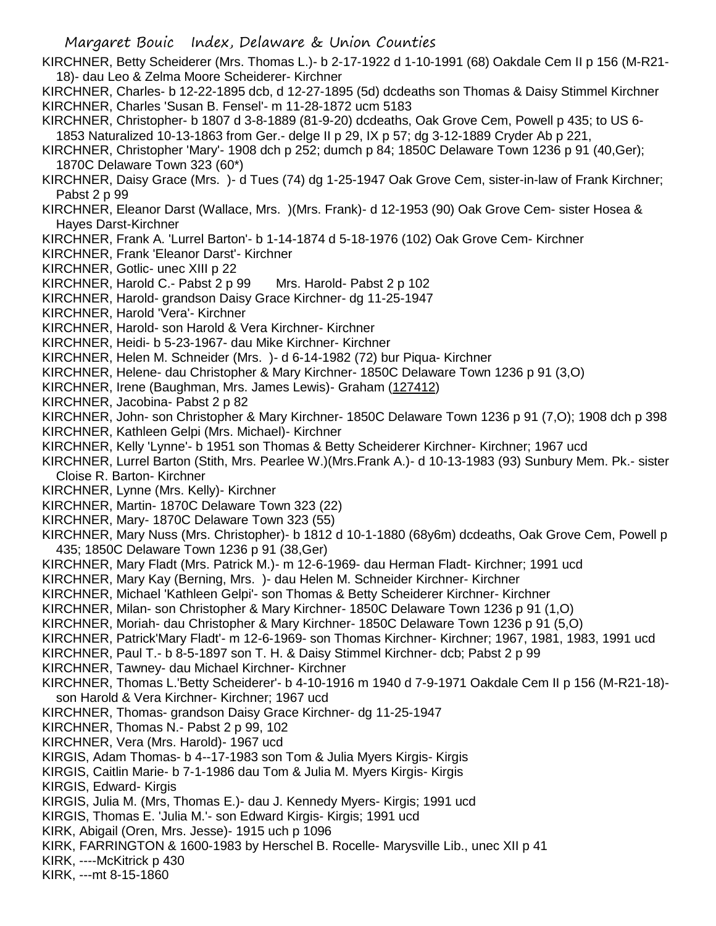KIRCHNER, Betty Scheiderer (Mrs. Thomas L.)- b 2-17-1922 d 1-10-1991 (68) Oakdale Cem II p 156 (M-R21- 18)- dau Leo & Zelma Moore Scheiderer- Kirchner KIRCHNER, Charles- b 12-22-1895 dcb, d 12-27-1895 (5d) dcdeaths son Thomas & Daisy Stimmel Kirchner KIRCHNER, Charles 'Susan B. Fensel'- m 11-28-1872 ucm 5183 KIRCHNER, Christopher- b 1807 d 3-8-1889 (81-9-20) dcdeaths, Oak Grove Cem, Powell p 435; to US 6- 1853 Naturalized 10-13-1863 from Ger.- delge II p 29, IX p 57; dg 3-12-1889 Cryder Ab p 221, KIRCHNER, Christopher 'Mary'- 1908 dch p 252; dumch p 84; 1850C Delaware Town 1236 p 91 (40,Ger); 1870C Delaware Town 323 (60\*) KIRCHNER, Daisy Grace (Mrs. )- d Tues (74) dg 1-25-1947 Oak Grove Cem, sister-in-law of Frank Kirchner; Pabst 2 p 99 KIRCHNER, Eleanor Darst (Wallace, Mrs. )(Mrs. Frank)- d 12-1953 (90) Oak Grove Cem- sister Hosea & Hayes Darst-Kirchner KIRCHNER, Frank A. 'Lurrel Barton'- b 1-14-1874 d 5-18-1976 (102) Oak Grove Cem- Kirchner KIRCHNER, Frank 'Eleanor Darst'- Kirchner KIRCHNER, Gotlic- unec XIII p 22 KIRCHNER, Harold C.- Pabst 2 p 99 Mrs. Harold- Pabst 2 p 102 KIRCHNER, Harold- grandson Daisy Grace Kirchner- dg 11-25-1947 KIRCHNER, Harold 'Vera'- Kirchner KIRCHNER, Harold- son Harold & Vera Kirchner- Kirchner KIRCHNER, Heidi- b 5-23-1967- dau Mike Kirchner- Kirchner KIRCHNER, Helen M. Schneider (Mrs. )- d 6-14-1982 (72) bur Piqua- Kirchner KIRCHNER, Helene- dau Christopher & Mary Kirchner- 1850C Delaware Town 1236 p 91 (3,O) KIRCHNER, Irene (Baughman, Mrs. James Lewis)- Graham (127412) KIRCHNER, Jacobina- Pabst 2 p 82 KIRCHNER, John- son Christopher & Mary Kirchner- 1850C Delaware Town 1236 p 91 (7,O); 1908 dch p 398 KIRCHNER, Kathleen Gelpi (Mrs. Michael)- Kirchner KIRCHNER, Kelly 'Lynne'- b 1951 son Thomas & Betty Scheiderer Kirchner- Kirchner; 1967 ucd KIRCHNER, Lurrel Barton (Stith, Mrs. Pearlee W.)(Mrs.Frank A.)- d 10-13-1983 (93) Sunbury Mem. Pk.- sister Cloise R. Barton- Kirchner KIRCHNER, Lynne (Mrs. Kelly)- Kirchner KIRCHNER, Martin- 1870C Delaware Town 323 (22) KIRCHNER, Mary- 1870C Delaware Town 323 (55) KIRCHNER, Mary Nuss (Mrs. Christopher)- b 1812 d 10-1-1880 (68y6m) dcdeaths, Oak Grove Cem, Powell p 435; 1850C Delaware Town 1236 p 91 (38,Ger) KIRCHNER, Mary Fladt (Mrs. Patrick M.)- m 12-6-1969- dau Herman Fladt- Kirchner; 1991 ucd KIRCHNER, Mary Kay (Berning, Mrs. )- dau Helen M. Schneider Kirchner- Kirchner KIRCHNER, Michael 'Kathleen Gelpi'- son Thomas & Betty Scheiderer Kirchner- Kirchner KIRCHNER, Milan- son Christopher & Mary Kirchner- 1850C Delaware Town 1236 p 91 (1,O) KIRCHNER, Moriah- dau Christopher & Mary Kirchner- 1850C Delaware Town 1236 p 91 (5,O) KIRCHNER, Patrick'Mary Fladt'- m 12-6-1969- son Thomas Kirchner- Kirchner; 1967, 1981, 1983, 1991 ucd KIRCHNER, Paul T.- b 8-5-1897 son T. H. & Daisy Stimmel Kirchner- dcb; Pabst 2 p 99 KIRCHNER, Tawney- dau Michael Kirchner- Kirchner KIRCHNER, Thomas L.'Betty Scheiderer'- b 4-10-1916 m 1940 d 7-9-1971 Oakdale Cem II p 156 (M-R21-18) son Harold & Vera Kirchner- Kirchner; 1967 ucd KIRCHNER, Thomas- grandson Daisy Grace Kirchner- dg 11-25-1947 KIRCHNER, Thomas N.- Pabst 2 p 99, 102 KIRCHNER, Vera (Mrs. Harold)- 1967 ucd KIRGIS, Adam Thomas- b 4--17-1983 son Tom & Julia Myers Kirgis- Kirgis KIRGIS, Caitlin Marie- b 7-1-1986 dau Tom & Julia M. Myers Kirgis- Kirgis KIRGIS, Edward- Kirgis KIRGIS, Julia M. (Mrs, Thomas E.)- dau J. Kennedy Myers- Kirgis; 1991 ucd KIRGIS, Thomas E. 'Julia M.'- son Edward Kirgis- Kirgis; 1991 ucd KIRK, Abigail (Oren, Mrs. Jesse)- 1915 uch p 1096 KIRK, FARRINGTON & 1600-1983 by Herschel B. Rocelle- Marysville Lib., unec XII p 41 KIRK, ----McKitrick p 430 KIRK, ---mt 8-15-1860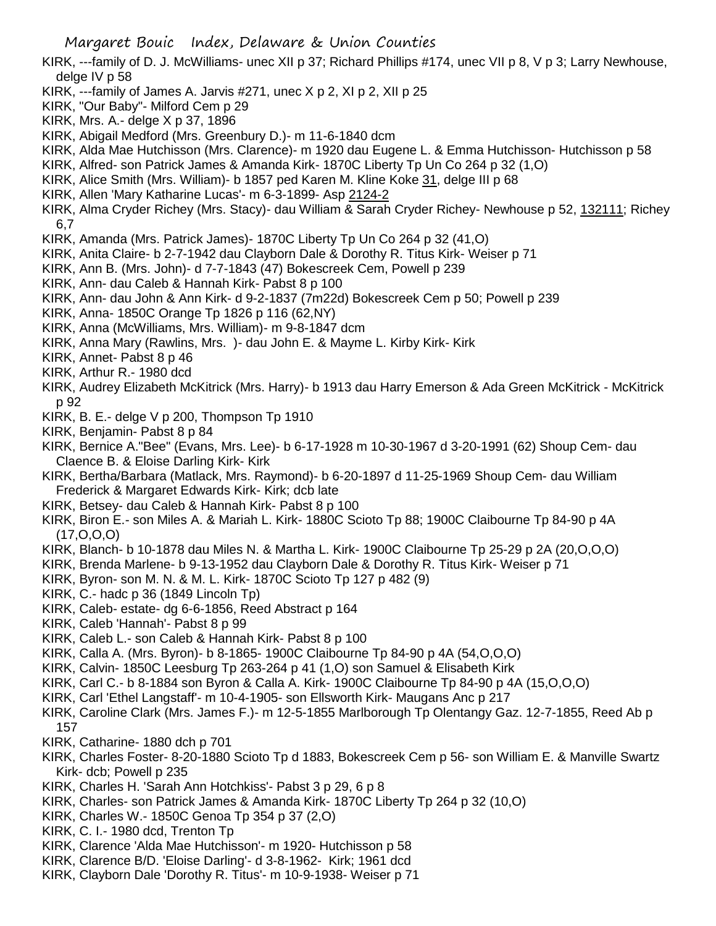KIRK, ---family of D. J. McWilliams- unec XII p 37; Richard Phillips #174, unec VII p 8, V p 3; Larry Newhouse, delge IV p 58

- KIRK,  $-$ -family of James A. Jarvis #271, unec  $X$  p 2,  $X$ l p 2,  $X$ II p 25
- KIRK, "Our Baby"- Milford Cem p 29
- KIRK, Mrs. A.- delge X p 37, 1896
- KIRK, Abigail Medford (Mrs. Greenbury D.)- m 11-6-1840 dcm
- KIRK, Alda Mae Hutchisson (Mrs. Clarence)- m 1920 dau Eugene L. & Emma Hutchisson- Hutchisson p 58
- KIRK, Alfred- son Patrick James & Amanda Kirk- 1870C Liberty Tp Un Co 264 p 32 (1,O)
- KIRK, Alice Smith (Mrs. William)- b 1857 ped Karen M. Kline Koke 31, delge III p 68
- KIRK, Allen 'Mary Katharine Lucas'- m 6-3-1899- Asp 2124-2
- KIRK, Alma Cryder Richey (Mrs. Stacy)- dau William & Sarah Cryder Richey- Newhouse p 52, 132111; Richey 6,7
- KIRK, Amanda (Mrs. Patrick James)- 1870C Liberty Tp Un Co 264 p 32 (41,O)
- KIRK, Anita Claire- b 2-7-1942 dau Clayborn Dale & Dorothy R. Titus Kirk- Weiser p 71
- KIRK, Ann B. (Mrs. John)- d 7-7-1843 (47) Bokescreek Cem, Powell p 239
- KIRK, Ann- dau Caleb & Hannah Kirk- Pabst 8 p 100
- KIRK, Ann- dau John & Ann Kirk- d 9-2-1837 (7m22d) Bokescreek Cem p 50; Powell p 239
- KIRK, Anna- 1850C Orange Tp 1826 p 116 (62,NY)
- KIRK, Anna (McWilliams, Mrs. William)- m 9-8-1847 dcm
- KIRK, Anna Mary (Rawlins, Mrs. )- dau John E. & Mayme L. Kirby Kirk- Kirk
- KIRK, Annet- Pabst 8 p 46
- KIRK, Arthur R.- 1980 dcd
- KIRK, Audrey Elizabeth McKitrick (Mrs. Harry)- b 1913 dau Harry Emerson & Ada Green McKitrick McKitrick p 92
- KIRK, B. E.- delge V p 200, Thompson Tp 1910
- KIRK, Benjamin- Pabst 8 p 84
- KIRK, Bernice A."Bee" (Evans, Mrs. Lee)- b 6-17-1928 m 10-30-1967 d 3-20-1991 (62) Shoup Cem- dau Claence B. & Eloise Darling Kirk- Kirk
- KIRK, Bertha/Barbara (Matlack, Mrs. Raymond)- b 6-20-1897 d 11-25-1969 Shoup Cem- dau William Frederick & Margaret Edwards Kirk- Kirk; dcb late
- KIRK, Betsey- dau Caleb & Hannah Kirk- Pabst 8 p 100
- KIRK, Biron E.- son Miles A. & Mariah L. Kirk- 1880C Scioto Tp 88; 1900C Claibourne Tp 84-90 p 4A (17,O,O,O)
- KIRK, Blanch- b 10-1878 dau Miles N. & Martha L. Kirk- 1900C Claibourne Tp 25-29 p 2A (20,O,O,O)
- KIRK, Brenda Marlene- b 9-13-1952 dau Clayborn Dale & Dorothy R. Titus Kirk- Weiser p 71
- KIRK, Byron- son M. N. & M. L. Kirk- 1870C Scioto Tp 127 p 482 (9)
- KIRK, C.- hadc p 36 (1849 Lincoln Tp)
- KIRK, Caleb- estate- dg 6-6-1856, Reed Abstract p 164
- KIRK, Caleb 'Hannah'- Pabst 8 p 99
- KIRK, Caleb L.- son Caleb & Hannah Kirk- Pabst 8 p 100
- KIRK, Calla A. (Mrs. Byron)- b 8-1865- 1900C Claibourne Tp 84-90 p 4A (54,O,O,O)
- KIRK, Calvin- 1850C Leesburg Tp 263-264 p 41 (1,O) son Samuel & Elisabeth Kirk
- KIRK, Carl C.- b 8-1884 son Byron & Calla A. Kirk- 1900C Claibourne Tp 84-90 p 4A (15,O,O,O)
- KIRK, Carl 'Ethel Langstaff'- m 10-4-1905- son Ellsworth Kirk- Maugans Anc p 217
- KIRK, Caroline Clark (Mrs. James F.)- m 12-5-1855 Marlborough Tp Olentangy Gaz. 12-7-1855, Reed Ab p 157
- KIRK, Catharine- 1880 dch p 701
- KIRK, Charles Foster- 8-20-1880 Scioto Tp d 1883, Bokescreek Cem p 56- son William E. & Manville Swartz Kirk- dcb; Powell p 235
- KIRK, Charles H. 'Sarah Ann Hotchkiss'- Pabst 3 p 29, 6 p 8
- KIRK, Charles- son Patrick James & Amanda Kirk- 1870C Liberty Tp 264 p 32 (10,O)
- KIRK, Charles W.- 1850C Genoa Tp 354 p 37 (2,O)
- KIRK, C. I.- 1980 dcd, Trenton Tp
- KIRK, Clarence 'Alda Mae Hutchisson'- m 1920- Hutchisson p 58
- KIRK, Clarence B/D. 'Eloise Darling'- d 3-8-1962- Kirk; 1961 dcd
- KIRK, Clayborn Dale 'Dorothy R. Titus'- m 10-9-1938- Weiser p 71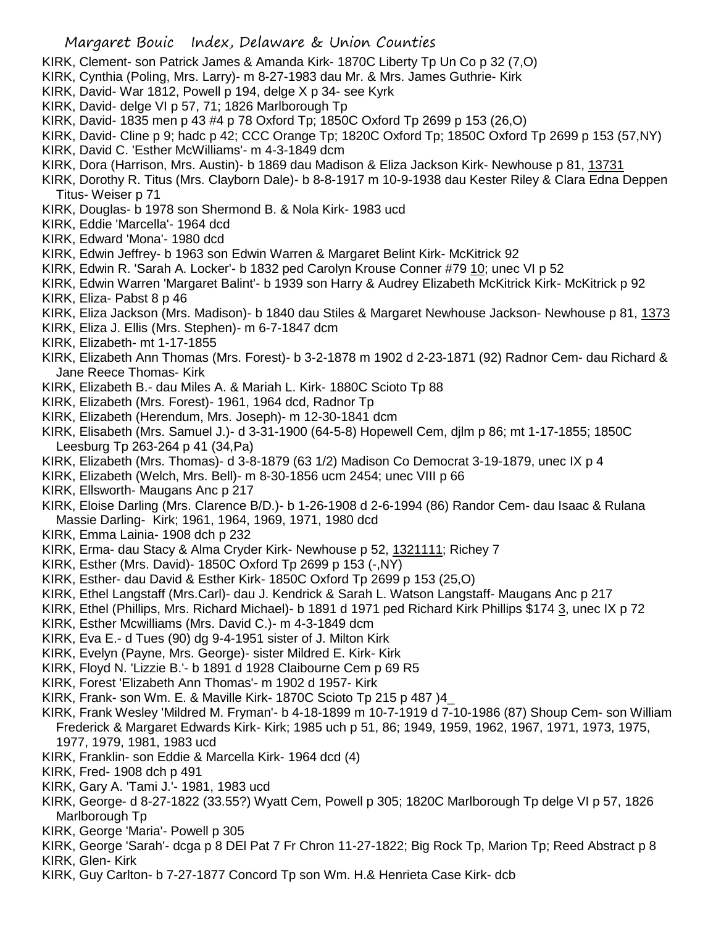- KIRK, Clement- son Patrick James & Amanda Kirk- 1870C Liberty Tp Un Co p 32 (7,O)
- KIRK, Cynthia (Poling, Mrs. Larry)- m 8-27-1983 dau Mr. & Mrs. James Guthrie- Kirk
- KIRK, David- War 1812, Powell p 194, delge X p 34- see Kyrk
- KIRK, David- delge VI p 57, 71; 1826 Marlborough Tp
- KIRK, David- 1835 men p 43 #4 p 78 Oxford Tp; 1850C Oxford Tp 2699 p 153 (26,O)
- KIRK, David- Cline p 9; hadc p 42; CCC Orange Tp; 1820C Oxford Tp; 1850C Oxford Tp 2699 p 153 (57,NY)
- KIRK, David C. 'Esther McWilliams'- m 4-3-1849 dcm
- KIRK, Dora (Harrison, Mrs. Austin)- b 1869 dau Madison & Eliza Jackson Kirk- Newhouse p 81, 13731
- KIRK, Dorothy R. Titus (Mrs. Clayborn Dale)- b 8-8-1917 m 10-9-1938 dau Kester Riley & Clara Edna Deppen Titus- Weiser p 71
- KIRK, Douglas- b 1978 son Shermond B. & Nola Kirk- 1983 ucd
- KIRK, Eddie 'Marcella'- 1964 dcd
- KIRK, Edward 'Mona'- 1980 dcd
- KIRK, Edwin Jeffrey- b 1963 son Edwin Warren & Margaret Belint Kirk- McKitrick 92
- KIRK, Edwin R. 'Sarah A. Locker'- b 1832 ped Carolyn Krouse Conner #79 10; unec VI p 52
- KIRK, Edwin Warren 'Margaret Balint'- b 1939 son Harry & Audrey Elizabeth McKitrick Kirk- McKitrick p 92 KIRK, Eliza- Pabst 8 p 46
- KIRK, Eliza Jackson (Mrs. Madison)- b 1840 dau Stiles & Margaret Newhouse Jackson- Newhouse p 81, 1373
- KIRK, Eliza J. Ellis (Mrs. Stephen)- m 6-7-1847 dcm
- KIRK, Elizabeth- mt 1-17-1855
- KIRK, Elizabeth Ann Thomas (Mrs. Forest)- b 3-2-1878 m 1902 d 2-23-1871 (92) Radnor Cem- dau Richard & Jane Reece Thomas- Kirk
- KIRK, Elizabeth B.- dau Miles A. & Mariah L. Kirk- 1880C Scioto Tp 88
- KIRK, Elizabeth (Mrs. Forest)- 1961, 1964 dcd, Radnor Tp
- KIRK, Elizabeth (Herendum, Mrs. Joseph)- m 12-30-1841 dcm
- KIRK, Elisabeth (Mrs. Samuel J.)- d 3-31-1900 (64-5-8) Hopewell Cem, djlm p 86; mt 1-17-1855; 1850C Leesburg Tp 263-264 p 41 (34,Pa)
- KIRK, Elizabeth (Mrs. Thomas)- d 3-8-1879 (63 1/2) Madison Co Democrat 3-19-1879, unec IX p 4
- KIRK, Elizabeth (Welch, Mrs. Bell)- m 8-30-1856 ucm 2454; unec VIII p 66
- KIRK, Ellsworth- Maugans Anc p 217
- KIRK, Eloise Darling (Mrs. Clarence B/D.)- b 1-26-1908 d 2-6-1994 (86) Randor Cem- dau Isaac & Rulana Massie Darling- Kirk; 1961, 1964, 1969, 1971, 1980 dcd
- KIRK, Emma Lainia- 1908 dch p 232
- KIRK, Erma- dau Stacy & Alma Cryder Kirk- Newhouse p 52, 1321111; Richey 7
- KIRK, Esther (Mrs. David)- 1850C Oxford Tp 2699 p 153 (-,NY)
- KIRK, Esther- dau David & Esther Kirk- 1850C Oxford Tp 2699 p 153 (25,O)
- KIRK, Ethel Langstaff (Mrs.Carl)- dau J. Kendrick & Sarah L. Watson Langstaff- Maugans Anc p 217
- KIRK, Ethel (Phillips, Mrs. Richard Michael)- b 1891 d 1971 ped Richard Kirk Phillips \$174 3, unec IX p 72
- KIRK, Esther Mcwilliams (Mrs. David C.)- m 4-3-1849 dcm
- KIRK, Eva E.- d Tues (90) dg 9-4-1951 sister of J. Milton Kirk
- KIRK, Evelyn (Payne, Mrs. George)- sister Mildred E. Kirk- Kirk
- KIRK, Floyd N. 'Lizzie B.'- b 1891 d 1928 Claibourne Cem p 69 R5
- KIRK, Forest 'Elizabeth Ann Thomas'- m 1902 d 1957- Kirk
- KIRK, Frank- son Wm. E. & Maville Kirk- 1870C Scioto Tp 215 p 487 )4\_
- KIRK, Frank Wesley 'Mildred M. Fryman'- b 4-18-1899 m 10-7-1919 d 7-10-1986 (87) Shoup Cem- son William Frederick & Margaret Edwards Kirk- Kirk; 1985 uch p 51, 86; 1949, 1959, 1962, 1967, 1971, 1973, 1975, 1977, 1979, 1981, 1983 ucd
- KIRK, Franklin- son Eddie & Marcella Kirk- 1964 dcd (4)
- KIRK, Fred- 1908 dch p 491
- KIRK, Gary A. 'Tami J.'- 1981, 1983 ucd
- KIRK, George- d 8-27-1822 (33.55?) Wyatt Cem, Powell p 305; 1820C Marlborough Tp delge VI p 57, 1826 Marlborough Tp
- KIRK, George 'Maria'- Powell p 305
- KIRK, George 'Sarah'- dcga p 8 DEl Pat 7 Fr Chron 11-27-1822; Big Rock Tp, Marion Tp; Reed Abstract p 8 KIRK, Glen- Kirk
- KIRK, Guy Carlton- b 7-27-1877 Concord Tp son Wm. H.& Henrieta Case Kirk- dcb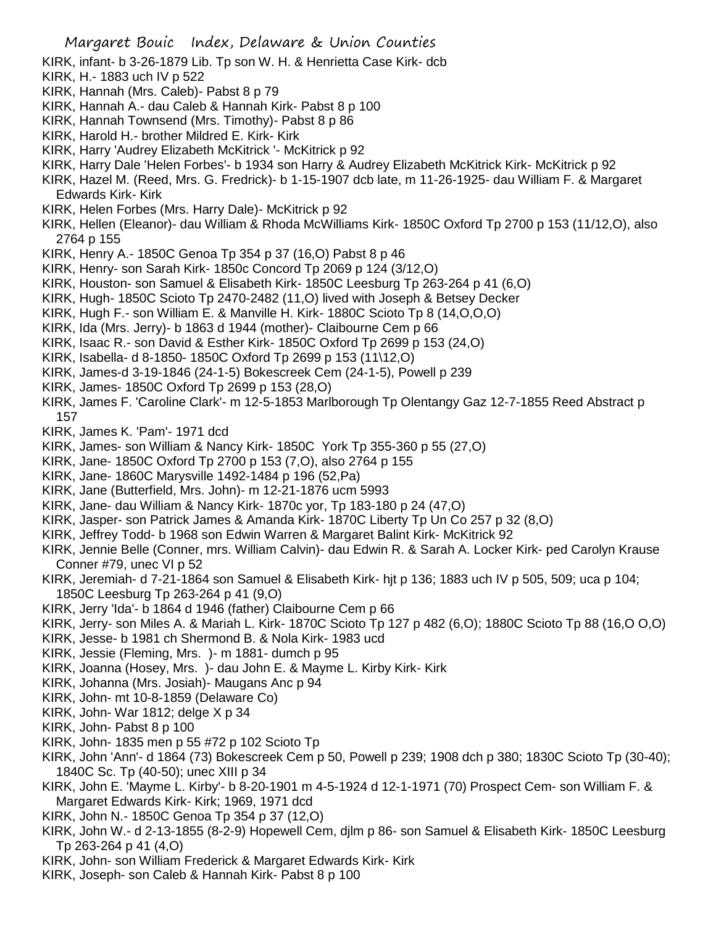- KIRK, infant- b 3-26-1879 Lib. Tp son W. H. & Henrietta Case Kirk- dcb
- KIRK, H.- 1883 uch IV p 522
- KIRK, Hannah (Mrs. Caleb)- Pabst 8 p 79
- KIRK, Hannah A.- dau Caleb & Hannah Kirk- Pabst 8 p 100
- KIRK, Hannah Townsend (Mrs. Timothy)- Pabst 8 p 86
- KIRK, Harold H.- brother Mildred E. Kirk- Kirk
- KIRK, Harry 'Audrey Elizabeth McKitrick '- McKitrick p 92
- KIRK, Harry Dale 'Helen Forbes'- b 1934 son Harry & Audrey Elizabeth McKitrick Kirk- McKitrick p 92
- KIRK, Hazel M. (Reed, Mrs. G. Fredrick)- b 1-15-1907 dcb late, m 11-26-1925- dau William F. & Margaret Edwards Kirk- Kirk
- KIRK, Helen Forbes (Mrs. Harry Dale)- McKitrick p 92
- KIRK, Hellen (Eleanor)- dau William & Rhoda McWilliams Kirk- 1850C Oxford Tp 2700 p 153 (11/12,O), also 2764 p 155
- KIRK, Henry A.- 1850C Genoa Tp 354 p 37 (16,O) Pabst 8 p 46
- KIRK, Henry- son Sarah Kirk- 1850c Concord Tp 2069 p 124 (3/12,O)
- KIRK, Houston- son Samuel & Elisabeth Kirk- 1850C Leesburg Tp 263-264 p 41 (6,O)
- KIRK, Hugh- 1850C Scioto Tp 2470-2482 (11,O) lived with Joseph & Betsey Decker
- KIRK, Hugh F.- son William E. & Manville H. Kirk- 1880C Scioto Tp 8 (14,O,O,O)
- KIRK, Ida (Mrs. Jerry)- b 1863 d 1944 (mother)- Claibourne Cem p 66
- KIRK, Isaac R.- son David & Esther Kirk- 1850C Oxford Tp 2699 p 153 (24,O)
- KIRK, Isabella- d 8-1850- 1850C Oxford Tp 2699 p 153 (11\12,O)
- KIRK, James-d 3-19-1846 (24-1-5) Bokescreek Cem (24-1-5), Powell p 239
- KIRK, James- 1850C Oxford Tp 2699 p 153 (28,O)
- KIRK, James F. 'Caroline Clark'- m 12-5-1853 Marlborough Tp Olentangy Gaz 12-7-1855 Reed Abstract p 157
- KIRK, James K. 'Pam'- 1971 dcd
- KIRK, James- son William & Nancy Kirk- 1850C York Tp 355-360 p 55 (27,O)
- KIRK, Jane- 1850C Oxford Tp 2700 p 153 (7,O), also 2764 p 155
- KIRK, Jane- 1860C Marysville 1492-1484 p 196 (52,Pa)
- KIRK, Jane (Butterfield, Mrs. John)- m 12-21-1876 ucm 5993
- KIRK, Jane- dau William & Nancy Kirk- 1870c yor, Tp 183-180 p 24 (47,O)
- KIRK, Jasper- son Patrick James & Amanda Kirk- 1870C Liberty Tp Un Co 257 p 32 (8,O)
- KIRK, Jeffrey Todd- b 1968 son Edwin Warren & Margaret Balint Kirk- McKitrick 92
- KIRK, Jennie Belle (Conner, mrs. William Calvin)- dau Edwin R. & Sarah A. Locker Kirk- ped Carolyn Krause Conner #79, unec VI p 52
- KIRK, Jeremiah- d 7-21-1864 son Samuel & Elisabeth Kirk- hjt p 136; 1883 uch IV p 505, 509; uca p 104; 1850C Leesburg Tp 263-264 p 41 (9,O)
- KIRK, Jerry 'Ida'- b 1864 d 1946 (father) Claibourne Cem p 66
- KIRK, Jerry- son Miles A. & Mariah L. Kirk- 1870C Scioto Tp 127 p 482 (6,O); 1880C Scioto Tp 88 (16,O O,O)
- KIRK, Jesse- b 1981 ch Shermond B. & Nola Kirk- 1983 ucd
- KIRK, Jessie (Fleming, Mrs. )- m 1881- dumch p 95
- KIRK, Joanna (Hosey, Mrs. )- dau John E. & Mayme L. Kirby Kirk- Kirk
- KIRK, Johanna (Mrs. Josiah)- Maugans Anc p 94
- KIRK, John- mt 10-8-1859 (Delaware Co)
- KIRK, John- War 1812; delge X p 34
- KIRK, John- Pabst 8 p 100
- KIRK, John- 1835 men p 55 #72 p 102 Scioto Tp
- KIRK, John 'Ann'- d 1864 (73) Bokescreek Cem p 50, Powell p 239; 1908 dch p 380; 1830C Scioto Tp (30-40); 1840C Sc. Tp (40-50); unec XIII p 34
- KIRK, John E. 'Mayme L. Kirby'- b 8-20-1901 m 4-5-1924 d 12-1-1971 (70) Prospect Cem- son William F. & Margaret Edwards Kirk- Kirk; 1969, 1971 dcd
- KIRK, John N.- 1850C Genoa Tp 354 p 37 (12,O)
- KIRK, John W.- d 2-13-1855 (8-2-9) Hopewell Cem, djlm p 86- son Samuel & Elisabeth Kirk- 1850C Leesburg Tp 263-264 p 41 (4,O)
- KIRK, John- son William Frederick & Margaret Edwards Kirk- Kirk
- KIRK, Joseph- son Caleb & Hannah Kirk- Pabst 8 p 100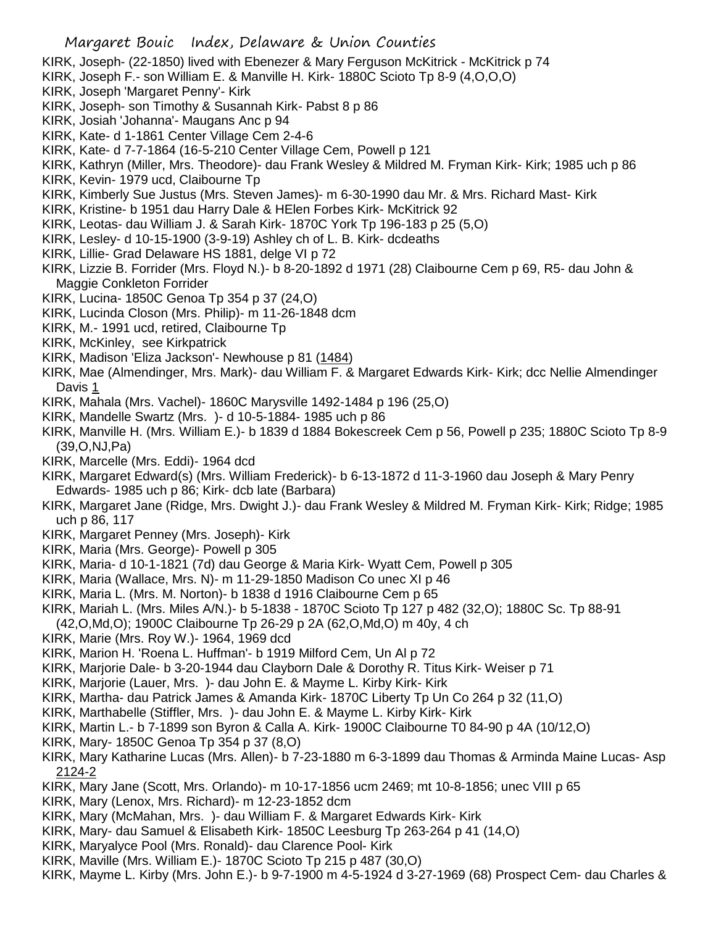- KIRK, Joseph- (22-1850) lived with Ebenezer & Mary Ferguson McKitrick McKitrick p 74
- KIRK, Joseph F.- son William E. & Manville H. Kirk- 1880C Scioto Tp 8-9 (4,O,O,O)
- KIRK, Joseph 'Margaret Penny'- Kirk
- KIRK, Joseph- son Timothy & Susannah Kirk- Pabst 8 p 86
- KIRK, Josiah 'Johanna'- Maugans Anc p 94
- KIRK, Kate- d 1-1861 Center Village Cem 2-4-6
- KIRK, Kate- d 7-7-1864 (16-5-210 Center Village Cem, Powell p 121
- KIRK, Kathryn (Miller, Mrs. Theodore)- dau Frank Wesley & Mildred M. Fryman Kirk- Kirk; 1985 uch p 86
- KIRK, Kevin- 1979 ucd, Claibourne Tp
- KIRK, Kimberly Sue Justus (Mrs. Steven James)- m 6-30-1990 dau Mr. & Mrs. Richard Mast- Kirk
- KIRK, Kristine- b 1951 dau Harry Dale & HElen Forbes Kirk- McKitrick 92
- KIRK, Leotas- dau William J. & Sarah Kirk- 1870C York Tp 196-183 p 25 (5,O)
- KIRK, Lesley- d 10-15-1900 (3-9-19) Ashley ch of L. B. Kirk- dcdeaths
- KIRK, Lillie- Grad Delaware HS 1881, delge VI p 72
- KIRK, Lizzie B. Forrider (Mrs. Floyd N.)- b 8-20-1892 d 1971 (28) Claibourne Cem p 69, R5- dau John & Maggie Conkleton Forrider
- KIRK, Lucina- 1850C Genoa Tp 354 p 37 (24,O)
- KIRK, Lucinda Closon (Mrs. Philip)- m 11-26-1848 dcm
- KIRK, M.- 1991 ucd, retired, Claibourne Tp
- KIRK, McKinley, see Kirkpatrick
- KIRK, Madison 'Eliza Jackson'- Newhouse p 81 (1484)
- KIRK, Mae (Almendinger, Mrs. Mark)- dau William F. & Margaret Edwards Kirk- Kirk; dcc Nellie Almendinger Davis 1
- KIRK, Mahala (Mrs. Vachel)- 1860C Marysville 1492-1484 p 196 (25,O)
- KIRK, Mandelle Swartz (Mrs. )- d 10-5-1884- 1985 uch p 86
- KIRK, Manville H. (Mrs. William E.)- b 1839 d 1884 Bokescreek Cem p 56, Powell p 235; 1880C Scioto Tp 8-9 (39,O,NJ,Pa)
- KIRK, Marcelle (Mrs. Eddi)- 1964 dcd
- KIRK, Margaret Edward(s) (Mrs. William Frederick)- b 6-13-1872 d 11-3-1960 dau Joseph & Mary Penry Edwards- 1985 uch p 86; Kirk- dcb late (Barbara)
- KIRK, Margaret Jane (Ridge, Mrs. Dwight J.)- dau Frank Wesley & Mildred M. Fryman Kirk- Kirk; Ridge; 1985 uch p 86, 117
- KIRK, Margaret Penney (Mrs. Joseph)- Kirk
- KIRK, Maria (Mrs. George)- Powell p 305
- KIRK, Maria- d 10-1-1821 (7d) dau George & Maria Kirk- Wyatt Cem, Powell p 305
- KIRK, Maria (Wallace, Mrs. N)- m 11-29-1850 Madison Co unec XI p 46
- KIRK, Maria L. (Mrs. M. Norton)- b 1838 d 1916 Claibourne Cem p 65
- KIRK, Mariah L. (Mrs. Miles A/N.)- b 5-1838 1870C Scioto Tp 127 p 482 (32,O); 1880C Sc. Tp 88-91
- (42,O,Md,O); 1900C Claibourne Tp 26-29 p 2A (62,O,Md,O) m 40y, 4 ch
- KIRK, Marie (Mrs. Roy W.)- 1964, 1969 dcd
- KIRK, Marion H. 'Roena L. Huffman'- b 1919 Milford Cem, Un Al p 72
- KIRK, Marjorie Dale- b 3-20-1944 dau Clayborn Dale & Dorothy R. Titus Kirk- Weiser p 71
- KIRK, Marjorie (Lauer, Mrs. )- dau John E. & Mayme L. Kirby Kirk- Kirk
- KIRK, Martha- dau Patrick James & Amanda Kirk- 1870C Liberty Tp Un Co 264 p 32 (11,O)
- KIRK, Marthabelle (Stiffler, Mrs. )- dau John E. & Mayme L. Kirby Kirk- Kirk
- KIRK, Martin L.- b 7-1899 son Byron & Calla A. Kirk- 1900C Claibourne T0 84-90 p 4A (10/12,O)
- KIRK, Mary- 1850C Genoa Tp 354 p 37 (8,O)
- KIRK, Mary Katharine Lucas (Mrs. Allen)- b 7-23-1880 m 6-3-1899 dau Thomas & Arminda Maine Lucas- Asp 2124-2
- KIRK, Mary Jane (Scott, Mrs. Orlando)- m 10-17-1856 ucm 2469; mt 10-8-1856; unec VIII p 65
- KIRK, Mary (Lenox, Mrs. Richard)- m 12-23-1852 dcm
- KIRK, Mary (McMahan, Mrs. )- dau William F. & Margaret Edwards Kirk- Kirk
- KIRK, Mary- dau Samuel & Elisabeth Kirk- 1850C Leesburg Tp 263-264 p 41 (14,O)
- KIRK, Maryalyce Pool (Mrs. Ronald)- dau Clarence Pool- Kirk
- KIRK, Maville (Mrs. William E.)- 1870C Scioto Tp 215 p 487 (30,O)
- KIRK, Mayme L. Kirby (Mrs. John E.)- b 9-7-1900 m 4-5-1924 d 3-27-1969 (68) Prospect Cem- dau Charles &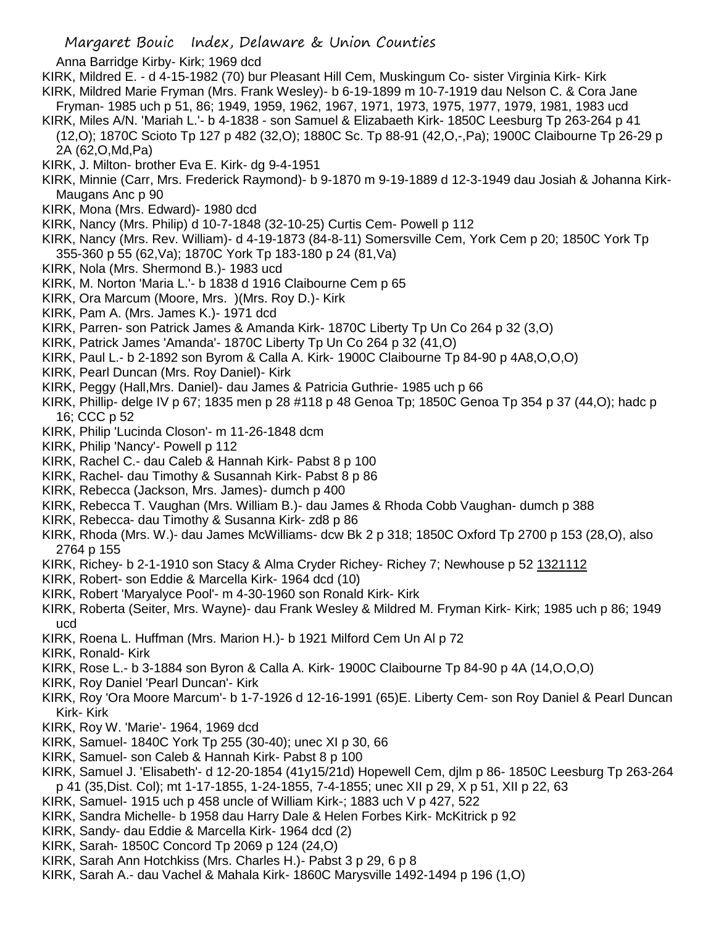- Anna Barridge Kirby- Kirk; 1969 dcd
- KIRK, Mildred E. d 4-15-1982 (70) bur Pleasant Hill Cem, Muskingum Co- sister Virginia Kirk- Kirk KIRK, Mildred Marie Fryman (Mrs. Frank Wesley)- b 6-19-1899 m 10-7-1919 dau Nelson C. & Cora Jane
- Fryman- 1985 uch p 51, 86; 1949, 1959, 1962, 1967, 1971, 1973, 1975, 1977, 1979, 1981, 1983 ucd
- KIRK, Miles A/N. 'Mariah L.'- b 4-1838 son Samuel & Elizabaeth Kirk- 1850C Leesburg Tp 263-264 p 41 (12,O); 1870C Scioto Tp 127 p 482 (32,O); 1880C Sc. Tp 88-91 (42,O,-,Pa); 1900C Claibourne Tp 26-29 p 2A (62,O,Md,Pa)
- KIRK, J. Milton- brother Eva E. Kirk- dg 9-4-1951
- KIRK, Minnie (Carr, Mrs. Frederick Raymond)- b 9-1870 m 9-19-1889 d 12-3-1949 dau Josiah & Johanna Kirk-Maugans Anc p 90
- KIRK, Mona (Mrs. Edward)- 1980 dcd
- KIRK, Nancy (Mrs. Philip) d 10-7-1848 (32-10-25) Curtis Cem- Powell p 112
- KIRK, Nancy (Mrs. Rev. William)- d 4-19-1873 (84-8-11) Somersville Cem, York Cem p 20; 1850C York Tp 355-360 p 55 (62,Va); 1870C York Tp 183-180 p 24 (81,Va)
- KIRK, Nola (Mrs. Shermond B.)- 1983 ucd
- KIRK, M. Norton 'Maria L.'- b 1838 d 1916 Claibourne Cem p 65
- KIRK, Ora Marcum (Moore, Mrs. )(Mrs. Roy D.)- Kirk
- KIRK, Pam A. (Mrs. James K.)- 1971 dcd
- KIRK, Parren- son Patrick James & Amanda Kirk- 1870C Liberty Tp Un Co 264 p 32 (3,O)
- KIRK, Patrick James 'Amanda'- 1870C Liberty Tp Un Co 264 p 32 (41,O)
- KIRK, Paul L.- b 2-1892 son Byrom & Calla A. Kirk- 1900C Claibourne Tp 84-90 p 4A8,O,O,O)
- KIRK, Pearl Duncan (Mrs. Roy Daniel)- Kirk
- KIRK, Peggy (Hall,Mrs. Daniel)- dau James & Patricia Guthrie- 1985 uch p 66
- KIRK, Phillip- delge IV p 67; 1835 men p 28 #118 p 48 Genoa Tp; 1850C Genoa Tp 354 p 37 (44,O); hadc p 16; CCC p 52
- KIRK, Philip 'Lucinda Closon'- m 11-26-1848 dcm
- KIRK, Philip 'Nancy'- Powell p 112
- KIRK, Rachel C.- dau Caleb & Hannah Kirk- Pabst 8 p 100
- KIRK, Rachel- dau Timothy & Susannah Kirk- Pabst 8 p 86
- KIRK, Rebecca (Jackson, Mrs. James)- dumch p 400
- KIRK, Rebecca T. Vaughan (Mrs. William B.)- dau James & Rhoda Cobb Vaughan- dumch p 388
- KIRK, Rebecca- dau Timothy & Susanna Kirk- zd8 p 86
- KIRK, Rhoda (Mrs. W.)- dau James McWilliams- dcw Bk 2 p 318; 1850C Oxford Tp 2700 p 153 (28,O), also 2764 p 155
- KIRK, Richey- b 2-1-1910 son Stacy & Alma Cryder Richey- Richey 7; Newhouse p 52 1321112
- KIRK, Robert- son Eddie & Marcella Kirk- 1964 dcd (10)
- KIRK, Robert 'Maryalyce Pool'- m 4-30-1960 son Ronald Kirk- Kirk
- KIRK, Roberta (Seiter, Mrs. Wayne)- dau Frank Wesley & Mildred M. Fryman Kirk- Kirk; 1985 uch p 86; 1949 ucd
- KIRK, Roena L. Huffman (Mrs. Marion H.)- b 1921 Milford Cem Un Al p 72
- KIRK, Ronald- Kirk
- KIRK, Rose L.- b 3-1884 son Byron & Calla A. Kirk- 1900C Claibourne Tp 84-90 p 4A (14,O,O,O)
- KIRK, Roy Daniel 'Pearl Duncan'- Kirk
- KIRK, Roy 'Ora Moore Marcum'- b 1-7-1926 d 12-16-1991 (65)E. Liberty Cem- son Roy Daniel & Pearl Duncan Kirk- Kirk
- KIRK, Roy W. 'Marie'- 1964, 1969 dcd
- KIRK, Samuel- 1840C York Tp 255 (30-40); unec XI p 30, 66
- KIRK, Samuel- son Caleb & Hannah Kirk- Pabst 8 p 100
- KIRK, Samuel J. 'Elisabeth'- d 12-20-1854 (41y15/21d) Hopewell Cem, djlm p 86- 1850C Leesburg Tp 263-264 p 41 (35,Dist. Col); mt 1-17-1855, 1-24-1855, 7-4-1855; unec XII p 29, X p 51, XII p 22, 63
- KIRK, Samuel- 1915 uch p 458 uncle of William Kirk-; 1883 uch V p 427, 522
- KIRK, Sandra Michelle- b 1958 dau Harry Dale & Helen Forbes Kirk- McKitrick p 92
- KIRK, Sandy- dau Eddie & Marcella Kirk- 1964 dcd (2)
- KIRK, Sarah- 1850C Concord Tp 2069 p 124 (24,O)
- KIRK, Sarah Ann Hotchkiss (Mrs. Charles H.)- Pabst 3 p 29, 6 p 8
- KIRK, Sarah A.- dau Vachel & Mahala Kirk- 1860C Marysville 1492-1494 p 196 (1,O)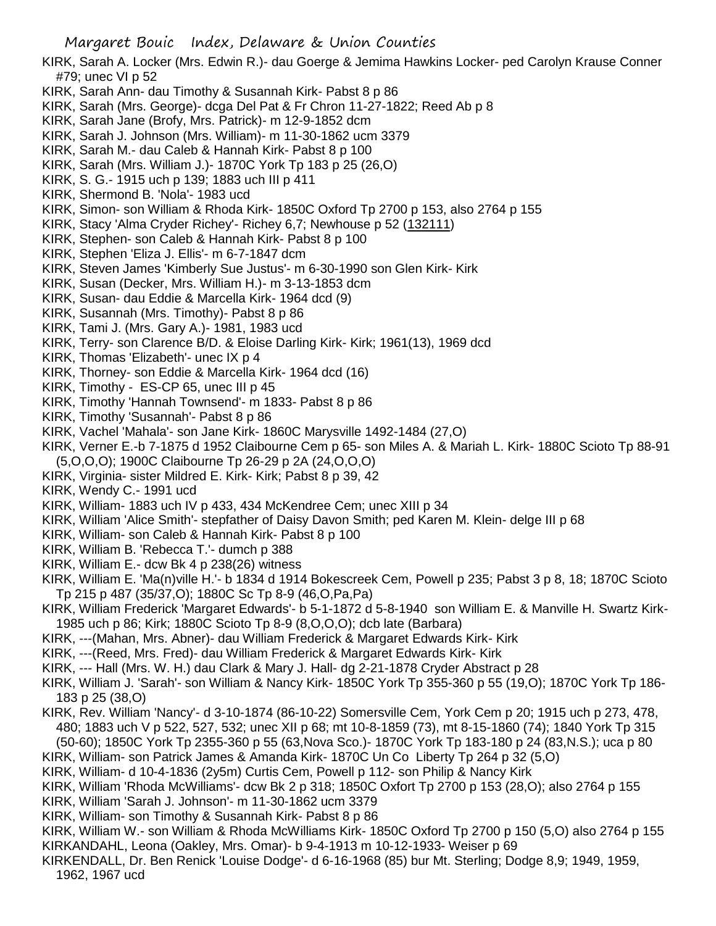KIRK, Sarah A. Locker (Mrs. Edwin R.)- dau Goerge & Jemima Hawkins Locker- ped Carolyn Krause Conner #79; unec VI p 52

- KIRK, Sarah Ann- dau Timothy & Susannah Kirk- Pabst 8 p 86
- KIRK, Sarah (Mrs. George)- dcga Del Pat & Fr Chron 11-27-1822; Reed Ab p 8
- KIRK, Sarah Jane (Brofy, Mrs. Patrick)- m 12-9-1852 dcm
- KIRK, Sarah J. Johnson (Mrs. William)- m 11-30-1862 ucm 3379
- KIRK, Sarah M.- dau Caleb & Hannah Kirk- Pabst 8 p 100
- KIRK, Sarah (Mrs. William J.)- 1870C York Tp 183 p 25 (26,O)
- KIRK, S. G.- 1915 uch p 139; 1883 uch III p 411
- KIRK, Shermond B. 'Nola'- 1983 ucd
- KIRK, Simon- son William & Rhoda Kirk- 1850C Oxford Tp 2700 p 153, also 2764 p 155
- KIRK, Stacy 'Alma Cryder Richey'- Richey 6,7; Newhouse p 52 (132111)
- KIRK, Stephen- son Caleb & Hannah Kirk- Pabst 8 p 100
- KIRK, Stephen 'Eliza J. Ellis'- m 6-7-1847 dcm
- KIRK, Steven James 'Kimberly Sue Justus'- m 6-30-1990 son Glen Kirk- Kirk
- KIRK, Susan (Decker, Mrs. William H.)- m 3-13-1853 dcm
- KIRK, Susan- dau Eddie & Marcella Kirk- 1964 dcd (9)
- KIRK, Susannah (Mrs. Timothy)- Pabst 8 p 86
- KIRK, Tami J. (Mrs. Gary A.)- 1981, 1983 ucd
- KIRK, Terry- son Clarence B/D. & Eloise Darling Kirk- Kirk; 1961(13), 1969 dcd
- KIRK, Thomas 'Elizabeth'- unec IX p 4
- KIRK, Thorney- son Eddie & Marcella Kirk- 1964 dcd (16)
- KIRK, Timothy ES-CP 65, unec III p 45
- KIRK, Timothy 'Hannah Townsend'- m 1833- Pabst 8 p 86
- KIRK, Timothy 'Susannah'- Pabst 8 p 86
- KIRK, Vachel 'Mahala'- son Jane Kirk- 1860C Marysville 1492-1484 (27,O)
- KIRK, Verner E.-b 7-1875 d 1952 Claibourne Cem p 65- son Miles A. & Mariah L. Kirk- 1880C Scioto Tp 88-91 (5,O,O,O); 1900C Claibourne Tp 26-29 p 2A (24,O,O,O)
- KIRK, Virginia- sister Mildred E. Kirk- Kirk; Pabst 8 p 39, 42
- KIRK, Wendy C.- 1991 ucd
- KIRK, William- 1883 uch IV p 433, 434 McKendree Cem; unec XIII p 34
- KIRK, William 'Alice Smith'- stepfather of Daisy Davon Smith; ped Karen M. Klein- delge III p 68
- KIRK, William- son Caleb & Hannah Kirk- Pabst 8 p 100
- KIRK, William B. 'Rebecca T.'- dumch p 388
- KIRK, William E.- dcw Bk 4 p 238(26) witness
- KIRK, William E. 'Ma(n)ville H.'- b 1834 d 1914 Bokescreek Cem, Powell p 235; Pabst 3 p 8, 18; 1870C Scioto Tp 215 p 487 (35/37,O); 1880C Sc Tp 8-9 (46,O,Pa,Pa)
- KIRK, William Frederick 'Margaret Edwards'- b 5-1-1872 d 5-8-1940 son William E. & Manville H. Swartz Kirk-1985 uch p 86; Kirk; 1880C Scioto Tp 8-9 (8,O,O,O); dcb late (Barbara)
- KIRK, ---(Mahan, Mrs. Abner)- dau William Frederick & Margaret Edwards Kirk- Kirk
- KIRK, ---(Reed, Mrs. Fred)- dau William Frederick & Margaret Edwards Kirk- Kirk
- KIRK, --- Hall (Mrs. W. H.) dau Clark & Mary J. Hall- dg 2-21-1878 Cryder Abstract p 28
- KIRK, William J. 'Sarah'- son William & Nancy Kirk- 1850C York Tp 355-360 p 55 (19,O); 1870C York Tp 186- 183 p 25 (38,O)
- KIRK, Rev. William 'Nancy'- d 3-10-1874 (86-10-22) Somersville Cem, York Cem p 20; 1915 uch p 273, 478, 480; 1883 uch V p 522, 527, 532; unec XII p 68; mt 10-8-1859 (73), mt 8-15-1860 (74); 1840 York Tp 315 (50-60); 1850C York Tp 2355-360 p 55 (63,Nova Sco.)- 1870C York Tp 183-180 p 24 (83,N.S.); uca p 80
- KIRK, William- son Patrick James & Amanda Kirk- 1870C Un Co Liberty Tp 264 p 32 (5,O)
- KIRK, William- d 10-4-1836 (2y5m) Curtis Cem, Powell p 112- son Philip & Nancy Kirk
- KIRK, William 'Rhoda McWilliams'- dcw Bk 2 p 318; 1850C Oxfort Tp 2700 p 153 (28,O); also 2764 p 155
- KIRK, William 'Sarah J. Johnson'- m 11-30-1862 ucm 3379
- KIRK, William- son Timothy & Susannah Kirk- Pabst 8 p 86

KIRK, William W.- son William & Rhoda McWilliams Kirk- 1850C Oxford Tp 2700 p 150 (5,O) also 2764 p 155 KIRKANDAHL, Leona (Oakley, Mrs. Omar)- b 9-4-1913 m 10-12-1933- Weiser p 69

KIRKENDALL, Dr. Ben Renick 'Louise Dodge'- d 6-16-1968 (85) bur Mt. Sterling; Dodge 8,9; 1949, 1959, 1962, 1967 ucd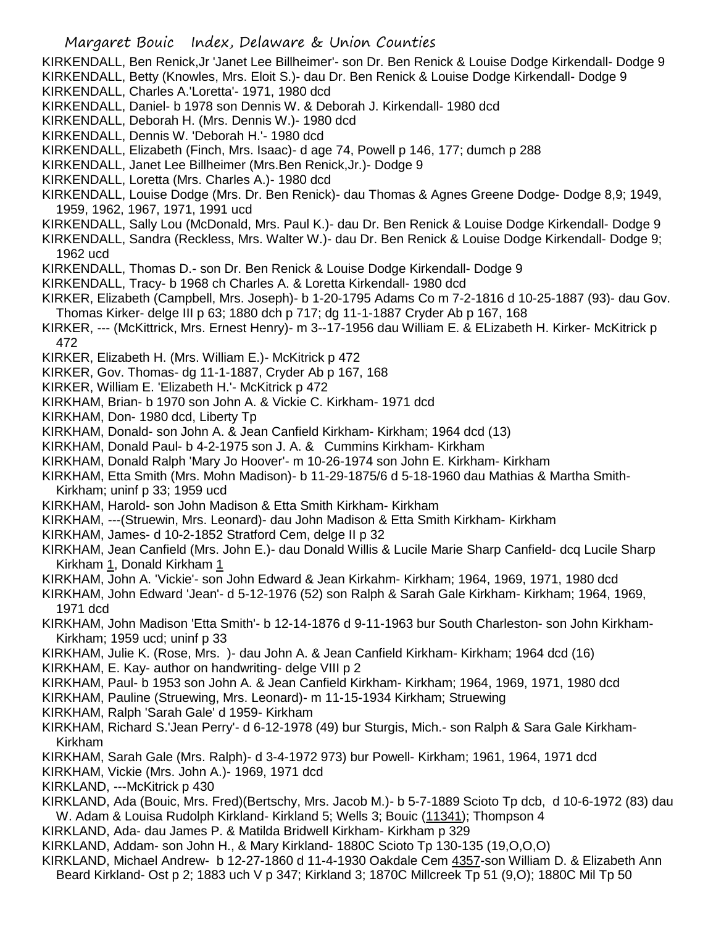KIRKENDALL, Ben Renick,Jr 'Janet Lee Billheimer'- son Dr. Ben Renick & Louise Dodge Kirkendall- Dodge 9 KIRKENDALL, Betty (Knowles, Mrs. Eloit S.)- dau Dr. Ben Renick & Louise Dodge Kirkendall- Dodge 9

KIRKENDALL, Charles A.'Loretta'- 1971, 1980 dcd

KIRKENDALL, Daniel- b 1978 son Dennis W. & Deborah J. Kirkendall- 1980 dcd

KIRKENDALL, Deborah H. (Mrs. Dennis W.)- 1980 dcd

KIRKENDALL, Dennis W. 'Deborah H.'- 1980 dcd

KIRKENDALL, Elizabeth (Finch, Mrs. Isaac)- d age 74, Powell p 146, 177; dumch p 288

KIRKENDALL, Janet Lee Billheimer (Mrs.Ben Renick,Jr.)- Dodge 9

KIRKENDALL, Loretta (Mrs. Charles A.)- 1980 dcd

KIRKENDALL, Louise Dodge (Mrs. Dr. Ben Renick)- dau Thomas & Agnes Greene Dodge- Dodge 8,9; 1949, 1959, 1962, 1967, 1971, 1991 ucd

KIRKENDALL, Sally Lou (McDonald, Mrs. Paul K.)- dau Dr. Ben Renick & Louise Dodge Kirkendall- Dodge 9

KIRKENDALL, Sandra (Reckless, Mrs. Walter W.)- dau Dr. Ben Renick & Louise Dodge Kirkendall- Dodge 9; 1962 ucd

KIRKENDALL, Thomas D.- son Dr. Ben Renick & Louise Dodge Kirkendall- Dodge 9

KIRKENDALL, Tracy- b 1968 ch Charles A. & Loretta Kirkendall- 1980 dcd

KIRKER, Elizabeth (Campbell, Mrs. Joseph)- b 1-20-1795 Adams Co m 7-2-1816 d 10-25-1887 (93)- dau Gov. Thomas Kirker- delge III p 63; 1880 dch p 717; dg 11-1-1887 Cryder Ab p 167, 168

KIRKER, --- (McKittrick, Mrs. Ernest Henry)- m 3--17-1956 dau William E. & ELizabeth H. Kirker- McKitrick p 472

KIRKER, Elizabeth H. (Mrs. William E.)- McKitrick p 472

KIRKER, Gov. Thomas- dg 11-1-1887, Cryder Ab p 167, 168

KIRKER, William E. 'Elizabeth H.'- McKitrick p 472

KIRKHAM, Brian- b 1970 son John A. & Vickie C. Kirkham- 1971 dcd

KIRKHAM, Don- 1980 dcd, Liberty Tp

KIRKHAM, Donald- son John A. & Jean Canfield Kirkham- Kirkham; 1964 dcd (13)

KIRKHAM, Donald Paul- b 4-2-1975 son J. A. & Cummins Kirkham- Kirkham

KIRKHAM, Donald Ralph 'Mary Jo Hoover'- m 10-26-1974 son John E. Kirkham- Kirkham

KIRKHAM, Etta Smith (Mrs. Mohn Madison)- b 11-29-1875/6 d 5-18-1960 dau Mathias & Martha Smith-Kirkham; uninf p 33; 1959 ucd

KIRKHAM, Harold- son John Madison & Etta Smith Kirkham- Kirkham

KIRKHAM, ---(Struewin, Mrs. Leonard)- dau John Madison & Etta Smith Kirkham- Kirkham

KIRKHAM, James- d 10-2-1852 Stratford Cem, delge II p 32

KIRKHAM, Jean Canfield (Mrs. John E.)- dau Donald Willis & Lucile Marie Sharp Canfield- dcq Lucile Sharp Kirkham 1, Donald Kirkham 1

KIRKHAM, John A. 'Vickie'- son John Edward & Jean Kirkahm- Kirkham; 1964, 1969, 1971, 1980 dcd

KIRKHAM, John Edward 'Jean'- d 5-12-1976 (52) son Ralph & Sarah Gale Kirkham- Kirkham; 1964, 1969, 1971 dcd

KIRKHAM, John Madison 'Etta Smith'- b 12-14-1876 d 9-11-1963 bur South Charleston- son John Kirkham-Kirkham: 1959 ucd: uninf p 33

KIRKHAM, Julie K. (Rose, Mrs. )- dau John A. & Jean Canfield Kirkham- Kirkham; 1964 dcd (16)

KIRKHAM, E. Kay- author on handwriting- delge VIII p 2

KIRKHAM, Paul- b 1953 son John A. & Jean Canfield Kirkham- Kirkham; 1964, 1969, 1971, 1980 dcd

KIRKHAM, Pauline (Struewing, Mrs. Leonard)- m 11-15-1934 Kirkham; Struewing

KIRKHAM, Ralph 'Sarah Gale' d 1959- Kirkham

KIRKHAM, Richard S.'Jean Perry'- d 6-12-1978 (49) bur Sturgis, Mich.- son Ralph & Sara Gale Kirkham-Kirkham

KIRKHAM, Sarah Gale (Mrs. Ralph)- d 3-4-1972 973) bur Powell- Kirkham; 1961, 1964, 1971 dcd

KIRKHAM, Vickie (Mrs. John A.)- 1969, 1971 dcd

KIRKLAND, ---McKitrick p 430

KIRKLAND, Ada (Bouic, Mrs. Fred)(Bertschy, Mrs. Jacob M.)- b 5-7-1889 Scioto Tp dcb, d 10-6-1972 (83) dau W. Adam & Louisa Rudolph Kirkland- Kirkland 5; Wells 3; Bouic (11341); Thompson 4

KIRKLAND, Ada- dau James P. & Matilda Bridwell Kirkham- Kirkham p 329

KIRKLAND, Addam- son John H., & Mary Kirkland- 1880C Scioto Tp 130-135 (19,O,O,O)

KIRKLAND, Michael Andrew- b 12-27-1860 d 11-4-1930 Oakdale Cem 4357-son William D. & Elizabeth Ann Beard Kirkland- Ost p 2; 1883 uch V p 347; Kirkland 3; 1870C Millcreek Tp 51 (9,O); 1880C Mil Tp 50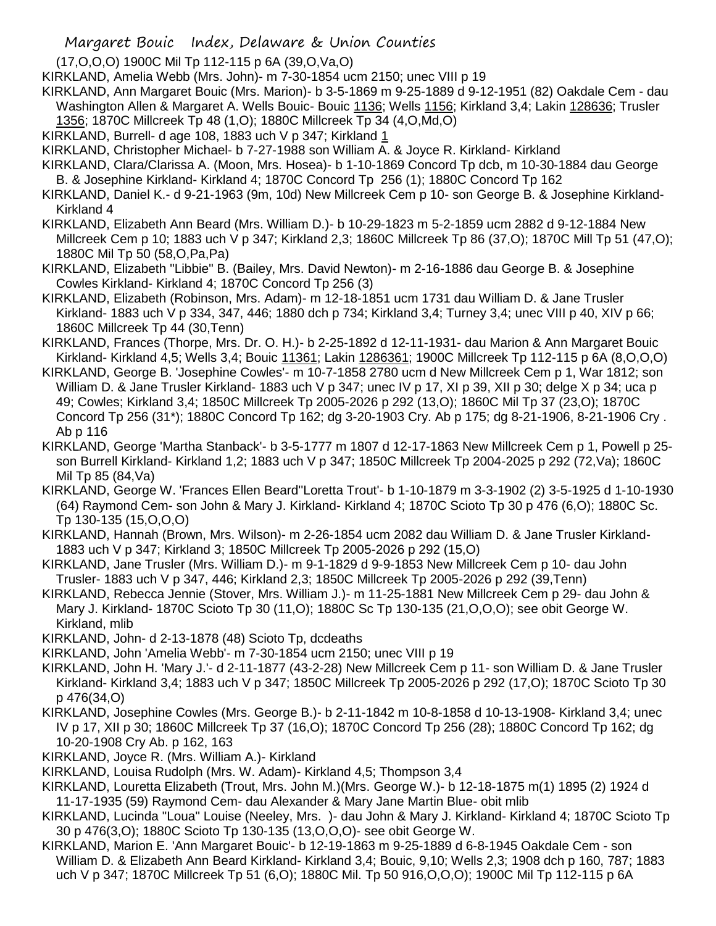(17,O,O,O) 1900C Mil Tp 112-115 p 6A (39,O,Va,O)

KIRKLAND, Amelia Webb (Mrs. John)- m 7-30-1854 ucm 2150; unec VIII p 19

KIRKLAND, Ann Margaret Bouic (Mrs. Marion)- b 3-5-1869 m 9-25-1889 d 9-12-1951 (82) Oakdale Cem - dau Washington Allen & Margaret A. Wells Bouic- Bouic 1136; Wells 1156; Kirkland 3,4; Lakin 128636; Trusler

- 1356; 1870C Millcreek Tp 48 (1,O); 1880C Millcreek Tp 34 (4,O,Md,O)
- KIRKLAND, Burrell- d age 108, 1883 uch V p 347; Kirkland  $1$

KIRKLAND, Christopher Michael- b 7-27-1988 son William A. & Joyce R. Kirkland- Kirkland

- KIRKLAND, Clara/Clarissa A. (Moon, Mrs. Hosea)- b 1-10-1869 Concord Tp dcb, m 10-30-1884 dau George B. & Josephine Kirkland- Kirkland 4; 1870C Concord Tp 256 (1); 1880C Concord Tp 162
- KIRKLAND, Daniel K.- d 9-21-1963 (9m, 10d) New Millcreek Cem p 10- son George B. & Josephine Kirkland-Kirkland 4
- KIRKLAND, Elizabeth Ann Beard (Mrs. William D.)- b 10-29-1823 m 5-2-1859 ucm 2882 d 9-12-1884 New Millcreek Cem p 10; 1883 uch V p 347; Kirkland 2,3; 1860C Millcreek Tp 86 (37,O); 1870C Mill Tp 51 (47,O); 1880C Mil Tp 50 (58,O,Pa,Pa)
- KIRKLAND, Elizabeth "Libbie" B. (Bailey, Mrs. David Newton)- m 2-16-1886 dau George B. & Josephine Cowles Kirkland- Kirkland 4; 1870C Concord Tp 256 (3)
- KIRKLAND, Elizabeth (Robinson, Mrs. Adam)- m 12-18-1851 ucm 1731 dau William D. & Jane Trusler Kirkland- 1883 uch V p 334, 347, 446; 1880 dch p 734; Kirkland 3,4; Turney 3,4; unec VIII p 40, XIV p 66; 1860C Millcreek Tp 44 (30,Tenn)
- KIRKLAND, Frances (Thorpe, Mrs. Dr. O. H.)- b 2-25-1892 d 12-11-1931- dau Marion & Ann Margaret Bouic Kirkland- Kirkland 4,5; Wells 3,4; Bouic 11361; Lakin 1286361; 1900C Millcreek Tp 112-115 p 6A (8,O,O,O)
- KIRKLAND, George B. 'Josephine Cowles'- m 10-7-1858 2780 ucm d New Millcreek Cem p 1, War 1812; son William D. & Jane Trusler Kirkland- 1883 uch V p 347; unec IV p 17, XI p 39, XII p 30; delge X p 34; uca p 49; Cowles; Kirkland 3,4; 1850C Millcreek Tp 2005-2026 p 292 (13,O); 1860C Mil Tp 37 (23,O); 1870C Concord Tp 256 (31\*); 1880C Concord Tp 162; dg 3-20-1903 Cry. Ab p 175; dg 8-21-1906, 8-21-1906 Cry . Ab p 116
- KIRKLAND, George 'Martha Stanback'- b 3-5-1777 m 1807 d 12-17-1863 New Millcreek Cem p 1, Powell p 25 son Burrell Kirkland- Kirkland 1,2; 1883 uch V p 347; 1850C Millcreek Tp 2004-2025 p 292 (72,Va); 1860C Mil Tp 85 (84,Va)
- KIRKLAND, George W. 'Frances Ellen Beard''Loretta Trout'- b 1-10-1879 m 3-3-1902 (2) 3-5-1925 d 1-10-1930 (64) Raymond Cem- son John & Mary J. Kirkland- Kirkland 4; 1870C Scioto Tp 30 p 476 (6,O); 1880C Sc. Tp 130-135 (15,O,O,O)
- KIRKLAND, Hannah (Brown, Mrs. Wilson)- m 2-26-1854 ucm 2082 dau William D. & Jane Trusler Kirkland-1883 uch V p 347; Kirkland 3; 1850C Millcreek Tp 2005-2026 p 292 (15,O)
- KIRKLAND, Jane Trusler (Mrs. William D.)- m 9-1-1829 d 9-9-1853 New Millcreek Cem p 10- dau John Trusler- 1883 uch V p 347, 446; Kirkland 2,3; 1850C Millcreek Tp 2005-2026 p 292 (39,Tenn)
- KIRKLAND, Rebecca Jennie (Stover, Mrs. William J.)- m 11-25-1881 New Millcreek Cem p 29- dau John & Mary J. Kirkland- 1870C Scioto Tp 30 (11,O); 1880C Sc Tp 130-135 (21,O,O,O); see obit George W. Kirkland, mlib
- KIRKLAND, John- d 2-13-1878 (48) Scioto Tp, dcdeaths
- KIRKLAND, John 'Amelia Webb'- m 7-30-1854 ucm 2150; unec VIII p 19
- KIRKLAND, John H. 'Mary J.'- d 2-11-1877 (43-2-28) New Millcreek Cem p 11- son William D. & Jane Trusler Kirkland- Kirkland 3,4; 1883 uch V p 347; 1850C Millcreek Tp 2005-2026 p 292 (17,O); 1870C Scioto Tp 30 p 476(34,O)
- KIRKLAND, Josephine Cowles (Mrs. George B.)- b 2-11-1842 m 10-8-1858 d 10-13-1908- Kirkland 3,4; unec IV p 17, XII p 30; 1860C Millcreek Tp 37 (16,O); 1870C Concord Tp 256 (28); 1880C Concord Tp 162; dg 10-20-1908 Cry Ab. p 162, 163
- KIRKLAND, Joyce R. (Mrs. William A.)- Kirkland
- KIRKLAND, Louisa Rudolph (Mrs. W. Adam)- Kirkland 4,5; Thompson 3,4
- KIRKLAND, Louretta Elizabeth (Trout, Mrs. John M.)(Mrs. George W.)- b 12-18-1875 m(1) 1895 (2) 1924 d 11-17-1935 (59) Raymond Cem- dau Alexander & Mary Jane Martin Blue- obit mlib
- KIRKLAND, Lucinda "Loua" Louise (Neeley, Mrs. )- dau John & Mary J. Kirkland- Kirkland 4; 1870C Scioto Tp 30 p 476(3,O); 1880C Scioto Tp 130-135 (13,O,O,O)- see obit George W.
- KIRKLAND, Marion E. 'Ann Margaret Bouic'- b 12-19-1863 m 9-25-1889 d 6-8-1945 Oakdale Cem son William D. & Elizabeth Ann Beard Kirkland- Kirkland 3,4; Bouic, 9,10; Wells 2,3; 1908 dch p 160, 787; 1883 uch V p 347; 1870C Millcreek Tp 51 (6,O); 1880C Mil. Tp 50 916,O,O,O); 1900C Mil Tp 112-115 p 6A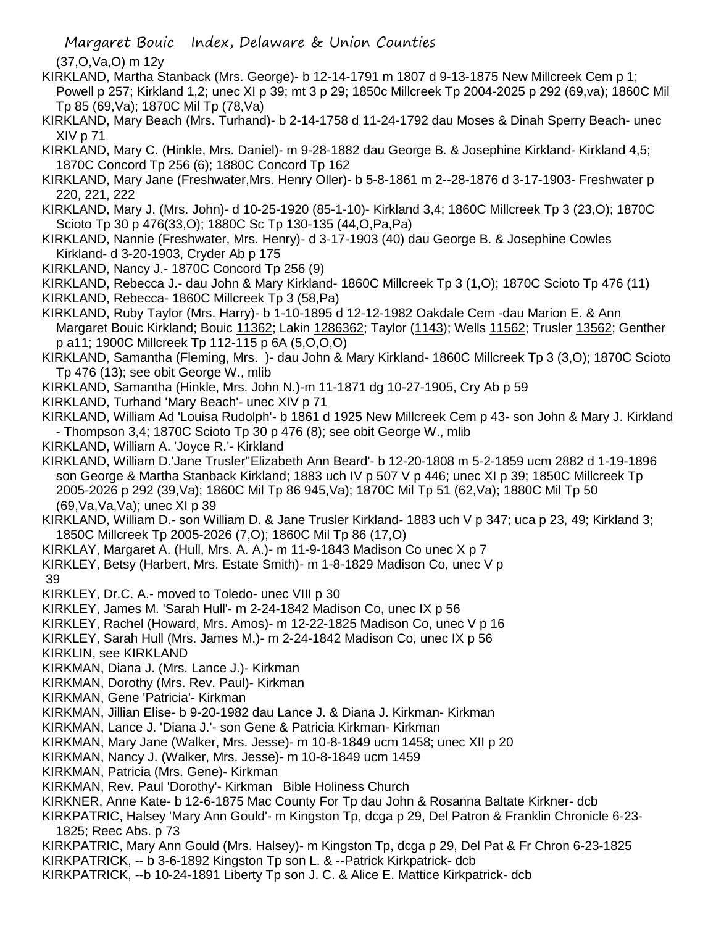Margaret Bouic Index, Delaware & Union Counties

(37,O,Va,O) m 12y

- KIRKLAND, Martha Stanback (Mrs. George)- b 12-14-1791 m 1807 d 9-13-1875 New Millcreek Cem p 1; Powell p 257; Kirkland 1,2; unec XI p 39; mt 3 p 29; 1850c Millcreek Tp 2004-2025 p 292 (69,va); 1860C Mil Tp 85 (69,Va); 1870C Mil Tp (78,Va)
- KIRKLAND, Mary Beach (Mrs. Turhand)- b 2-14-1758 d 11-24-1792 dau Moses & Dinah Sperry Beach- unec XIV p 71
- KIRKLAND, Mary C. (Hinkle, Mrs. Daniel)- m 9-28-1882 dau George B. & Josephine Kirkland- Kirkland 4,5; 1870C Concord Tp 256 (6); 1880C Concord Tp 162
- KIRKLAND, Mary Jane (Freshwater,Mrs. Henry Oller)- b 5-8-1861 m 2--28-1876 d 3-17-1903- Freshwater p 220, 221, 222
- KIRKLAND, Mary J. (Mrs. John)- d 10-25-1920 (85-1-10)- Kirkland 3,4; 1860C Millcreek Tp 3 (23,O); 1870C Scioto Tp 30 p 476(33,O); 1880C Sc Tp 130-135 (44,O,Pa,Pa)
- KIRKLAND, Nannie (Freshwater, Mrs. Henry)- d 3-17-1903 (40) dau George B. & Josephine Cowles Kirkland- d 3-20-1903, Cryder Ab p 175
- KIRKLAND, Nancy J.- 1870C Concord Tp 256 (9)
- KIRKLAND, Rebecca J.- dau John & Mary Kirkland- 1860C Millcreek Tp 3 (1,O); 1870C Scioto Tp 476 (11)
- KIRKLAND, Rebecca- 1860C Millcreek Tp 3 (58,Pa)
- KIRKLAND, Ruby Taylor (Mrs. Harry)- b 1-10-1895 d 12-12-1982 Oakdale Cem -dau Marion E. & Ann Margaret Bouic Kirkland; Bouic 11362; Lakin 1286362; Taylor (1143); Wells 11562; Trusler 13562; Genther p a11; 1900C Millcreek Tp 112-115 p 6A (5,O,O,O)
- KIRKLAND, Samantha (Fleming, Mrs. )- dau John & Mary Kirkland- 1860C Millcreek Tp 3 (3,O); 1870C Scioto Tp 476 (13); see obit George W., mlib
- KIRKLAND, Samantha (Hinkle, Mrs. John N.)-m 11-1871 dg 10-27-1905, Cry Ab p 59
- KIRKLAND, Turhand 'Mary Beach'- unec XIV p 71

KIRKLAND, William Ad 'Louisa Rudolph'- b 1861 d 1925 New Millcreek Cem p 43- son John & Mary J. Kirkland - Thompson 3,4; 1870C Scioto Tp 30 p 476 (8); see obit George W., mlib

- KIRKLAND, William A. 'Joyce R.'- Kirkland
- KIRKLAND, William D.'Jane Trusler''Elizabeth Ann Beard'- b 12-20-1808 m 5-2-1859 ucm 2882 d 1-19-1896 son George & Martha Stanback Kirkland; 1883 uch IV p 507 V p 446; unec XI p 39; 1850C Millcreek Tp 2005-2026 p 292 (39,Va); 1860C Mil Tp 86 945,Va); 1870C Mil Tp 51 (62,Va); 1880C Mil Tp 50 (69,Va,Va,Va); unec XI p 39
- KIRKLAND, William D.- son William D. & Jane Trusler Kirkland- 1883 uch V p 347; uca p 23, 49; Kirkland 3; 1850C Millcreek Tp 2005-2026 (7,O); 1860C Mil Tp 86 (17,O)
- KIRKLAY, Margaret A. (Hull, Mrs. A. A.)- m 11-9-1843 Madison Co unec X p 7
- KIRKLEY, Betsy (Harbert, Mrs. Estate Smith)- m 1-8-1829 Madison Co, unec V p 39
- KIRKLEY, Dr.C. A.- moved to Toledo- unec VIII p 30
- KIRKLEY, James M. 'Sarah Hull'- m 2-24-1842 Madison Co, unec IX p 56
- KIRKLEY, Rachel (Howard, Mrs. Amos)- m 12-22-1825 Madison Co, unec V p 16
- KIRKLEY, Sarah Hull (Mrs. James M.)- m 2-24-1842 Madison Co, unec IX p 56
- KIRKLIN, see KIRKLAND
- KIRKMAN, Diana J. (Mrs. Lance J.)- Kirkman
- KIRKMAN, Dorothy (Mrs. Rev. Paul)- Kirkman
- KIRKMAN, Gene 'Patricia'- Kirkman
- KIRKMAN, Jillian Elise- b 9-20-1982 dau Lance J. & Diana J. Kirkman- Kirkman
- KIRKMAN, Lance J. 'Diana J.'- son Gene & Patricia Kirkman- Kirkman
- KIRKMAN, Mary Jane (Walker, Mrs. Jesse)- m 10-8-1849 ucm 1458; unec XII p 20
- KIRKMAN, Nancy J. (Walker, Mrs. Jesse)- m 10-8-1849 ucm 1459
- KIRKMAN, Patricia (Mrs. Gene)- Kirkman
- KIRKMAN, Rev. Paul 'Dorothy'- Kirkman Bible Holiness Church
- KIRKNER, Anne Kate- b 12-6-1875 Mac County For Tp dau John & Rosanna Baltate Kirkner- dcb
- KIRKPATRIC, Halsey 'Mary Ann Gould'- m Kingston Tp, dcga p 29, Del Patron & Franklin Chronicle 6-23- 1825; Reec Abs. p 73
- KIRKPATRIC, Mary Ann Gould (Mrs. Halsey)- m Kingston Tp, dcga p 29, Del Pat & Fr Chron 6-23-1825
- KIRKPATRICK, -- b 3-6-1892 Kingston Tp son L. & --Patrick Kirkpatrick- dcb
- KIRKPATRICK, --b 10-24-1891 Liberty Tp son J. C. & Alice E. Mattice Kirkpatrick- dcb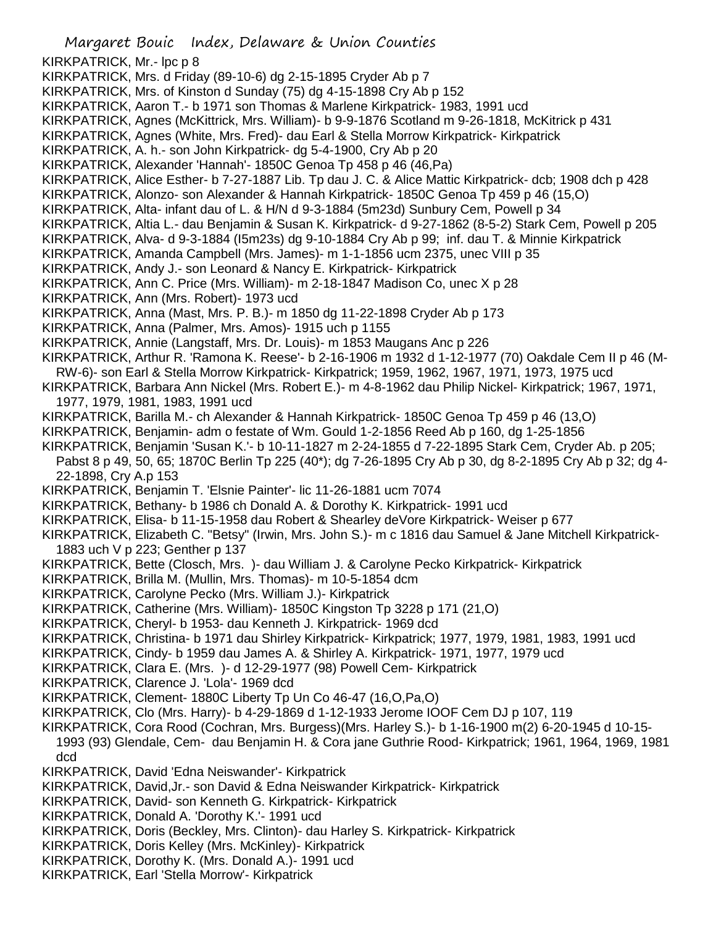Margaret Bouic Index, Delaware & Union Counties KIRKPATRICK, Mr.- lpc p 8 KIRKPATRICK, Mrs. d Friday (89-10-6) dg 2-15-1895 Cryder Ab p 7 KIRKPATRICK, Mrs. of Kinston d Sunday (75) dg 4-15-1898 Cry Ab p 152 KIRKPATRICK, Aaron T.- b 1971 son Thomas & Marlene Kirkpatrick- 1983, 1991 ucd KIRKPATRICK, Agnes (McKittrick, Mrs. William)- b 9-9-1876 Scotland m 9-26-1818, McKitrick p 431 KIRKPATRICK, Agnes (White, Mrs. Fred)- dau Earl & Stella Morrow Kirkpatrick- Kirkpatrick KIRKPATRICK, A. h.- son John Kirkpatrick- dg 5-4-1900, Cry Ab p 20 KIRKPATRICK, Alexander 'Hannah'- 1850C Genoa Tp 458 p 46 (46,Pa) KIRKPATRICK, Alice Esther- b 7-27-1887 Lib. Tp dau J. C. & Alice Mattic Kirkpatrick- dcb; 1908 dch p 428 KIRKPATRICK, Alonzo- son Alexander & Hannah Kirkpatrick- 1850C Genoa Tp 459 p 46 (15,O) KIRKPATRICK, Alta- infant dau of L. & H/N d 9-3-1884 (5m23d) Sunbury Cem, Powell p 34 KIRKPATRICK, Altia L.- dau Benjamin & Susan K. Kirkpatrick- d 9-27-1862 (8-5-2) Stark Cem, Powell p 205 KIRKPATRICK, Alva- d 9-3-1884 (I5m23s) dg 9-10-1884 Cry Ab p 99; inf. dau T. & Minnie Kirkpatrick KIRKPATRICK, Amanda Campbell (Mrs. James)- m 1-1-1856 ucm 2375, unec VIII p 35 KIRKPATRICK, Andy J.- son Leonard & Nancy E. Kirkpatrick- Kirkpatrick KIRKPATRICK, Ann C. Price (Mrs. William)- m 2-18-1847 Madison Co, unec X p 28 KIRKPATRICK, Ann (Mrs. Robert)- 1973 ucd KIRKPATRICK, Anna (Mast, Mrs. P. B.)- m 1850 dg 11-22-1898 Cryder Ab p 173 KIRKPATRICK, Anna (Palmer, Mrs. Amos)- 1915 uch p 1155 KIRKPATRICK, Annie (Langstaff, Mrs. Dr. Louis)- m 1853 Maugans Anc p 226 KIRKPATRICK, Arthur R. 'Ramona K. Reese'- b 2-16-1906 m 1932 d 1-12-1977 (70) Oakdale Cem II p 46 (M-RW-6)- son Earl & Stella Morrow Kirkpatrick- Kirkpatrick; 1959, 1962, 1967, 1971, 1973, 1975 ucd KIRKPATRICK, Barbara Ann Nickel (Mrs. Robert E.)- m 4-8-1962 dau Philip Nickel- Kirkpatrick; 1967, 1971, 1977, 1979, 1981, 1983, 1991 ucd KIRKPATRICK, Barilla M.- ch Alexander & Hannah Kirkpatrick- 1850C Genoa Tp 459 p 46 (13,O) KIRKPATRICK, Benjamin- adm o festate of Wm. Gould 1-2-1856 Reed Ab p 160, dg 1-25-1856 KIRKPATRICK, Benjamin 'Susan K.'- b 10-11-1827 m 2-24-1855 d 7-22-1895 Stark Cem, Cryder Ab. p 205; Pabst 8 p 49, 50, 65; 1870C Berlin Tp 225 (40\*); dg 7-26-1895 Cry Ab p 30, dg 8-2-1895 Cry Ab p 32; dg 4- 22-1898, Cry A.p 153 KIRKPATRICK, Benjamin T. 'Elsnie Painter'- lic 11-26-1881 ucm 7074 KIRKPATRICK, Bethany- b 1986 ch Donald A. & Dorothy K. Kirkpatrick- 1991 ucd KIRKPATRICK, Elisa- b 11-15-1958 dau Robert & Shearley deVore Kirkpatrick- Weiser p 677 KIRKPATRICK, Elizabeth C. "Betsy" (Irwin, Mrs. John S.)- m c 1816 dau Samuel & Jane Mitchell Kirkpatrick-1883 uch V p 223; Genther p 137 KIRKPATRICK, Bette (Closch, Mrs. )- dau William J. & Carolyne Pecko Kirkpatrick- Kirkpatrick KIRKPATRICK, Brilla M. (Mullin, Mrs. Thomas)- m 10-5-1854 dcm KIRKPATRICK, Carolyne Pecko (Mrs. William J.)- Kirkpatrick KIRKPATRICK, Catherine (Mrs. William)- 1850C Kingston Tp 3228 p 171 (21,O) KIRKPATRICK, Cheryl- b 1953- dau Kenneth J. Kirkpatrick- 1969 dcd KIRKPATRICK, Christina- b 1971 dau Shirley Kirkpatrick- Kirkpatrick; 1977, 1979, 1981, 1983, 1991 ucd KIRKPATRICK, Cindy- b 1959 dau James A. & Shirley A. Kirkpatrick- 1971, 1977, 1979 ucd KIRKPATRICK, Clara E. (Mrs. )- d 12-29-1977 (98) Powell Cem- Kirkpatrick KIRKPATRICK, Clarence J. 'Lola'- 1969 dcd KIRKPATRICK, Clement- 1880C Liberty Tp Un Co 46-47 (16,O,Pa,O) KIRKPATRICK, Clo (Mrs. Harry)- b 4-29-1869 d 1-12-1933 Jerome IOOF Cem DJ p 107, 119 KIRKPATRICK, Cora Rood (Cochran, Mrs. Burgess)(Mrs. Harley S.)- b 1-16-1900 m(2) 6-20-1945 d 10-15- 1993 (93) Glendale, Cem- dau Benjamin H. & Cora jane Guthrie Rood- Kirkpatrick; 1961, 1964, 1969, 1981 dcd KIRKPATRICK, David 'Edna Neiswander'- Kirkpatrick KIRKPATRICK, David,Jr.- son David & Edna Neiswander Kirkpatrick- Kirkpatrick KIRKPATRICK, David- son Kenneth G. Kirkpatrick- Kirkpatrick KIRKPATRICK, Donald A. 'Dorothy K.'- 1991 ucd KIRKPATRICK, Doris (Beckley, Mrs. Clinton)- dau Harley S. Kirkpatrick- Kirkpatrick KIRKPATRICK, Doris Kelley (Mrs. McKinley)- Kirkpatrick KIRKPATRICK, Dorothy K. (Mrs. Donald A.)- 1991 ucd KIRKPATRICK, Earl 'Stella Morrow'- Kirkpatrick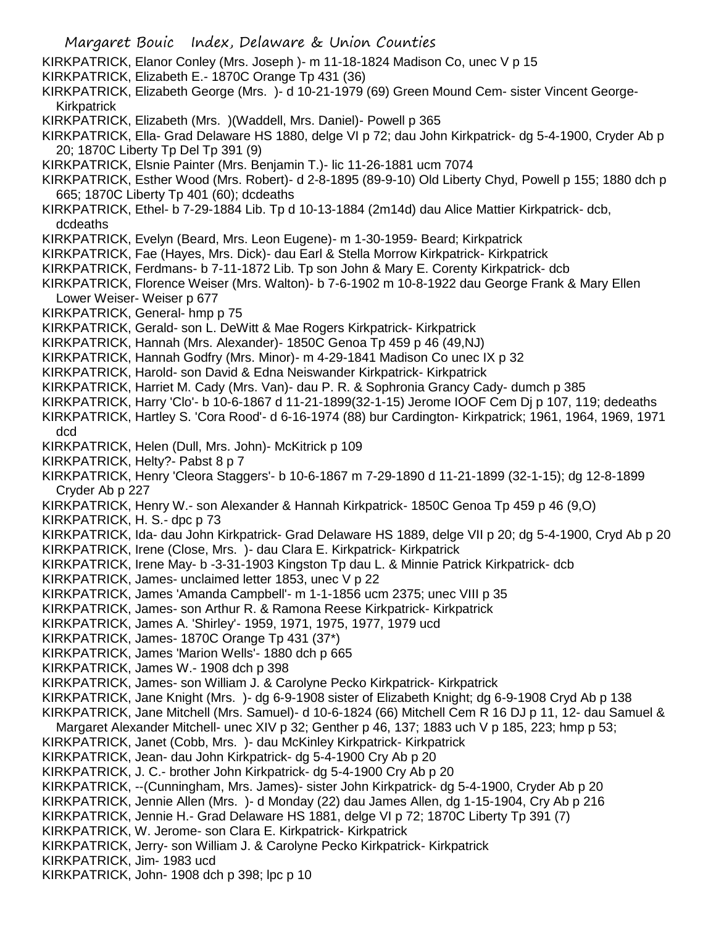KIRKPATRICK, Elanor Conley (Mrs. Joseph )- m 11-18-1824 Madison Co, unec V p 15 KIRKPATRICK, Elizabeth E.- 1870C Orange Tp 431 (36) KIRKPATRICK, Elizabeth George (Mrs. )- d 10-21-1979 (69) Green Mound Cem- sister Vincent George-**Kirkpatrick** KIRKPATRICK, Elizabeth (Mrs. )(Waddell, Mrs. Daniel)- Powell p 365 KIRKPATRICK, Ella- Grad Delaware HS 1880, delge VI p 72; dau John Kirkpatrick- dg 5-4-1900, Cryder Ab p 20; 1870C Liberty Tp Del Tp 391 (9) KIRKPATRICK, Elsnie Painter (Mrs. Benjamin T.)- lic 11-26-1881 ucm 7074 KIRKPATRICK, Esther Wood (Mrs. Robert)- d 2-8-1895 (89-9-10) Old Liberty Chyd, Powell p 155; 1880 dch p 665; 1870C Liberty Tp 401 (60); dcdeaths KIRKPATRICK, Ethel- b 7-29-1884 Lib. Tp d 10-13-1884 (2m14d) dau Alice Mattier Kirkpatrick- dcb, dcdeaths KIRKPATRICK, Evelyn (Beard, Mrs. Leon Eugene)- m 1-30-1959- Beard; Kirkpatrick KIRKPATRICK, Fae (Hayes, Mrs. Dick)- dau Earl & Stella Morrow Kirkpatrick- Kirkpatrick KIRKPATRICK, Ferdmans- b 7-11-1872 Lib. Tp son John & Mary E. Corenty Kirkpatrick- dcb KIRKPATRICK, Florence Weiser (Mrs. Walton)- b 7-6-1902 m 10-8-1922 dau George Frank & Mary Ellen Lower Weiser- Weiser p 677 KIRKPATRICK, General- hmp p 75 KIRKPATRICK, Gerald- son L. DeWitt & Mae Rogers Kirkpatrick- Kirkpatrick KIRKPATRICK, Hannah (Mrs. Alexander)- 1850C Genoa Tp 459 p 46 (49,NJ) KIRKPATRICK, Hannah Godfry (Mrs. Minor)- m 4-29-1841 Madison Co unec IX p 32 KIRKPATRICK, Harold- son David & Edna Neiswander Kirkpatrick- Kirkpatrick KIRKPATRICK, Harriet M. Cady (Mrs. Van)- dau P. R. & Sophronia Grancy Cady- dumch p 385 KIRKPATRICK, Harry 'Clo'- b 10-6-1867 d 11-21-1899(32-1-15) Jerome IOOF Cem Dj p 107, 119; dedeaths KIRKPATRICK, Hartley S. 'Cora Rood'- d 6-16-1974 (88) bur Cardington- Kirkpatrick; 1961, 1964, 1969, 1971 dcd KIRKPATRICK, Helen (Dull, Mrs. John)- McKitrick p 109 KIRKPATRICK, Helty?- Pabst 8 p 7 KIRKPATRICK, Henry 'Cleora Staggers'- b 10-6-1867 m 7-29-1890 d 11-21-1899 (32-1-15); dg 12-8-1899 Cryder Ab p 227 KIRKPATRICK, Henry W.- son Alexander & Hannah Kirkpatrick- 1850C Genoa Tp 459 p 46 (9,O) KIRKPATRICK, H. S.- dpc p 73 KIRKPATRICK, Ida- dau John Kirkpatrick- Grad Delaware HS 1889, delge VII p 20; dg 5-4-1900, Cryd Ab p 20 KIRKPATRICK, Irene (Close, Mrs. )- dau Clara E. Kirkpatrick- Kirkpatrick KIRKPATRICK, Irene May- b -3-31-1903 Kingston Tp dau L. & Minnie Patrick Kirkpatrick- dcb KIRKPATRICK, James- unclaimed letter 1853, unec V p 22 KIRKPATRICK, James 'Amanda Campbell'- m 1-1-1856 ucm 2375; unec VIII p 35 KIRKPATRICK, James- son Arthur R. & Ramona Reese Kirkpatrick- Kirkpatrick KIRKPATRICK, James A. 'Shirley'- 1959, 1971, 1975, 1977, 1979 ucd KIRKPATRICK, James- 1870C Orange Tp 431 (37\*) KIRKPATRICK, James 'Marion Wells'- 1880 dch p 665 KIRKPATRICK, James W.- 1908 dch p 398 KIRKPATRICK, James- son William J. & Carolyne Pecko Kirkpatrick- Kirkpatrick KIRKPATRICK, Jane Knight (Mrs. )- dg 6-9-1908 sister of Elizabeth Knight; dg 6-9-1908 Cryd Ab p 138 KIRKPATRICK, Jane Mitchell (Mrs. Samuel)- d 10-6-1824 (66) Mitchell Cem R 16 DJ p 11, 12- dau Samuel & Margaret Alexander Mitchell- unec XIV p 32; Genther p 46, 137; 1883 uch V p 185, 223; hmp p 53; KIRKPATRICK, Janet (Cobb, Mrs. )- dau McKinley Kirkpatrick- Kirkpatrick KIRKPATRICK, Jean- dau John Kirkpatrick- dg 5-4-1900 Cry Ab p 20 KIRKPATRICK, J. C.- brother John Kirkpatrick- dg 5-4-1900 Cry Ab p 20 KIRKPATRICK, --(Cunningham, Mrs. James)- sister John Kirkpatrick- dg 5-4-1900, Cryder Ab p 20 KIRKPATRICK, Jennie Allen (Mrs. )- d Monday (22) dau James Allen, dg 1-15-1904, Cry Ab p 216 KIRKPATRICK, Jennie H.- Grad Delaware HS 1881, delge VI p 72; 1870C Liberty Tp 391 (7) KIRKPATRICK, W. Jerome- son Clara E. Kirkpatrick- Kirkpatrick KIRKPATRICK, Jerry- son William J. & Carolyne Pecko Kirkpatrick- Kirkpatrick KIRKPATRICK, Jim- 1983 ucd KIRKPATRICK, John- 1908 dch p 398; lpc p 10

Margaret Bouic Index, Delaware & Union Counties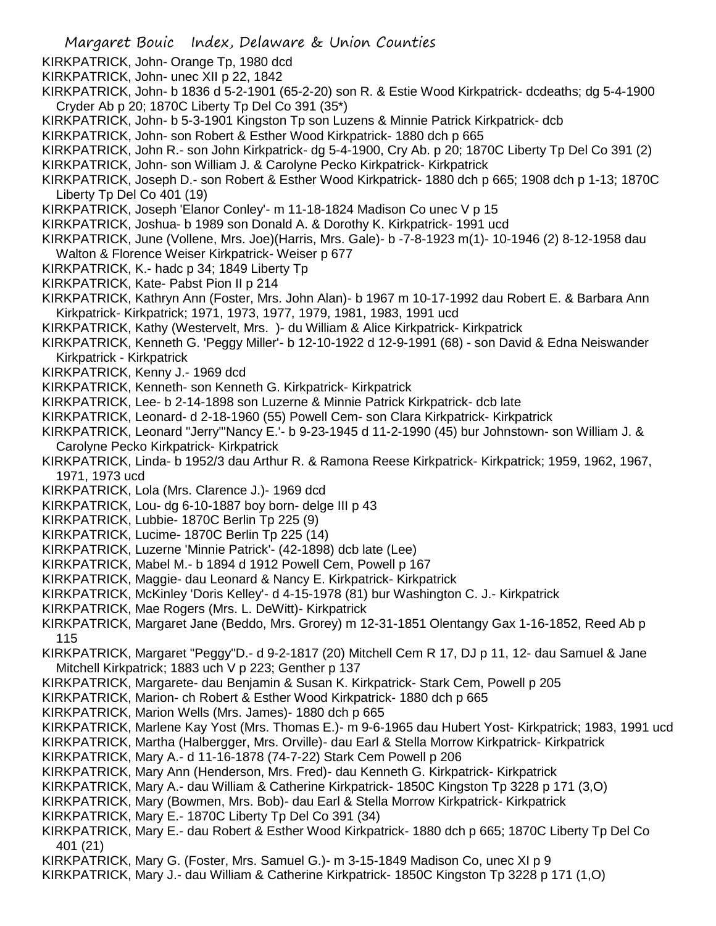- Margaret Bouic Index, Delaware & Union Counties KIRKPATRICK, John- Orange Tp, 1980 dcd KIRKPATRICK, John- unec XII p 22, 1842 KIRKPATRICK, John- b 1836 d 5-2-1901 (65-2-20) son R. & Estie Wood Kirkpatrick- dcdeaths; dg 5-4-1900 Cryder Ab p 20; 1870C Liberty Tp Del Co 391 (35\*) KIRKPATRICK, John- b 5-3-1901 Kingston Tp son Luzens & Minnie Patrick Kirkpatrick- dcb KIRKPATRICK, John- son Robert & Esther Wood Kirkpatrick- 1880 dch p 665 KIRKPATRICK, John R.- son John Kirkpatrick- dg 5-4-1900, Cry Ab. p 20; 1870C Liberty Tp Del Co 391 (2) KIRKPATRICK, John- son William J. & Carolyne Pecko Kirkpatrick- Kirkpatrick KIRKPATRICK, Joseph D.- son Robert & Esther Wood Kirkpatrick- 1880 dch p 665; 1908 dch p 1-13; 1870C Liberty Tp Del Co 401 (19) KIRKPATRICK, Joseph 'Elanor Conley'- m 11-18-1824 Madison Co unec V p 15 KIRKPATRICK, Joshua- b 1989 son Donald A. & Dorothy K. Kirkpatrick- 1991 ucd KIRKPATRICK, June (Vollene, Mrs. Joe)(Harris, Mrs. Gale)- b -7-8-1923 m(1)- 10-1946 (2) 8-12-1958 dau Walton & Florence Weiser Kirkpatrick- Weiser p 677 KIRKPATRICK, K.- hadc p 34; 1849 Liberty Tp KIRKPATRICK, Kate- Pabst Pion II p 214 KIRKPATRICK, Kathryn Ann (Foster, Mrs. John Alan)- b 1967 m 10-17-1992 dau Robert E. & Barbara Ann Kirkpatrick- Kirkpatrick; 1971, 1973, 1977, 1979, 1981, 1983, 1991 ucd KIRKPATRICK, Kathy (Westervelt, Mrs. )- du William & Alice Kirkpatrick- Kirkpatrick KIRKPATRICK, Kenneth G. 'Peggy Miller'- b 12-10-1922 d 12-9-1991 (68) - son David & Edna Neiswander Kirkpatrick - Kirkpatrick KIRKPATRICK, Kenny J.- 1969 dcd KIRKPATRICK, Kenneth- son Kenneth G. Kirkpatrick- Kirkpatrick KIRKPATRICK, Lee- b 2-14-1898 son Luzerne & Minnie Patrick Kirkpatrick- dcb late KIRKPATRICK, Leonard- d 2-18-1960 (55) Powell Cem- son Clara Kirkpatrick- Kirkpatrick
	- KIRKPATRICK, Leonard "Jerry"'Nancy E.'- b 9-23-1945 d 11-2-1990 (45) bur Johnstown- son William J. & Carolyne Pecko Kirkpatrick- Kirkpatrick
	- KIRKPATRICK, Linda- b 1952/3 dau Arthur R. & Ramona Reese Kirkpatrick- Kirkpatrick; 1959, 1962, 1967, 1971, 1973 ucd
	- KIRKPATRICK, Lola (Mrs. Clarence J.)- 1969 dcd
	- KIRKPATRICK, Lou- dg 6-10-1887 boy born- delge III p 43
	- KIRKPATRICK, Lubbie- 1870C Berlin Tp 225 (9)
	- KIRKPATRICK, Lucime- 1870C Berlin Tp 225 (14)
	- KIRKPATRICK, Luzerne 'Minnie Patrick'- (42-1898) dcb late (Lee)
	- KIRKPATRICK, Mabel M.- b 1894 d 1912 Powell Cem, Powell p 167
	- KIRKPATRICK, Maggie- dau Leonard & Nancy E. Kirkpatrick- Kirkpatrick
	- KIRKPATRICK, McKinley 'Doris Kelley'- d 4-15-1978 (81) bur Washington C. J.- Kirkpatrick
	- KIRKPATRICK, Mae Rogers (Mrs. L. DeWitt)- Kirkpatrick
	- KIRKPATRICK, Margaret Jane (Beddo, Mrs. Grorey) m 12-31-1851 Olentangy Gax 1-16-1852, Reed Ab p 115
	- KIRKPATRICK, Margaret "Peggy"D.- d 9-2-1817 (20) Mitchell Cem R 17, DJ p 11, 12- dau Samuel & Jane Mitchell Kirkpatrick; 1883 uch V p 223; Genther p 137
	- KIRKPATRICK, Margarete- dau Benjamin & Susan K. Kirkpatrick- Stark Cem, Powell p 205
	- KIRKPATRICK, Marion- ch Robert & Esther Wood Kirkpatrick- 1880 dch p 665
	- KIRKPATRICK, Marion Wells (Mrs. James)- 1880 dch p 665
	- KIRKPATRICK, Marlene Kay Yost (Mrs. Thomas E.)- m 9-6-1965 dau Hubert Yost- Kirkpatrick; 1983, 1991 ucd
	- KIRKPATRICK, Martha (Halbergger, Mrs. Orville)- dau Earl & Stella Morrow Kirkpatrick- Kirkpatrick
	- KIRKPATRICK, Mary A.- d 11-16-1878 (74-7-22) Stark Cem Powell p 206
	- KIRKPATRICK, Mary Ann (Henderson, Mrs. Fred)- dau Kenneth G. Kirkpatrick- Kirkpatrick
	- KIRKPATRICK, Mary A.- dau William & Catherine Kirkpatrick- 1850C Kingston Tp 3228 p 171 (3,O)
	- KIRKPATRICK, Mary (Bowmen, Mrs. Bob)- dau Earl & Stella Morrow Kirkpatrick- Kirkpatrick
	- KIRKPATRICK, Mary E.- 1870C Liberty Tp Del Co 391 (34)
	- KIRKPATRICK, Mary E.- dau Robert & Esther Wood Kirkpatrick- 1880 dch p 665; 1870C Liberty Tp Del Co 401 (21)
	- KIRKPATRICK, Mary G. (Foster, Mrs. Samuel G.)- m 3-15-1849 Madison Co, unec XI p 9
	- KIRKPATRICK, Mary J.- dau William & Catherine Kirkpatrick- 1850C Kingston Tp 3228 p 171 (1,O)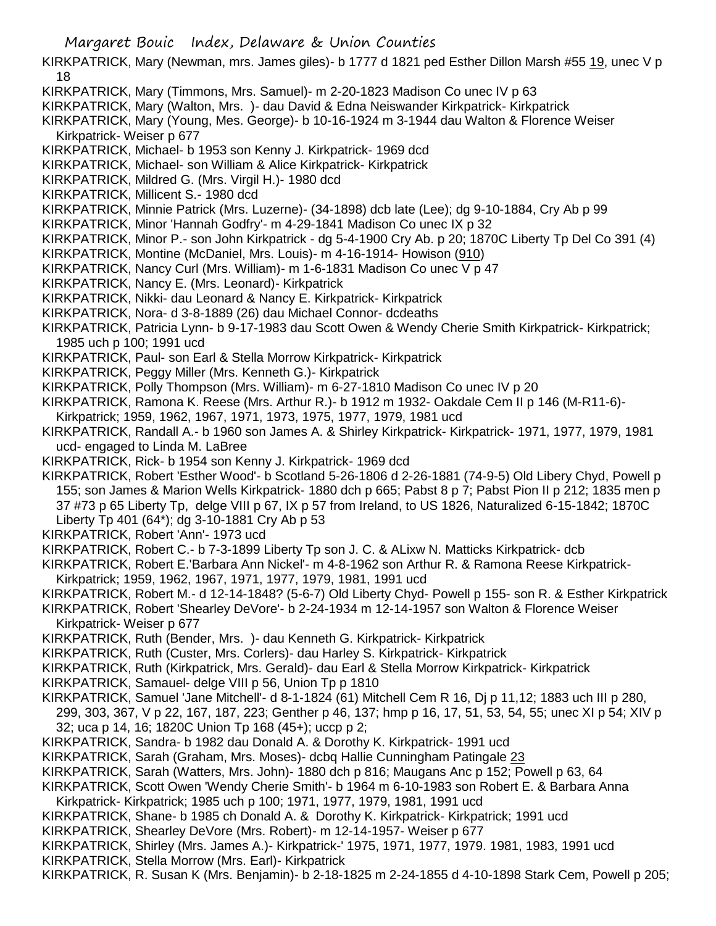- KIRKPATRICK, Mary (Newman, mrs. James giles)- b 1777 d 1821 ped Esther Dillon Marsh #55 19, unec V p 18
- KIRKPATRICK, Mary (Timmons, Mrs. Samuel)- m 2-20-1823 Madison Co unec IV p 63
- KIRKPATRICK, Mary (Walton, Mrs. )- dau David & Edna Neiswander Kirkpatrick- Kirkpatrick
- KIRKPATRICK, Mary (Young, Mes. George)- b 10-16-1924 m 3-1944 dau Walton & Florence Weiser Kirkpatrick- Weiser p 677
- KIRKPATRICK, Michael- b 1953 son Kenny J. Kirkpatrick- 1969 dcd
- KIRKPATRICK, Michael- son William & Alice Kirkpatrick- Kirkpatrick
- KIRKPATRICK, Mildred G. (Mrs. Virgil H.)- 1980 dcd
- KIRKPATRICK, Millicent S.- 1980 dcd
- KIRKPATRICK, Minnie Patrick (Mrs. Luzerne)- (34-1898) dcb late (Lee); dg 9-10-1884, Cry Ab p 99
- KIRKPATRICK, Minor 'Hannah Godfry'- m 4-29-1841 Madison Co unec IX p 32
- KIRKPATRICK, Minor P.- son John Kirkpatrick dg 5-4-1900 Cry Ab. p 20; 1870C Liberty Tp Del Co 391 (4)
- KIRKPATRICK, Montine (McDaniel, Mrs. Louis)- m 4-16-1914- Howison (910)
- KIRKPATRICK, Nancy Curl (Mrs. William)- m 1-6-1831 Madison Co unec V p 47
- KIRKPATRICK, Nancy E. (Mrs. Leonard)- Kirkpatrick
- KIRKPATRICK, Nikki- dau Leonard & Nancy E. Kirkpatrick- Kirkpatrick
- KIRKPATRICK, Nora- d 3-8-1889 (26) dau Michael Connor- dcdeaths
- KIRKPATRICK, Patricia Lynn- b 9-17-1983 dau Scott Owen & Wendy Cherie Smith Kirkpatrick- Kirkpatrick; 1985 uch p 100; 1991 ucd
- KIRKPATRICK, Paul- son Earl & Stella Morrow Kirkpatrick- Kirkpatrick
- KIRKPATRICK, Peggy Miller (Mrs. Kenneth G.)- Kirkpatrick
- KIRKPATRICK, Polly Thompson (Mrs. William)- m 6-27-1810 Madison Co unec IV p 20
- KIRKPATRICK, Ramona K. Reese (Mrs. Arthur R.)- b 1912 m 1932- Oakdale Cem II p 146 (M-R11-6)-
- Kirkpatrick; 1959, 1962, 1967, 1971, 1973, 1975, 1977, 1979, 1981 ucd
- KIRKPATRICK, Randall A.- b 1960 son James A. & Shirley Kirkpatrick- Kirkpatrick- 1971, 1977, 1979, 1981 ucd- engaged to Linda M. LaBree
- KIRKPATRICK, Rick- b 1954 son Kenny J. Kirkpatrick- 1969 dcd
- KIRKPATRICK, Robert 'Esther Wood'- b Scotland 5-26-1806 d 2-26-1881 (74-9-5) Old Libery Chyd, Powell p 155; son James & Marion Wells Kirkpatrick- 1880 dch p 665; Pabst 8 p 7; Pabst Pion II p 212; 1835 men p 37 #73 p 65 Liberty Tp, delge VIII p 67, IX p 57 from Ireland, to US 1826, Naturalized 6-15-1842; 1870C Liberty Tp 401 (64\*); dg 3-10-1881 Cry Ab p 53
- KIRKPATRICK, Robert 'Ann'- 1973 ucd
- KIRKPATRICK, Robert C.- b 7-3-1899 Liberty Tp son J. C. & ALixw N. Matticks Kirkpatrick- dcb
- KIRKPATRICK, Robert E.'Barbara Ann Nickel'- m 4-8-1962 son Arthur R. & Ramona Reese Kirkpatrick-
- Kirkpatrick; 1959, 1962, 1967, 1971, 1977, 1979, 1981, 1991 ucd
- KIRKPATRICK, Robert M.- d 12-14-1848? (5-6-7) Old Liberty Chyd- Powell p 155- son R. & Esther Kirkpatrick
- KIRKPATRICK, Robert 'Shearley DeVore'- b 2-24-1934 m 12-14-1957 son Walton & Florence Weiser Kirkpatrick- Weiser p 677
- KIRKPATRICK, Ruth (Bender, Mrs. )- dau Kenneth G. Kirkpatrick- Kirkpatrick
- KIRKPATRICK, Ruth (Custer, Mrs. Corlers)- dau Harley S. Kirkpatrick- Kirkpatrick
- KIRKPATRICK, Ruth (Kirkpatrick, Mrs. Gerald)- dau Earl & Stella Morrow Kirkpatrick- Kirkpatrick
- KIRKPATRICK, Samauel- delge VIII p 56, Union Tp p 1810
- KIRKPATRICK, Samuel 'Jane Mitchell'- d 8-1-1824 (61) Mitchell Cem R 16, Dj p 11,12; 1883 uch III p 280,
- 299, 303, 367, V p 22, 167, 187, 223; Genther p 46, 137; hmp p 16, 17, 51, 53, 54, 55; unec XI p 54; XIV p 32; uca p 14, 16; 1820C Union Tp 168 (45+); uccp p 2;
- KIRKPATRICK, Sandra- b 1982 dau Donald A. & Dorothy K. Kirkpatrick- 1991 ucd
- KIRKPATRICK, Sarah (Graham, Mrs. Moses)- dcbq Hallie Cunningham Patingale 23
- KIRKPATRICK, Sarah (Watters, Mrs. John)- 1880 dch p 816; Maugans Anc p 152; Powell p 63, 64
- KIRKPATRICK, Scott Owen 'Wendy Cherie Smith'- b 1964 m 6-10-1983 son Robert E. & Barbara Anna Kirkpatrick- Kirkpatrick; 1985 uch p 100; 1971, 1977, 1979, 1981, 1991 ucd
- KIRKPATRICK, Shane- b 1985 ch Donald A. & Dorothy K. Kirkpatrick- Kirkpatrick; 1991 ucd
- KIRKPATRICK, Shearley DeVore (Mrs. Robert)- m 12-14-1957- Weiser p 677
- KIRKPATRICK, Shirley (Mrs. James A.)- Kirkpatrick-' 1975, 1971, 1977, 1979. 1981, 1983, 1991 ucd KIRKPATRICK, Stella Morrow (Mrs. Earl)- Kirkpatrick
- KIRKPATRICK, R. Susan K (Mrs. Benjamin)- b 2-18-1825 m 2-24-1855 d 4-10-1898 Stark Cem, Powell p 205;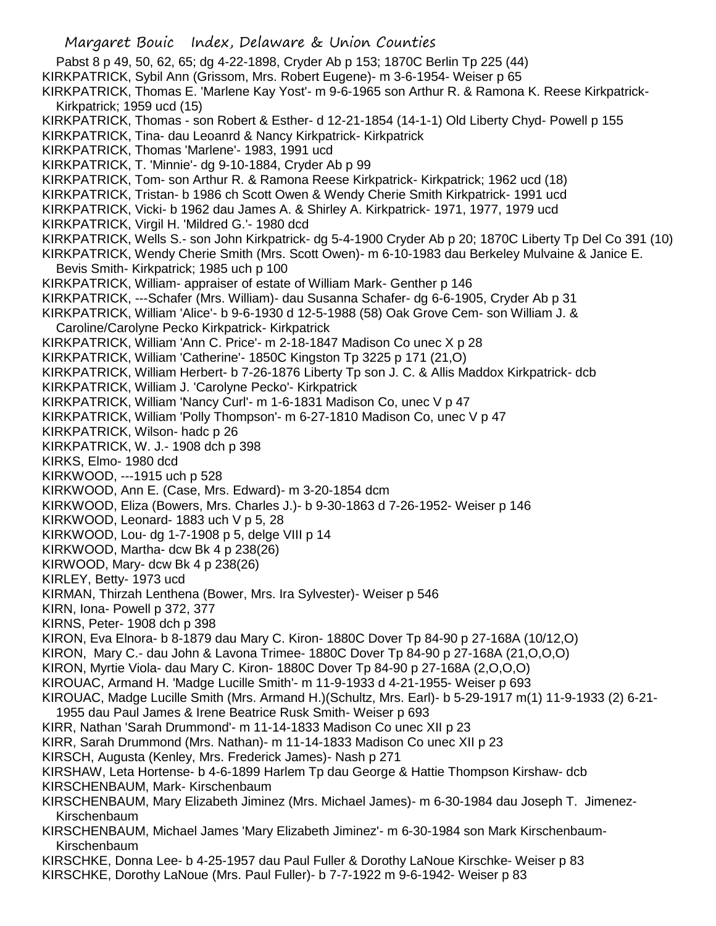Margaret Bouic Index, Delaware & Union Counties Pabst 8 p 49, 50, 62, 65; dg 4-22-1898, Cryder Ab p 153; 1870C Berlin Tp 225 (44) KIRKPATRICK, Sybil Ann (Grissom, Mrs. Robert Eugene)- m 3-6-1954- Weiser p 65 KIRKPATRICK, Thomas E. 'Marlene Kay Yost'- m 9-6-1965 son Arthur R. & Ramona K. Reese Kirkpatrick-Kirkpatrick; 1959 ucd (15) KIRKPATRICK, Thomas - son Robert & Esther- d 12-21-1854 (14-1-1) Old Liberty Chyd- Powell p 155 KIRKPATRICK, Tina- dau Leoanrd & Nancy Kirkpatrick- Kirkpatrick KIRKPATRICK, Thomas 'Marlene'- 1983, 1991 ucd KIRKPATRICK, T. 'Minnie'- dg 9-10-1884, Cryder Ab p 99 KIRKPATRICK, Tom- son Arthur R. & Ramona Reese Kirkpatrick- Kirkpatrick; 1962 ucd (18) KIRKPATRICK, Tristan- b 1986 ch Scott Owen & Wendy Cherie Smith Kirkpatrick- 1991 ucd KIRKPATRICK, Vicki- b 1962 dau James A. & Shirley A. Kirkpatrick- 1971, 1977, 1979 ucd KIRKPATRICK, Virgil H. 'Mildred G.'- 1980 dcd KIRKPATRICK, Wells S.- son John Kirkpatrick- dg 5-4-1900 Cryder Ab p 20; 1870C Liberty Tp Del Co 391 (10) KIRKPATRICK, Wendy Cherie Smith (Mrs. Scott Owen)- m 6-10-1983 dau Berkeley Mulvaine & Janice E. Bevis Smith- Kirkpatrick; 1985 uch p 100 KIRKPATRICK, William- appraiser of estate of William Mark- Genther p 146 KIRKPATRICK, ---Schafer (Mrs. William)- dau Susanna Schafer- dg 6-6-1905, Cryder Ab p 31 KIRKPATRICK, William 'Alice'- b 9-6-1930 d 12-5-1988 (58) Oak Grove Cem- son William J. & Caroline/Carolyne Pecko Kirkpatrick- Kirkpatrick KIRKPATRICK, William 'Ann C. Price'- m 2-18-1847 Madison Co unec X p 28 KIRKPATRICK, William 'Catherine'- 1850C Kingston Tp 3225 p 171 (21,O) KIRKPATRICK, William Herbert- b 7-26-1876 Liberty Tp son J. C. & Allis Maddox Kirkpatrick- dcb KIRKPATRICK, William J. 'Carolyne Pecko'- Kirkpatrick KIRKPATRICK, William 'Nancy Curl'- m 1-6-1831 Madison Co, unec V p 47 KIRKPATRICK, William 'Polly Thompson'- m 6-27-1810 Madison Co, unec V p 47 KIRKPATRICK, Wilson- hadc p 26 KIRKPATRICK, W. J.- 1908 dch p 398 KIRKS, Elmo- 1980 dcd KIRKWOOD, ---1915 uch p 528 KIRKWOOD, Ann E. (Case, Mrs. Edward)- m 3-20-1854 dcm KIRKWOOD, Eliza (Bowers, Mrs. Charles J.)- b 9-30-1863 d 7-26-1952- Weiser p 146 KIRKWOOD, Leonard- 1883 uch V p 5, 28 KIRKWOOD, Lou- dg 1-7-1908 p 5, delge VIII p 14 KIRKWOOD, Martha- dcw Bk 4 p 238(26) KIRWOOD, Mary- dcw Bk 4 p 238(26) KIRLEY, Betty- 1973 ucd KIRMAN, Thirzah Lenthena (Bower, Mrs. Ira Sylvester)- Weiser p 546 KIRN, Iona- Powell p 372, 377 KIRNS, Peter- 1908 dch p 398 KIRON, Eva Elnora- b 8-1879 dau Mary C. Kiron- 1880C Dover Tp 84-90 p 27-168A (10/12,O) KIRON, Mary C.- dau John & Lavona Trimee- 1880C Dover Tp 84-90 p 27-168A (21,O,O,O) KIRON, Myrtie Viola- dau Mary C. Kiron- 1880C Dover Tp 84-90 p 27-168A (2,O,O,O) KIROUAC, Armand H. 'Madge Lucille Smith'- m 11-9-1933 d 4-21-1955- Weiser p 693 KIROUAC, Madge Lucille Smith (Mrs. Armand H.)(Schultz, Mrs. Earl)- b 5-29-1917 m(1) 11-9-1933 (2) 6-21- 1955 dau Paul James & Irene Beatrice Rusk Smith- Weiser p 693 KIRR, Nathan 'Sarah Drummond'- m 11-14-1833 Madison Co unec XII p 23 KIRR, Sarah Drummond (Mrs. Nathan)- m 11-14-1833 Madison Co unec XII p 23 KIRSCH, Augusta (Kenley, Mrs. Frederick James)- Nash p 271 KIRSHAW, Leta Hortense- b 4-6-1899 Harlem Tp dau George & Hattie Thompson Kirshaw- dcb KIRSCHENBAUM, Mark- Kirschenbaum KIRSCHENBAUM, Mary Elizabeth Jiminez (Mrs. Michael James)- m 6-30-1984 dau Joseph T. Jimenez-Kirschenbaum KIRSCHENBAUM, Michael James 'Mary Elizabeth Jiminez'- m 6-30-1984 son Mark Kirschenbaum-Kirschenbaum KIRSCHKE, Donna Lee- b 4-25-1957 dau Paul Fuller & Dorothy LaNoue Kirschke- Weiser p 83 KIRSCHKE, Dorothy LaNoue (Mrs. Paul Fuller)- b 7-7-1922 m 9-6-1942- Weiser p 83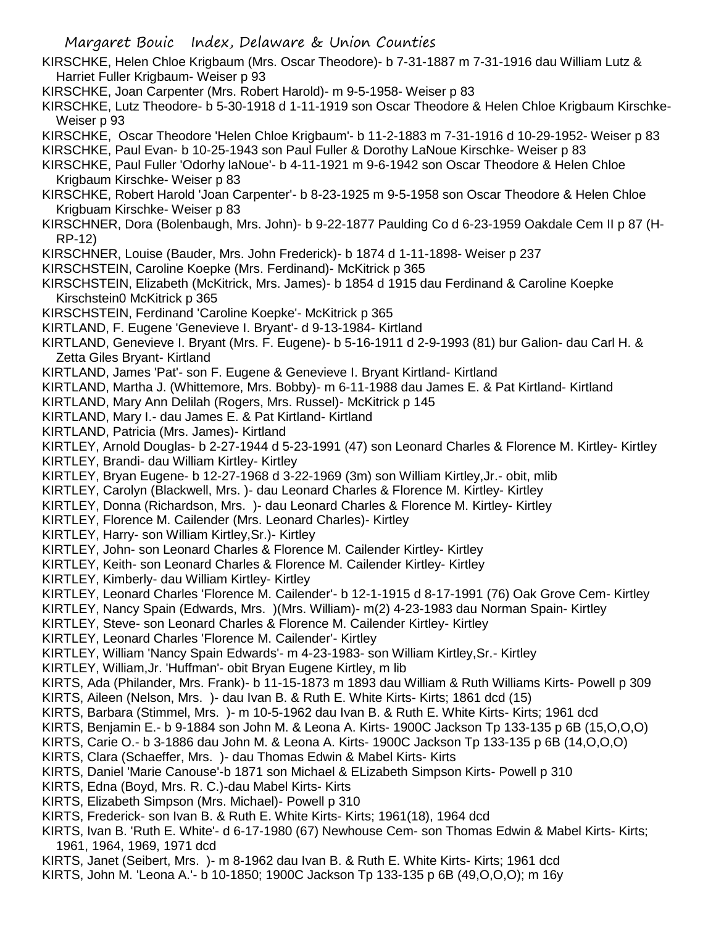- KIRSCHKE, Helen Chloe Krigbaum (Mrs. Oscar Theodore)- b 7-31-1887 m 7-31-1916 dau William Lutz & Harriet Fuller Krigbaum- Weiser p 93
- KIRSCHKE, Joan Carpenter (Mrs. Robert Harold)- m 9-5-1958- Weiser p 83
- KIRSCHKE, Lutz Theodore- b 5-30-1918 d 1-11-1919 son Oscar Theodore & Helen Chloe Krigbaum Kirschke-Weiser p 93
- KIRSCHKE, Oscar Theodore 'Helen Chloe Krigbaum'- b 11-2-1883 m 7-31-1916 d 10-29-1952- Weiser p 83
- KIRSCHKE, Paul Evan- b 10-25-1943 son Paul Fuller & Dorothy LaNoue Kirschke- Weiser p 83
- KIRSCHKE, Paul Fuller 'Odorhy laNoue'- b 4-11-1921 m 9-6-1942 son Oscar Theodore & Helen Chloe Krigbaum Kirschke- Weiser p 83
- KIRSCHKE, Robert Harold 'Joan Carpenter'- b 8-23-1925 m 9-5-1958 son Oscar Theodore & Helen Chloe Krigbuam Kirschke- Weiser p 83
- KIRSCHNER, Dora (Bolenbaugh, Mrs. John)- b 9-22-1877 Paulding Co d 6-23-1959 Oakdale Cem II p 87 (H-RP-12)
- KIRSCHNER, Louise (Bauder, Mrs. John Frederick)- b 1874 d 1-11-1898- Weiser p 237
- KIRSCHSTEIN, Caroline Koepke (Mrs. Ferdinand)- McKitrick p 365
- KIRSCHSTEIN, Elizabeth (McKitrick, Mrs. James)- b 1854 d 1915 dau Ferdinand & Caroline Koepke Kirschstein0 McKitrick p 365
- KIRSCHSTEIN, Ferdinand 'Caroline Koepke'- McKitrick p 365
- KIRTLAND, F. Eugene 'Genevieve I. Bryant'- d 9-13-1984- Kirtland
- KIRTLAND, Genevieve I. Bryant (Mrs. F. Eugene)- b 5-16-1911 d 2-9-1993 (81) bur Galion- dau Carl H. & Zetta Giles Bryant- Kirtland
- KIRTLAND, James 'Pat'- son F. Eugene & Genevieve I. Bryant Kirtland- Kirtland
- KIRTLAND, Martha J. (Whittemore, Mrs. Bobby)- m 6-11-1988 dau James E. & Pat Kirtland- Kirtland
- KIRTLAND, Mary Ann Delilah (Rogers, Mrs. Russel)- McKitrick p 145
- KIRTLAND, Mary I.- dau James E. & Pat Kirtland- Kirtland
- KIRTLAND, Patricia (Mrs. James)- Kirtland
- KIRTLEY, Arnold Douglas- b 2-27-1944 d 5-23-1991 (47) son Leonard Charles & Florence M. Kirtley- Kirtley
- KIRTLEY, Brandi- dau William Kirtley- Kirtley
- KIRTLEY, Bryan Eugene- b 12-27-1968 d 3-22-1969 (3m) son William Kirtley,Jr.- obit, mlib
- KIRTLEY, Carolyn (Blackwell, Mrs. )- dau Leonard Charles & Florence M. Kirtley- Kirtley
- KIRTLEY, Donna (Richardson, Mrs. )- dau Leonard Charles & Florence M. Kirtley- Kirtley
- KIRTLEY, Florence M. Cailender (Mrs. Leonard Charles)- Kirtley
- KIRTLEY, Harry- son William Kirtley,Sr.)- Kirtley
- KIRTLEY, John- son Leonard Charles & Florence M. Cailender Kirtley- Kirtley
- KIRTLEY, Keith- son Leonard Charles & Florence M. Cailender Kirtley- Kirtley
- KIRTLEY, Kimberly- dau William Kirtley- Kirtley
- KIRTLEY, Leonard Charles 'Florence M. Cailender'- b 12-1-1915 d 8-17-1991 (76) Oak Grove Cem- Kirtley
- KIRTLEY, Nancy Spain (Edwards, Mrs. )(Mrs. William)- m(2) 4-23-1983 dau Norman Spain- Kirtley
- KIRTLEY, Steve- son Leonard Charles & Florence M. Cailender Kirtley- Kirtley
- KIRTLEY, Leonard Charles 'Florence M. Cailender'- Kirtley
- KIRTLEY, William 'Nancy Spain Edwards'- m 4-23-1983- son William Kirtley,Sr.- Kirtley
- KIRTLEY, William,Jr. 'Huffman'- obit Bryan Eugene Kirtley, m lib
- KIRTS, Ada (Philander, Mrs. Frank)- b 11-15-1873 m 1893 dau William & Ruth Williams Kirts- Powell p 309
- KIRTS, Aileen (Nelson, Mrs. )- dau Ivan B. & Ruth E. White Kirts- Kirts; 1861 dcd (15)
- KIRTS, Barbara (Stimmel, Mrs. )- m 10-5-1962 dau Ivan B. & Ruth E. White Kirts- Kirts; 1961 dcd
- KIRTS, Benjamin E.- b 9-1884 son John M. & Leona A. Kirts- 1900C Jackson Tp 133-135 p 6B (15,O,O,O)
- KIRTS, Carie O.- b 3-1886 dau John M. & Leona A. Kirts- 1900C Jackson Tp 133-135 p 6B (14,O,O,O)
- KIRTS, Clara (Schaeffer, Mrs. )- dau Thomas Edwin & Mabel Kirts- Kirts
- KIRTS, Daniel 'Marie Canouse'-b 1871 son Michael & ELizabeth Simpson Kirts- Powell p 310
- KIRTS, Edna (Boyd, Mrs. R. C.)-dau Mabel Kirts- Kirts
- KIRTS, Elizabeth Simpson (Mrs. Michael)- Powell p 310
- KIRTS, Frederick- son Ivan B. & Ruth E. White Kirts- Kirts; 1961(18), 1964 dcd
- KIRTS, Ivan B. 'Ruth E. White'- d 6-17-1980 (67) Newhouse Cem- son Thomas Edwin & Mabel Kirts- Kirts; 1961, 1964, 1969, 1971 dcd
- KIRTS, Janet (Seibert, Mrs. )- m 8-1962 dau Ivan B. & Ruth E. White Kirts- Kirts; 1961 dcd
- KIRTS, John M. 'Leona A.'- b 10-1850; 1900C Jackson Tp 133-135 p 6B (49,O,O,O); m 16y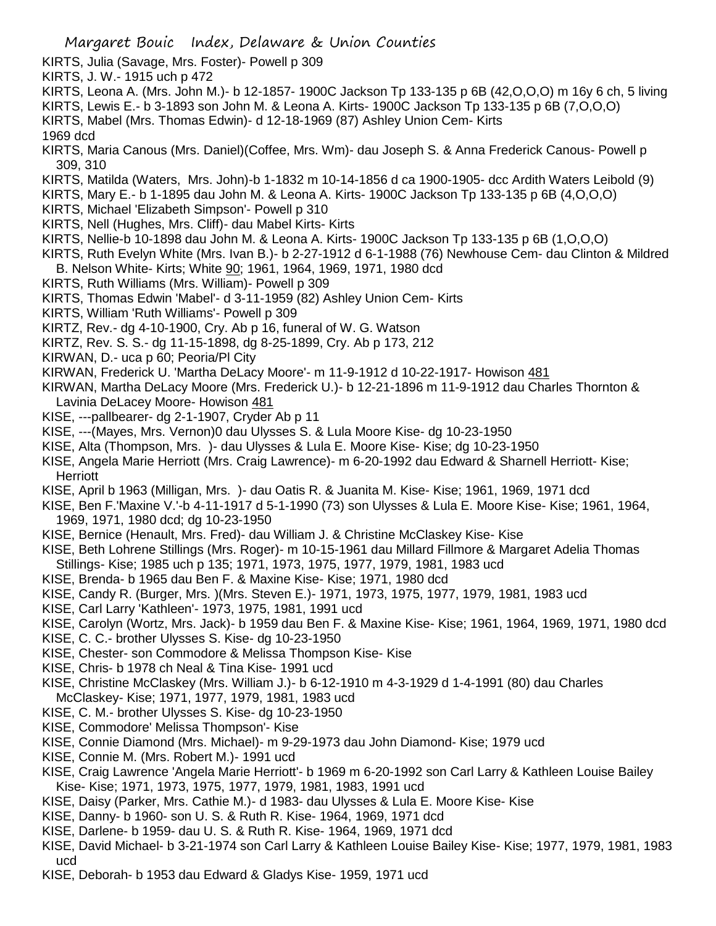- KIRTS, Julia (Savage, Mrs. Foster)- Powell p 309
- KIRTS, J. W.- 1915 uch p 472
- KIRTS, Leona A. (Mrs. John M.)- b 12-1857- 1900C Jackson Tp 133-135 p 6B (42,O,O,O) m 16y 6 ch, 5 living
- KIRTS, Lewis E.- b 3-1893 son John M. & Leona A. Kirts- 1900C Jackson Tp 133-135 p 6B (7,O,O,O)
- KIRTS, Mabel (Mrs. Thomas Edwin)- d 12-18-1969 (87) Ashley Union Cem- Kirts

1969 dcd

- KIRTS, Maria Canous (Mrs. Daniel)(Coffee, Mrs. Wm)- dau Joseph S. & Anna Frederick Canous- Powell p 309, 310
- KIRTS, Matilda (Waters, Mrs. John)-b 1-1832 m 10-14-1856 d ca 1900-1905- dcc Ardith Waters Leibold (9)
- KIRTS, Mary E.- b 1-1895 dau John M. & Leona A. Kirts- 1900C Jackson Tp 133-135 p 6B (4,O,O,O)
- KIRTS, Michael 'Elizabeth Simpson'- Powell p 310
- KIRTS, Nell (Hughes, Mrs. Cliff)- dau Mabel Kirts- Kirts
- KIRTS, Nellie-b 10-1898 dau John M. & Leona A. Kirts- 1900C Jackson Tp 133-135 p 6B (1,O,O,O)
- KIRTS, Ruth Evelyn White (Mrs. Ivan B.)- b 2-27-1912 d 6-1-1988 (76) Newhouse Cem- dau Clinton & Mildred
- B. Nelson White- Kirts; White 90; 1961, 1964, 1969, 1971, 1980 dcd
- KIRTS, Ruth Williams (Mrs. William)- Powell p 309
- KIRTS, Thomas Edwin 'Mabel'- d 3-11-1959 (82) Ashley Union Cem- Kirts
- KIRTS, William 'Ruth Williams'- Powell p 309
- KIRTZ, Rev.- dg 4-10-1900, Cry. Ab p 16, funeral of W. G. Watson
- KIRTZ, Rev. S. S.- dg 11-15-1898, dg 8-25-1899, Cry. Ab p 173, 212
- KIRWAN, D.- uca p 60; Peoria/Pl City
- KIRWAN, Frederick U. 'Martha DeLacy Moore'- m 11-9-1912 d 10-22-1917- Howison 481
- KIRWAN, Martha DeLacy Moore (Mrs. Frederick U.)- b 12-21-1896 m 11-9-1912 dau Charles Thornton & Lavinia DeLacey Moore- Howison 481
- KISE, ---pallbearer- dg 2-1-1907, Cryder Ab p 11
- KISE, ---(Mayes, Mrs. Vernon)0 dau Ulysses S. & Lula Moore Kise- dg 10-23-1950
- KISE, Alta (Thompson, Mrs. )- dau Ulysses & Lula E. Moore Kise- Kise; dg 10-23-1950
- KISE, Angela Marie Herriott (Mrs. Craig Lawrence)- m 6-20-1992 dau Edward & Sharnell Herriott- Kise; **Herriott**
- KISE, April b 1963 (Milligan, Mrs. )- dau Oatis R. & Juanita M. Kise- Kise; 1961, 1969, 1971 dcd
- KISE, Ben F.'Maxine V.'-b 4-11-1917 d 5-1-1990 (73) son Ulysses & Lula E. Moore Kise- Kise; 1961, 1964, 1969, 1971, 1980 dcd; dg 10-23-1950
- KISE, Bernice (Henault, Mrs. Fred)- dau William J. & Christine McClaskey Kise- Kise
- KISE, Beth Lohrene Stillings (Mrs. Roger)- m 10-15-1961 dau Millard Fillmore & Margaret Adelia Thomas Stillings- Kise; 1985 uch p 135; 1971, 1973, 1975, 1977, 1979, 1981, 1983 ucd
- KISE, Brenda- b 1965 dau Ben F. & Maxine Kise- Kise; 1971, 1980 dcd
- KISE, Candy R. (Burger, Mrs. )(Mrs. Steven E.)- 1971, 1973, 1975, 1977, 1979, 1981, 1983 ucd
- KISE, Carl Larry 'Kathleen'- 1973, 1975, 1981, 1991 ucd
- KISE, Carolyn (Wortz, Mrs. Jack)- b 1959 dau Ben F. & Maxine Kise- Kise; 1961, 1964, 1969, 1971, 1980 dcd
- KISE, C. C.- brother Ulysses S. Kise- dg 10-23-1950
- KISE, Chester- son Commodore & Melissa Thompson Kise- Kise
- KISE, Chris- b 1978 ch Neal & Tina Kise- 1991 ucd
- KISE, Christine McClaskey (Mrs. William J.)- b 6-12-1910 m 4-3-1929 d 1-4-1991 (80) dau Charles McClaskey- Kise; 1971, 1977, 1979, 1981, 1983 ucd
- KISE, C. M.- brother Ulysses S. Kise- dg 10-23-1950
- KISE, Commodore' Melissa Thompson'- Kise
- KISE, Connie Diamond (Mrs. Michael)- m 9-29-1973 dau John Diamond- Kise; 1979 ucd
- KISE, Connie M. (Mrs. Robert M.)- 1991 ucd
- KISE, Craig Lawrence 'Angela Marie Herriott'- b 1969 m 6-20-1992 son Carl Larry & Kathleen Louise Bailey Kise- Kise; 1971, 1973, 1975, 1977, 1979, 1981, 1983, 1991 ucd
- KISE, Daisy (Parker, Mrs. Cathie M.)- d 1983- dau Ulysses & Lula E. Moore Kise- Kise
- KISE, Danny- b 1960- son U. S. & Ruth R. Kise- 1964, 1969, 1971 dcd
- KISE, Darlene- b 1959- dau U. S. & Ruth R. Kise- 1964, 1969, 1971 dcd
- KISE, David Michael- b 3-21-1974 son Carl Larry & Kathleen Louise Bailey Kise- Kise; 1977, 1979, 1981, 1983 ucd
- KISE, Deborah- b 1953 dau Edward & Gladys Kise- 1959, 1971 ucd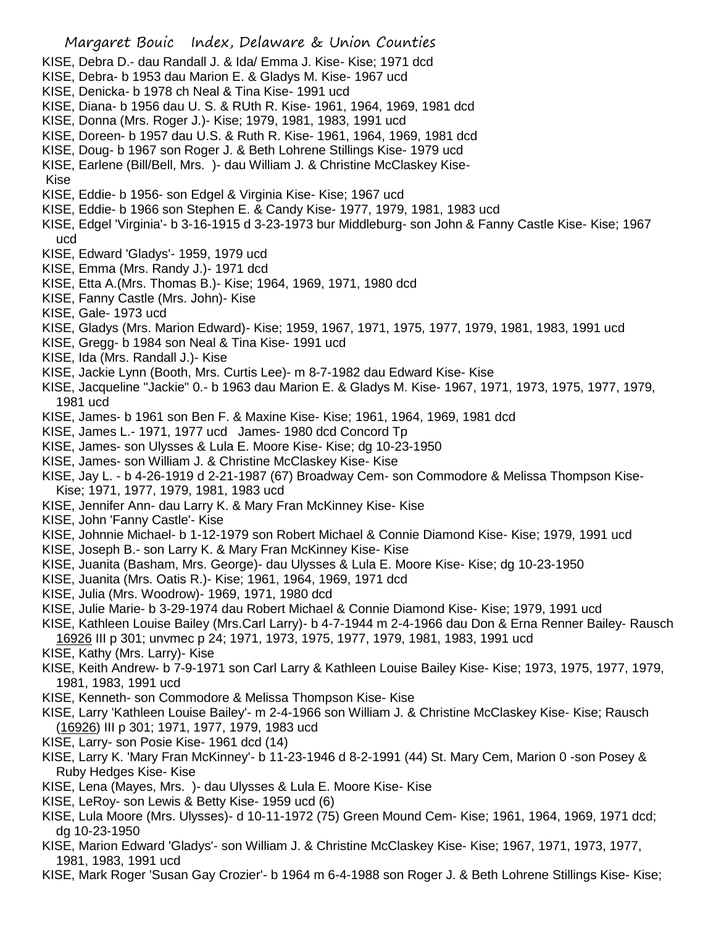- KISE, Debra D.- dau Randall J. & Ida/ Emma J. Kise- Kise; 1971 dcd
- KISE, Debra- b 1953 dau Marion E. & Gladys M. Kise- 1967 ucd
- KISE, Denicka- b 1978 ch Neal & Tina Kise- 1991 ucd
- KISE, Diana- b 1956 dau U. S. & RUth R. Kise- 1961, 1964, 1969, 1981 dcd
- KISE, Donna (Mrs. Roger J.)- Kise; 1979, 1981, 1983, 1991 ucd
- KISE, Doreen- b 1957 dau U.S. & Ruth R. Kise- 1961, 1964, 1969, 1981 dcd
- KISE, Doug- b 1967 son Roger J. & Beth Lohrene Stillings Kise- 1979 ucd
- KISE, Earlene (Bill/Bell, Mrs. )- dau William J. & Christine McClaskey Kise-
- Kise
- KISE, Eddie- b 1956- son Edgel & Virginia Kise- Kise; 1967 ucd
- KISE, Eddie- b 1966 son Stephen E. & Candy Kise- 1977, 1979, 1981, 1983 ucd
- KISE, Edgel 'Virginia'- b 3-16-1915 d 3-23-1973 bur Middleburg- son John & Fanny Castle Kise- Kise; 1967 ucd
- KISE, Edward 'Gladys'- 1959, 1979 ucd
- KISE, Emma (Mrs. Randy J.)- 1971 dcd
- KISE, Etta A.(Mrs. Thomas B.)- Kise; 1964, 1969, 1971, 1980 dcd
- KISE, Fanny Castle (Mrs. John)- Kise
- KISE, Gale- 1973 ucd
- KISE, Gladys (Mrs. Marion Edward)- Kise; 1959, 1967, 1971, 1975, 1977, 1979, 1981, 1983, 1991 ucd
- KISE, Gregg- b 1984 son Neal & Tina Kise- 1991 ucd
- KISE, Ida (Mrs. Randall J.)- Kise
- KISE, Jackie Lynn (Booth, Mrs. Curtis Lee)- m 8-7-1982 dau Edward Kise- Kise
- KISE, Jacqueline "Jackie" 0.- b 1963 dau Marion E. & Gladys M. Kise- 1967, 1971, 1973, 1975, 1977, 1979, 1981 ucd
- KISE, James- b 1961 son Ben F. & Maxine Kise- Kise; 1961, 1964, 1969, 1981 dcd
- KISE, James L.- 1971, 1977 ucd James- 1980 dcd Concord Tp
- KISE, James- son Ulysses & Lula E. Moore Kise- Kise; dg 10-23-1950
- KISE, James- son William J. & Christine McClaskey Kise- Kise
- KISE, Jay L. b 4-26-1919 d 2-21-1987 (67) Broadway Cem- son Commodore & Melissa Thompson Kise-Kise; 1971, 1977, 1979, 1981, 1983 ucd
- KISE, Jennifer Ann- dau Larry K. & Mary Fran McKinney Kise- Kise
- KISE, John 'Fanny Castle'- Kise
- KISE, Johnnie Michael- b 1-12-1979 son Robert Michael & Connie Diamond Kise- Kise; 1979, 1991 ucd
- KISE, Joseph B.- son Larry K. & Mary Fran McKinney Kise- Kise
- KISE, Juanita (Basham, Mrs. George)- dau Ulysses & Lula E. Moore Kise- Kise; dg 10-23-1950
- KISE, Juanita (Mrs. Oatis R.)- Kise; 1961, 1964, 1969, 1971 dcd
- KISE, Julia (Mrs. Woodrow)- 1969, 1971, 1980 dcd
- KISE, Julie Marie- b 3-29-1974 dau Robert Michael & Connie Diamond Kise- Kise; 1979, 1991 ucd
- KISE, Kathleen Louise Bailey (Mrs.Carl Larry)- b 4-7-1944 m 2-4-1966 dau Don & Erna Renner Bailey- Rausch 16926 III p 301; unvmec p 24; 1971, 1973, 1975, 1977, 1979, 1981, 1983, 1991 ucd
- KISE, Kathy (Mrs. Larry)- Kise
- KISE, Keith Andrew- b 7-9-1971 son Carl Larry & Kathleen Louise Bailey Kise- Kise; 1973, 1975, 1977, 1979, 1981, 1983, 1991 ucd
- KISE, Kenneth- son Commodore & Melissa Thompson Kise- Kise
- KISE, Larry 'Kathleen Louise Bailey'- m 2-4-1966 son William J. & Christine McClaskey Kise- Kise; Rausch (16926) III p 301; 1971, 1977, 1979, 1983 ucd
- KISE, Larry- son Posie Kise- 1961 dcd (14)
- KISE, Larry K. 'Mary Fran McKinney'- b 11-23-1946 d 8-2-1991 (44) St. Mary Cem, Marion 0 -son Posey & Ruby Hedges Kise- Kise
- KISE, Lena (Mayes, Mrs. )- dau Ulysses & Lula E. Moore Kise- Kise
- KISE, LeRoy- son Lewis & Betty Kise- 1959 ucd (6)
- KISE, Lula Moore (Mrs. Ulysses)- d 10-11-1972 (75) Green Mound Cem- Kise; 1961, 1964, 1969, 1971 dcd; dg 10-23-1950
- KISE, Marion Edward 'Gladys'- son William J. & Christine McClaskey Kise- Kise; 1967, 1971, 1973, 1977, 1981, 1983, 1991 ucd
- KISE, Mark Roger 'Susan Gay Crozier'- b 1964 m 6-4-1988 son Roger J. & Beth Lohrene Stillings Kise- Kise;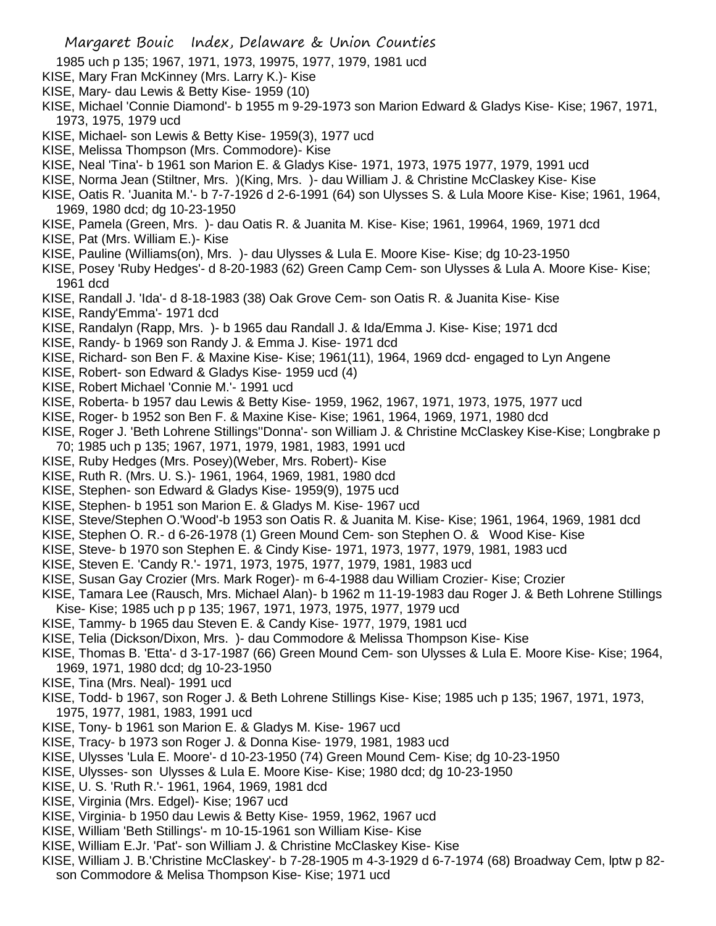- 1985 uch p 135; 1967, 1971, 1973, 19975, 1977, 1979, 1981 ucd
- KISE, Mary Fran McKinney (Mrs. Larry K.)- Kise
- KISE, Mary- dau Lewis & Betty Kise- 1959 (10)
- KISE, Michael 'Connie Diamond'- b 1955 m 9-29-1973 son Marion Edward & Gladys Kise- Kise; 1967, 1971, 1973, 1975, 1979 ucd
- KISE, Michael- son Lewis & Betty Kise- 1959(3), 1977 ucd
- KISE, Melissa Thompson (Mrs. Commodore)- Kise
- KISE, Neal 'Tina'- b 1961 son Marion E. & Gladys Kise- 1971, 1973, 1975 1977, 1979, 1991 ucd
- KISE, Norma Jean (Stiltner, Mrs. )(King, Mrs. )- dau William J. & Christine McClaskey Kise- Kise
- KISE, Oatis R. 'Juanita M.'- b 7-7-1926 d 2-6-1991 (64) son Ulysses S. & Lula Moore Kise- Kise; 1961, 1964, 1969, 1980 dcd; dg 10-23-1950
- KISE, Pamela (Green, Mrs. )- dau Oatis R. & Juanita M. Kise- Kise; 1961, 19964, 1969, 1971 dcd
- KISE, Pat (Mrs. William E.)- Kise
- KISE, Pauline (Williams(on), Mrs. )- dau Ulysses & Lula E. Moore Kise- Kise; dg 10-23-1950
- KISE, Posey 'Ruby Hedges'- d 8-20-1983 (62) Green Camp Cem- son Ulysses & Lula A. Moore Kise- Kise; 1961 dcd
- KISE, Randall J. 'Ida'- d 8-18-1983 (38) Oak Grove Cem- son Oatis R. & Juanita Kise- Kise
- KISE, Randy'Emma'- 1971 dcd
- KISE, Randalyn (Rapp, Mrs. )- b 1965 dau Randall J. & Ida/Emma J. Kise- Kise; 1971 dcd
- KISE, Randy- b 1969 son Randy J. & Emma J. Kise- 1971 dcd
- KISE, Richard- son Ben F. & Maxine Kise- Kise; 1961(11), 1964, 1969 dcd- engaged to Lyn Angene
- KISE, Robert- son Edward & Gladys Kise- 1959 ucd (4)
- KISE, Robert Michael 'Connie M.'- 1991 ucd
- KISE, Roberta- b 1957 dau Lewis & Betty Kise- 1959, 1962, 1967, 1971, 1973, 1975, 1977 ucd
- KISE, Roger- b 1952 son Ben F. & Maxine Kise- Kise; 1961, 1964, 1969, 1971, 1980 dcd
- KISE, Roger J. 'Beth Lohrene Stillings''Donna'- son William J. & Christine McClaskey Kise-Kise; Longbrake p 70; 1985 uch p 135; 1967, 1971, 1979, 1981, 1983, 1991 ucd
- KISE, Ruby Hedges (Mrs. Posey)(Weber, Mrs. Robert)- Kise
- KISE, Ruth R. (Mrs. U. S.)- 1961, 1964, 1969, 1981, 1980 dcd
- KISE, Stephen- son Edward & Gladys Kise- 1959(9), 1975 ucd
- KISE, Stephen- b 1951 son Marion E. & Gladys M. Kise- 1967 ucd
- KISE, Steve/Stephen O.'Wood'-b 1953 son Oatis R. & Juanita M. Kise- Kise; 1961, 1964, 1969, 1981 dcd
- KISE, Stephen O. R.- d 6-26-1978 (1) Green Mound Cem- son Stephen O. & Wood Kise- Kise
- KISE, Steve- b 1970 son Stephen E. & Cindy Kise- 1971, 1973, 1977, 1979, 1981, 1983 ucd
- KISE, Steven E. 'Candy R.'- 1971, 1973, 1975, 1977, 1979, 1981, 1983 ucd
- KISE, Susan Gay Crozier (Mrs. Mark Roger)- m 6-4-1988 dau William Crozier- Kise; Crozier
- KISE, Tamara Lee (Rausch, Mrs. Michael Alan)- b 1962 m 11-19-1983 dau Roger J. & Beth Lohrene Stillings
- Kise- Kise; 1985 uch p p 135; 1967, 1971, 1973, 1975, 1977, 1979 ucd
- KISE, Tammy- b 1965 dau Steven E. & Candy Kise- 1977, 1979, 1981 ucd
- KISE, Telia (Dickson/Dixon, Mrs. )- dau Commodore & Melissa Thompson Kise- Kise
- KISE, Thomas B. 'Etta'- d 3-17-1987 (66) Green Mound Cem- son Ulysses & Lula E. Moore Kise- Kise; 1964, 1969, 1971, 1980 dcd; dg 10-23-1950
- KISE, Tina (Mrs. Neal)- 1991 ucd
- KISE, Todd- b 1967, son Roger J. & Beth Lohrene Stillings Kise- Kise; 1985 uch p 135; 1967, 1971, 1973, 1975, 1977, 1981, 1983, 1991 ucd
- KISE, Tony- b 1961 son Marion E. & Gladys M. Kise- 1967 ucd
- KISE, Tracy- b 1973 son Roger J. & Donna Kise- 1979, 1981, 1983 ucd
- KISE, Ulysses 'Lula E. Moore'- d 10-23-1950 (74) Green Mound Cem- Kise; dg 10-23-1950
- KISE, Ulysses- son Ulysses & Lula E. Moore Kise- Kise; 1980 dcd; dg 10-23-1950
- KISE, U. S. 'Ruth R.'- 1961, 1964, 1969, 1981 dcd
- KISE, Virginia (Mrs. Edgel)- Kise; 1967 ucd
- KISE, Virginia- b 1950 dau Lewis & Betty Kise- 1959, 1962, 1967 ucd
- KISE, William 'Beth Stillings'- m 10-15-1961 son William Kise- Kise
- KISE, William E.Jr. 'Pat'- son William J. & Christine McClaskey Kise- Kise
- KISE, William J. B.'Christine McClaskey'- b 7-28-1905 m 4-3-1929 d 6-7-1974 (68) Broadway Cem, lptw p 82
	- son Commodore & Melisa Thompson Kise- Kise; 1971 ucd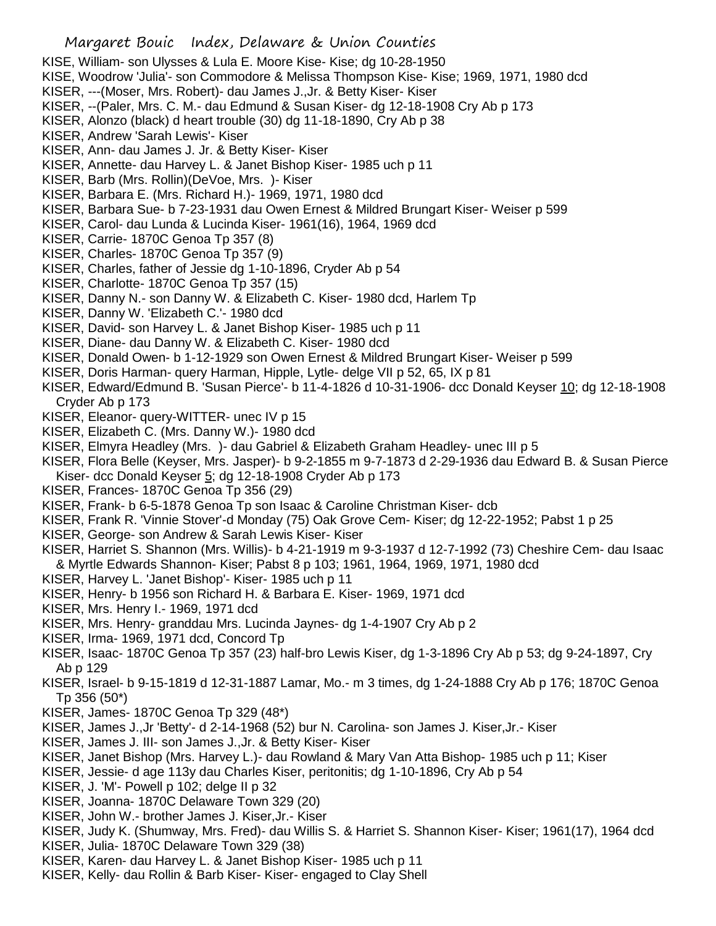- KISE, William- son Ulysses & Lula E. Moore Kise- Kise; dg 10-28-1950
- KISE, Woodrow 'Julia'- son Commodore & Melissa Thompson Kise- Kise; 1969, 1971, 1980 dcd
- KISER, ---(Moser, Mrs. Robert)- dau James J.,Jr. & Betty Kiser- Kiser
- KISER, --(Paler, Mrs. C. M.- dau Edmund & Susan Kiser- dg 12-18-1908 Cry Ab p 173
- KISER, Alonzo (black) d heart trouble (30) dg 11-18-1890, Cry Ab p 38
- KISER, Andrew 'Sarah Lewis'- Kiser
- KISER, Ann- dau James J. Jr. & Betty Kiser- Kiser
- KISER, Annette- dau Harvey L. & Janet Bishop Kiser- 1985 uch p 11
- KISER, Barb (Mrs. Rollin)(DeVoe, Mrs. )- Kiser
- KISER, Barbara E. (Mrs. Richard H.)- 1969, 1971, 1980 dcd
- KISER, Barbara Sue- b 7-23-1931 dau Owen Ernest & Mildred Brungart Kiser- Weiser p 599
- KISER, Carol- dau Lunda & Lucinda Kiser- 1961(16), 1964, 1969 dcd
- KISER, Carrie- 1870C Genoa Tp 357 (8)
- KISER, Charles- 1870C Genoa Tp 357 (9)
- KISER, Charles, father of Jessie dg 1-10-1896, Cryder Ab p 54
- KISER, Charlotte- 1870C Genoa Tp 357 (15)
- KISER, Danny N.- son Danny W. & Elizabeth C. Kiser- 1980 dcd, Harlem Tp
- KISER, Danny W. 'Elizabeth C.'- 1980 dcd
- KISER, David- son Harvey L. & Janet Bishop Kiser- 1985 uch p 11
- KISER, Diane- dau Danny W. & Elizabeth C. Kiser- 1980 dcd
- KISER, Donald Owen- b 1-12-1929 son Owen Ernest & Mildred Brungart Kiser- Weiser p 599
- KISER, Doris Harman- query Harman, Hipple, Lytle- delge VII p 52, 65, IX p 81
- KISER, Edward/Edmund B. 'Susan Pierce'- b 11-4-1826 d 10-31-1906- dcc Donald Keyser 10; dg 12-18-1908 Cryder Ab p 173
- KISER, Eleanor- query-WITTER- unec IV p 15
- KISER, Elizabeth C. (Mrs. Danny W.)- 1980 dcd
- KISER, Elmyra Headley (Mrs. )- dau Gabriel & Elizabeth Graham Headley- unec III p 5
- KISER, Flora Belle (Keyser, Mrs. Jasper)- b 9-2-1855 m 9-7-1873 d 2-29-1936 dau Edward B. & Susan Pierce Kiser- dcc Donald Keyser 5; dg 12-18-1908 Cryder Ab p 173
- KISER, Frances- 1870C Genoa Tp 356 (29)
- KISER, Frank- b 6-5-1878 Genoa Tp son Isaac & Caroline Christman Kiser- dcb
- KISER, Frank R. 'Vinnie Stover'-d Monday (75) Oak Grove Cem- Kiser; dg 12-22-1952; Pabst 1 p 25
- KISER, George- son Andrew & Sarah Lewis Kiser- Kiser
- KISER, Harriet S. Shannon (Mrs. Willis)- b 4-21-1919 m 9-3-1937 d 12-7-1992 (73) Cheshire Cem- dau Isaac & Myrtle Edwards Shannon- Kiser; Pabst 8 p 103; 1961, 1964, 1969, 1971, 1980 dcd
- KISER, Harvey L. 'Janet Bishop'- Kiser- 1985 uch p 11
- KISER, Henry- b 1956 son Richard H. & Barbara E. Kiser- 1969, 1971 dcd
- KISER, Mrs. Henry I.- 1969, 1971 dcd
- KISER, Mrs. Henry- granddau Mrs. Lucinda Jaynes- dg 1-4-1907 Cry Ab p 2
- KISER, Irma- 1969, 1971 dcd, Concord Tp
- KISER, Isaac- 1870C Genoa Tp 357 (23) half-bro Lewis Kiser, dg 1-3-1896 Cry Ab p 53; dg 9-24-1897, Cry Ab p 129
- KISER, Israel- b 9-15-1819 d 12-31-1887 Lamar, Mo.- m 3 times, dg 1-24-1888 Cry Ab p 176; 1870C Genoa Tp 356 (50\*)
- KISER, James- 1870C Genoa Tp 329 (48\*)
- KISER, James J.,Jr 'Betty'- d 2-14-1968 (52) bur N. Carolina- son James J. Kiser,Jr.- Kiser
- KISER, James J. III- son James J.,Jr. & Betty Kiser- Kiser
- KISER, Janet Bishop (Mrs. Harvey L.)- dau Rowland & Mary Van Atta Bishop- 1985 uch p 11; Kiser
- KISER, Jessie- d age 113y dau Charles Kiser, peritonitis; dg 1-10-1896, Cry Ab p 54
- KISER, J. 'M'- Powell p 102; delge II p 32
- KISER, Joanna- 1870C Delaware Town 329 (20)
- KISER, John W.- brother James J. Kiser,Jr.- Kiser
- KISER, Judy K. (Shumway, Mrs. Fred)- dau Willis S. & Harriet S. Shannon Kiser- Kiser; 1961(17), 1964 dcd
- KISER, Julia- 1870C Delaware Town 329 (38)
- KISER, Karen- dau Harvey L. & Janet Bishop Kiser- 1985 uch p 11
- KISER, Kelly- dau Rollin & Barb Kiser- Kiser- engaged to Clay Shell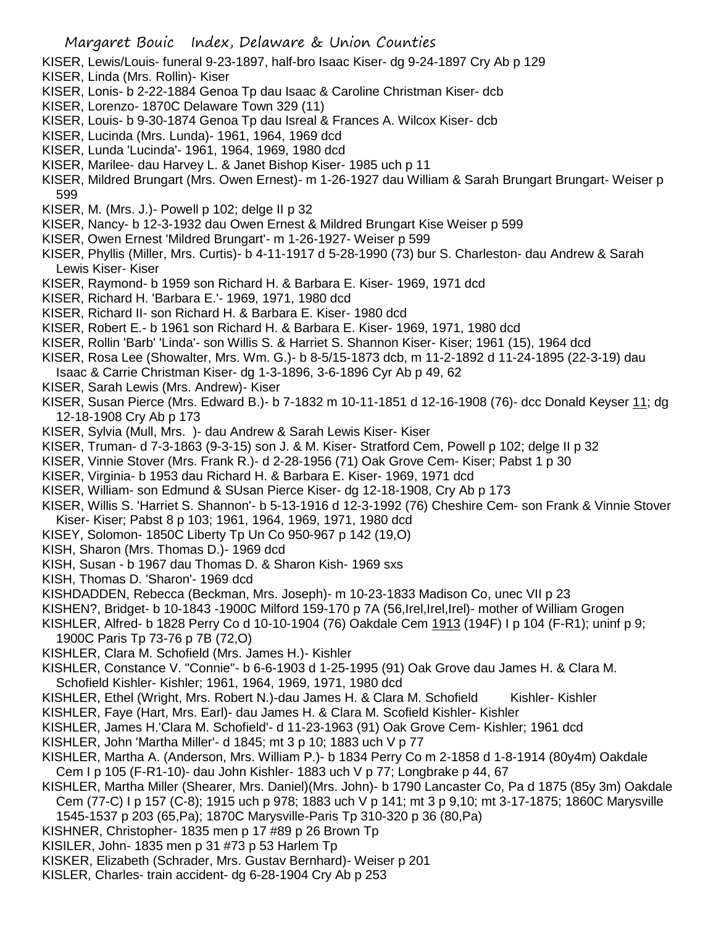- KISER, Lewis/Louis- funeral 9-23-1897, half-bro Isaac Kiser- dg 9-24-1897 Cry Ab p 129
- KISER, Linda (Mrs. Rollin)- Kiser
- KISER, Lonis- b 2-22-1884 Genoa Tp dau Isaac & Caroline Christman Kiser- dcb
- KISER, Lorenzo- 1870C Delaware Town 329 (11)
- KISER, Louis- b 9-30-1874 Genoa Tp dau Isreal & Frances A. Wilcox Kiser- dcb
- KISER, Lucinda (Mrs. Lunda)- 1961, 1964, 1969 dcd
- KISER, Lunda 'Lucinda'- 1961, 1964, 1969, 1980 dcd
- KISER, Marilee- dau Harvey L. & Janet Bishop Kiser- 1985 uch p 11
- KISER, Mildred Brungart (Mrs. Owen Ernest)- m 1-26-1927 dau William & Sarah Brungart Brungart- Weiser p 599
- KISER, M. (Mrs. J.)- Powell p 102; delge II p 32
- KISER, Nancy- b 12-3-1932 dau Owen Ernest & Mildred Brungart Kise Weiser p 599
- KISER, Owen Ernest 'Mildred Brungart'- m 1-26-1927- Weiser p 599
- KISER, Phyllis (Miller, Mrs. Curtis)- b 4-11-1917 d 5-28-1990 (73) bur S. Charleston- dau Andrew & Sarah Lewis Kiser- Kiser
- KISER, Raymond- b 1959 son Richard H. & Barbara E. Kiser- 1969, 1971 dcd
- KISER, Richard H. 'Barbara E.'- 1969, 1971, 1980 dcd
- KISER, Richard II- son Richard H. & Barbara E. Kiser- 1980 dcd
- KISER, Robert E.- b 1961 son Richard H. & Barbara E. Kiser- 1969, 1971, 1980 dcd
- KISER, Rollin 'Barb' 'Linda'- son Willis S. & Harriet S. Shannon Kiser- Kiser; 1961 (15), 1964 dcd
- KISER, Rosa Lee (Showalter, Mrs. Wm. G.)- b 8-5/15-1873 dcb, m 11-2-1892 d 11-24-1895 (22-3-19) dau Isaac & Carrie Christman Kiser- dg 1-3-1896, 3-6-1896 Cyr Ab p 49, 62
- KISER, Sarah Lewis (Mrs. Andrew)- Kiser
- KISER, Susan Pierce (Mrs. Edward B.)- b 7-1832 m 10-11-1851 d 12-16-1908 (76)- dcc Donald Keyser 11; dg 12-18-1908 Cry Ab p 173
- KISER, Sylvia (Mull, Mrs. )- dau Andrew & Sarah Lewis Kiser- Kiser
- KISER, Truman- d 7-3-1863 (9-3-15) son J. & M. Kiser- Stratford Cem, Powell p 102; delge II p 32
- KISER, Vinnie Stover (Mrs. Frank R.)- d 2-28-1956 (71) Oak Grove Cem- Kiser; Pabst 1 p 30
- KISER, Virginia- b 1953 dau Richard H. & Barbara E. Kiser- 1969, 1971 dcd
- KISER, William- son Edmund & SUsan Pierce Kiser- dg 12-18-1908, Cry Ab p 173
- KISER, Willis S. 'Harriet S. Shannon'- b 5-13-1916 d 12-3-1992 (76) Cheshire Cem- son Frank & Vinnie Stover Kiser- Kiser; Pabst 8 p 103; 1961, 1964, 1969, 1971, 1980 dcd
- KISEY, Solomon- 1850C Liberty Tp Un Co 950-967 p 142 (19,O)
- KISH, Sharon (Mrs. Thomas D.)- 1969 dcd
- KISH, Susan b 1967 dau Thomas D. & Sharon Kish- 1969 sxs
- KISH, Thomas D. 'Sharon'- 1969 dcd
- KISHDADDEN, Rebecca (Beckman, Mrs. Joseph)- m 10-23-1833 Madison Co, unec VII p 23
- KISHEN?, Bridget- b 10-1843 -1900C Milford 159-170 p 7A (56,Irel,Irel,Irel)- mother of William Grogen
- KISHLER, Alfred- b 1828 Perry Co d 10-10-1904 (76) Oakdale Cem 1913 (194F) I p 104 (F-R1); uninf p 9; 1900C Paris Tp 73-76 p 7B (72,O)
- KISHLER, Clara M. Schofield (Mrs. James H.)- Kishler
- KISHLER, Constance V. "Connie"- b 6-6-1903 d 1-25-1995 (91) Oak Grove dau James H. & Clara M. Schofield Kishler- Kishler; 1961, 1964, 1969, 1971, 1980 dcd
- KISHLER, Ethel (Wright, Mrs. Robert N.)-dau James H. & Clara M. Schofield Kishler- Kishler
- KISHLER, Faye (Hart, Mrs. Earl)- dau James H. & Clara M. Scofield Kishler- Kishler
- KISHLER, James H.'Clara M. Schofield'- d 11-23-1963 (91) Oak Grove Cem- Kishler; 1961 dcd
- KISHLER, John 'Martha Miller'- d 1845; mt 3 p 10; 1883 uch V p 77
- KISHLER, Martha A. (Anderson, Mrs. William P.)- b 1834 Perry Co m 2-1858 d 1-8-1914 (80y4m) Oakdale Cem I p 105 (F-R1-10)- dau John Kishler- 1883 uch V p 77; Longbrake p 44, 67
- KISHLER, Martha Miller (Shearer, Mrs. Daniel)(Mrs. John)- b 1790 Lancaster Co, Pa d 1875 (85y 3m) Oakdale Cem (77-C) I p 157 (C-8); 1915 uch p 978; 1883 uch V p 141; mt 3 p 9,10; mt 3-17-1875; 1860C Marysville
- 1545-1537 p 203 (65,Pa); 1870C Marysville-Paris Tp 310-320 p 36 (80,Pa)
- KISHNER, Christopher- 1835 men p 17 #89 p 26 Brown Tp
- KISILER, John- 1835 men p 31 #73 p 53 Harlem Tp
- KISKER, Elizabeth (Schrader, Mrs. Gustav Bernhard)- Weiser p 201
- KISLER, Charles- train accident- dg 6-28-1904 Cry Ab p 253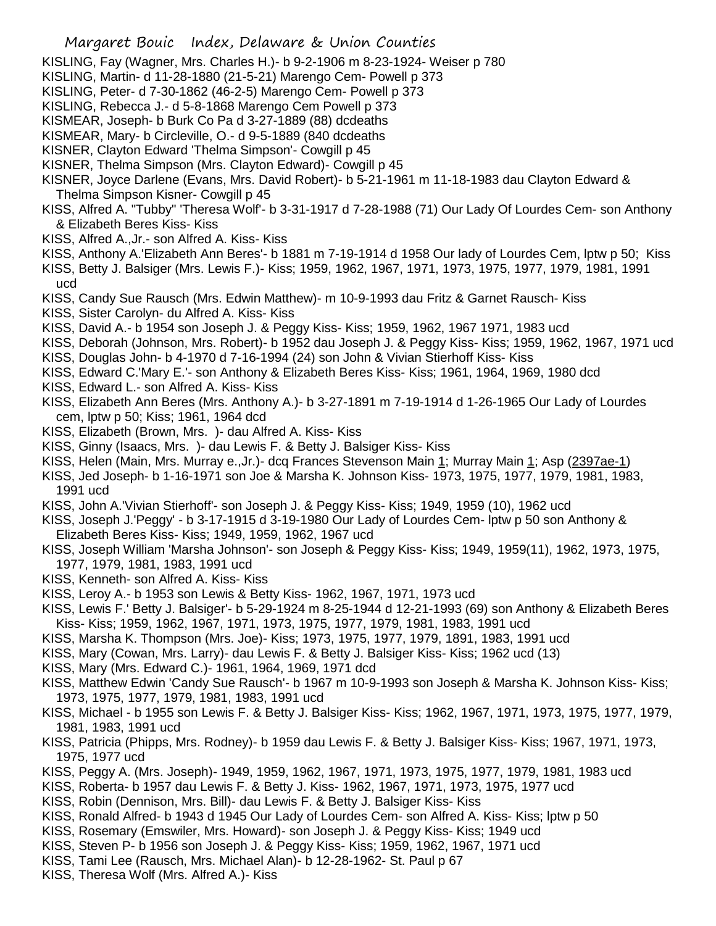- KISLING, Fay (Wagner, Mrs. Charles H.)- b 9-2-1906 m 8-23-1924- Weiser p 780
- KISLING, Martin- d 11-28-1880 (21-5-21) Marengo Cem- Powell p 373
- KISLING, Peter- d 7-30-1862 (46-2-5) Marengo Cem- Powell p 373
- KISLING, Rebecca J.- d 5-8-1868 Marengo Cem Powell p 373
- KISMEAR, Joseph- b Burk Co Pa d 3-27-1889 (88) dcdeaths
- KISMEAR, Mary- b Circleville, O.- d 9-5-1889 (840 dcdeaths
- KISNER, Clayton Edward 'Thelma Simpson'- Cowgill p 45
- KISNER, Thelma Simpson (Mrs. Clayton Edward)- Cowgill p 45
- KISNER, Joyce Darlene (Evans, Mrs. David Robert)- b 5-21-1961 m 11-18-1983 dau Clayton Edward & Thelma Simpson Kisner- Cowgill p 45
- KISS, Alfred A. "Tubby" 'Theresa Wolf'- b 3-31-1917 d 7-28-1988 (71) Our Lady Of Lourdes Cem- son Anthony & Elizabeth Beres Kiss- Kiss
- KISS, Alfred A.,Jr.- son Alfred A. Kiss- Kiss
- KISS, Anthony A.'Elizabeth Ann Beres'- b 1881 m 7-19-1914 d 1958 Our lady of Lourdes Cem, lptw p 50; Kiss
- KISS, Betty J. Balsiger (Mrs. Lewis F.)- Kiss; 1959, 1962, 1967, 1971, 1973, 1975, 1977, 1979, 1981, 1991 ucd
- KISS, Candy Sue Rausch (Mrs. Edwin Matthew)- m 10-9-1993 dau Fritz & Garnet Rausch- Kiss
- KISS, Sister Carolyn- du Alfred A. Kiss- Kiss
- KISS, David A.- b 1954 son Joseph J. & Peggy Kiss- Kiss; 1959, 1962, 1967 1971, 1983 ucd
- KISS, Deborah (Johnson, Mrs. Robert)- b 1952 dau Joseph J. & Peggy Kiss- Kiss; 1959, 1962, 1967, 1971 ucd
- KISS, Douglas John- b 4-1970 d 7-16-1994 (24) son John & Vivian Stierhoff Kiss- Kiss
- KISS, Edward C.'Mary E.'- son Anthony & Elizabeth Beres Kiss- Kiss; 1961, 1964, 1969, 1980 dcd
- KISS, Edward L.- son Alfred A. Kiss- Kiss
- KISS, Elizabeth Ann Beres (Mrs. Anthony A.)- b 3-27-1891 m 7-19-1914 d 1-26-1965 Our Lady of Lourdes cem, lptw p 50; Kiss; 1961, 1964 dcd
- KISS, Elizabeth (Brown, Mrs. )- dau Alfred A. Kiss- Kiss
- KISS, Ginny (Isaacs, Mrs. )- dau Lewis F. & Betty J. Balsiger Kiss- Kiss
- KISS, Helen (Main, Mrs. Murray e., Jr.)- dcq Frances Stevenson Main 1; Murray Main 1; Asp (2397ae-1)
- KISS, Jed Joseph- b 1-16-1971 son Joe & Marsha K. Johnson Kiss- 1973, 1975, 1977, 1979, 1981, 1983, 1991 ucd
- KISS, John A.'Vivian Stierhoff'- son Joseph J. & Peggy Kiss- Kiss; 1949, 1959 (10), 1962 ucd
- KISS, Joseph J.'Peggy' b 3-17-1915 d 3-19-1980 Our Lady of Lourdes Cem- lptw p 50 son Anthony & Elizabeth Beres Kiss- Kiss; 1949, 1959, 1962, 1967 ucd
- KISS, Joseph William 'Marsha Johnson'- son Joseph & Peggy Kiss- Kiss; 1949, 1959(11), 1962, 1973, 1975, 1977, 1979, 1981, 1983, 1991 ucd
- KISS, Kenneth- son Alfred A. Kiss- Kiss
- KISS, Leroy A.- b 1953 son Lewis & Betty Kiss- 1962, 1967, 1971, 1973 ucd
- KISS, Lewis F.' Betty J. Balsiger'- b 5-29-1924 m 8-25-1944 d 12-21-1993 (69) son Anthony & Elizabeth Beres Kiss- Kiss; 1959, 1962, 1967, 1971, 1973, 1975, 1977, 1979, 1981, 1983, 1991 ucd
- KISS, Marsha K. Thompson (Mrs. Joe)- Kiss; 1973, 1975, 1977, 1979, 1891, 1983, 1991 ucd
- KISS, Mary (Cowan, Mrs. Larry)- dau Lewis F. & Betty J. Balsiger Kiss- Kiss; 1962 ucd (13)
- KISS, Mary (Mrs. Edward C.)- 1961, 1964, 1969, 1971 dcd
- KISS, Matthew Edwin 'Candy Sue Rausch'- b 1967 m 10-9-1993 son Joseph & Marsha K. Johnson Kiss- Kiss; 1973, 1975, 1977, 1979, 1981, 1983, 1991 ucd
- KISS, Michael b 1955 son Lewis F. & Betty J. Balsiger Kiss- Kiss; 1962, 1967, 1971, 1973, 1975, 1977, 1979, 1981, 1983, 1991 ucd
- KISS, Patricia (Phipps, Mrs. Rodney)- b 1959 dau Lewis F. & Betty J. Balsiger Kiss- Kiss; 1967, 1971, 1973, 1975, 1977 ucd
- KISS, Peggy A. (Mrs. Joseph)- 1949, 1959, 1962, 1967, 1971, 1973, 1975, 1977, 1979, 1981, 1983 ucd
- KISS, Roberta- b 1957 dau Lewis F. & Betty J. Kiss- 1962, 1967, 1971, 1973, 1975, 1977 ucd
- KISS, Robin (Dennison, Mrs. Bill)- dau Lewis F. & Betty J. Balsiger Kiss- Kiss
- KISS, Ronald Alfred- b 1943 d 1945 Our Lady of Lourdes Cem- son Alfred A. Kiss- Kiss; lptw p 50
- KISS, Rosemary (Emswiler, Mrs. Howard)- son Joseph J. & Peggy Kiss- Kiss; 1949 ucd
- KISS, Steven P- b 1956 son Joseph J. & Peggy Kiss- Kiss; 1959, 1962, 1967, 1971 ucd
- KISS, Tami Lee (Rausch, Mrs. Michael Alan)- b 12-28-1962- St. Paul p 67
- KISS, Theresa Wolf (Mrs. Alfred A.)- Kiss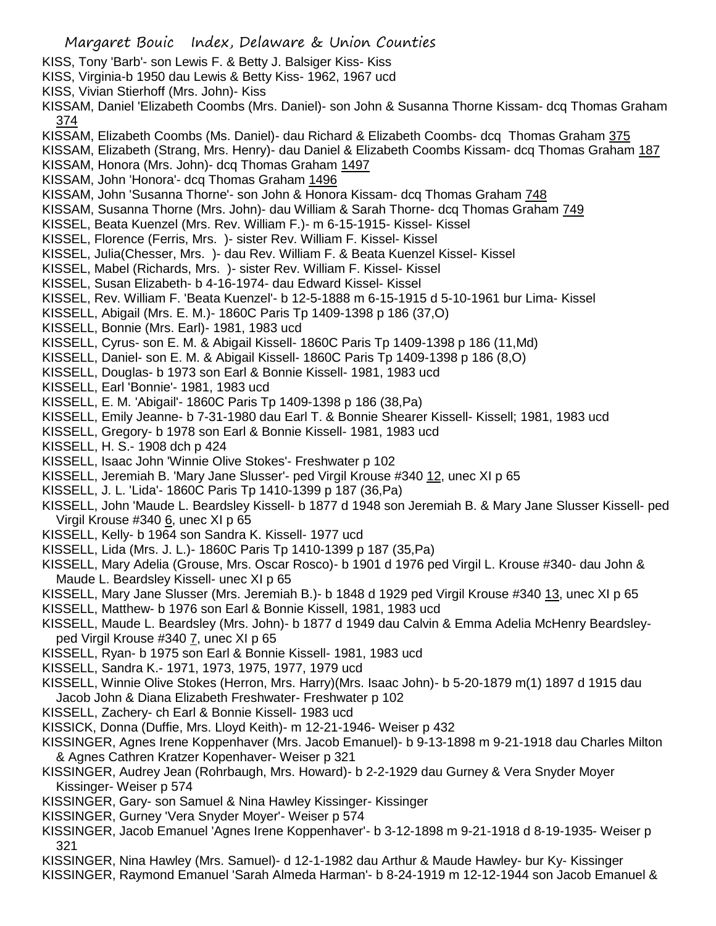- KISS, Tony 'Barb'- son Lewis F. & Betty J. Balsiger Kiss- Kiss
- KISS, Virginia-b 1950 dau Lewis & Betty Kiss- 1962, 1967 ucd
- KISS, Vivian Stierhoff (Mrs. John)- Kiss
- KISSAM, Daniel 'Elizabeth Coombs (Mrs. Daniel)- son John & Susanna Thorne Kissam- dcq Thomas Graham 374
- KISSAM, Elizabeth Coombs (Ms. Daniel)- dau Richard & Elizabeth Coombs- dcq Thomas Graham 375
- KISSAM, Elizabeth (Strang, Mrs. Henry)- dau Daniel & Elizabeth Coombs Kissam- dcq Thomas Graham 187
- KISSAM, Honora (Mrs. John)- dcq Thomas Graham 1497
- KISSAM, John 'Honora'- dcq Thomas Graham 1496
- KISSAM, John 'Susanna Thorne'- son John & Honora Kissam- dcq Thomas Graham 748
- KISSAM, Susanna Thorne (Mrs. John)- dau William & Sarah Thorne- dcq Thomas Graham 749
- KISSEL, Beata Kuenzel (Mrs. Rev. William F.)- m 6-15-1915- Kissel- Kissel
- KISSEL, Florence (Ferris, Mrs. )- sister Rev. William F. Kissel- Kissel
- KISSEL, Julia(Chesser, Mrs. )- dau Rev. William F. & Beata Kuenzel Kissel- Kissel
- KISSEL, Mabel (Richards, Mrs. )- sister Rev. William F. Kissel- Kissel
- KISSEL, Susan Elizabeth- b 4-16-1974- dau Edward Kissel- Kissel
- KISSEL, Rev. William F. 'Beata Kuenzel'- b 12-5-1888 m 6-15-1915 d 5-10-1961 bur Lima- Kissel
- KISSELL, Abigail (Mrs. E. M.)- 1860C Paris Tp 1409-1398 p 186 (37,O)
- KISSELL, Bonnie (Mrs. Earl)- 1981, 1983 ucd
- KISSELL, Cyrus- son E. M. & Abigail Kissell- 1860C Paris Tp 1409-1398 p 186 (11,Md)
- KISSELL, Daniel- son E. M. & Abigail Kissell- 1860C Paris Tp 1409-1398 p 186 (8,O)
- KISSELL, Douglas- b 1973 son Earl & Bonnie Kissell- 1981, 1983 ucd
- KISSELL, Earl 'Bonnie'- 1981, 1983 ucd
- KISSELL, E. M. 'Abigail'- 1860C Paris Tp 1409-1398 p 186 (38,Pa)
- KISSELL, Emily Jeanne- b 7-31-1980 dau Earl T. & Bonnie Shearer Kissell- Kissell; 1981, 1983 ucd
- KISSELL, Gregory- b 1978 son Earl & Bonnie Kissell- 1981, 1983 ucd
- KISSELL, H. S.- 1908 dch p 424
- KISSELL, Isaac John 'Winnie Olive Stokes'- Freshwater p 102
- KISSELL, Jeremiah B. 'Mary Jane Slusser'- ped Virgil Krouse #340 12, unec XI p 65
- KISSELL, J. L. 'Lida'- 1860C Paris Tp 1410-1399 p 187 (36,Pa)
- KISSELL, John 'Maude L. Beardsley Kissell- b 1877 d 1948 son Jeremiah B. & Mary Jane Slusser Kissell- ped Virgil Krouse  $\#3406$ , unec XI p 65
- KISSELL, Kelly- b 1964 son Sandra K. Kissell- 1977 ucd
- KISSELL, Lida (Mrs. J. L.)- 1860C Paris Tp 1410-1399 p 187 (35,Pa)
- KISSELL, Mary Adelia (Grouse, Mrs. Oscar Rosco)- b 1901 d 1976 ped Virgil L. Krouse #340- dau John & Maude L. Beardsley Kissell- unec XI p 65
- KISSELL, Mary Jane Slusser (Mrs. Jeremiah B.)- b 1848 d 1929 ped Virgil Krouse #340 13, unec XI p 65
- KISSELL, Matthew- b 1976 son Earl & Bonnie Kissell, 1981, 1983 ucd
- KISSELL, Maude L. Beardsley (Mrs. John)- b 1877 d 1949 dau Calvin & Emma Adelia McHenry Beardsleyped Virgil Krouse #340 7, unec XI p 65
- KISSELL, Ryan- b 1975 son Earl & Bonnie Kissell- 1981, 1983 ucd
- KISSELL, Sandra K.- 1971, 1973, 1975, 1977, 1979 ucd
- KISSELL, Winnie Olive Stokes (Herron, Mrs. Harry)(Mrs. Isaac John)- b 5-20-1879 m(1) 1897 d 1915 dau Jacob John & Diana Elizabeth Freshwater- Freshwater p 102
- KISSELL, Zachery- ch Earl & Bonnie Kissell- 1983 ucd
- KISSICK, Donna (Duffie, Mrs. Lloyd Keith)- m 12-21-1946- Weiser p 432
- KISSINGER, Agnes Irene Koppenhaver (Mrs. Jacob Emanuel)- b 9-13-1898 m 9-21-1918 dau Charles Milton & Agnes Cathren Kratzer Kopenhaver- Weiser p 321
- KISSINGER, Audrey Jean (Rohrbaugh, Mrs. Howard)- b 2-2-1929 dau Gurney & Vera Snyder Moyer Kissinger- Weiser p 574
- KISSINGER, Gary- son Samuel & Nina Hawley Kissinger- Kissinger
- KISSINGER, Gurney 'Vera Snyder Moyer'- Weiser p 574
- KISSINGER, Jacob Emanuel 'Agnes Irene Koppenhaver'- b 3-12-1898 m 9-21-1918 d 8-19-1935- Weiser p 321
- KISSINGER, Nina Hawley (Mrs. Samuel)- d 12-1-1982 dau Arthur & Maude Hawley- bur Ky- Kissinger
- KISSINGER, Raymond Emanuel 'Sarah Almeda Harman'- b 8-24-1919 m 12-12-1944 son Jacob Emanuel &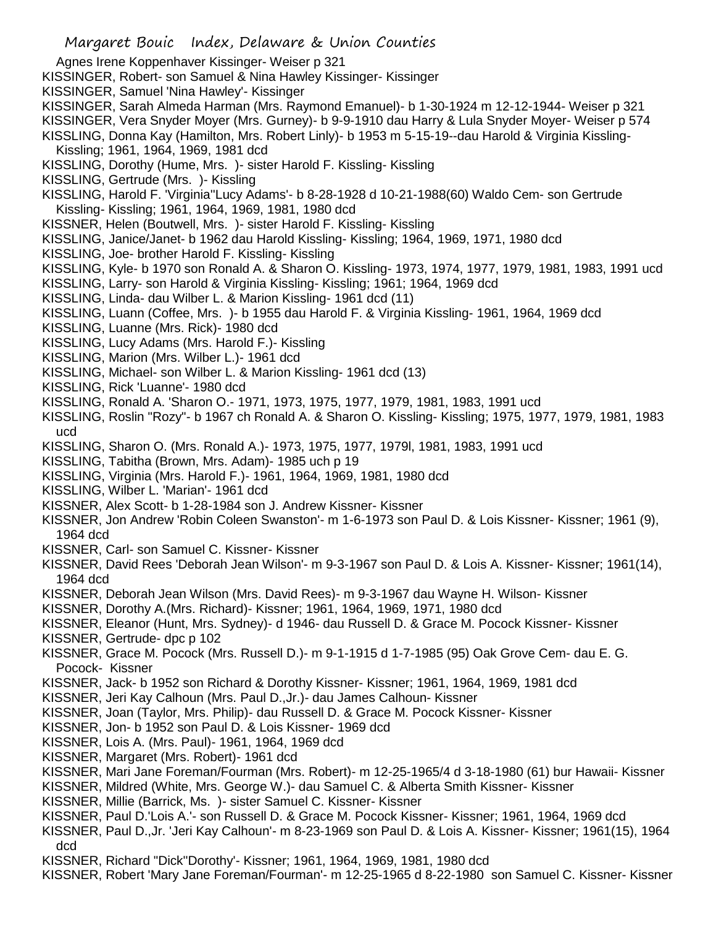Agnes Irene Koppenhaver Kissinger- Weiser p 321

KISSINGER, Robert- son Samuel & Nina Hawley Kissinger- Kissinger

KISSINGER, Samuel 'Nina Hawley'- Kissinger

- KISSINGER, Sarah Almeda Harman (Mrs. Raymond Emanuel)- b 1-30-1924 m 12-12-1944- Weiser p 321
- KISSINGER, Vera Snyder Moyer (Mrs. Gurney)- b 9-9-1910 dau Harry & Lula Snyder Moyer- Weiser p 574
- KISSLING, Donna Kay (Hamilton, Mrs. Robert Linly)- b 1953 m 5-15-19--dau Harold & Virginia Kissling-
- Kissling; 1961, 1964, 1969, 1981 dcd
- KISSLING, Dorothy (Hume, Mrs. )- sister Harold F. Kissling- Kissling
- KISSLING, Gertrude (Mrs. )- Kissling
- KISSLING, Harold F. 'Virginia''Lucy Adams'- b 8-28-1928 d 10-21-1988(60) Waldo Cem- son Gertrude Kissling- Kissling; 1961, 1964, 1969, 1981, 1980 dcd
- KISSNER, Helen (Boutwell, Mrs. )- sister Harold F. Kissling- Kissling
- KISSLING, Janice/Janet- b 1962 dau Harold Kissling- Kissling; 1964, 1969, 1971, 1980 dcd
- KISSLING, Joe- brother Harold F. Kissling- Kissling
- KISSLING, Kyle- b 1970 son Ronald A. & Sharon O. Kissling- 1973, 1974, 1977, 1979, 1981, 1983, 1991 ucd
- KISSLING, Larry- son Harold & Virginia Kissling- Kissling; 1961; 1964, 1969 dcd
- KISSLING, Linda- dau Wilber L. & Marion Kissling- 1961 dcd (11)
- KISSLING, Luann (Coffee, Mrs. )- b 1955 dau Harold F. & Virginia Kissling- 1961, 1964, 1969 dcd
- KISSLING, Luanne (Mrs. Rick)- 1980 dcd
- KISSLING, Lucy Adams (Mrs. Harold F.)- Kissling
- KISSLING, Marion (Mrs. Wilber L.)- 1961 dcd
- KISSLING, Michael- son Wilber L. & Marion Kissling- 1961 dcd (13)
- KISSLING, Rick 'Luanne'- 1980 dcd
- KISSLING, Ronald A. 'Sharon O.- 1971, 1973, 1975, 1977, 1979, 1981, 1983, 1991 ucd
- KISSLING, Roslin "Rozy"- b 1967 ch Ronald A. & Sharon O. Kissling- Kissling; 1975, 1977, 1979, 1981, 1983 ucd
- KISSLING, Sharon O. (Mrs. Ronald A.)- 1973, 1975, 1977, 1979l, 1981, 1983, 1991 ucd
- KISSLING, Tabitha (Brown, Mrs. Adam)- 1985 uch p 19
- KISSLING, Virginia (Mrs. Harold F.)- 1961, 1964, 1969, 1981, 1980 dcd
- KISSLING, Wilber L. 'Marian'- 1961 dcd
- KISSNER, Alex Scott- b 1-28-1984 son J. Andrew Kissner- Kissner
- KISSNER, Jon Andrew 'Robin Coleen Swanston'- m 1-6-1973 son Paul D. & Lois Kissner- Kissner; 1961 (9), 1964 dcd
- KISSNER, Carl- son Samuel C. Kissner- Kissner
- KISSNER, David Rees 'Deborah Jean Wilson'- m 9-3-1967 son Paul D. & Lois A. Kissner- Kissner; 1961(14), 1964 dcd
- KISSNER, Deborah Jean Wilson (Mrs. David Rees)- m 9-3-1967 dau Wayne H. Wilson- Kissner
- KISSNER, Dorothy A.(Mrs. Richard)- Kissner; 1961, 1964, 1969, 1971, 1980 dcd
- KISSNER, Eleanor (Hunt, Mrs. Sydney)- d 1946- dau Russell D. & Grace M. Pocock Kissner- Kissner
- KISSNER, Gertrude- dpc p 102
- KISSNER, Grace M. Pocock (Mrs. Russell D.)- m 9-1-1915 d 1-7-1985 (95) Oak Grove Cem- dau E. G. Pocock- Kissner
- KISSNER, Jack- b 1952 son Richard & Dorothy Kissner- Kissner; 1961, 1964, 1969, 1981 dcd
- KISSNER, Jeri Kay Calhoun (Mrs. Paul D.,Jr.)- dau James Calhoun- Kissner
- KISSNER, Joan (Taylor, Mrs. Philip)- dau Russell D. & Grace M. Pocock Kissner- Kissner
- KISSNER, Jon- b 1952 son Paul D. & Lois Kissner- 1969 dcd
- KISSNER, Lois A. (Mrs. Paul)- 1961, 1964, 1969 dcd
- KISSNER, Margaret (Mrs. Robert)- 1961 dcd
- KISSNER, Mari Jane Foreman/Fourman (Mrs. Robert)- m 12-25-1965/4 d 3-18-1980 (61) bur Hawaii- Kissner
- KISSNER, Mildred (White, Mrs. George W.)- dau Samuel C. & Alberta Smith Kissner- Kissner
- KISSNER, Millie (Barrick, Ms. )- sister Samuel C. Kissner- Kissner
- KISSNER, Paul D.'Lois A.'- son Russell D. & Grace M. Pocock Kissner- Kissner; 1961, 1964, 1969 dcd
- KISSNER, Paul D.,Jr. 'Jeri Kay Calhoun'- m 8-23-1969 son Paul D. & Lois A. Kissner- Kissner; 1961(15), 1964 dcd
- KISSNER, Richard "Dick''Dorothy'- Kissner; 1961, 1964, 1969, 1981, 1980 dcd
- KISSNER, Robert 'Mary Jane Foreman/Fourman'- m 12-25-1965 d 8-22-1980 son Samuel C. Kissner- Kissner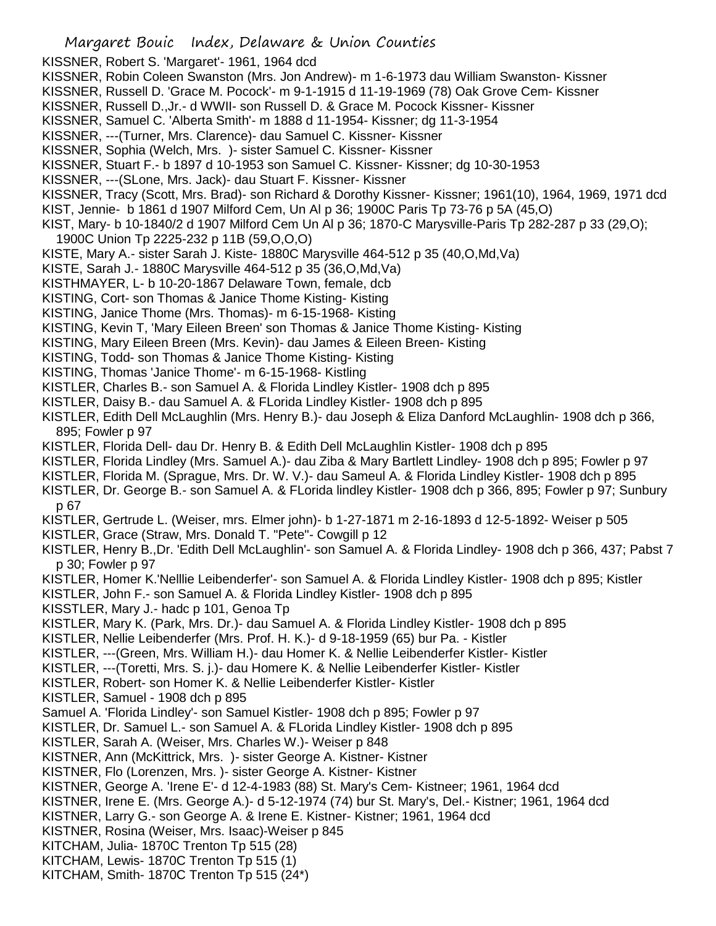KISSNER, Robert S. 'Margaret'- 1961, 1964 dcd

- KISSNER, Robin Coleen Swanston (Mrs. Jon Andrew)- m 1-6-1973 dau William Swanston- Kissner
- KISSNER, Russell D. 'Grace M. Pocock'- m 9-1-1915 d 11-19-1969 (78) Oak Grove Cem- Kissner
- KISSNER, Russell D.,Jr.- d WWII- son Russell D. & Grace M. Pocock Kissner- Kissner
- KISSNER, Samuel C. 'Alberta Smith'- m 1888 d 11-1954- Kissner; dg 11-3-1954
- KISSNER, ---(Turner, Mrs. Clarence)- dau Samuel C. Kissner- Kissner
- KISSNER, Sophia (Welch, Mrs. )- sister Samuel C. Kissner- Kissner
- KISSNER, Stuart F.- b 1897 d 10-1953 son Samuel C. Kissner- Kissner; dg 10-30-1953
- KISSNER, ---(SLone, Mrs. Jack)- dau Stuart F. Kissner- Kissner
- KISSNER, Tracy (Scott, Mrs. Brad)- son Richard & Dorothy Kissner- Kissner; 1961(10), 1964, 1969, 1971 dcd
- KIST, Jennie- b 1861 d 1907 Milford Cem, Un Al p 36; 1900C Paris Tp 73-76 p 5A (45,O)
- KIST, Mary- b 10-1840/2 d 1907 Milford Cem Un Al p 36; 1870-C Marysville-Paris Tp 282-287 p 33 (29,O);
- 1900C Union Tp 2225-232 p 11B (59,O,O,O)
- KISTE, Mary A.- sister Sarah J. Kiste- 1880C Marysville 464-512 p 35 (40,O,Md,Va)
- KISTE, Sarah J.- 1880C Marysville 464-512 p 35 (36,O,Md,Va)
- KISTHMAYER, L- b 10-20-1867 Delaware Town, female, dcb
- KISTING, Cort- son Thomas & Janice Thome Kisting- Kisting
- KISTING, Janice Thome (Mrs. Thomas)- m 6-15-1968- Kisting
- KISTING, Kevin T, 'Mary Eileen Breen' son Thomas & Janice Thome Kisting- Kisting
- KISTING, Mary Eileen Breen (Mrs. Kevin)- dau James & Eileen Breen- Kisting
- KISTING, Todd- son Thomas & Janice Thome Kisting- Kisting
- KISTING, Thomas 'Janice Thome'- m 6-15-1968- Kistling
- KISTLER, Charles B.- son Samuel A. & Florida Lindley Kistler- 1908 dch p 895
- KISTLER, Daisy B.- dau Samuel A. & FLorida Lindley Kistler- 1908 dch p 895
- KISTLER, Edith Dell McLaughlin (Mrs. Henry B.)- dau Joseph & Eliza Danford McLaughlin- 1908 dch p 366, 895; Fowler p 97
- KISTLER, Florida Dell- dau Dr. Henry B. & Edith Dell McLaughlin Kistler- 1908 dch p 895
- KISTLER, Florida Lindley (Mrs. Samuel A.)- dau Ziba & Mary Bartlett Lindley- 1908 dch p 895; Fowler p 97
- KISTLER, Florida M. (Sprague, Mrs. Dr. W. V.)- dau Sameul A. & Florida Lindley Kistler- 1908 dch p 895
- KISTLER, Dr. George B.- son Samuel A. & FLorida lindley Kistler- 1908 dch p 366, 895; Fowler p 97; Sunbury p 67
- KISTLER, Gertrude L. (Weiser, mrs. Elmer john)- b 1-27-1871 m 2-16-1893 d 12-5-1892- Weiser p 505
- KISTLER, Grace (Straw, Mrs. Donald T. "Pete"- Cowgill p 12
- KISTLER, Henry B.,Dr. 'Edith Dell McLaughlin'- son Samuel A. & Florida Lindley- 1908 dch p 366, 437; Pabst 7 p 30; Fowler p 97
- KISTLER, Homer K.'Nelllie Leibenderfer'- son Samuel A. & Florida Lindley Kistler- 1908 dch p 895; Kistler
- KISTLER, John F.- son Samuel A. & Florida Lindley Kistler- 1908 dch p 895
- KISSTLER, Mary J.- hadc p 101, Genoa Tp
- KISTLER, Mary K. (Park, Mrs. Dr.)- dau Samuel A. & Florida Lindley Kistler- 1908 dch p 895
- KISTLER, Nellie Leibenderfer (Mrs. Prof. H. K.)- d 9-18-1959 (65) bur Pa. Kistler
- KISTLER, ---(Green, Mrs. William H.)- dau Homer K. & Nellie Leibenderfer Kistler- Kistler
- KISTLER, ---(Toretti, Mrs. S. j.)- dau Homere K. & Nellie Leibenderfer Kistler- Kistler
- KISTLER, Robert- son Homer K. & Nellie Leibenderfer Kistler- Kistler
- KISTLER, Samuel 1908 dch p 895
- Samuel A. 'Florida Lindley'- son Samuel Kistler- 1908 dch p 895; Fowler p 97
- KISTLER, Dr. Samuel L.- son Samuel A. & FLorida Lindley Kistler- 1908 dch p 895
- KISTLER, Sarah A. (Weiser, Mrs. Charles W.)- Weiser p 848
- KISTNER, Ann (McKittrick, Mrs. )- sister George A. Kistner- Kistner
- KISTNER, Flo (Lorenzen, Mrs. )- sister George A. Kistner- Kistner
- KISTNER, George A. 'Irene E'- d 12-4-1983 (88) St. Mary's Cem- Kistneer; 1961, 1964 dcd
- KISTNER, Irene E. (Mrs. George A.)- d 5-12-1974 (74) bur St. Mary's, Del.- Kistner; 1961, 1964 dcd
- KISTNER, Larry G.- son George A. & Irene E. Kistner- Kistner; 1961, 1964 dcd
- KISTNER, Rosina (Weiser, Mrs. Isaac)-Weiser p 845
- KITCHAM, Julia- 1870C Trenton Tp 515 (28)
- KITCHAM, Lewis- 1870C Trenton Tp 515 (1)
- KITCHAM, Smith- 1870C Trenton Tp 515 (24\*)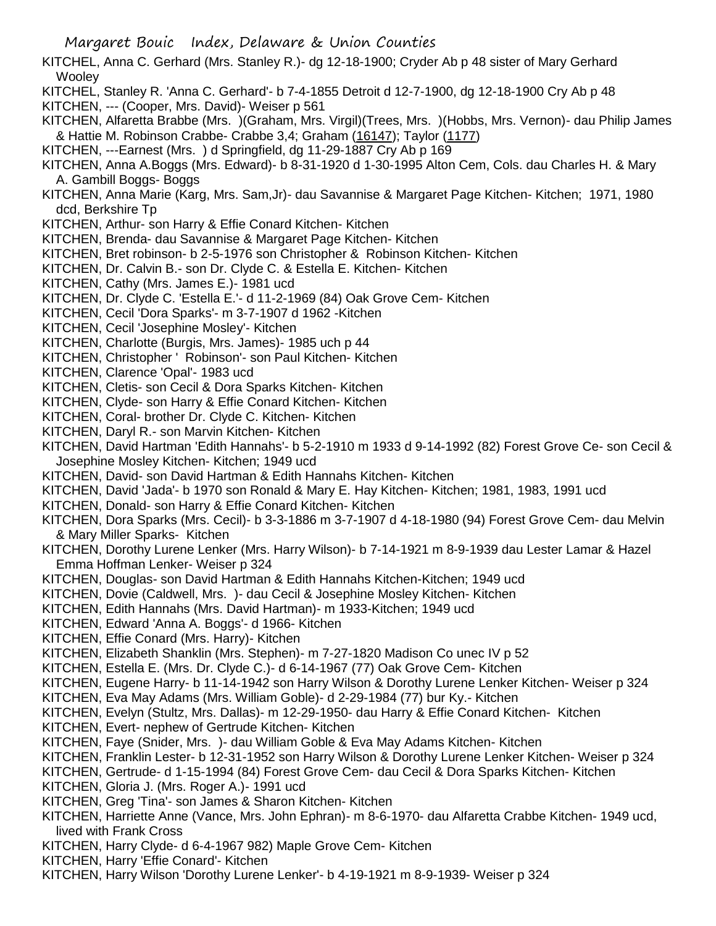- KITCHEL, Anna C. Gerhard (Mrs. Stanley R.)- dg 12-18-1900; Cryder Ab p 48 sister of Mary Gerhard **Wooley**
- KITCHEL, Stanley R. 'Anna C. Gerhard'- b 7-4-1855 Detroit d 12-7-1900, dg 12-18-1900 Cry Ab p 48
- KITCHEN, --- (Cooper, Mrs. David)- Weiser p 561
- KITCHEN, Alfaretta Brabbe (Mrs. )(Graham, Mrs. Virgil)(Trees, Mrs. )(Hobbs, Mrs. Vernon)- dau Philip James & Hattie M. Robinson Crabbe- Crabbe 3,4; Graham (16147); Taylor (1177)
- KITCHEN, ---Earnest (Mrs. ) d Springfield, dg 11-29-1887 Cry Ab p 169
- KITCHEN, Anna A.Boggs (Mrs. Edward)- b 8-31-1920 d 1-30-1995 Alton Cem, Cols. dau Charles H. & Mary A. Gambill Boggs- Boggs
- KITCHEN, Anna Marie (Karg, Mrs. Sam,Jr)- dau Savannise & Margaret Page Kitchen- Kitchen; 1971, 1980 dcd, Berkshire Tp
- KITCHEN, Arthur- son Harry & Effie Conard Kitchen- Kitchen
- KITCHEN, Brenda- dau Savannise & Margaret Page Kitchen- Kitchen
- KITCHEN, Bret robinson- b 2-5-1976 son Christopher & Robinson Kitchen- Kitchen
- KITCHEN, Dr. Calvin B.- son Dr. Clyde C. & Estella E. Kitchen- Kitchen
- KITCHEN, Cathy (Mrs. James E.)- 1981 ucd
- KITCHEN, Dr. Clyde C. 'Estella E.'- d 11-2-1969 (84) Oak Grove Cem- Kitchen
- KITCHEN, Cecil 'Dora Sparks'- m 3-7-1907 d 1962 -Kitchen
- KITCHEN, Cecil 'Josephine Mosley'- Kitchen
- KITCHEN, Charlotte (Burgis, Mrs. James)- 1985 uch p 44
- KITCHEN, Christopher ' Robinson'- son Paul Kitchen- Kitchen
- KITCHEN, Clarence 'Opal'- 1983 ucd
- KITCHEN, Cletis- son Cecil & Dora Sparks Kitchen- Kitchen
- KITCHEN, Clyde- son Harry & Effie Conard Kitchen- Kitchen
- KITCHEN, Coral- brother Dr. Clyde C. Kitchen- Kitchen
- KITCHEN, Daryl R.- son Marvin Kitchen- Kitchen
- KITCHEN, David Hartman 'Edith Hannahs'- b 5-2-1910 m 1933 d 9-14-1992 (82) Forest Grove Ce- son Cecil & Josephine Mosley Kitchen- Kitchen; 1949 ucd
- KITCHEN, David- son David Hartman & Edith Hannahs Kitchen- Kitchen
- KITCHEN, David 'Jada'- b 1970 son Ronald & Mary E. Hay Kitchen- Kitchen; 1981, 1983, 1991 ucd
- KITCHEN, Donald- son Harry & Effie Conard Kitchen- Kitchen
- KITCHEN, Dora Sparks (Mrs. Cecil)- b 3-3-1886 m 3-7-1907 d 4-18-1980 (94) Forest Grove Cem- dau Melvin & Mary Miller Sparks- Kitchen
- KITCHEN, Dorothy Lurene Lenker (Mrs. Harry Wilson)- b 7-14-1921 m 8-9-1939 dau Lester Lamar & Hazel Emma Hoffman Lenker- Weiser p 324
- KITCHEN, Douglas- son David Hartman & Edith Hannahs Kitchen-Kitchen; 1949 ucd
- KITCHEN, Dovie (Caldwell, Mrs. )- dau Cecil & Josephine Mosley Kitchen- Kitchen
- KITCHEN, Edith Hannahs (Mrs. David Hartman)- m 1933-Kitchen; 1949 ucd
- KITCHEN, Edward 'Anna A. Boggs'- d 1966- Kitchen
- KITCHEN, Effie Conard (Mrs. Harry)- Kitchen
- KITCHEN, Elizabeth Shanklin (Mrs. Stephen)- m 7-27-1820 Madison Co unec IV p 52
- KITCHEN, Estella E. (Mrs. Dr. Clyde C.)- d 6-14-1967 (77) Oak Grove Cem- Kitchen
- KITCHEN, Eugene Harry- b 11-14-1942 son Harry Wilson & Dorothy Lurene Lenker Kitchen- Weiser p 324
- KITCHEN, Eva May Adams (Mrs. William Goble)- d 2-29-1984 (77) bur Ky.- Kitchen
- KITCHEN, Evelyn (Stultz, Mrs. Dallas)- m 12-29-1950- dau Harry & Effie Conard Kitchen- Kitchen
- KITCHEN, Evert- nephew of Gertrude Kitchen- Kitchen
- KITCHEN, Faye (Snider, Mrs. )- dau William Goble & Eva May Adams Kitchen- Kitchen
- KITCHEN, Franklin Lester- b 12-31-1952 son Harry Wilson & Dorothy Lurene Lenker Kitchen- Weiser p 324
- KITCHEN, Gertrude- d 1-15-1994 (84) Forest Grove Cem- dau Cecil & Dora Sparks Kitchen- Kitchen
- KITCHEN, Gloria J. (Mrs. Roger A.)- 1991 ucd
- KITCHEN, Greg 'Tina'- son James & Sharon Kitchen- Kitchen
- KITCHEN, Harriette Anne (Vance, Mrs. John Ephran)- m 8-6-1970- dau Alfaretta Crabbe Kitchen- 1949 ucd, lived with Frank Cross
- KITCHEN, Harry Clyde- d 6-4-1967 982) Maple Grove Cem- Kitchen
- KITCHEN, Harry 'Effie Conard'- Kitchen
- KITCHEN, Harry Wilson 'Dorothy Lurene Lenker'- b 4-19-1921 m 8-9-1939- Weiser p 324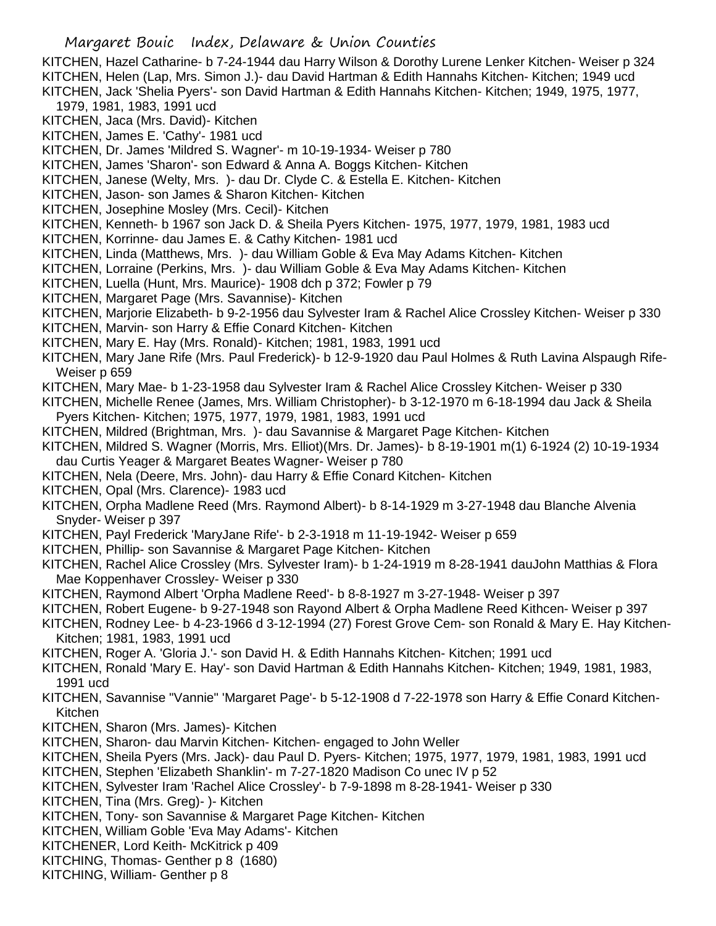KITCHEN, Hazel Catharine- b 7-24-1944 dau Harry Wilson & Dorothy Lurene Lenker Kitchen- Weiser p 324 KITCHEN, Helen (Lap, Mrs. Simon J.)- dau David Hartman & Edith Hannahs Kitchen- Kitchen; 1949 ucd KITCHEN, Jack 'Shelia Pyers'- son David Hartman & Edith Hannahs Kitchen- Kitchen; 1949, 1975, 1977,

- 1979, 1981, 1983, 1991 ucd
- KITCHEN, Jaca (Mrs. David)- Kitchen
- KITCHEN, James E. 'Cathy'- 1981 ucd
- KITCHEN, Dr. James 'Mildred S. Wagner'- m 10-19-1934- Weiser p 780
- KITCHEN, James 'Sharon'- son Edward & Anna A. Boggs Kitchen- Kitchen
- KITCHEN, Janese (Welty, Mrs. )- dau Dr. Clyde C. & Estella E. Kitchen- Kitchen
- KITCHEN, Jason- son James & Sharon Kitchen- Kitchen
- KITCHEN, Josephine Mosley (Mrs. Cecil)- Kitchen
- KITCHEN, Kenneth- b 1967 son Jack D. & Sheila Pyers Kitchen- 1975, 1977, 1979, 1981, 1983 ucd
- KITCHEN, Korrinne- dau James E. & Cathy Kitchen- 1981 ucd
- KITCHEN, Linda (Matthews, Mrs. )- dau William Goble & Eva May Adams Kitchen- Kitchen
- KITCHEN, Lorraine (Perkins, Mrs. )- dau William Goble & Eva May Adams Kitchen- Kitchen
- KITCHEN, Luella (Hunt, Mrs. Maurice)- 1908 dch p 372; Fowler p 79
- KITCHEN, Margaret Page (Mrs. Savannise)- Kitchen
- KITCHEN, Marjorie Elizabeth- b 9-2-1956 dau Sylvester Iram & Rachel Alice Crossley Kitchen- Weiser p 330
- KITCHEN, Marvin- son Harry & Effie Conard Kitchen- Kitchen
- KITCHEN, Mary E. Hay (Mrs. Ronald)- Kitchen; 1981, 1983, 1991 ucd
- KITCHEN, Mary Jane Rife (Mrs. Paul Frederick)- b 12-9-1920 dau Paul Holmes & Ruth Lavina Alspaugh Rife-Weiser p 659
- KITCHEN, Mary Mae- b 1-23-1958 dau Sylvester Iram & Rachel Alice Crossley Kitchen- Weiser p 330
- KITCHEN, Michelle Renee (James, Mrs. William Christopher)- b 3-12-1970 m 6-18-1994 dau Jack & Sheila Pyers Kitchen- Kitchen; 1975, 1977, 1979, 1981, 1983, 1991 ucd
- KITCHEN, Mildred (Brightman, Mrs. )- dau Savannise & Margaret Page Kitchen- Kitchen
- KITCHEN, Mildred S. Wagner (Morris, Mrs. Elliot)(Mrs. Dr. James)- b 8-19-1901 m(1) 6-1924 (2) 10-19-1934 dau Curtis Yeager & Margaret Beates Wagner- Weiser p 780
- KITCHEN, Nela (Deere, Mrs. John)- dau Harry & Effie Conard Kitchen- Kitchen
- KITCHEN, Opal (Mrs. Clarence)- 1983 ucd
- KITCHEN, Orpha Madlene Reed (Mrs. Raymond Albert)- b 8-14-1929 m 3-27-1948 dau Blanche Alvenia Snyder- Weiser p 397
- KITCHEN, Payl Frederick 'MaryJane Rife'- b 2-3-1918 m 11-19-1942- Weiser p 659
- KITCHEN, Phillip- son Savannise & Margaret Page Kitchen- Kitchen
- KITCHEN, Rachel Alice Crossley (Mrs. Sylvester Iram)- b 1-24-1919 m 8-28-1941 dauJohn Matthias & Flora Mae Koppenhaver Crossley- Weiser p 330
- KITCHEN, Raymond Albert 'Orpha Madlene Reed'- b 8-8-1927 m 3-27-1948- Weiser p 397
- KITCHEN, Robert Eugene- b 9-27-1948 son Rayond Albert & Orpha Madlene Reed Kithcen- Weiser p 397
- KITCHEN, Rodney Lee- b 4-23-1966 d 3-12-1994 (27) Forest Grove Cem- son Ronald & Mary E. Hay Kitchen-Kitchen; 1981, 1983, 1991 ucd
- KITCHEN, Roger A. 'Gloria J.'- son David H. & Edith Hannahs Kitchen- Kitchen; 1991 ucd
- KITCHEN, Ronald 'Mary E. Hay'- son David Hartman & Edith Hannahs Kitchen- Kitchen; 1949, 1981, 1983, 1991 ucd
- KITCHEN, Savannise "Vannie" 'Margaret Page'- b 5-12-1908 d 7-22-1978 son Harry & Effie Conard Kitchen-Kitchen
- KITCHEN, Sharon (Mrs. James)- Kitchen
- KITCHEN, Sharon- dau Marvin Kitchen- Kitchen- engaged to John Weller
- KITCHEN, Sheila Pyers (Mrs. Jack)- dau Paul D. Pyers- Kitchen; 1975, 1977, 1979, 1981, 1983, 1991 ucd
- KITCHEN, Stephen 'Elizabeth Shanklin'- m 7-27-1820 Madison Co unec IV p 52
- KITCHEN, Sylvester Iram 'Rachel Alice Crossley'- b 7-9-1898 m 8-28-1941- Weiser p 330
- KITCHEN, Tina (Mrs. Greg)- )- Kitchen
- KITCHEN, Tony- son Savannise & Margaret Page Kitchen- Kitchen
- KITCHEN, William Goble 'Eva May Adams'- Kitchen
- KITCHENER, Lord Keith- McKitrick p 409
- KITCHING, Thomas- Genther p 8 (1680)
- KITCHING, William- Genther p 8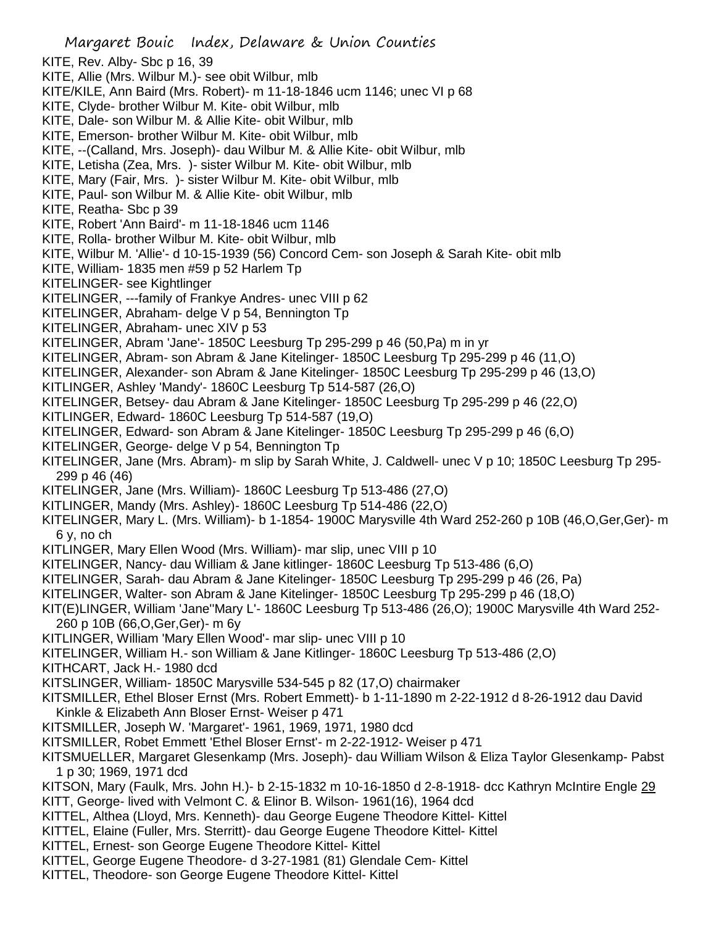Margaret Bouic Index, Delaware & Union Counties KITE, Rev. Alby- Sbc p 16, 39 KITE, Allie (Mrs. Wilbur M.)- see obit Wilbur, mlb KITE/KILE, Ann Baird (Mrs. Robert)- m 11-18-1846 ucm 1146; unec VI p 68 KITE, Clyde- brother Wilbur M. Kite- obit Wilbur, mlb KITE, Dale- son Wilbur M. & Allie Kite- obit Wilbur, mlb KITE, Emerson- brother Wilbur M. Kite- obit Wilbur, mlb KITE, --(Calland, Mrs. Joseph)- dau Wilbur M. & Allie Kite- obit Wilbur, mlb KITE, Letisha (Zea, Mrs. )- sister Wilbur M. Kite- obit Wilbur, mlb KITE, Mary (Fair, Mrs. )- sister Wilbur M. Kite- obit Wilbur, mlb KITE, Paul- son Wilbur M. & Allie Kite- obit Wilbur, mlb KITE, Reatha- Sbc p 39 KITE, Robert 'Ann Baird'- m 11-18-1846 ucm 1146 KITE, Rolla- brother Wilbur M. Kite- obit Wilbur, mlb KITE, Wilbur M. 'Allie'- d 10-15-1939 (56) Concord Cem- son Joseph & Sarah Kite- obit mlb KITE, William- 1835 men #59 p 52 Harlem Tp KITELINGER- see Kightlinger KITELINGER, ---family of Frankye Andres- unec VIII p 62 KITELINGER, Abraham- delge V p 54, Bennington Tp KITELINGER, Abraham- unec XIV p 53 KITELINGER, Abram 'Jane'- 1850C Leesburg Tp 295-299 p 46 (50,Pa) m in yr KITELINGER, Abram- son Abram & Jane Kitelinger- 1850C Leesburg Tp 295-299 p 46 (11,O) KITELINGER, Alexander- son Abram & Jane Kitelinger- 1850C Leesburg Tp 295-299 p 46 (13,O) KITLINGER, Ashley 'Mandy'- 1860C Leesburg Tp 514-587 (26,O) KITELINGER, Betsey- dau Abram & Jane Kitelinger- 1850C Leesburg Tp 295-299 p 46 (22,O) KITLINGER, Edward- 1860C Leesburg Tp 514-587 (19,O) KITELINGER, Edward- son Abram & Jane Kitelinger- 1850C Leesburg Tp 295-299 p 46 (6,O) KITELINGER, George- delge V p 54, Bennington Tp KITELINGER, Jane (Mrs. Abram)- m slip by Sarah White, J. Caldwell- unec V p 10; 1850C Leesburg Tp 295- 299 p 46 (46) KITELINGER, Jane (Mrs. William)- 1860C Leesburg Tp 513-486 (27,O) KITLINGER, Mandy (Mrs. Ashley)- 1860C Leesburg Tp 514-486 (22,O) KITELINGER, Mary L. (Mrs. William)- b 1-1854- 1900C Marysville 4th Ward 252-260 p 10B (46,O,Ger,Ger)- m 6 y, no ch KITLINGER, Mary Ellen Wood (Mrs. William)- mar slip, unec VIII p 10 KITELINGER, Nancy- dau William & Jane kitlinger- 1860C Leesburg Tp 513-486 (6,O) KITELINGER, Sarah- dau Abram & Jane Kitelinger- 1850C Leesburg Tp 295-299 p 46 (26, Pa) KITELINGER, Walter- son Abram & Jane Kitelinger- 1850C Leesburg Tp 295-299 p 46 (18,O) KIT(E)LINGER, William 'Jane''Mary L'- 1860C Leesburg Tp 513-486 (26,O); 1900C Marysville 4th Ward 252- 260 p 10B (66,O,Ger,Ger)- m 6y KITLINGER, William 'Mary Ellen Wood'- mar slip- unec VIII p 10 KITELINGER, William H.- son William & Jane Kitlinger- 1860C Leesburg Tp 513-486 (2,O) KITHCART, Jack H.- 1980 dcd KITSLINGER, William- 1850C Marysville 534-545 p 82 (17,O) chairmaker KITSMILLER, Ethel Bloser Ernst (Mrs. Robert Emmett)- b 1-11-1890 m 2-22-1912 d 8-26-1912 dau David Kinkle & Elizabeth Ann Bloser Ernst- Weiser p 471 KITSMILLER, Joseph W. 'Margaret'- 1961, 1969, 1971, 1980 dcd KITSMILLER, Robet Emmett 'Ethel Bloser Ernst'- m 2-22-1912- Weiser p 471 KITSMUELLER, Margaret Glesenkamp (Mrs. Joseph)- dau William Wilson & Eliza Taylor Glesenkamp- Pabst 1 p 30; 1969, 1971 dcd KITSON, Mary (Faulk, Mrs. John H.)- b 2-15-1832 m 10-16-1850 d 2-8-1918- dcc Kathryn McIntire Engle 29 KITT, George- lived with Velmont C. & Elinor B. Wilson- 1961(16), 1964 dcd KITTEL, Althea (Lloyd, Mrs. Kenneth)- dau George Eugene Theodore Kittel- Kittel KITTEL, Elaine (Fuller, Mrs. Sterritt)- dau George Eugene Theodore Kittel- Kittel KITTEL, Ernest- son George Eugene Theodore Kittel- Kittel KITTEL, George Eugene Theodore- d 3-27-1981 (81) Glendale Cem- Kittel KITTEL, Theodore- son George Eugene Theodore Kittel- Kittel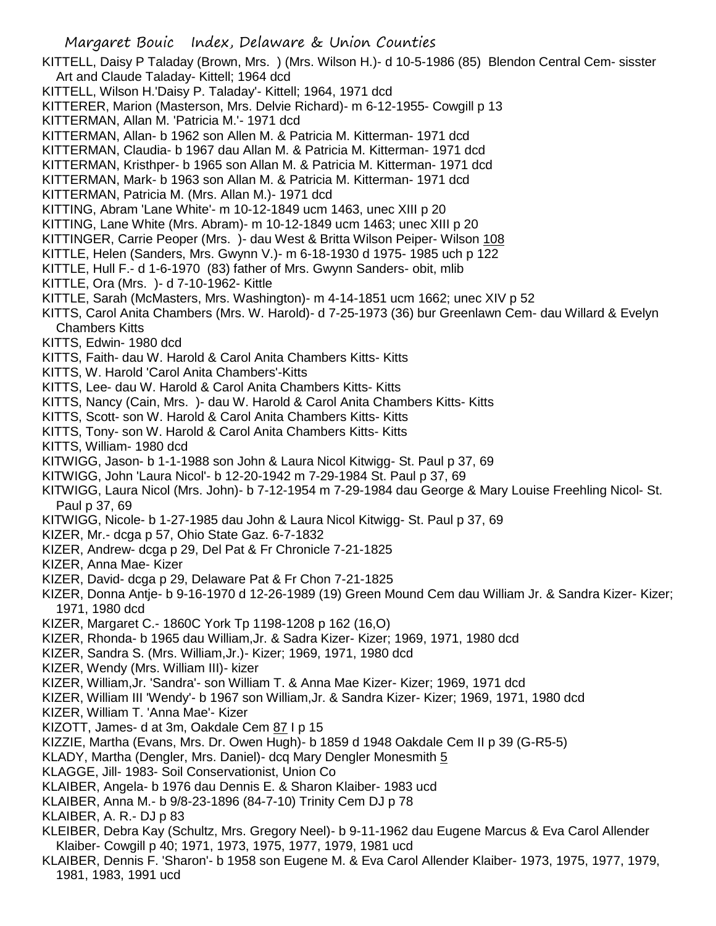KITTELL, Daisy P Taladay (Brown, Mrs. ) (Mrs. Wilson H.)- d 10-5-1986 (85) Blendon Central Cem- sisster Art and Claude Taladay- Kittell; 1964 dcd

- KITTELL, Wilson H.'Daisy P. Taladay'- Kittell; 1964, 1971 dcd
- KITTERER, Marion (Masterson, Mrs. Delvie Richard)- m 6-12-1955- Cowgill p 13
- KITTERMAN, Allan M. 'Patricia M.'- 1971 dcd
- KITTERMAN, Allan- b 1962 son Allen M. & Patricia M. Kitterman- 1971 dcd
- KITTERMAN, Claudia- b 1967 dau Allan M. & Patricia M. Kitterman- 1971 dcd
- KITTERMAN, Kristhper- b 1965 son Allan M. & Patricia M. Kitterman- 1971 dcd
- KITTERMAN, Mark- b 1963 son Allan M. & Patricia M. Kitterman- 1971 dcd
- KITTERMAN, Patricia M. (Mrs. Allan M.)- 1971 dcd
- KITTING, Abram 'Lane White'- m 10-12-1849 ucm 1463, unec XIII p 20
- KITTING, Lane White (Mrs. Abram)- m 10-12-1849 ucm 1463; unec XIII p 20
- KITTINGER, Carrie Peoper (Mrs. )- dau West & Britta Wilson Peiper- Wilson 108
- KITTLE, Helen (Sanders, Mrs. Gwynn V.)- m 6-18-1930 d 1975- 1985 uch p 122
- KITTLE, Hull F.- d 1-6-1970 (83) father of Mrs. Gwynn Sanders- obit, mlib
- KITTLE, Ora (Mrs. )- d 7-10-1962- Kittle
- KITTLE, Sarah (McMasters, Mrs. Washington)- m 4-14-1851 ucm 1662; unec XIV p 52
- KITTS, Carol Anita Chambers (Mrs. W. Harold)- d 7-25-1973 (36) bur Greenlawn Cem- dau Willard & Evelyn Chambers Kitts
- KITTS, Edwin- 1980 dcd
- KITTS, Faith- dau W. Harold & Carol Anita Chambers Kitts- Kitts
- KITTS, W. Harold 'Carol Anita Chambers'-Kitts
- KITTS, Lee- dau W. Harold & Carol Anita Chambers Kitts- Kitts
- KITTS, Nancy (Cain, Mrs. )- dau W. Harold & Carol Anita Chambers Kitts- Kitts
- KITTS, Scott- son W. Harold & Carol Anita Chambers Kitts- Kitts
- KITTS, Tony- son W. Harold & Carol Anita Chambers Kitts- Kitts
- KITTS, William- 1980 dcd
- KITWIGG, Jason- b 1-1-1988 son John & Laura Nicol Kitwigg- St. Paul p 37, 69
- KITWIGG, John 'Laura Nicol'- b 12-20-1942 m 7-29-1984 St. Paul p 37, 69
- KITWIGG, Laura Nicol (Mrs. John)- b 7-12-1954 m 7-29-1984 dau George & Mary Louise Freehling Nicol- St. Paul p 37, 69
- KITWIGG, Nicole- b 1-27-1985 dau John & Laura Nicol Kitwigg- St. Paul p 37, 69
- KIZER, Mr.- dcga p 57, Ohio State Gaz. 6-7-1832
- KIZER, Andrew- dcga p 29, Del Pat & Fr Chronicle 7-21-1825
- KIZER, Anna Mae- Kizer
- KIZER, David- dcga p 29, Delaware Pat & Fr Chon 7-21-1825
- KIZER, Donna Antje- b 9-16-1970 d 12-26-1989 (19) Green Mound Cem dau William Jr. & Sandra Kizer- Kizer; 1971, 1980 dcd
- KIZER, Margaret C.- 1860C York Tp 1198-1208 p 162 (16,O)
- KIZER, Rhonda- b 1965 dau William,Jr. & Sadra Kizer- Kizer; 1969, 1971, 1980 dcd
- KIZER, Sandra S. (Mrs. William,Jr.)- Kizer; 1969, 1971, 1980 dcd
- KIZER, Wendy (Mrs. William III)- kizer
- KIZER, William,Jr. 'Sandra'- son William T. & Anna Mae Kizer- Kizer; 1969, 1971 dcd
- KIZER, William III 'Wendy'- b 1967 son William,Jr. & Sandra Kizer- Kizer; 1969, 1971, 1980 dcd
- KIZER, William T. 'Anna Mae'- Kizer
- KIZOTT, James- d at 3m, Oakdale Cem 87 I p 15
- KIZZIE, Martha (Evans, Mrs. Dr. Owen Hugh)- b 1859 d 1948 Oakdale Cem II p 39 (G-R5-5)
- KLADY, Martha (Dengler, Mrs. Daniel) dcq Mary Dengler Monesmith 5
- KLAGGE, Jill- 1983- Soil Conservationist, Union Co
- KLAIBER, Angela- b 1976 dau Dennis E. & Sharon Klaiber- 1983 ucd
- KLAIBER, Anna M.- b 9/8-23-1896 (84-7-10) Trinity Cem DJ p 78
- KLAIBER, A. R.- DJ p 83
- KLEIBER, Debra Kay (Schultz, Mrs. Gregory Neel)- b 9-11-1962 dau Eugene Marcus & Eva Carol Allender Klaiber- Cowgill p 40; 1971, 1973, 1975, 1977, 1979, 1981 ucd
- KLAIBER, Dennis F. 'Sharon'- b 1958 son Eugene M. & Eva Carol Allender Klaiber- 1973, 1975, 1977, 1979, 1981, 1983, 1991 ucd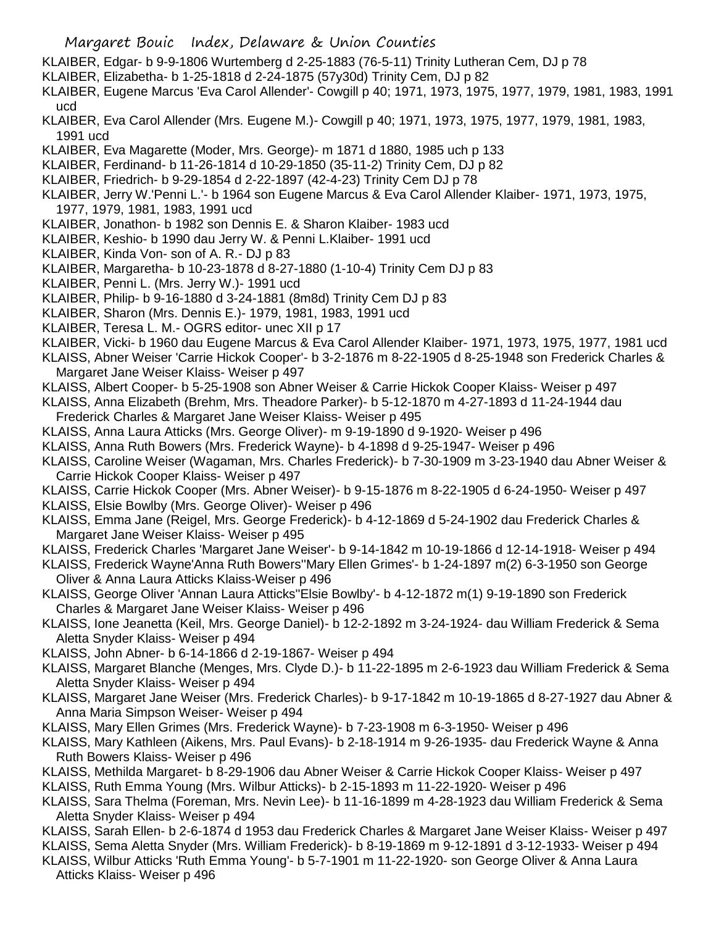- KLAIBER, Edgar- b 9-9-1806 Wurtemberg d 2-25-1883 (76-5-11) Trinity Lutheran Cem, DJ p 78
- KLAIBER, Elizabetha- b 1-25-1818 d 2-24-1875 (57y30d) Trinity Cem, DJ p 82
- KLAIBER, Eugene Marcus 'Eva Carol Allender'- Cowgill p 40; 1971, 1973, 1975, 1977, 1979, 1981, 1983, 1991 ucd
- KLAIBER, Eva Carol Allender (Mrs. Eugene M.)- Cowgill p 40; 1971, 1973, 1975, 1977, 1979, 1981, 1983, 1991 ucd
- KLAIBER, Eva Magarette (Moder, Mrs. George)- m 1871 d 1880, 1985 uch p 133
- KLAIBER, Ferdinand- b 11-26-1814 d 10-29-1850 (35-11-2) Trinity Cem, DJ p 82
- KLAIBER, Friedrich- b 9-29-1854 d 2-22-1897 (42-4-23) Trinity Cem DJ p 78
- KLAIBER, Jerry W.'Penni L.'- b 1964 son Eugene Marcus & Eva Carol Allender Klaiber- 1971, 1973, 1975, 1977, 1979, 1981, 1983, 1991 ucd
- KLAIBER, Jonathon- b 1982 son Dennis E. & Sharon Klaiber- 1983 ucd
- KLAIBER, Keshio- b 1990 dau Jerry W. & Penni L.Klaiber- 1991 ucd
- KLAIBER, Kinda Von- son of A. R.- DJ p 83
- KLAIBER, Margaretha- b 10-23-1878 d 8-27-1880 (1-10-4) Trinity Cem DJ p 83
- KLAIBER, Penni L. (Mrs. Jerry W.)- 1991 ucd
- KLAIBER, Philip- b 9-16-1880 d 3-24-1881 (8m8d) Trinity Cem DJ p 83
- KLAIBER, Sharon (Mrs. Dennis E.)- 1979, 1981, 1983, 1991 ucd
- KLAIBER, Teresa L. M.- OGRS editor- unec XII p 17
- KLAIBER, Vicki- b 1960 dau Eugene Marcus & Eva Carol Allender Klaiber- 1971, 1973, 1975, 1977, 1981 ucd
- KLAISS, Abner Weiser 'Carrie Hickok Cooper'- b 3-2-1876 m 8-22-1905 d 8-25-1948 son Frederick Charles & Margaret Jane Weiser Klaiss- Weiser p 497
- KLAISS, Albert Cooper- b 5-25-1908 son Abner Weiser & Carrie Hickok Cooper Klaiss- Weiser p 497
- KLAISS, Anna Elizabeth (Brehm, Mrs. Theadore Parker)- b 5-12-1870 m 4-27-1893 d 11-24-1944 dau
- Frederick Charles & Margaret Jane Weiser Klaiss- Weiser p 495 KLAISS, Anna Laura Atticks (Mrs. George Oliver)- m 9-19-1890 d 9-1920- Weiser p 496
- KLAISS, Anna Ruth Bowers (Mrs. Frederick Wayne)- b 4-1898 d 9-25-1947- Weiser p 496
- KLAISS, Caroline Weiser (Wagaman, Mrs. Charles Frederick)- b 7-30-1909 m 3-23-1940 dau Abner Weiser & Carrie Hickok Cooper Klaiss- Weiser p 497
- KLAISS, Carrie Hickok Cooper (Mrs. Abner Weiser)- b 9-15-1876 m 8-22-1905 d 6-24-1950- Weiser p 497
- KLAISS, Elsie Bowlby (Mrs. George Oliver)- Weiser p 496
- KLAISS, Emma Jane (Reigel, Mrs. George Frederick)- b 4-12-1869 d 5-24-1902 dau Frederick Charles & Margaret Jane Weiser Klaiss- Weiser p 495
- KLAISS, Frederick Charles 'Margaret Jane Weiser'- b 9-14-1842 m 10-19-1866 d 12-14-1918- Weiser p 494
- KLAISS, Frederick Wayne'Anna Ruth Bowers''Mary Ellen Grimes'- b 1-24-1897 m(2) 6-3-1950 son George Oliver & Anna Laura Atticks Klaiss-Weiser p 496
- KLAISS, George Oliver 'Annan Laura Atticks''Elsie Bowlby'- b 4-12-1872 m(1) 9-19-1890 son Frederick Charles & Margaret Jane Weiser Klaiss- Weiser p 496
- KLAISS, Ione Jeanetta (Keil, Mrs. George Daniel)- b 12-2-1892 m 3-24-1924- dau William Frederick & Sema Aletta Snyder Klaiss- Weiser p 494
- KLAISS, John Abner- b 6-14-1866 d 2-19-1867- Weiser p 494
- KLAISS, Margaret Blanche (Menges, Mrs. Clyde D.)- b 11-22-1895 m 2-6-1923 dau William Frederick & Sema Aletta Snyder Klaiss- Weiser p 494
- KLAISS, Margaret Jane Weiser (Mrs. Frederick Charles)- b 9-17-1842 m 10-19-1865 d 8-27-1927 dau Abner & Anna Maria Simpson Weiser- Weiser p 494
- KLAISS, Mary Ellen Grimes (Mrs. Frederick Wayne)- b 7-23-1908 m 6-3-1950- Weiser p 496
- KLAISS, Mary Kathleen (Aikens, Mrs. Paul Evans)- b 2-18-1914 m 9-26-1935- dau Frederick Wayne & Anna Ruth Bowers Klaiss- Weiser p 496
- KLAISS, Methilda Margaret- b 8-29-1906 dau Abner Weiser & Carrie Hickok Cooper Klaiss- Weiser p 497
- KLAISS, Ruth Emma Young (Mrs. Wilbur Atticks)- b 2-15-1893 m 11-22-1920- Weiser p 496
- KLAISS, Sara Thelma (Foreman, Mrs. Nevin Lee)- b 11-16-1899 m 4-28-1923 dau William Frederick & Sema Aletta Snyder Klaiss- Weiser p 494
- KLAISS, Sarah Ellen- b 2-6-1874 d 1953 dau Frederick Charles & Margaret Jane Weiser Klaiss- Weiser p 497
- KLAISS, Sema Aletta Snyder (Mrs. William Frederick)- b 8-19-1869 m 9-12-1891 d 3-12-1933- Weiser p 494
- KLAISS, Wilbur Atticks 'Ruth Emma Young'- b 5-7-1901 m 11-22-1920- son George Oliver & Anna Laura Atticks Klaiss- Weiser p 496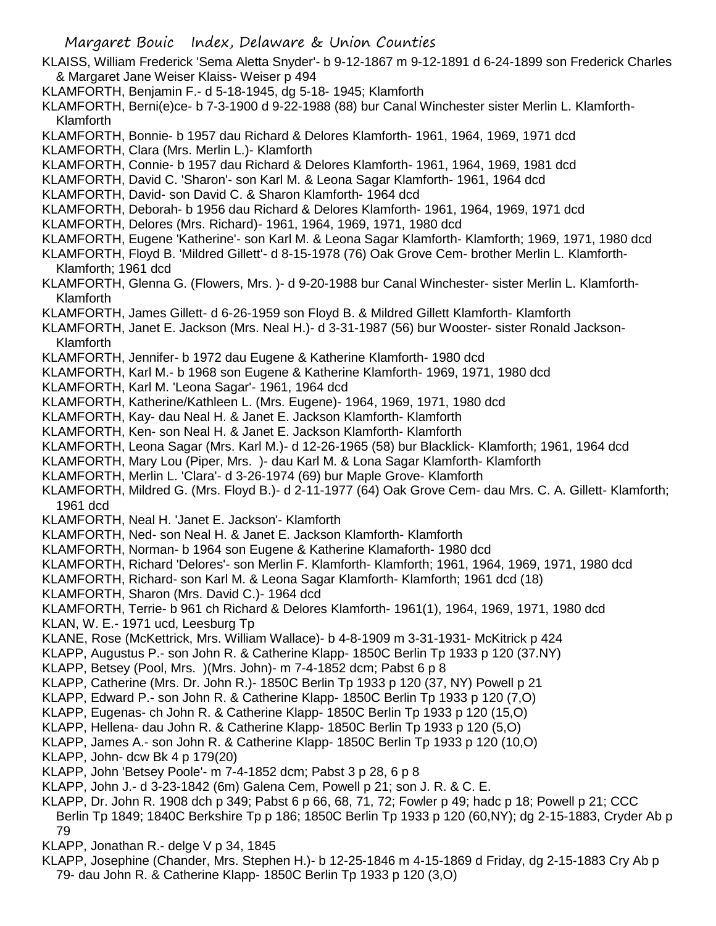- KLAISS, William Frederick 'Sema Aletta Snyder'- b 9-12-1867 m 9-12-1891 d 6-24-1899 son Frederick Charles & Margaret Jane Weiser Klaiss- Weiser p 494
- KLAMFORTH, Benjamin F.- d 5-18-1945, dg 5-18- 1945; Klamforth
- KLAMFORTH, Berni(e)ce- b 7-3-1900 d 9-22-1988 (88) bur Canal Winchester sister Merlin L. Klamforth-Klamforth
- KLAMFORTH, Bonnie- b 1957 dau Richard & Delores Klamforth- 1961, 1964, 1969, 1971 dcd
- KLAMFORTH, Clara (Mrs. Merlin L.)- Klamforth
- KLAMFORTH, Connie- b 1957 dau Richard & Delores Klamforth- 1961, 1964, 1969, 1981 dcd
- KLAMFORTH, David C. 'Sharon'- son Karl M. & Leona Sagar Klamforth- 1961, 1964 dcd
- KLAMFORTH, David- son David C. & Sharon Klamforth- 1964 dcd
- KLAMFORTH, Deborah- b 1956 dau Richard & Delores Klamforth- 1961, 1964, 1969, 1971 dcd
- KLAMFORTH, Delores (Mrs. Richard)- 1961, 1964, 1969, 1971, 1980 dcd
- KLAMFORTH, Eugene 'Katherine'- son Karl M. & Leona Sagar Klamforth- Klamforth; 1969, 1971, 1980 dcd
- KLAMFORTH, Floyd B. 'Mildred Gillett'- d 8-15-1978 (76) Oak Grove Cem- brother Merlin L. Klamforth-Klamforth; 1961 dcd
- KLAMFORTH, Glenna G. (Flowers, Mrs. )- d 9-20-1988 bur Canal Winchester- sister Merlin L. Klamforth-Klamforth
- KLAMFORTH, James Gillett- d 6-26-1959 son Floyd B. & Mildred Gillett Klamforth- Klamforth
- KLAMFORTH, Janet E. Jackson (Mrs. Neal H.)- d 3-31-1987 (56) bur Wooster- sister Ronald Jackson-Klamforth
- KLAMFORTH, Jennifer- b 1972 dau Eugene & Katherine Klamforth- 1980 dcd
- KLAMFORTH, Karl M.- b 1968 son Eugene & Katherine Klamforth- 1969, 1971, 1980 dcd
- KLAMFORTH, Karl M. 'Leona Sagar'- 1961, 1964 dcd
- KLAMFORTH, Katherine/Kathleen L. (Mrs. Eugene)- 1964, 1969, 1971, 1980 dcd
- KLAMFORTH, Kay- dau Neal H. & Janet E. Jackson Klamforth- Klamforth
- KLAMFORTH, Ken- son Neal H. & Janet E. Jackson Klamforth- Klamforth
- KLAMFORTH, Leona Sagar (Mrs. Karl M.)- d 12-26-1965 (58) bur Blacklick- Klamforth; 1961, 1964 dcd
- KLAMFORTH, Mary Lou (Piper, Mrs. )- dau Karl M. & Lona Sagar Klamforth- Klamforth
- KLAMFORTH, Merlin L. 'Clara'- d 3-26-1974 (69) bur Maple Grove- Klamforth
- KLAMFORTH, Mildred G. (Mrs. Floyd B.)- d 2-11-1977 (64) Oak Grove Cem- dau Mrs. C. A. Gillett- Klamforth; 1961 dcd
- KLAMFORTH, Neal H. 'Janet E. Jackson'- Klamforth
- KLAMFORTH, Ned- son Neal H. & Janet E. Jackson Klamforth- Klamforth
- KLAMFORTH, Norman- b 1964 son Eugene & Katherine Klamaforth- 1980 dcd
- KLAMFORTH, Richard 'Delores'- son Merlin F. Klamforth- Klamforth; 1961, 1964, 1969, 1971, 1980 dcd
- KLAMFORTH, Richard- son Karl M. & Leona Sagar Klamforth- Klamforth; 1961 dcd (18)
- KLAMFORTH, Sharon (Mrs. David C.)- 1964 dcd
- KLAMFORTH, Terrie- b 961 ch Richard & Delores Klamforth- 1961(1), 1964, 1969, 1971, 1980 dcd
- KLAN, W. E.- 1971 ucd, Leesburg Tp
- KLANE, Rose (McKettrick, Mrs. William Wallace)- b 4-8-1909 m 3-31-1931- McKitrick p 424
- KLAPP, Augustus P.- son John R. & Catherine Klapp- 1850C Berlin Tp 1933 p 120 (37.NY)
- KLAPP, Betsey (Pool, Mrs. )(Mrs. John)- m 7-4-1852 dcm; Pabst 6 p 8
- KLAPP, Catherine (Mrs. Dr. John R.)- 1850C Berlin Tp 1933 p 120 (37, NY) Powell p 21
- KLAPP, Edward P.- son John R. & Catherine Klapp- 1850C Berlin Tp 1933 p 120 (7,O)
- KLAPP, Eugenas- ch John R. & Catherine Klapp- 1850C Berlin Tp 1933 p 120 (15,O)
- KLAPP, Hellena- dau John R. & Catherine Klapp- 1850C Berlin Tp 1933 p 120 (5,O)
- KLAPP, James A.- son John R. & Catherine Klapp- 1850C Berlin Tp 1933 p 120 (10,O)
- KLAPP, John- dcw Bk 4 p 179(20)
- KLAPP, John 'Betsey Poole'- m 7-4-1852 dcm; Pabst 3 p 28, 6 p 8
- KLAPP, John J.- d 3-23-1842 (6m) Galena Cem, Powell p 21; son J. R. & C. E.
- KLAPP, Dr. John R. 1908 dch p 349; Pabst 6 p 66, 68, 71, 72; Fowler p 49; hadc p 18; Powell p 21; CCC
- Berlin Tp 1849; 1840C Berkshire Tp p 186; 1850C Berlin Tp 1933 p 120 (60,NY); dg 2-15-1883, Cryder Ab p 79
- KLAPP, Jonathan R.- delge V p 34, 1845
- KLAPP, Josephine (Chander, Mrs. Stephen H.)- b 12-25-1846 m 4-15-1869 d Friday, dg 2-15-1883 Cry Ab p 79- dau John R. & Catherine Klapp- 1850C Berlin Tp 1933 p 120 (3,O)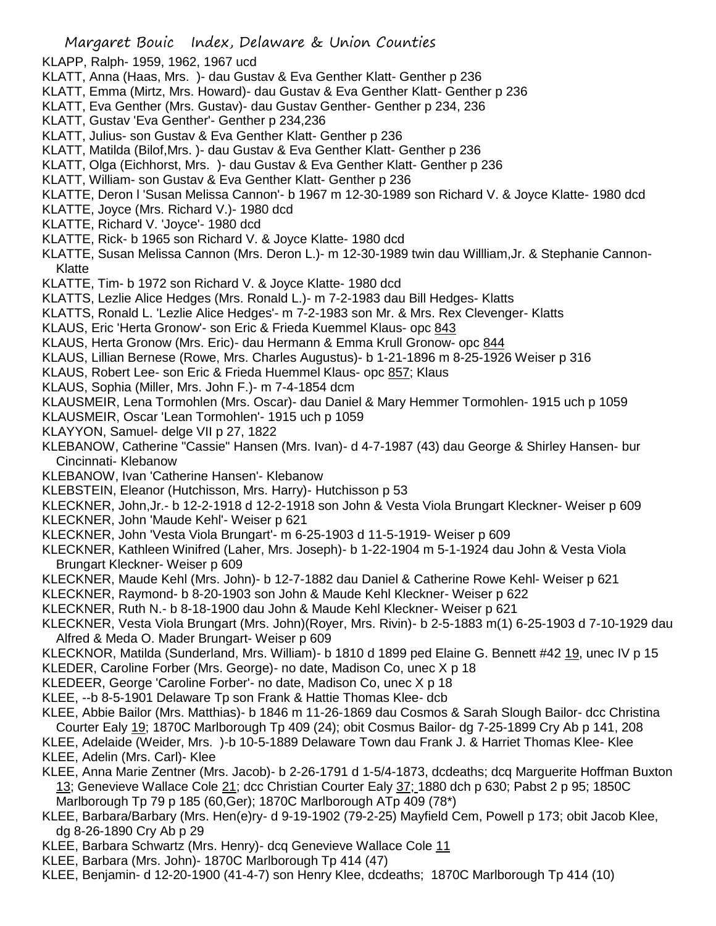- KLAPP, Ralph- 1959, 1962, 1967 ucd
- KLATT, Anna (Haas, Mrs. )- dau Gustav & Eva Genther Klatt- Genther p 236
- KLATT, Emma (Mirtz, Mrs. Howard)- dau Gustav & Eva Genther Klatt- Genther p 236
- KLATT, Eva Genther (Mrs. Gustav)- dau Gustav Genther- Genther p 234, 236
- KLATT, Gustav 'Eva Genther'- Genther p 234,236
- KLATT, Julius- son Gustav & Eva Genther Klatt- Genther p 236
- KLATT, Matilda (Bilof,Mrs. )- dau Gustav & Eva Genther Klatt- Genther p 236
- KLATT, Olga (Eichhorst, Mrs. )- dau Gustav & Eva Genther Klatt- Genther p 236
- KLATT, William- son Gustav & Eva Genther Klatt- Genther p 236
- KLATTE, Deron l 'Susan Melissa Cannon'- b 1967 m 12-30-1989 son Richard V. & Joyce Klatte- 1980 dcd
- KLATTE, Joyce (Mrs. Richard V.)- 1980 dcd
- KLATTE, Richard V. 'Joyce'- 1980 dcd
- KLATTE, Rick- b 1965 son Richard V. & Joyce Klatte- 1980 dcd
- KLATTE, Susan Melissa Cannon (Mrs. Deron L.)- m 12-30-1989 twin dau Willliam,Jr. & Stephanie Cannon-Klatte
- KLATTE, Tim- b 1972 son Richard V. & Joyce Klatte- 1980 dcd
- KLATTS, Lezlie Alice Hedges (Mrs. Ronald L.)- m 7-2-1983 dau Bill Hedges- Klatts
- KLATTS, Ronald L. 'Lezlie Alice Hedges'- m 7-2-1983 son Mr. & Mrs. Rex Clevenger- Klatts
- KLAUS, Eric 'Herta Gronow'- son Eric & Frieda Kuemmel Klaus- opc 843
- KLAUS, Herta Gronow (Mrs. Eric)- dau Hermann & Emma Krull Gronow- opc 844
- KLAUS, Lillian Bernese (Rowe, Mrs. Charles Augustus)- b 1-21-1896 m 8-25-1926 Weiser p 316
- KLAUS, Robert Lee- son Eric & Frieda Huemmel Klaus- opc 857; Klaus
- KLAUS, Sophia (Miller, Mrs. John F.)- m 7-4-1854 dcm
- KLAUSMEIR, Lena Tormohlen (Mrs. Oscar)- dau Daniel & Mary Hemmer Tormohlen- 1915 uch p 1059
- KLAUSMEIR, Oscar 'Lean Tormohlen'- 1915 uch p 1059
- KLAYYON, Samuel- delge VII p 27, 1822
- KLEBANOW, Catherine "Cassie" Hansen (Mrs. Ivan)- d 4-7-1987 (43) dau George & Shirley Hansen- bur Cincinnati- Klebanow
- KLEBANOW, Ivan 'Catherine Hansen'- Klebanow
- KLEBSTEIN, Eleanor (Hutchisson, Mrs. Harry)- Hutchisson p 53
- KLECKNER, John,Jr.- b 12-2-1918 d 12-2-1918 son John & Vesta Viola Brungart Kleckner- Weiser p 609
- KLECKNER, John 'Maude Kehl'- Weiser p 621
- KLECKNER, John 'Vesta Viola Brungart'- m 6-25-1903 d 11-5-1919- Weiser p 609
- KLECKNER, Kathleen Winifred (Laher, Mrs. Joseph)- b 1-22-1904 m 5-1-1924 dau John & Vesta Viola Brungart Kleckner- Weiser p 609
- KLECKNER, Maude Kehl (Mrs. John)- b 12-7-1882 dau Daniel & Catherine Rowe Kehl- Weiser p 621
- KLECKNER, Raymond- b 8-20-1903 son John & Maude Kehl Kleckner- Weiser p 622
- KLECKNER, Ruth N.- b 8-18-1900 dau John & Maude Kehl Kleckner- Weiser p 621
- KLECKNER, Vesta Viola Brungart (Mrs. John)(Royer, Mrs. Rivin)- b 2-5-1883 m(1) 6-25-1903 d 7-10-1929 dau Alfred & Meda O. Mader Brungart- Weiser p 609
- KLECKNOR, Matilda (Sunderland, Mrs. William)- b 1810 d 1899 ped Elaine G. Bennett #42 19, unec IV p 15 KLEDER, Caroline Forber (Mrs. George)- no date, Madison Co, unec X p 18
- KLEDEER, George 'Caroline Forber'- no date, Madison Co, unec X p 18
- KLEE, --b 8-5-1901 Delaware Tp son Frank & Hattie Thomas Klee- dcb
- KLEE, Abbie Bailor (Mrs. Matthias)- b 1846 m 11-26-1869 dau Cosmos & Sarah Slough Bailor- dcc Christina
- Courter Ealy 19; 1870C Marlborough Tp 409 (24); obit Cosmus Bailor- dg 7-25-1899 Cry Ab p 141, 208
- KLEE, Adelaide (Weider, Mrs. )-b 10-5-1889 Delaware Town dau Frank J. & Harriet Thomas Klee- Klee KLEE, Adelin (Mrs. Carl)- Klee
- KLEE, Anna Marie Zentner (Mrs. Jacob)- b 2-26-1791 d 1-5/4-1873, dcdeaths; dcq Marguerite Hoffman Buxton 13; Genevieve Wallace Cole 21; dcc Christian Courter Ealy 37; 1880 dch p 630; Pabst 2 p 95; 1850C Marlborough Tp 79 p 185 (60,Ger); 1870C Marlborough ATp 409 (78\*)
- KLEE, Barbara/Barbary (Mrs. Hen(e)ry- d 9-19-1902 (79-2-25) Mayfield Cem, Powell p 173; obit Jacob Klee, dg 8-26-1890 Cry Ab p 29
- KLEE, Barbara Schwartz (Mrs. Henry)- dcq Genevieve Wallace Cole 11
- KLEE, Barbara (Mrs. John)- 1870C Marlborough Tp 414 (47)
- KLEE, Benjamin- d 12-20-1900 (41-4-7) son Henry Klee, dcdeaths; 1870C Marlborough Tp 414 (10)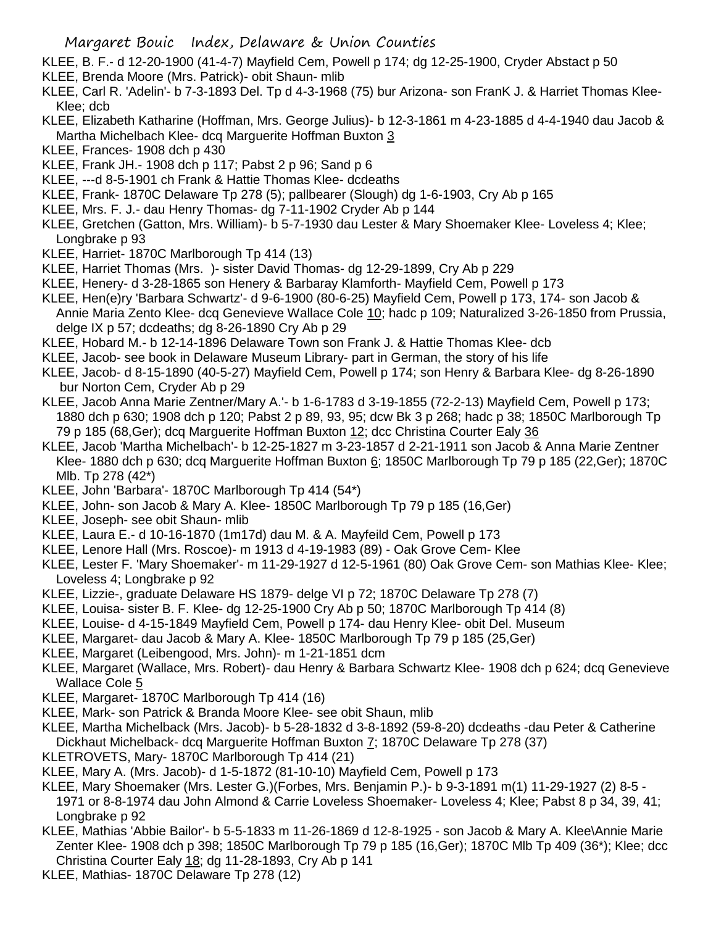- KLEE, B. F.- d 12-20-1900 (41-4-7) Mayfield Cem, Powell p 174; dg 12-25-1900, Cryder Abstact p 50
- KLEE, Brenda Moore (Mrs. Patrick)- obit Shaun- mlib
- KLEE, Carl R. 'Adelin'- b 7-3-1893 Del. Tp d 4-3-1968 (75) bur Arizona- son FranK J. & Harriet Thomas Klee-Klee; dcb
- KLEE, Elizabeth Katharine (Hoffman, Mrs. George Julius)- b 12-3-1861 m 4-23-1885 d 4-4-1940 dau Jacob & Martha Michelbach Klee- dcq Marguerite Hoffman Buxton 3
- KLEE, Frances- 1908 dch p 430
- KLEE, Frank JH.- 1908 dch p 117; Pabst 2 p 96; Sand p 6
- KLEE, ---d 8-5-1901 ch Frank & Hattie Thomas Klee- dcdeaths
- KLEE, Frank- 1870C Delaware Tp 278 (5); pallbearer (Slough) dg 1-6-1903, Cry Ab p 165
- KLEE, Mrs. F. J.- dau Henry Thomas- dg 7-11-1902 Cryder Ab p 144
- KLEE, Gretchen (Gatton, Mrs. William)- b 5-7-1930 dau Lester & Mary Shoemaker Klee- Loveless 4; Klee; Longbrake p 93
- KLEE, Harriet- 1870C Marlborough Tp 414 (13)
- KLEE, Harriet Thomas (Mrs. )- sister David Thomas- dg 12-29-1899, Cry Ab p 229
- KLEE, Henery- d 3-28-1865 son Henery & Barbaray Klamforth- Mayfield Cem, Powell p 173
- KLEE, Hen(e)ry 'Barbara Schwartz'- d 9-6-1900 (80-6-25) Mayfield Cem, Powell p 173, 174- son Jacob & Annie Maria Zento Klee- dcq Genevieve Wallace Cole 10; hadc p 109; Naturalized 3-26-1850 from Prussia, delge IX p 57; dcdeaths; dg 8-26-1890 Cry Ab p 29
- KLEE, Hobard M.- b 12-14-1896 Delaware Town son Frank J. & Hattie Thomas Klee- dcb
- KLEE, Jacob- see book in Delaware Museum Library- part in German, the story of his life
- KLEE, Jacob- d 8-15-1890 (40-5-27) Mayfield Cem, Powell p 174; son Henry & Barbara Klee- dg 8-26-1890 bur Norton Cem, Cryder Ab p 29
- KLEE, Jacob Anna Marie Zentner/Mary A.'- b 1-6-1783 d 3-19-1855 (72-2-13) Mayfield Cem, Powell p 173; 1880 dch p 630; 1908 dch p 120; Pabst 2 p 89, 93, 95; dcw Bk 3 p 268; hadc p 38; 1850C Marlborough Tp 79 p 185 (68,Ger); dcq Marguerite Hoffman Buxton 12; dcc Christina Courter Ealy 36
- KLEE, Jacob 'Martha Michelbach'- b 12-25-1827 m 3-23-1857 d 2-21-1911 son Jacob & Anna Marie Zentner Klee- 1880 dch p 630; dcq Marguerite Hoffman Buxton 6; 1850C Marlborough Tp 79 p 185 (22,Ger); 1870C Mlb. Tp 278 (42\*)
- KLEE, John 'Barbara'- 1870C Marlborough Tp 414 (54\*)
- KLEE, John- son Jacob & Mary A. Klee- 1850C Marlborough Tp 79 p 185 (16,Ger)
- KLEE, Joseph- see obit Shaun- mlib
- KLEE, Laura E.- d 10-16-1870 (1m17d) dau M. & A. Mayfeild Cem, Powell p 173
- KLEE, Lenore Hall (Mrs. Roscoe)- m 1913 d 4-19-1983 (89) Oak Grove Cem- Klee
- KLEE, Lester F. 'Mary Shoemaker'- m 11-29-1927 d 12-5-1961 (80) Oak Grove Cem- son Mathias Klee- Klee; Loveless 4; Longbrake p 92
- KLEE, Lizzie-, graduate Delaware HS 1879- delge VI p 72; 1870C Delaware Tp 278 (7)
- KLEE, Louisa- sister B. F. Klee- dg 12-25-1900 Cry Ab p 50; 1870C Marlborough Tp 414 (8)
- KLEE, Louise- d 4-15-1849 Mayfield Cem, Powell p 174- dau Henry Klee- obit Del. Museum
- KLEE, Margaret- dau Jacob & Mary A. Klee- 1850C Marlborough Tp 79 p 185 (25,Ger)
- KLEE, Margaret (Leibengood, Mrs. John)- m 1-21-1851 dcm
- KLEE, Margaret (Wallace, Mrs. Robert)- dau Henry & Barbara Schwartz Klee- 1908 dch p 624; dcq Genevieve Wallace Cole 5
- KLEE, Margaret- 1870C Marlborough Tp 414 (16)
- KLEE, Mark- son Patrick & Branda Moore Klee- see obit Shaun, mlib
- KLEE, Martha Michelback (Mrs. Jacob)- b 5-28-1832 d 3-8-1892 (59-8-20) dcdeaths -dau Peter & Catherine Dickhaut Michelback- dcq Marguerite Hoffman Buxton 7; 1870C Delaware Tp 278 (37)
- KLETROVETS, Mary- 1870C Marlborough Tp 414 (21)
- KLEE, Mary A. (Mrs. Jacob)- d 1-5-1872 (81-10-10) Mayfield Cem, Powell p 173
- KLEE, Mary Shoemaker (Mrs. Lester G.)(Forbes, Mrs. Benjamin P.)- b 9-3-1891 m(1) 11-29-1927 (2) 8-5 1971 or 8-8-1974 dau John Almond & Carrie Loveless Shoemaker- Loveless 4; Klee; Pabst 8 p 34, 39, 41; Longbrake p 92
- KLEE, Mathias 'Abbie Bailor'- b 5-5-1833 m 11-26-1869 d 12-8-1925 son Jacob & Mary A. Klee\Annie Marie Zenter Klee- 1908 dch p 398; 1850C Marlborough Tp 79 p 185 (16,Ger); 1870C Mlb Tp 409 (36\*); Klee; dcc Christina Courter Ealy 18; dg 11-28-1893, Cry Ab p 141
- KLEE, Mathias- 1870C Delaware Tp 278 (12)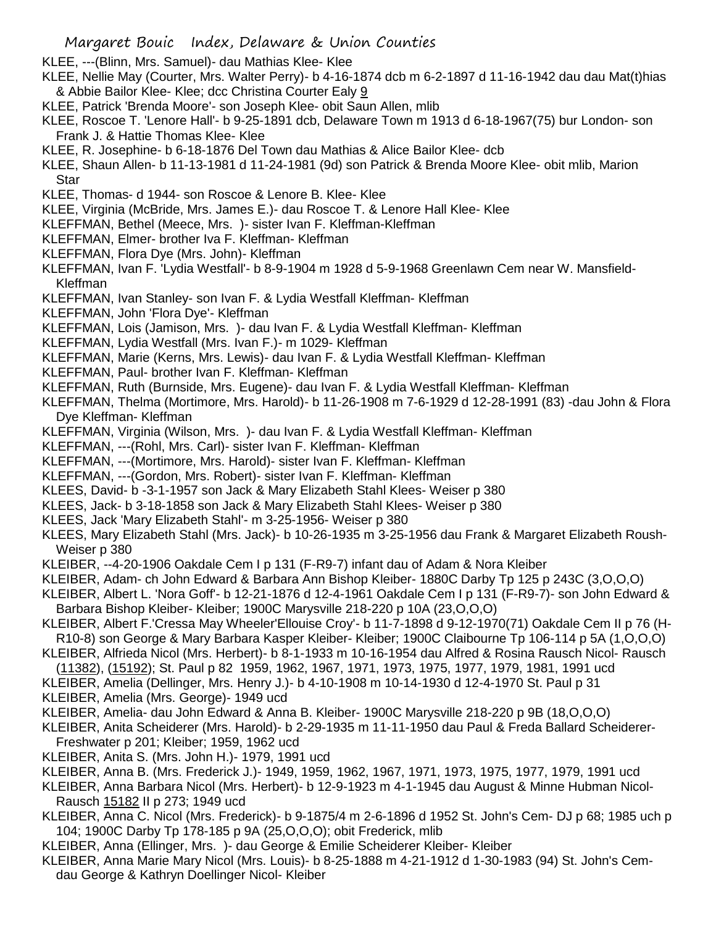KLEE, ---(Blinn, Mrs. Samuel)- dau Mathias Klee- Klee

- KLEE, Nellie May (Courter, Mrs. Walter Perry)- b 4-16-1874 dcb m 6-2-1897 d 11-16-1942 dau dau Mat(t)hias & Abbie Bailor Klee- Klee; dcc Christina Courter Ealy 9
- KLEE, Patrick 'Brenda Moore'- son Joseph Klee- obit Saun Allen, mlib
- KLEE, Roscoe T. 'Lenore Hall'- b 9-25-1891 dcb, Delaware Town m 1913 d 6-18-1967(75) bur London- son Frank J. & Hattie Thomas Klee- Klee
- KLEE, R. Josephine- b 6-18-1876 Del Town dau Mathias & Alice Bailor Klee- dcb
- KLEE, Shaun Allen- b 11-13-1981 d 11-24-1981 (9d) son Patrick & Brenda Moore Klee- obit mlib, Marion **Star**
- KLEE, Thomas- d 1944- son Roscoe & Lenore B. Klee- Klee
- KLEE, Virginia (McBride, Mrs. James E.)- dau Roscoe T. & Lenore Hall Klee- Klee
- KLEFFMAN, Bethel (Meece, Mrs. )- sister Ivan F. Kleffman-Kleffman
- KLEFFMAN, Elmer- brother Iva F. Kleffman- Kleffman
- KLEFFMAN, Flora Dye (Mrs. John)- Kleffman
- KLEFFMAN, Ivan F. 'Lydia Westfall'- b 8-9-1904 m 1928 d 5-9-1968 Greenlawn Cem near W. Mansfield-Kleffman
- KLEFFMAN, Ivan Stanley- son Ivan F. & Lydia Westfall Kleffman- Kleffman
- KLEFFMAN, John 'Flora Dye'- Kleffman
- KLEFFMAN, Lois (Jamison, Mrs. )- dau Ivan F. & Lydia Westfall Kleffman- Kleffman
- KLEFFMAN, Lydia Westfall (Mrs. Ivan F.)- m 1029- Kleffman
- KLEFFMAN, Marie (Kerns, Mrs. Lewis)- dau Ivan F. & Lydia Westfall Kleffman- Kleffman
- KLEFFMAN, Paul- brother Ivan F. Kleffman- Kleffman
- KLEFFMAN, Ruth (Burnside, Mrs. Eugene)- dau Ivan F. & Lydia Westfall Kleffman- Kleffman
- KLEFFMAN, Thelma (Mortimore, Mrs. Harold)- b 11-26-1908 m 7-6-1929 d 12-28-1991 (83) -dau John & Flora Dye Kleffman- Kleffman
- KLEFFMAN, Virginia (Wilson, Mrs. )- dau Ivan F. & Lydia Westfall Kleffman- Kleffman
- KLEFFMAN, ---(Rohl, Mrs. Carl)- sister Ivan F. Kleffman- Kleffman
- KLEFFMAN, ---(Mortimore, Mrs. Harold)- sister Ivan F. Kleffman- Kleffman
- KLEFFMAN, ---(Gordon, Mrs. Robert)- sister Ivan F. Kleffman- Kleffman
- KLEES, David- b -3-1-1957 son Jack & Mary Elizabeth Stahl Klees- Weiser p 380
- KLEES, Jack- b 3-18-1858 son Jack & Mary Elizabeth Stahl Klees- Weiser p 380
- KLEES, Jack 'Mary Elizabeth Stahl'- m 3-25-1956- Weiser p 380
- KLEES, Mary Elizabeth Stahl (Mrs. Jack)- b 10-26-1935 m 3-25-1956 dau Frank & Margaret Elizabeth Roush-Weiser p 380
- KLEIBER, --4-20-1906 Oakdale Cem I p 131 (F-R9-7) infant dau of Adam & Nora Kleiber
- KLEIBER, Adam- ch John Edward & Barbara Ann Bishop Kleiber- 1880C Darby Tp 125 p 243C (3,O,O,O)
- KLEIBER, Albert L. 'Nora Goff'- b 12-21-1876 d 12-4-1961 Oakdale Cem I p 131 (F-R9-7)- son John Edward & Barbara Bishop Kleiber- Kleiber; 1900C Marysville 218-220 p 10A (23,O,O,O)
- KLEIBER, Albert F.'Cressa May Wheeler'Ellouise Croy'- b 11-7-1898 d 9-12-1970(71) Oakdale Cem II p 76 (H-R10-8) son George & Mary Barbara Kasper Kleiber- Kleiber; 1900C Claibourne Tp 106-114 p 5A (1,O,O,O)
- KLEIBER, Alfrieda Nicol (Mrs. Herbert)- b 8-1-1933 m 10-16-1954 dau Alfred & Rosina Rausch Nicol- Rausch (11382), (15192); St. Paul p 82 1959, 1962, 1967, 1971, 1973, 1975, 1977, 1979, 1981, 1991 ucd
- KLEIBER, Amelia (Dellinger, Mrs. Henry J.)- b 4-10-1908 m 10-14-1930 d 12-4-1970 St. Paul p 31
- KLEIBER, Amelia (Mrs. George)- 1949 ucd
- KLEIBER, Amelia- dau John Edward & Anna B. Kleiber- 1900C Marysville 218-220 p 9B (18,O,O,O)
- KLEIBER, Anita Scheiderer (Mrs. Harold)- b 2-29-1935 m 11-11-1950 dau Paul & Freda Ballard Scheiderer-Freshwater p 201; Kleiber; 1959, 1962 ucd
- KLEIBER, Anita S. (Mrs. John H.)- 1979, 1991 ucd
- KLEIBER, Anna B. (Mrs. Frederick J.)- 1949, 1959, 1962, 1967, 1971, 1973, 1975, 1977, 1979, 1991 ucd
- KLEIBER, Anna Barbara Nicol (Mrs. Herbert)- b 12-9-1923 m 4-1-1945 dau August & Minne Hubman Nicol-Rausch 15182 II p 273; 1949 ucd
- KLEIBER, Anna C. Nicol (Mrs. Frederick)- b 9-1875/4 m 2-6-1896 d 1952 St. John's Cem- DJ p 68; 1985 uch p 104; 1900C Darby Tp 178-185 p 9A (25,O,O,O); obit Frederick, mlib
- KLEIBER, Anna (Ellinger, Mrs. )- dau George & Emilie Scheiderer Kleiber- Kleiber
- KLEIBER, Anna Marie Mary Nicol (Mrs. Louis)- b 8-25-1888 m 4-21-1912 d 1-30-1983 (94) St. John's Cemdau George & Kathryn Doellinger Nicol- Kleiber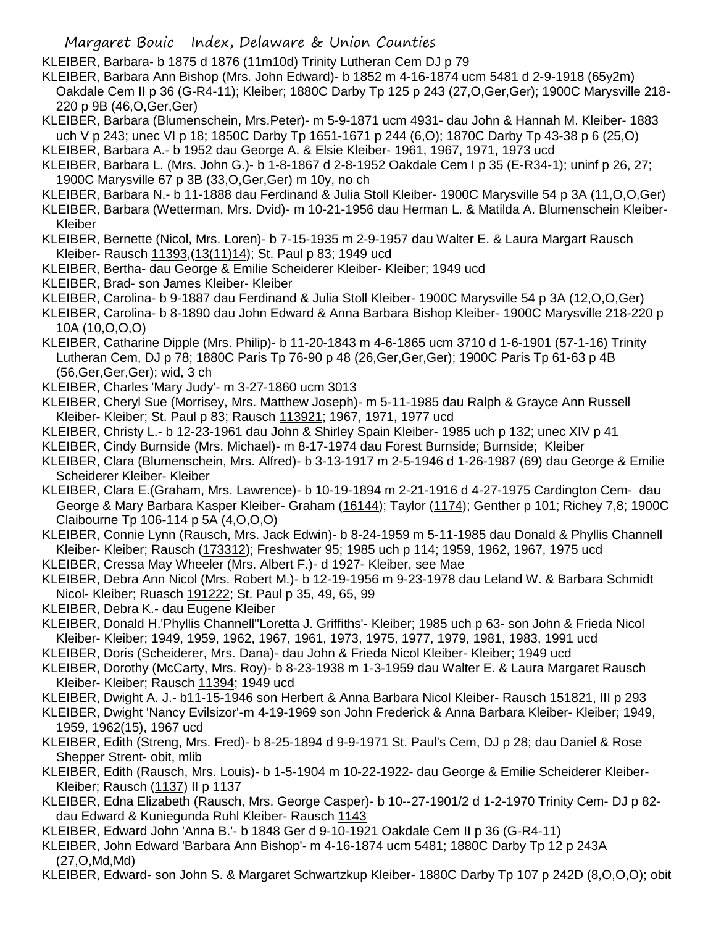KLEIBER, Barbara- b 1875 d 1876 (11m10d) Trinity Lutheran Cem DJ p 79

KLEIBER, Barbara Ann Bishop (Mrs. John Edward)- b 1852 m 4-16-1874 ucm 5481 d 2-9-1918 (65y2m) Oakdale Cem II p 36 (G-R4-11); Kleiber; 1880C Darby Tp 125 p 243 (27,O,Ger,Ger); 1900C Marysville 218- 220 p 9B (46,O,Ger,Ger)

KLEIBER, Barbara (Blumenschein, Mrs.Peter)- m 5-9-1871 ucm 4931- dau John & Hannah M. Kleiber- 1883 uch V p 243; unec VI p 18; 1850C Darby Tp 1651-1671 p 244 (6,O); 1870C Darby Tp 43-38 p 6 (25,O)

KLEIBER, Barbara A.- b 1952 dau George A. & Elsie Kleiber- 1961, 1967, 1971, 1973 ucd

- KLEIBER, Barbara L. (Mrs. John G.)- b 1-8-1867 d 2-8-1952 Oakdale Cem I p 35 (E-R34-1); uninf p 26, 27; 1900C Marysville 67 p 3B (33,O,Ger,Ger) m 10y, no ch
- KLEIBER, Barbara N.- b 11-1888 dau Ferdinand & Julia Stoll Kleiber- 1900C Marysville 54 p 3A (11,O,O,Ger)
- KLEIBER, Barbara (Wetterman, Mrs. Dvid)- m 10-21-1956 dau Herman L. & Matilda A. Blumenschein Kleiber-Kleiber
- KLEIBER, Bernette (Nicol, Mrs. Loren)- b 7-15-1935 m 2-9-1957 dau Walter E. & Laura Margart Rausch Kleiber- Rausch 11393, (13(11)14); St. Paul p 83; 1949 ucd
- KLEIBER, Bertha- dau George & Emilie Scheiderer Kleiber- Kleiber; 1949 ucd
- KLEIBER, Brad- son James Kleiber- Kleiber
- KLEIBER, Carolina- b 9-1887 dau Ferdinand & Julia Stoll Kleiber- 1900C Marysville 54 p 3A (12,O,O,Ger)
- KLEIBER, Carolina- b 8-1890 dau John Edward & Anna Barbara Bishop Kleiber- 1900C Marysville 218-220 p 10A (10,O,O,O)
- KLEIBER, Catharine Dipple (Mrs. Philip)- b 11-20-1843 m 4-6-1865 ucm 3710 d 1-6-1901 (57-1-16) Trinity Lutheran Cem, DJ p 78; 1880C Paris Tp 76-90 p 48 (26,Ger,Ger,Ger); 1900C Paris Tp 61-63 p 4B (56,Ger,Ger,Ger); wid, 3 ch
- KLEIBER, Charles 'Mary Judy'- m 3-27-1860 ucm 3013
- KLEIBER, Cheryl Sue (Morrisey, Mrs. Matthew Joseph)- m 5-11-1985 dau Ralph & Grayce Ann Russell Kleiber- Kleiber; St. Paul p 83; Rausch 113921; 1967, 1971, 1977 ucd
- KLEIBER, Christy L.- b 12-23-1961 dau John & Shirley Spain Kleiber- 1985 uch p 132; unec XIV p 41
- KLEIBER, Cindy Burnside (Mrs. Michael)- m 8-17-1974 dau Forest Burnside; Burnside; Kleiber
- KLEIBER, Clara (Blumenschein, Mrs. Alfred)- b 3-13-1917 m 2-5-1946 d 1-26-1987 (69) dau George & Emilie Scheiderer Kleiber- Kleiber
- KLEIBER, Clara E.(Graham, Mrs. Lawrence)- b 10-19-1894 m 2-21-1916 d 4-27-1975 Cardington Cem- dau George & Mary Barbara Kasper Kleiber- Graham (16144); Taylor (1174); Genther p 101; Richey 7,8; 1900C Claibourne Tp 106-114 p 5A (4,O,O,O)
- KLEIBER, Connie Lynn (Rausch, Mrs. Jack Edwin)- b 8-24-1959 m 5-11-1985 dau Donald & Phyllis Channell Kleiber- Kleiber; Rausch (173312); Freshwater 95; 1985 uch p 114; 1959, 1962, 1967, 1975 ucd
- KLEIBER, Cressa May Wheeler (Mrs. Albert F.)- d 1927- Kleiber, see Mae
- KLEIBER, Debra Ann Nicol (Mrs. Robert M.)- b 12-19-1956 m 9-23-1978 dau Leland W. & Barbara Schmidt Nicol- Kleiber; Ruasch 191222; St. Paul p 35, 49, 65, 99
- KLEIBER, Debra K.- dau Eugene Kleiber
- KLEIBER, Donald H.'Phyllis Channell''Loretta J. Griffiths'- Kleiber; 1985 uch p 63- son John & Frieda Nicol Kleiber- Kleiber; 1949, 1959, 1962, 1967, 1961, 1973, 1975, 1977, 1979, 1981, 1983, 1991 ucd
- KLEIBER, Doris (Scheiderer, Mrs. Dana)- dau John & Frieda Nicol Kleiber- Kleiber; 1949 ucd
- KLEIBER, Dorothy (McCarty, Mrs. Roy)- b 8-23-1938 m 1-3-1959 dau Walter E. & Laura Margaret Rausch Kleiber- Kleiber; Rausch 11394; 1949 ucd
- KLEIBER, Dwight A. J.- b11-15-1946 son Herbert & Anna Barbara Nicol Kleiber- Rausch 151821, III p 293
- KLEIBER, Dwight 'Nancy Evilsizor'-m 4-19-1969 son John Frederick & Anna Barbara Kleiber- Kleiber; 1949, 1959, 1962(15), 1967 ucd
- KLEIBER, Edith (Streng, Mrs. Fred)- b 8-25-1894 d 9-9-1971 St. Paul's Cem, DJ p 28; dau Daniel & Rose Shepper Strent- obit, mlib
- KLEIBER, Edith (Rausch, Mrs. Louis)- b 1-5-1904 m 10-22-1922- dau George & Emilie Scheiderer Kleiber-Kleiber; Rausch (1137) II p 1137
- KLEIBER, Edna Elizabeth (Rausch, Mrs. George Casper)- b 10--27-1901/2 d 1-2-1970 Trinity Cem- DJ p 82 dau Edward & Kuniegunda Ruhl Kleiber- Rausch 1143
- KLEIBER, Edward John 'Anna B.'- b 1848 Ger d 9-10-1921 Oakdale Cem II p 36 (G-R4-11)
- KLEIBER, John Edward 'Barbara Ann Bishop'- m 4-16-1874 ucm 5481; 1880C Darby Tp 12 p 243A (27,O,Md,Md)
- KLEIBER, Edward- son John S. & Margaret Schwartzkup Kleiber- 1880C Darby Tp 107 p 242D (8,O,O,O); obit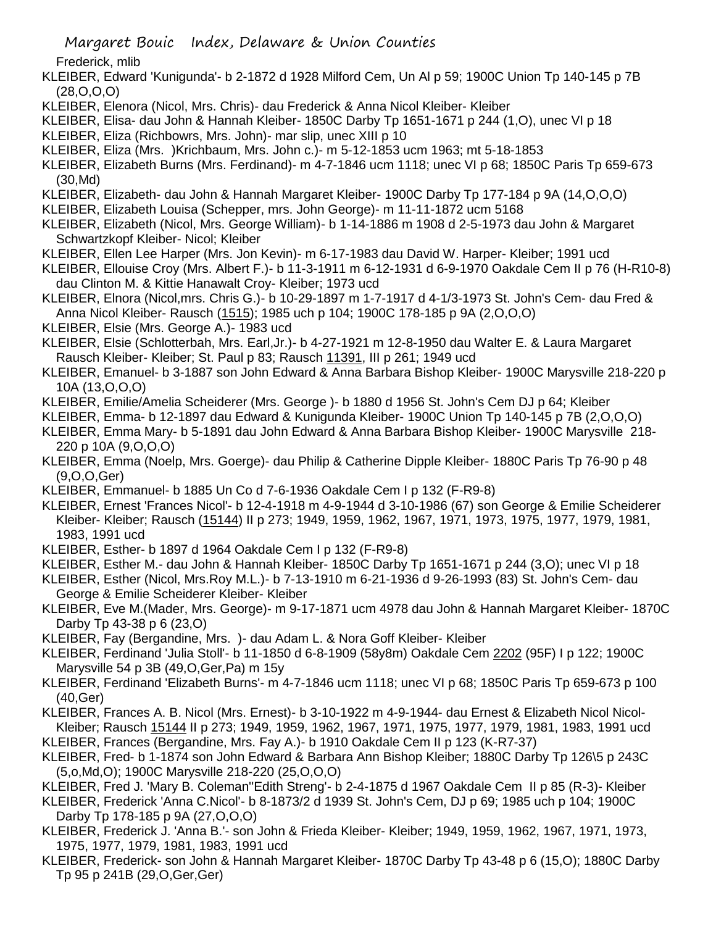Margaret Bouic Index, Delaware & Union Counties

Frederick, mlib

- KLEIBER, Edward 'Kunigunda'- b 2-1872 d 1928 Milford Cem, Un Al p 59; 1900C Union Tp 140-145 p 7B (28,O,O,O)
- KLEIBER, Elenora (Nicol, Mrs. Chris)- dau Frederick & Anna Nicol Kleiber- Kleiber
- KLEIBER, Elisa- dau John & Hannah Kleiber- 1850C Darby Tp 1651-1671 p 244 (1,O), unec VI p 18
- KLEIBER, Eliza (Richbowrs, Mrs. John)- mar slip, unec XIII p 10
- KLEIBER, Eliza (Mrs. )Krichbaum, Mrs. John c.)- m 5-12-1853 ucm 1963; mt 5-18-1853
- KLEIBER, Elizabeth Burns (Mrs. Ferdinand)- m 4-7-1846 ucm 1118; unec VI p 68; 1850C Paris Tp 659-673 (30,Md)
- KLEIBER, Elizabeth- dau John & Hannah Margaret Kleiber- 1900C Darby Tp 177-184 p 9A (14,O,O,O)
- KLEIBER, Elizabeth Louisa (Schepper, mrs. John George)- m 11-11-1872 ucm 5168
- KLEIBER, Elizabeth (Nicol, Mrs. George William)- b 1-14-1886 m 1908 d 2-5-1973 dau John & Margaret Schwartzkopf Kleiber- Nicol; Kleiber
- KLEIBER, Ellen Lee Harper (Mrs. Jon Kevin)- m 6-17-1983 dau David W. Harper- Kleiber; 1991 ucd
- KLEIBER, Ellouise Croy (Mrs. Albert F.)- b 11-3-1911 m 6-12-1931 d 6-9-1970 Oakdale Cem II p 76 (H-R10-8) dau Clinton M. & Kittie Hanawalt Croy- Kleiber; 1973 ucd
- KLEIBER, Elnora (Nicol,mrs. Chris G.)- b 10-29-1897 m 1-7-1917 d 4-1/3-1973 St. John's Cem- dau Fred & Anna Nicol Kleiber- Rausch (1515); 1985 uch p 104; 1900C 178-185 p 9A (2,O,O,O)
- KLEIBER, Elsie (Mrs. George A.)- 1983 ucd
- KLEIBER, Elsie (Schlotterbah, Mrs. Earl,Jr.)- b 4-27-1921 m 12-8-1950 dau Walter E. & Laura Margaret Rausch Kleiber- Kleiber; St. Paul p 83; Rausch 11391, III p 261; 1949 ucd
- KLEIBER, Emanuel- b 3-1887 son John Edward & Anna Barbara Bishop Kleiber- 1900C Marysville 218-220 p 10A (13,O,O,O)
- KLEIBER, Emilie/Amelia Scheiderer (Mrs. George )- b 1880 d 1956 St. John's Cem DJ p 64; Kleiber
- KLEIBER, Emma- b 12-1897 dau Edward & Kunigunda Kleiber- 1900C Union Tp 140-145 p 7B (2,O,O,O)
- KLEIBER, Emma Mary- b 5-1891 dau John Edward & Anna Barbara Bishop Kleiber- 1900C Marysville 218- 220 p 10A (9,O,O,O)
- KLEIBER, Emma (Noelp, Mrs. Goerge)- dau Philip & Catherine Dipple Kleiber- 1880C Paris Tp 76-90 p 48 (9,O,O,Ger)
- KLEIBER, Emmanuel- b 1885 Un Co d 7-6-1936 Oakdale Cem I p 132 (F-R9-8)
- KLEIBER, Ernest 'Frances Nicol'- b 12-4-1918 m 4-9-1944 d 3-10-1986 (67) son George & Emilie Scheiderer Kleiber- Kleiber; Rausch (15144) II p 273; 1949, 1959, 1962, 1967, 1971, 1973, 1975, 1977, 1979, 1981, 1983, 1991 ucd
- KLEIBER, Esther- b 1897 d 1964 Oakdale Cem I p 132 (F-R9-8)
- KLEIBER, Esther M.- dau John & Hannah Kleiber- 1850C Darby Tp 1651-1671 p 244 (3,O); unec VI p 18
- KLEIBER, Esther (Nicol, Mrs.Roy M.L.)- b 7-13-1910 m 6-21-1936 d 9-26-1993 (83) St. John's Cem- dau George & Emilie Scheiderer Kleiber- Kleiber
- KLEIBER, Eve M.(Mader, Mrs. George)- m 9-17-1871 ucm 4978 dau John & Hannah Margaret Kleiber- 1870C Darby Tp 43-38 p 6 (23,O)
- KLEIBER, Fay (Bergandine, Mrs. )- dau Adam L. & Nora Goff Kleiber- Kleiber
- KLEIBER, Ferdinand 'Julia Stoll'- b 11-1850 d 6-8-1909 (58y8m) Oakdale Cem 2202 (95F) I p 122; 1900C Marysville 54 p 3B (49,O,Ger,Pa) m 15y
- KLEIBER, Ferdinand 'Elizabeth Burns'- m 4-7-1846 ucm 1118; unec VI p 68; 1850C Paris Tp 659-673 p 100 (40,Ger)
- KLEIBER, Frances A. B. Nicol (Mrs. Ernest)- b 3-10-1922 m 4-9-1944- dau Ernest & Elizabeth Nicol Nicol-Kleiber; Rausch 15144 II p 273; 1949, 1959, 1962, 1967, 1971, 1975, 1977, 1979, 1981, 1983, 1991 ucd
- KLEIBER, Frances (Bergandine, Mrs. Fay A.)- b 1910 Oakdale Cem II p 123 (K-R7-37)
- KLEIBER, Fred- b 1-1874 son John Edward & Barbara Ann Bishop Kleiber; 1880C Darby Tp 126\5 p 243C (5,o,Md,O); 1900C Marysville 218-220 (25,O,O,O)
- KLEIBER, Fred J. 'Mary B. Coleman''Edith Streng'- b 2-4-1875 d 1967 Oakdale Cem II p 85 (R-3)- Kleiber
- KLEIBER, Frederick 'Anna C.Nicol'- b 8-1873/2 d 1939 St. John's Cem, DJ p 69; 1985 uch p 104; 1900C Darby Tp 178-185 p 9A (27,O,O,O)
- KLEIBER, Frederick J. 'Anna B.'- son John & Frieda Kleiber- Kleiber; 1949, 1959, 1962, 1967, 1971, 1973, 1975, 1977, 1979, 1981, 1983, 1991 ucd
- KLEIBER, Frederick- son John & Hannah Margaret Kleiber- 1870C Darby Tp 43-48 p 6 (15,O); 1880C Darby Tp 95 p 241B (29,O,Ger,Ger)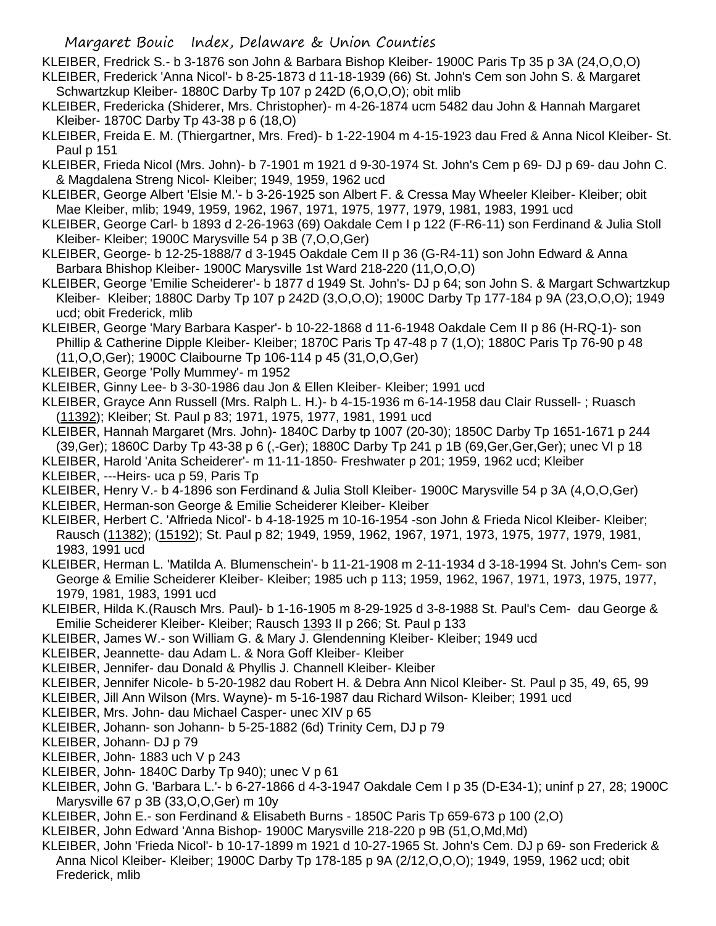- KLEIBER, Fredrick S.- b 3-1876 son John & Barbara Bishop Kleiber- 1900C Paris Tp 35 p 3A (24,O,O,O) KLEIBER, Frederick 'Anna Nicol'- b 8-25-1873 d 11-18-1939 (66) St. John's Cem son John S. & Margaret
- Schwartzkup Kleiber- 1880C Darby Tp 107 p 242D (6,O,O,O); obit mlib
- KLEIBER, Fredericka (Shiderer, Mrs. Christopher)- m 4-26-1874 ucm 5482 dau John & Hannah Margaret Kleiber- 1870C Darby Tp 43-38 p 6 (18,O)
- KLEIBER, Freida E. M. (Thiergartner, Mrs. Fred)- b 1-22-1904 m 4-15-1923 dau Fred & Anna Nicol Kleiber- St. Paul p 151
- KLEIBER, Frieda Nicol (Mrs. John)- b 7-1901 m 1921 d 9-30-1974 St. John's Cem p 69- DJ p 69- dau John C. & Magdalena Streng Nicol- Kleiber; 1949, 1959, 1962 ucd
- KLEIBER, George Albert 'Elsie M.'- b 3-26-1925 son Albert F. & Cressa May Wheeler Kleiber- Kleiber; obit Mae Kleiber, mlib; 1949, 1959, 1962, 1967, 1971, 1975, 1977, 1979, 1981, 1983, 1991 ucd
- KLEIBER, George Carl- b 1893 d 2-26-1963 (69) Oakdale Cem I p 122 (F-R6-11) son Ferdinand & Julia Stoll Kleiber- Kleiber; 1900C Marysville 54 p 3B (7,O,O,Ger)
- KLEIBER, George- b 12-25-1888/7 d 3-1945 Oakdale Cem II p 36 (G-R4-11) son John Edward & Anna Barbara Bhishop Kleiber- 1900C Marysville 1st Ward 218-220 (11,O,O,O)
- KLEIBER, George 'Emilie Scheiderer'- b 1877 d 1949 St. John's- DJ p 64; son John S. & Margart Schwartzkup Kleiber- Kleiber; 1880C Darby Tp 107 p 242D (3,O,O,O); 1900C Darby Tp 177-184 p 9A (23,O,O,O); 1949 ucd; obit Frederick, mlib
- KLEIBER, George 'Mary Barbara Kasper'- b 10-22-1868 d 11-6-1948 Oakdale Cem II p 86 (H-RQ-1)- son Phillip & Catherine Dipple Kleiber- Kleiber; 1870C Paris Tp 47-48 p 7 (1,O); 1880C Paris Tp 76-90 p 48 (11,O,O,Ger); 1900C Claibourne Tp 106-114 p 45 (31,O,O,Ger)
- KLEIBER, George 'Polly Mummey'- m 1952
- KLEIBER, Ginny Lee- b 3-30-1986 dau Jon & Ellen Kleiber- Kleiber; 1991 ucd
- KLEIBER, Grayce Ann Russell (Mrs. Ralph L. H.)- b 4-15-1936 m 6-14-1958 dau Clair Russell- ; Ruasch (11392); Kleiber; St. Paul p 83; 1971, 1975, 1977, 1981, 1991 ucd
- KLEIBER, Hannah Margaret (Mrs. John)- 1840C Darby tp 1007 (20-30); 1850C Darby Tp 1651-1671 p 244 (39,Ger); 1860C Darby Tp 43-38 p 6 (,-Ger); 1880C Darby Tp 241 p 1B (69,Ger,Ger,Ger); unec VI p 18
- KLEIBER, Harold 'Anita Scheiderer'- m 11-11-1850- Freshwater p 201; 1959, 1962 ucd; Kleiber
- KLEIBER, ---Heirs- uca p 59, Paris Tp
- KLEIBER, Henry V.- b 4-1896 son Ferdinand & Julia Stoll Kleiber- 1900C Marysville 54 p 3A (4,O,O,Ger)
- KLEIBER, Herman-son George & Emilie Scheiderer Kleiber- Kleiber
- KLEIBER, Herbert C. 'Alfrieda Nicol'- b 4-18-1925 m 10-16-1954 -son John & Frieda Nicol Kleiber- Kleiber; Rausch (11382); (15192); St. Paul p 82; 1949, 1959, 1962, 1967, 1971, 1973, 1975, 1977, 1979, 1981, 1983, 1991 ucd
- KLEIBER, Herman L. 'Matilda A. Blumenschein'- b 11-21-1908 m 2-11-1934 d 3-18-1994 St. John's Cem- son George & Emilie Scheiderer Kleiber- Kleiber; 1985 uch p 113; 1959, 1962, 1967, 1971, 1973, 1975, 1977, 1979, 1981, 1983, 1991 ucd
- KLEIBER, Hilda K.(Rausch Mrs. Paul)- b 1-16-1905 m 8-29-1925 d 3-8-1988 St. Paul's Cem- dau George & Emilie Scheiderer Kleiber- Kleiber; Rausch 1393 II p 266; St. Paul p 133
- KLEIBER, James W.- son William G. & Mary J. Glendenning Kleiber- Kleiber; 1949 ucd
- KLEIBER, Jeannette- dau Adam L. & Nora Goff Kleiber- Kleiber
- KLEIBER, Jennifer- dau Donald & Phyllis J. Channell Kleiber- Kleiber
- KLEIBER, Jennifer Nicole- b 5-20-1982 dau Robert H. & Debra Ann Nicol Kleiber- St. Paul p 35, 49, 65, 99
- KLEIBER, Jill Ann Wilson (Mrs. Wayne)- m 5-16-1987 dau Richard Wilson- Kleiber; 1991 ucd
- KLEIBER, Mrs. John- dau Michael Casper- unec XIV p 65
- KLEIBER, Johann- son Johann- b 5-25-1882 (6d) Trinity Cem, DJ p 79
- KLEIBER, Johann- DJ p 79
- KLEIBER, John- 1883 uch V p 243
- KLEIBER, John- 1840C Darby Tp 940); unec V p 61
- KLEIBER, John G. 'Barbara L.'- b 6-27-1866 d 4-3-1947 Oakdale Cem I p 35 (D-E34-1); uninf p 27, 28; 1900C Marysville 67 p 3B (33,O,O,Ger) m 10y
- KLEIBER, John E.- son Ferdinand & Elisabeth Burns 1850C Paris Tp 659-673 p 100 (2,O)
- KLEIBER, John Edward 'Anna Bishop- 1900C Marysville 218-220 p 9B (51,O,Md,Md)
- KLEIBER, John 'Frieda Nicol'- b 10-17-1899 m 1921 d 10-27-1965 St. John's Cem. DJ p 69- son Frederick & Anna Nicol Kleiber- Kleiber; 1900C Darby Tp 178-185 p 9A (2/12,O,O,O); 1949, 1959, 1962 ucd; obit Frederick, mlib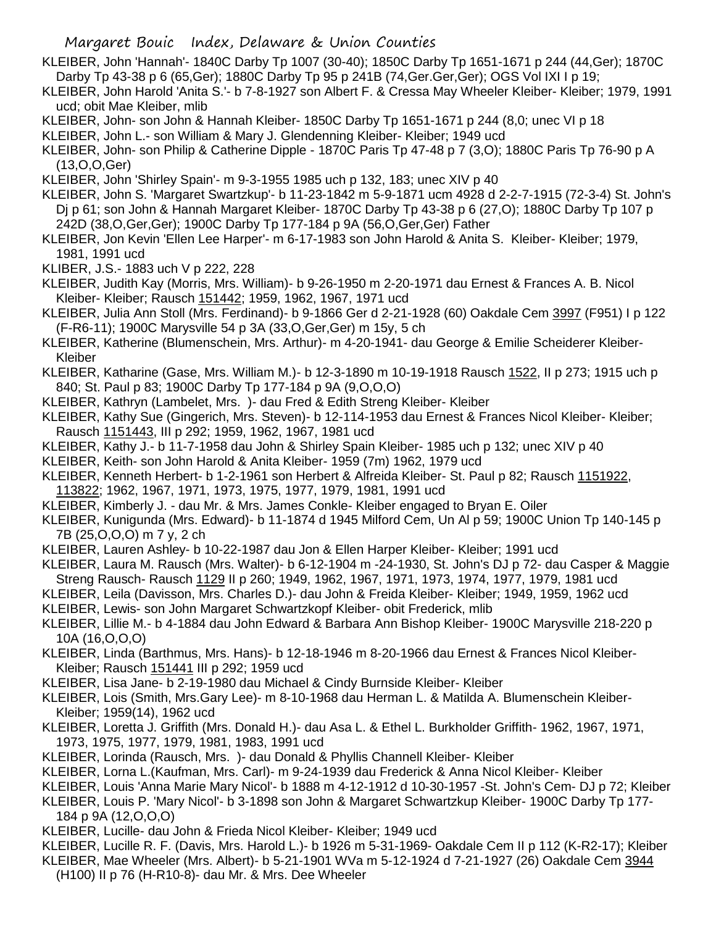KLEIBER, John 'Hannah'- 1840C Darby Tp 1007 (30-40); 1850C Darby Tp 1651-1671 p 244 (44,Ger); 1870C Darby Tp 43-38 p 6 (65,Ger); 1880C Darby Tp 95 p 241B (74,Ger.Ger,Ger); OGS Vol IXI I p 19;

- KLEIBER, John Harold 'Anita S.'- b 7-8-1927 son Albert F. & Cressa May Wheeler Kleiber- Kleiber; 1979, 1991 ucd; obit Mae Kleiber, mlib
- KLEIBER, John- son John & Hannah Kleiber- 1850C Darby Tp 1651-1671 p 244 (8,0; unec VI p 18
- KLEIBER, John L.- son William & Mary J. Glendenning Kleiber- Kleiber; 1949 ucd
- KLEIBER, John- son Philip & Catherine Dipple 1870C Paris Tp 47-48 p 7 (3,O); 1880C Paris Tp 76-90 p A (13,O,O,Ger)
- KLEIBER, John 'Shirley Spain'- m 9-3-1955 1985 uch p 132, 183; unec XIV p 40
- KLEIBER, John S. 'Margaret Swartzkup'- b 11-23-1842 m 5-9-1871 ucm 4928 d 2-2-7-1915 (72-3-4) St. John's Dj p 61; son John & Hannah Margaret Kleiber- 1870C Darby Tp 43-38 p 6 (27,O); 1880C Darby Tp 107 p 242D (38,O,Ger,Ger); 1900C Darby Tp 177-184 p 9A (56,O,Ger,Ger) Father
- KLEIBER, Jon Kevin 'Ellen Lee Harper'- m 6-17-1983 son John Harold & Anita S. Kleiber- Kleiber; 1979, 1981, 1991 ucd
- KLIBER, J.S.- 1883 uch V p 222, 228
- KLEIBER, Judith Kay (Morris, Mrs. William)- b 9-26-1950 m 2-20-1971 dau Ernest & Frances A. B. Nicol Kleiber- Kleiber; Rausch 151442; 1959, 1962, 1967, 1971 ucd
- KLEIBER, Julia Ann Stoll (Mrs. Ferdinand)- b 9-1866 Ger d 2-21-1928 (60) Oakdale Cem 3997 (F951) I p 122 (F-R6-11); 1900C Marysville 54 p 3A (33,O,Ger,Ger) m 15y, 5 ch
- KLEIBER, Katherine (Blumenschein, Mrs. Arthur)- m 4-20-1941- dau George & Emilie Scheiderer Kleiber-Kleiber
- KLEIBER, Katharine (Gase, Mrs. William M.)- b 12-3-1890 m 10-19-1918 Rausch 1522, II p 273; 1915 uch p 840; St. Paul p 83; 1900C Darby Tp 177-184 p 9A (9,O,O,O)
- KLEIBER, Kathryn (Lambelet, Mrs. )- dau Fred & Edith Streng Kleiber- Kleiber
- KLEIBER, Kathy Sue (Gingerich, Mrs. Steven)- b 12-114-1953 dau Ernest & Frances Nicol Kleiber- Kleiber; Rausch 1151443, III p 292; 1959, 1962, 1967, 1981 ucd
- KLEIBER, Kathy J.- b 11-7-1958 dau John & Shirley Spain Kleiber- 1985 uch p 132; unec XIV p 40
- KLEIBER, Keith- son John Harold & Anita Kleiber- 1959 (7m) 1962, 1979 ucd
- KLEIBER, Kenneth Herbert- b 1-2-1961 son Herbert & Alfreida Kleiber- St. Paul p 82; Rausch 1151922, 113822; 1962, 1967, 1971, 1973, 1975, 1977, 1979, 1981, 1991 ucd
- KLEIBER, Kimberly J. dau Mr. & Mrs. James Conkle- Kleiber engaged to Bryan E. Oiler
- KLEIBER, Kunigunda (Mrs. Edward)- b 11-1874 d 1945 Milford Cem, Un Al p 59; 1900C Union Tp 140-145 p 7B (25,O,O,O) m 7 y, 2 ch
- KLEIBER, Lauren Ashley- b 10-22-1987 dau Jon & Ellen Harper Kleiber- Kleiber; 1991 ucd
- KLEIBER, Laura M. Rausch (Mrs. Walter)- b 6-12-1904 m -24-1930, St. John's DJ p 72- dau Casper & Maggie Streng Rausch- Rausch 1129 II p 260; 1949, 1962, 1967, 1971, 1973, 1974, 1977, 1979, 1981 ucd
- KLEIBER, Leila (Davisson, Mrs. Charles D.)- dau John & Freida Kleiber- Kleiber; 1949, 1959, 1962 ucd
- KLEIBER, Lewis- son John Margaret Schwartzkopf Kleiber- obit Frederick, mlib
- KLEIBER, Lillie M.- b 4-1884 dau John Edward & Barbara Ann Bishop Kleiber- 1900C Marysville 218-220 p 10A (16,O,O,O)
- KLEIBER, Linda (Barthmus, Mrs. Hans)- b 12-18-1946 m 8-20-1966 dau Ernest & Frances Nicol Kleiber-Kleiber; Rausch 151441 III p 292; 1959 ucd
- KLEIBER, Lisa Jane- b 2-19-1980 dau Michael & Cindy Burnside Kleiber- Kleiber
- KLEIBER, Lois (Smith, Mrs.Gary Lee)- m 8-10-1968 dau Herman L. & Matilda A. Blumenschein Kleiber-Kleiber; 1959(14), 1962 ucd
- KLEIBER, Loretta J. Griffith (Mrs. Donald H.)- dau Asa L. & Ethel L. Burkholder Griffith- 1962, 1967, 1971, 1973, 1975, 1977, 1979, 1981, 1983, 1991 ucd
- KLEIBER, Lorinda (Rausch, Mrs. )- dau Donald & Phyllis Channell Kleiber- Kleiber
- KLEIBER, Lorna L.(Kaufman, Mrs. Carl)- m 9-24-1939 dau Frederick & Anna Nicol Kleiber- Kleiber
- KLEIBER, Louis 'Anna Marie Mary Nicol'- b 1888 m 4-12-1912 d 10-30-1957 -St. John's Cem- DJ p 72; Kleiber
- KLEIBER, Louis P. 'Mary Nicol'- b 3-1898 son John & Margaret Schwartzkup Kleiber- 1900C Darby Tp 177- 184 p 9A (12,O,O,O)
- KLEIBER, Lucille- dau John & Frieda Nicol Kleiber- Kleiber; 1949 ucd
- KLEIBER, Lucille R. F. (Davis, Mrs. Harold L.)- b 1926 m 5-31-1969- Oakdale Cem II p 112 (K-R2-17); Kleiber
- KLEIBER, Mae Wheeler (Mrs. Albert)- b 5-21-1901 WVa m 5-12-1924 d 7-21-1927 (26) Oakdale Cem 3944 (H100) II p 76 (H-R10-8)- dau Mr. & Mrs. Dee Wheeler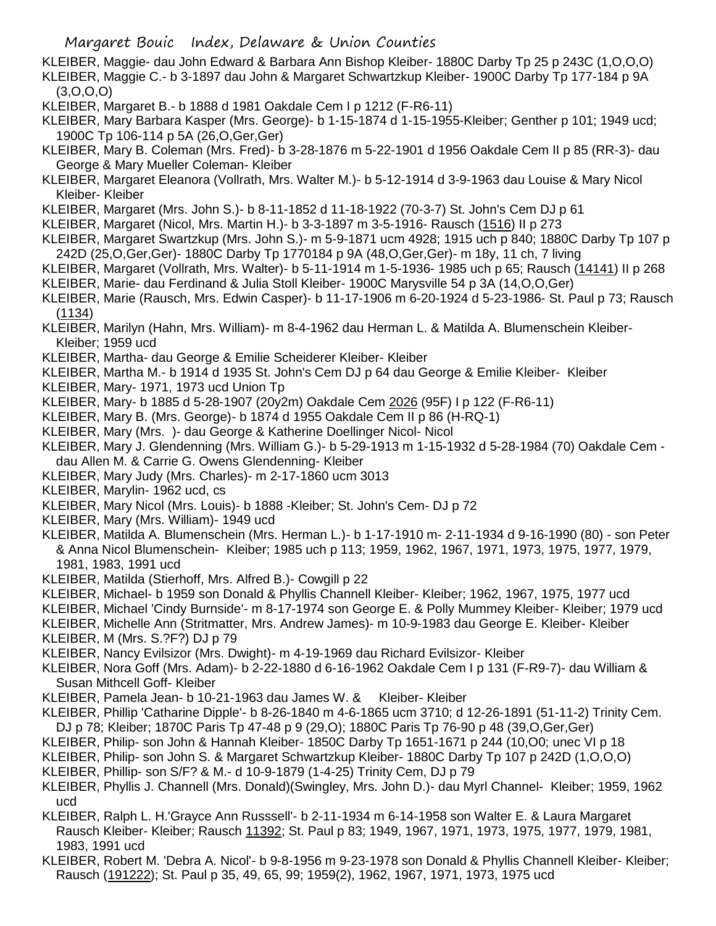KLEIBER, Maggie- dau John Edward & Barbara Ann Bishop Kleiber- 1880C Darby Tp 25 p 243C (1,O,O,O) KLEIBER, Maggie C.- b 3-1897 dau John & Margaret Schwartzkup Kleiber- 1900C Darby Tp 177-184 p 9A

(3,O,O,O)

- KLEIBER, Margaret B.- b 1888 d 1981 Oakdale Cem I p 1212 (F-R6-11)
- KLEIBER, Mary Barbara Kasper (Mrs. George)- b 1-15-1874 d 1-15-1955-Kleiber; Genther p 101; 1949 ucd; 1900C Tp 106-114 p 5A (26,O,Ger,Ger)
- KLEIBER, Mary B. Coleman (Mrs. Fred)- b 3-28-1876 m 5-22-1901 d 1956 Oakdale Cem II p 85 (RR-3)- dau George & Mary Mueller Coleman- Kleiber
- KLEIBER, Margaret Eleanora (Vollrath, Mrs. Walter M.)- b 5-12-1914 d 3-9-1963 dau Louise & Mary Nicol Kleiber- Kleiber
- KLEIBER, Margaret (Mrs. John S.)- b 8-11-1852 d 11-18-1922 (70-3-7) St. John's Cem DJ p 61
- KLEIBER, Margaret (Nicol, Mrs. Martin H.)- b 3-3-1897 m 3-5-1916- Rausch (1516) II p 273
- KLEIBER, Margaret Swartzkup (Mrs. John S.)- m 5-9-1871 ucm 4928; 1915 uch p 840; 1880C Darby Tp 107 p 242D (25,O,Ger,Ger)- 1880C Darby Tp 1770184 p 9A (48,O,Ger,Ger)- m 18y, 11 ch, 7 living
- KLEIBER, Margaret (Vollrath, Mrs. Walter)- b 5-11-1914 m 1-5-1936- 1985 uch p 65; Rausch (14141) II p 268
- KLEIBER, Marie- dau Ferdinand & Julia Stoll Kleiber- 1900C Marysville 54 p 3A (14,O,O,Ger)
- KLEIBER, Marie (Rausch, Mrs. Edwin Casper)- b 11-17-1906 m 6-20-1924 d 5-23-1986- St. Paul p 73; Rausch (1134)
- KLEIBER, Marilyn (Hahn, Mrs. William)- m 8-4-1962 dau Herman L. & Matilda A. Blumenschein Kleiber-Kleiber; 1959 ucd
- KLEIBER, Martha- dau George & Emilie Scheiderer Kleiber- Kleiber
- KLEIBER, Martha M.- b 1914 d 1935 St. John's Cem DJ p 64 dau George & Emilie Kleiber- Kleiber
- KLEIBER, Mary- 1971, 1973 ucd Union Tp
- KLEIBER, Mary- b 1885 d 5-28-1907 (20y2m) Oakdale Cem 2026 (95F) I p 122 (F-R6-11)
- KLEIBER, Mary B. (Mrs. George)- b 1874 d 1955 Oakdale Cem II p 86 (H-RQ-1)
- KLEIBER, Mary (Mrs. )- dau George & Katherine Doellinger Nicol- Nicol
- KLEIBER, Mary J. Glendenning (Mrs. William G.)- b 5-29-1913 m 1-15-1932 d 5-28-1984 (70) Oakdale Cem dau Allen M. & Carrie G. Owens Glendenning- Kleiber
- KLEIBER, Mary Judy (Mrs. Charles)- m 2-17-1860 ucm 3013
- KLEIBER, Marylin- 1962 ucd, cs
- KLEIBER, Mary Nicol (Mrs. Louis)- b 1888 -Kleiber; St. John's Cem- DJ p 72
- KLEIBER, Mary (Mrs. William)- 1949 ucd
- KLEIBER, Matilda A. Blumenschein (Mrs. Herman L.)- b 1-17-1910 m- 2-11-1934 d 9-16-1990 (80) son Peter & Anna Nicol Blumenschein- Kleiber; 1985 uch p 113; 1959, 1962, 1967, 1971, 1973, 1975, 1977, 1979, 1981, 1983, 1991 ucd
- KLEIBER, Matilda (Stierhoff, Mrs. Alfred B.)- Cowgill p 22
- KLEIBER, Michael- b 1959 son Donald & Phyllis Channell Kleiber- Kleiber; 1962, 1967, 1975, 1977 ucd
- KLEIBER, Michael 'Cindy Burnside'- m 8-17-1974 son George E. & Polly Mummey Kleiber- Kleiber; 1979 ucd
- KLEIBER, Michelle Ann (Stritmatter, Mrs. Andrew James)- m 10-9-1983 dau George E. Kleiber- Kleiber
- KLEIBER, M (Mrs. S.?F?) DJ p 79
- KLEIBER, Nancy Evilsizor (Mrs. Dwight)- m 4-19-1969 dau Richard Evilsizor- Kleiber
- KLEIBER, Nora Goff (Mrs. Adam)- b 2-22-1880 d 6-16-1962 Oakdale Cem I p 131 (F-R9-7)- dau William & Susan Mithcell Goff- Kleiber
- KLEIBER, Pamela Jean- b 10-21-1963 dau James W. & Kleiber- Kleiber
- KLEIBER, Phillip 'Catharine Dipple'- b 8-26-1840 m 4-6-1865 ucm 3710; d 12-26-1891 (51-11-2) Trinity Cem.
- DJ p 78; Kleiber; 1870C Paris Tp 47-48 p 9 (29,O); 1880C Paris Tp 76-90 p 48 (39,O,Ger,Ger)
- KLEIBER, Philip- son John & Hannah Kleiber- 1850C Darby Tp 1651-1671 p 244 (10,O0; unec VI p 18
- KLEIBER, Philip- son John S. & Margaret Schwartzkup Kleiber- 1880C Darby Tp 107 p 242D (1,O,O,O)
- KLEIBER, Phillip- son S/F? & M.- d 10-9-1879 (1-4-25) Trinity Cem, DJ p 79
- KLEIBER, Phyllis J. Channell (Mrs. Donald)(Swingley, Mrs. John D.)- dau Myrl Channel- Kleiber; 1959, 1962 ucd
- KLEIBER, Ralph L. H.'Grayce Ann Russsell'- b 2-11-1934 m 6-14-1958 son Walter E. & Laura Margaret Rausch Kleiber- Kleiber; Rausch 11392; St. Paul p 83; 1949, 1967, 1971, 1973, 1975, 1977, 1979, 1981, 1983, 1991 ucd
- KLEIBER, Robert M. 'Debra A. Nicol'- b 9-8-1956 m 9-23-1978 son Donald & Phyllis Channell Kleiber- Kleiber; Rausch (191222); St. Paul p 35, 49, 65, 99; 1959(2), 1962, 1967, 1971, 1973, 1975 ucd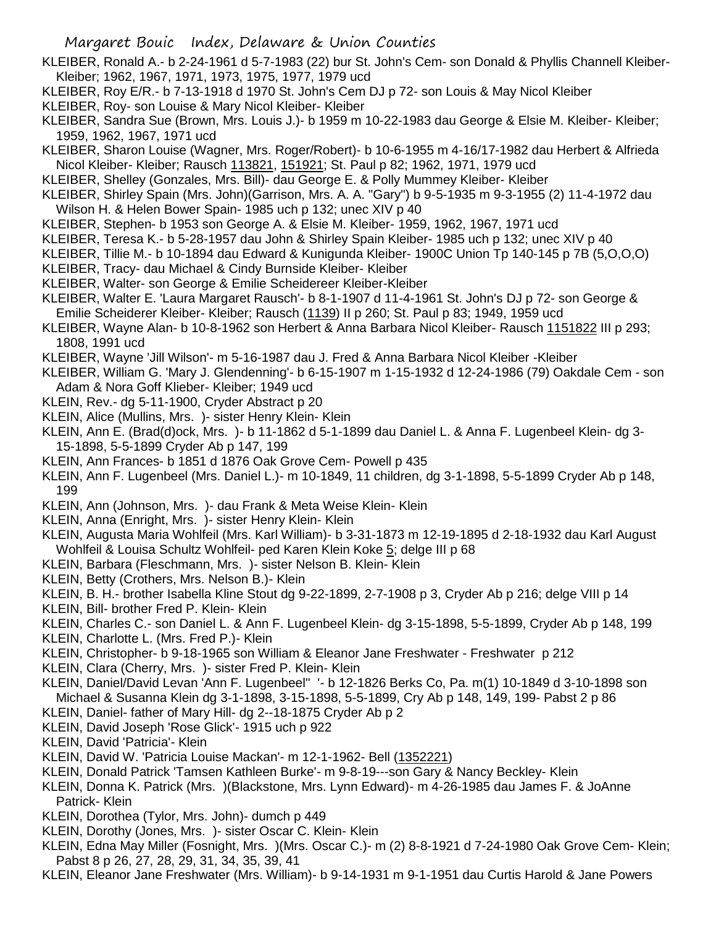- KLEIBER, Ronald A.- b 2-24-1961 d 5-7-1983 (22) bur St. John's Cem- son Donald & Phyllis Channell Kleiber-Kleiber; 1962, 1967, 1971, 1973, 1975, 1977, 1979 ucd
- KLEIBER, Roy E/R.- b 7-13-1918 d 1970 St. John's Cem DJ p 72- son Louis & May Nicol Kleiber
- KLEIBER, Roy- son Louise & Mary Nicol Kleiber- Kleiber
- KLEIBER, Sandra Sue (Brown, Mrs. Louis J.)- b 1959 m 10-22-1983 dau George & Elsie M. Kleiber- Kleiber; 1959, 1962, 1967, 1971 ucd
- KLEIBER, Sharon Louise (Wagner, Mrs. Roger/Robert)- b 10-6-1955 m 4-16/17-1982 dau Herbert & Alfrieda Nicol Kleiber- Kleiber; Rausch 113821, 151921; St. Paul p 82; 1962, 1971, 1979 ucd
- KLEIBER, Shelley (Gonzales, Mrs. Bill)- dau George E. & Polly Mummey Kleiber- Kleiber
- KLEIBER, Shirley Spain (Mrs. John)(Garrison, Mrs. A. A. "Gary") b 9-5-1935 m 9-3-1955 (2) 11-4-1972 dau Wilson H. & Helen Bower Spain- 1985 uch p 132; unec XIV p 40
- KLEIBER, Stephen- b 1953 son George A. & Elsie M. Kleiber- 1959, 1962, 1967, 1971 ucd
- KLEIBER, Teresa K.- b 5-28-1957 dau John & Shirley Spain Kleiber- 1985 uch p 132; unec XIV p 40
- KLEIBER, Tillie M.- b 10-1894 dau Edward & Kunigunda Kleiber- 1900C Union Tp 140-145 p 7B (5,O,O,O)
- KLEIBER, Tracy- dau Michael & Cindy Burnside Kleiber- Kleiber
- KLEIBER, Walter- son George & Emilie Scheidereer Kleiber-Kleiber
- KLEIBER, Walter E. 'Laura Margaret Rausch'- b 8-1-1907 d 11-4-1961 St. John's DJ p 72- son George & Emilie Scheiderer Kleiber- Kleiber; Rausch (1139) II p 260; St. Paul p 83; 1949, 1959 ucd
- KLEIBER, Wayne Alan- b 10-8-1962 son Herbert & Anna Barbara Nicol Kleiber- Rausch 1151822 III p 293; 1808, 1991 ucd
- KLEIBER, Wayne 'Jill Wilson'- m 5-16-1987 dau J. Fred & Anna Barbara Nicol Kleiber -Kleiber
- KLEIBER, William G. 'Mary J. Glendenning'- b 6-15-1907 m 1-15-1932 d 12-24-1986 (79) Oakdale Cem son Adam & Nora Goff Klieber- Kleiber; 1949 ucd
- KLEIN, Rev.- dg 5-11-1900, Cryder Abstract p 20
- KLEIN, Alice (Mullins, Mrs. )- sister Henry Klein- Klein
- KLEIN, Ann E. (Brad(d)ock, Mrs. )- b 11-1862 d 5-1-1899 dau Daniel L. & Anna F. Lugenbeel Klein- dg 3- 15-1898, 5-5-1899 Cryder Ab p 147, 199
- KLEIN, Ann Frances- b 1851 d 1876 Oak Grove Cem- Powell p 435
- KLEIN, Ann F. Lugenbeel (Mrs. Daniel L.)- m 10-1849, 11 children, dg 3-1-1898, 5-5-1899 Cryder Ab p 148, 199
- KLEIN, Ann (Johnson, Mrs. )- dau Frank & Meta Weise Klein- Klein
- KLEIN, Anna (Enright, Mrs. )- sister Henry Klein- Klein
- KLEIN, Augusta Maria Wohlfeil (Mrs. Karl William)- b 3-31-1873 m 12-19-1895 d 2-18-1932 dau Karl August Wohlfeil & Louisa Schultz Wohlfeil- ped Karen Klein Koke 5; delge III p 68
- KLEIN, Barbara (Fleschmann, Mrs. )- sister Nelson B. Klein- Klein
- KLEIN, Betty (Crothers, Mrs. Nelson B.)- Klein
- KLEIN, B. H.- brother Isabella Kline Stout dg 9-22-1899, 2-7-1908 p 3, Cryder Ab p 216; delge VIII p 14
- KLEIN, Bill- brother Fred P. Klein- Klein
- KLEIN, Charles C.- son Daniel L. & Ann F. Lugenbeel Klein- dg 3-15-1898, 5-5-1899, Cryder Ab p 148, 199
- KLEIN, Charlotte L. (Mrs. Fred P.)- Klein
- KLEIN, Christopher- b 9-18-1965 son William & Eleanor Jane Freshwater Freshwater p 212
- KLEIN, Clara (Cherry, Mrs. )- sister Fred P. Klein- Klein
- KLEIN, Daniel/David Levan 'Ann F. Lugenbeel'' '- b 12-1826 Berks Co, Pa. m(1) 10-1849 d 3-10-1898 son Michael & Susanna Klein dg 3-1-1898, 3-15-1898, 5-5-1899, Cry Ab p 148, 149, 199- Pabst 2 p 86
- KLEIN, Daniel- father of Mary Hill- dg 2--18-1875 Cryder Ab p 2
- KLEIN, David Joseph 'Rose Glick'- 1915 uch p 922
- KLEIN, David 'Patricia'- Klein
- KLEIN, David W. 'Patricia Louise Mackan'- m 12-1-1962- Bell (1352221)
- KLEIN, Donald Patrick 'Tamsen Kathleen Burke'- m 9-8-19---son Gary & Nancy Beckley- Klein
- KLEIN, Donna K. Patrick (Mrs. )(Blackstone, Mrs. Lynn Edward)- m 4-26-1985 dau James F. & JoAnne Patrick- Klein
- KLEIN, Dorothea (Tylor, Mrs. John)- dumch p 449
- KLEIN, Dorothy (Jones, Mrs. )- sister Oscar C. Klein- Klein
- KLEIN, Edna May Miller (Fosnight, Mrs. )(Mrs. Oscar C.)- m (2) 8-8-1921 d 7-24-1980 Oak Grove Cem- Klein; Pabst 8 p 26, 27, 28, 29, 31, 34, 35, 39, 41
- KLEIN, Eleanor Jane Freshwater (Mrs. William)- b 9-14-1931 m 9-1-1951 dau Curtis Harold & Jane Powers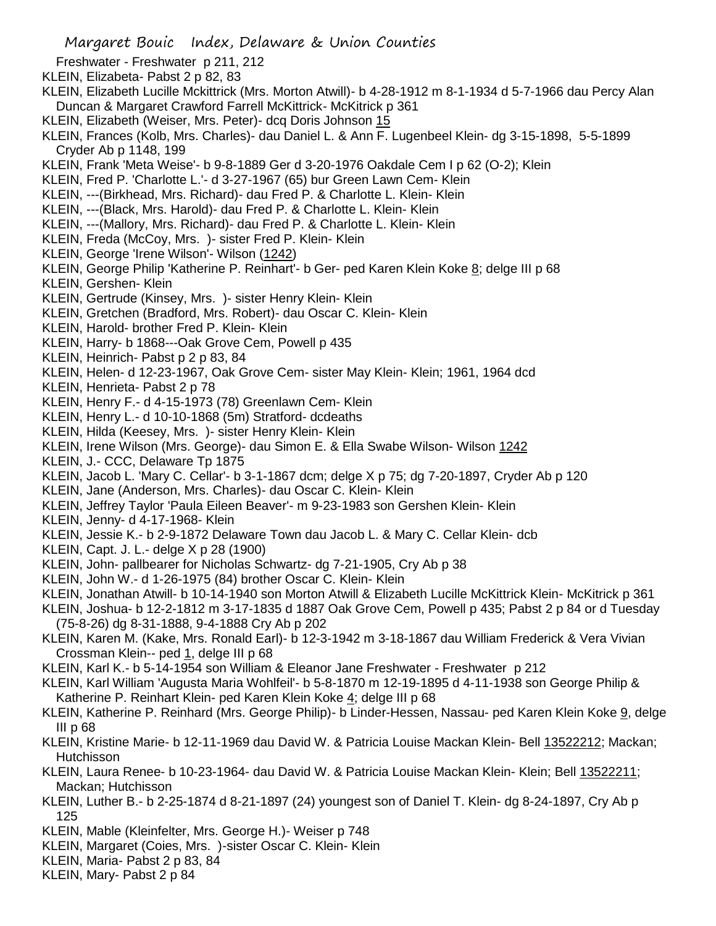- Freshwater Freshwater p 211, 212
- KLEIN, Elizabeta- Pabst 2 p 82, 83
- KLEIN, Elizabeth Lucille Mckittrick (Mrs. Morton Atwill)- b 4-28-1912 m 8-1-1934 d 5-7-1966 dau Percy Alan Duncan & Margaret Crawford Farrell McKittrick- McKitrick p 361
- KLEIN, Elizabeth (Weiser, Mrs. Peter)- dcq Doris Johnson 15
- KLEIN, Frances (Kolb, Mrs. Charles)- dau Daniel L. & Ann F. Lugenbeel Klein- dg 3-15-1898, 5-5-1899 Cryder Ab p 1148, 199
- KLEIN, Frank 'Meta Weise'- b 9-8-1889 Ger d 3-20-1976 Oakdale Cem I p 62 (O-2); Klein
- KLEIN, Fred P. 'Charlotte L.'- d 3-27-1967 (65) bur Green Lawn Cem- Klein
- KLEIN, ---(Birkhead, Mrs. Richard)- dau Fred P. & Charlotte L. Klein- Klein
- KLEIN, ---(Black, Mrs. Harold)- dau Fred P. & Charlotte L. Klein- Klein
- KLEIN, ---(Mallory, Mrs. Richard)- dau Fred P. & Charlotte L. Klein- Klein
- KLEIN, Freda (McCoy, Mrs. )- sister Fred P. Klein- Klein
- KLEIN, George 'Irene Wilson'- Wilson (1242)
- KLEIN, George Philip 'Katherine P. Reinhart'- b Ger- ped Karen Klein Koke 8; delge III p 68
- KLEIN, Gershen- Klein
- KLEIN, Gertrude (Kinsey, Mrs. )- sister Henry Klein- Klein
- KLEIN, Gretchen (Bradford, Mrs. Robert)- dau Oscar C. Klein- Klein
- KLEIN, Harold- brother Fred P. Klein- Klein
- KLEIN, Harry- b 1868---Oak Grove Cem, Powell p 435
- KLEIN, Heinrich- Pabst p 2 p 83, 84
- KLEIN, Helen- d 12-23-1967, Oak Grove Cem- sister May Klein- Klein; 1961, 1964 dcd
- KLEIN, Henrieta- Pabst 2 p 78
- KLEIN, Henry F.- d 4-15-1973 (78) Greenlawn Cem- Klein
- KLEIN, Henry L.- d 10-10-1868 (5m) Stratford- dcdeaths
- KLEIN, Hilda (Keesey, Mrs. )- sister Henry Klein- Klein
- KLEIN, Irene Wilson (Mrs. George)- dau Simon E. & Ella Swabe Wilson- Wilson 1242
- KLEIN, J.- CCC, Delaware Tp 1875
- KLEIN, Jacob L. 'Mary C. Cellar'- b 3-1-1867 dcm; delge X p 75; dg 7-20-1897, Cryder Ab p 120
- KLEIN, Jane (Anderson, Mrs. Charles)- dau Oscar C. Klein- Klein
- KLEIN, Jeffrey Taylor 'Paula Eileen Beaver'- m 9-23-1983 son Gershen Klein- Klein
- KLEIN, Jenny- d 4-17-1968- Klein
- KLEIN, Jessie K.- b 2-9-1872 Delaware Town dau Jacob L. & Mary C. Cellar Klein- dcb
- KLEIN, Capt. J. L.- delge X p 28 (1900)
- KLEIN, John- pallbearer for Nicholas Schwartz- dg 7-21-1905, Cry Ab p 38
- KLEIN, John W.- d 1-26-1975 (84) brother Oscar C. Klein- Klein
- KLEIN, Jonathan Atwill- b 10-14-1940 son Morton Atwill & Elizabeth Lucille McKittrick Klein- McKitrick p 361
- KLEIN, Joshua- b 12-2-1812 m 3-17-1835 d 1887 Oak Grove Cem, Powell p 435; Pabst 2 p 84 or d Tuesday (75-8-26) dg 8-31-1888, 9-4-1888 Cry Ab p 202
- KLEIN, Karen M. (Kake, Mrs. Ronald Earl)- b 12-3-1942 m 3-18-1867 dau William Frederick & Vera Vivian Crossman Klein-- ped 1, delge III p 68
- KLEIN, Karl K.- b 5-14-1954 son William & Eleanor Jane Freshwater Freshwater p 212
- KLEIN, Karl William 'Augusta Maria Wohlfeil'- b 5-8-1870 m 12-19-1895 d 4-11-1938 son George Philip & Katherine P. Reinhart Klein- ped Karen Klein Koke 4; delge III p 68
- KLEIN, Katherine P. Reinhard (Mrs. George Philip)- b Linder-Hessen, Nassau- ped Karen Klein Koke <u>9,</u> delge III p 68
- KLEIN, Kristine Marie- b 12-11-1969 dau David W. & Patricia Louise Mackan Klein- Bell 13522212; Mackan; Hutchisson
- KLEIN, Laura Renee- b 10-23-1964- dau David W. & Patricia Louise Mackan Klein- Klein; Bell 13522211; Mackan; Hutchisson
- KLEIN, Luther B.- b 2-25-1874 d 8-21-1897 (24) youngest son of Daniel T. Klein- dg 8-24-1897, Cry Ab p 125
- KLEIN, Mable (Kleinfelter, Mrs. George H.)- Weiser p 748
- KLEIN, Margaret (Coies, Mrs. )-sister Oscar C. Klein- Klein
- KLEIN, Maria- Pabst 2 p 83, 84
- KLEIN, Mary- Pabst 2 p 84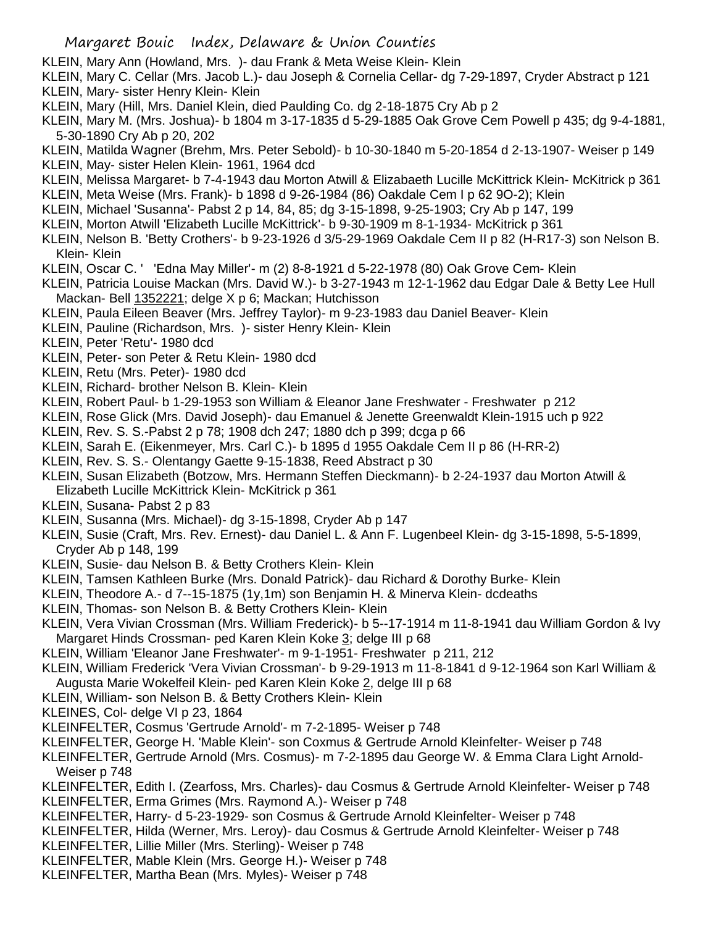- KLEIN, Mary Ann (Howland, Mrs. )- dau Frank & Meta Weise Klein- Klein
- KLEIN, Mary C. Cellar (Mrs. Jacob L.)- dau Joseph & Cornelia Cellar- dg 7-29-1897, Cryder Abstract p 121 KLEIN, Mary- sister Henry Klein- Klein
- KLEIN, Mary (Hill, Mrs. Daniel Klein, died Paulding Co. dg 2-18-1875 Cry Ab p 2
- KLEIN, Mary M. (Mrs. Joshua)- b 1804 m 3-17-1835 d 5-29-1885 Oak Grove Cem Powell p 435; dg 9-4-1881, 5-30-1890 Cry Ab p 20, 202
- KLEIN, Matilda Wagner (Brehm, Mrs. Peter Sebold)- b 10-30-1840 m 5-20-1854 d 2-13-1907- Weiser p 149 KLEIN, May- sister Helen Klein- 1961, 1964 dcd
- KLEIN, Melissa Margaret- b 7-4-1943 dau Morton Atwill & Elizabaeth Lucille McKittrick Klein- McKitrick p 361
- KLEIN, Meta Weise (Mrs. Frank)- b 1898 d 9-26-1984 (86) Oakdale Cem I p 62 9O-2); Klein
- KLEIN, Michael 'Susanna'- Pabst 2 p 14, 84, 85; dg 3-15-1898, 9-25-1903; Cry Ab p 147, 199
- KLEIN, Morton Atwill 'Elizabeth Lucille McKittrick'- b 9-30-1909 m 8-1-1934- McKitrick p 361
- KLEIN, Nelson B. 'Betty Crothers'- b 9-23-1926 d 3/5-29-1969 Oakdale Cem II p 82 (H-R17-3) son Nelson B. Klein- Klein
- KLEIN, Oscar C. ' 'Edna May Miller'- m (2) 8-8-1921 d 5-22-1978 (80) Oak Grove Cem- Klein
- KLEIN, Patricia Louise Mackan (Mrs. David W.)- b 3-27-1943 m 12-1-1962 dau Edgar Dale & Betty Lee Hull Mackan- Bell 1352221; delge X p 6; Mackan; Hutchisson
- KLEIN, Paula Eileen Beaver (Mrs. Jeffrey Taylor)- m 9-23-1983 dau Daniel Beaver- Klein
- KLEIN, Pauline (Richardson, Mrs. )- sister Henry Klein- Klein
- KLEIN, Peter 'Retu'- 1980 dcd
- KLEIN, Peter- son Peter & Retu Klein- 1980 dcd
- KLEIN, Retu (Mrs. Peter)- 1980 dcd
- KLEIN, Richard- brother Nelson B. Klein- Klein
- KLEIN, Robert Paul- b 1-29-1953 son William & Eleanor Jane Freshwater Freshwater p 212
- KLEIN, Rose Glick (Mrs. David Joseph)- dau Emanuel & Jenette Greenwaldt Klein-1915 uch p 922
- KLEIN, Rev. S. S.-Pabst 2 p 78; 1908 dch 247; 1880 dch p 399; dcga p 66
- KLEIN, Sarah E. (Eikenmeyer, Mrs. Carl C.)- b 1895 d 1955 Oakdale Cem II p 86 (H-RR-2)
- KLEIN, Rev. S. S.- Olentangy Gaette 9-15-1838, Reed Abstract p 30
- KLEIN, Susan Elizabeth (Botzow, Mrs. Hermann Steffen Dieckmann)- b 2-24-1937 dau Morton Atwill & Elizabeth Lucille McKittrick Klein- McKitrick p 361
- KLEIN, Susana- Pabst 2 p 83
- KLEIN, Susanna (Mrs. Michael)- dg 3-15-1898, Cryder Ab p 147
- KLEIN, Susie (Craft, Mrs. Rev. Ernest)- dau Daniel L. & Ann F. Lugenbeel Klein- dg 3-15-1898, 5-5-1899, Cryder Ab p 148, 199
- KLEIN, Susie- dau Nelson B. & Betty Crothers Klein- Klein
- KLEIN, Tamsen Kathleen Burke (Mrs. Donald Patrick)- dau Richard & Dorothy Burke- Klein
- KLEIN, Theodore A.- d 7--15-1875 (1y,1m) son Benjamin H. & Minerva Klein- dcdeaths
- KLEIN, Thomas- son Nelson B. & Betty Crothers Klein- Klein
- KLEIN, Vera Vivian Crossman (Mrs. William Frederick)- b 5--17-1914 m 11-8-1941 dau William Gordon & Ivy Margaret Hinds Crossman- ped Karen Klein Koke 3; delge III p 68
- KLEIN, William 'Eleanor Jane Freshwater'- m 9-1-1951- Freshwater p 211, 212
- KLEIN, William Frederick 'Vera Vivian Crossman'- b 9-29-1913 m 11-8-1841 d 9-12-1964 son Karl William & Augusta Marie Wokelfeil Klein- ped Karen Klein Koke 2, delge III p 68
- KLEIN, William- son Nelson B. & Betty Crothers Klein- Klein
- KLEINES, Col- delge VI p 23, 1864
- KLEINFELTER, Cosmus 'Gertrude Arnold'- m 7-2-1895- Weiser p 748
- KLEINFELTER, George H. 'Mable Klein'- son Coxmus & Gertrude Arnold Kleinfelter- Weiser p 748
- KLEINFELTER, Gertrude Arnold (Mrs. Cosmus)- m 7-2-1895 dau George W. & Emma Clara Light Arnold-Weiser p 748
- KLEINFELTER, Edith I. (Zearfoss, Mrs. Charles)- dau Cosmus & Gertrude Arnold Kleinfelter- Weiser p 748
- KLEINFELTER, Erma Grimes (Mrs. Raymond A.)- Weiser p 748
- KLEINFELTER, Harry- d 5-23-1929- son Cosmus & Gertrude Arnold Kleinfelter- Weiser p 748
- KLEINFELTER, Hilda (Werner, Mrs. Leroy)- dau Cosmus & Gertrude Arnold Kleinfelter- Weiser p 748
- KLEINFELTER, Lillie Miller (Mrs. Sterling)- Weiser p 748
- KLEINFELTER, Mable Klein (Mrs. George H.)- Weiser p 748
- KLEINFELTER, Martha Bean (Mrs. Myles)- Weiser p 748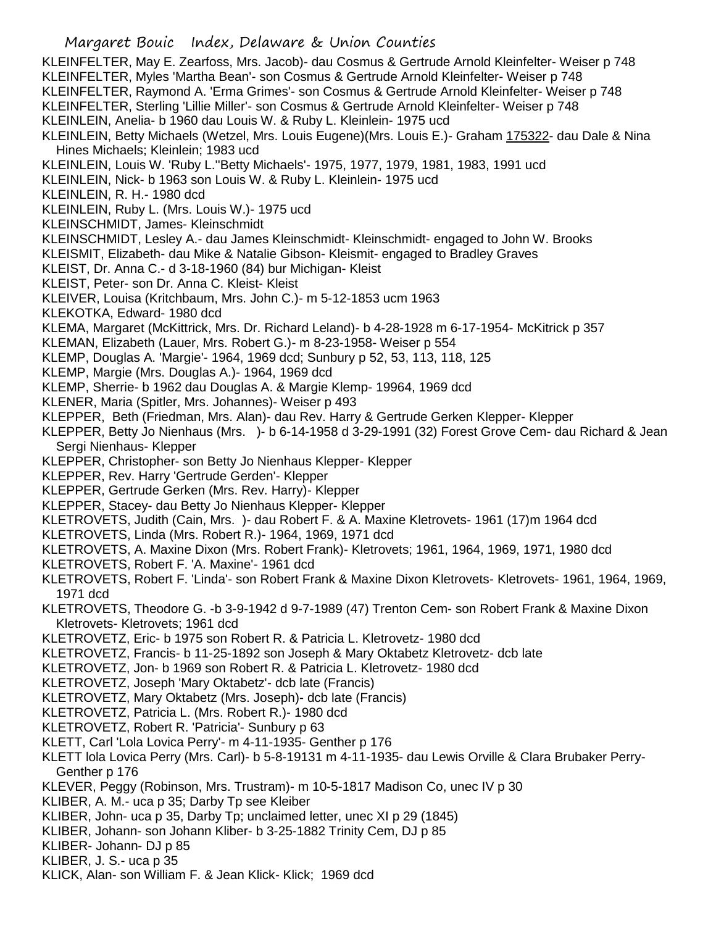KLEINFELTER, May E. Zearfoss, Mrs. Jacob)- dau Cosmus & Gertrude Arnold Kleinfelter- Weiser p 748 KLEINFELTER, Myles 'Martha Bean'- son Cosmus & Gertrude Arnold Kleinfelter- Weiser p 748 KLEINFELTER, Raymond A. 'Erma Grimes'- son Cosmus & Gertrude Arnold Kleinfelter- Weiser p 748 KLEINFELTER, Sterling 'Lillie Miller'- son Cosmus & Gertrude Arnold Kleinfelter- Weiser p 748 KLEINLEIN, Anelia- b 1960 dau Louis W. & Ruby L. Kleinlein- 1975 ucd KLEINLEIN, Betty Michaels (Wetzel, Mrs. Louis Eugene)(Mrs. Louis E.)- Graham 175322- dau Dale & Nina Hines Michaels; Kleinlein; 1983 ucd KLEINLEIN, Louis W. 'Ruby L.''Betty Michaels'- 1975, 1977, 1979, 1981, 1983, 1991 ucd KLEINLEIN, Nick- b 1963 son Louis W. & Ruby L. Kleinlein- 1975 ucd KLEINLEIN, R. H.- 1980 dcd KLEINLEIN, Ruby L. (Mrs. Louis W.)- 1975 ucd KLEINSCHMIDT, James- Kleinschmidt KLEINSCHMIDT, Lesley A.- dau James Kleinschmidt- Kleinschmidt- engaged to John W. Brooks KLEISMIT, Elizabeth- dau Mike & Natalie Gibson- Kleismit- engaged to Bradley Graves KLEIST, Dr. Anna C.- d 3-18-1960 (84) bur Michigan- Kleist KLEIST, Peter- son Dr. Anna C. Kleist- Kleist KLEIVER, Louisa (Kritchbaum, Mrs. John C.)- m 5-12-1853 ucm 1963 KLEKOTKA, Edward- 1980 dcd KLEMA, Margaret (McKittrick, Mrs. Dr. Richard Leland)- b 4-28-1928 m 6-17-1954- McKitrick p 357 KLEMAN, Elizabeth (Lauer, Mrs. Robert G.)- m 8-23-1958- Weiser p 554 KLEMP, Douglas A. 'Margie'- 1964, 1969 dcd; Sunbury p 52, 53, 113, 118, 125 KLEMP, Margie (Mrs. Douglas A.)- 1964, 1969 dcd KLEMP, Sherrie- b 1962 dau Douglas A. & Margie Klemp- 19964, 1969 dcd KLENER, Maria (Spitler, Mrs. Johannes)- Weiser p 493 KLEPPER, Beth (Friedman, Mrs. Alan)- dau Rev. Harry & Gertrude Gerken Klepper- Klepper KLEPPER, Betty Jo Nienhaus (Mrs. )- b 6-14-1958 d 3-29-1991 (32) Forest Grove Cem- dau Richard & Jean Sergi Nienhaus- Klepper KLEPPER, Christopher- son Betty Jo Nienhaus Klepper- Klepper KLEPPER, Rev. Harry 'Gertrude Gerden'- Klepper KLEPPER, Gertrude Gerken (Mrs. Rev. Harry)- Klepper KLEPPER, Stacey- dau Betty Jo Nienhaus Klepper- Klepper KLETROVETS, Judith (Cain, Mrs. )- dau Robert F. & A. Maxine Kletrovets- 1961 (17)m 1964 dcd KLETROVETS, Linda (Mrs. Robert R.)- 1964, 1969, 1971 dcd KLETROVETS, A. Maxine Dixon (Mrs. Robert Frank)- Kletrovets; 1961, 1964, 1969, 1971, 1980 dcd KLETROVETS, Robert F. 'A. Maxine'- 1961 dcd KLETROVETS, Robert F. 'Linda'- son Robert Frank & Maxine Dixon Kletrovets- Kletrovets- 1961, 1964, 1969, 1971 dcd KLETROVETS, Theodore G. -b 3-9-1942 d 9-7-1989 (47) Trenton Cem- son Robert Frank & Maxine Dixon Kletrovets- Kletrovets; 1961 dcd KLETROVETZ, Eric- b 1975 son Robert R. & Patricia L. Kletrovetz- 1980 dcd KLETROVETZ, Francis- b 11-25-1892 son Joseph & Mary Oktabetz Kletrovetz- dcb late KLETROVETZ, Jon- b 1969 son Robert R. & Patricia L. Kletrovetz- 1980 dcd KLETROVETZ, Joseph 'Mary Oktabetz'- dcb late (Francis) KLETROVETZ, Mary Oktabetz (Mrs. Joseph)- dcb late (Francis) KLETROVETZ, Patricia L. (Mrs. Robert R.)- 1980 dcd KLETROVETZ, Robert R. 'Patricia'- Sunbury p 63 KLETT, Carl 'Lola Lovica Perry'- m 4-11-1935- Genther p 176 KLETT lola Lovica Perry (Mrs. Carl)- b 5-8-19131 m 4-11-1935- dau Lewis Orville & Clara Brubaker Perry-Genther p 176 KLEVER, Peggy (Robinson, Mrs. Trustram)- m 10-5-1817 Madison Co, unec IV p 30 KLIBER, A. M.- uca p 35; Darby Tp see Kleiber KLIBER, John- uca p 35, Darby Tp; unclaimed letter, unec XI p 29 (1845) KLIBER, Johann- son Johann Kliber- b 3-25-1882 Trinity Cem, DJ p 85 KLIBER- Johann- DJ p 85 KLIBER, J. S.- uca p 35

KLICK, Alan- son William F. & Jean Klick- Klick; 1969 dcd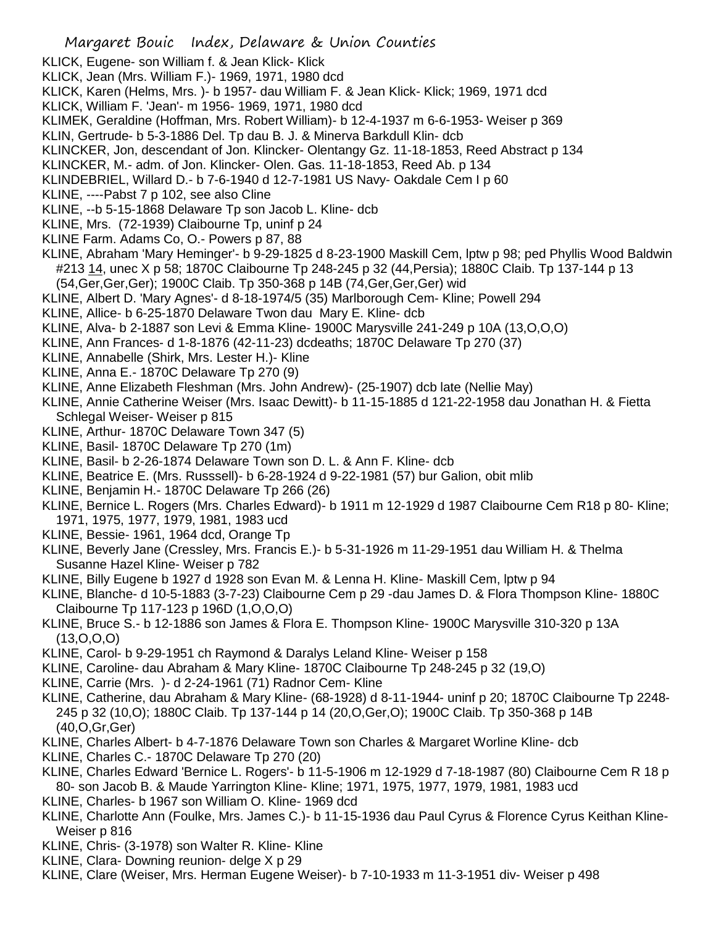- KLICK, Eugene- son William f. & Jean Klick- Klick
- KLICK, Jean (Mrs. William F.)- 1969, 1971, 1980 dcd
- KLICK, Karen (Helms, Mrs. )- b 1957- dau William F. & Jean Klick- Klick; 1969, 1971 dcd
- KLICK, William F. 'Jean'- m 1956- 1969, 1971, 1980 dcd
- KLIMEK, Geraldine (Hoffman, Mrs. Robert William)- b 12-4-1937 m 6-6-1953- Weiser p 369
- KLIN, Gertrude- b 5-3-1886 Del. Tp dau B. J. & Minerva Barkdull Klin- dcb
- KLINCKER, Jon, descendant of Jon. Klincker- Olentangy Gz. 11-18-1853, Reed Abstract p 134
- KLINCKER, M.- adm. of Jon. Klincker- Olen. Gas. 11-18-1853, Reed Ab. p 134
- KLINDEBRIEL, Willard D.- b 7-6-1940 d 12-7-1981 US Navy- Oakdale Cem I p 60
- KLINE, ----Pabst 7 p 102, see also Cline
- KLINE, --b 5-15-1868 Delaware Tp son Jacob L. Kline- dcb
- KLINE, Mrs. (72-1939) Claibourne Tp, uninf p 24
- KLINE Farm. Adams Co, O.- Powers p 87, 88
- KLINE, Abraham 'Mary Heminger'- b 9-29-1825 d 8-23-1900 Maskill Cem, lptw p 98; ped Phyllis Wood Baldwin #213 14, unec X p 58; 1870C Claibourne Tp 248-245 p 32 (44, Persia); 1880C Claib. Tp 137-144 p 13 (54,Ger,Ger,Ger); 1900C Claib. Tp 350-368 p 14B (74,Ger,Ger,Ger) wid
- KLINE, Albert D. 'Mary Agnes'- d 8-18-1974/5 (35) Marlborough Cem- Kline; Powell 294
- KLINE, Allice- b 6-25-1870 Delaware Twon dau Mary E. Kline- dcb
- KLINE, Alva- b 2-1887 son Levi & Emma Kline- 1900C Marysville 241-249 p 10A (13,O,O,O)
- KLINE, Ann Frances- d 1-8-1876 (42-11-23) dcdeaths; 1870C Delaware Tp 270 (37)
- KLINE, Annabelle (Shirk, Mrs. Lester H.)- Kline
- KLINE, Anna E.- 1870C Delaware Tp 270 (9)
- KLINE, Anne Elizabeth Fleshman (Mrs. John Andrew)- (25-1907) dcb late (Nellie May)
- KLINE, Annie Catherine Weiser (Mrs. Isaac Dewitt)- b 11-15-1885 d 121-22-1958 dau Jonathan H. & Fietta Schlegal Weiser- Weiser p 815
- KLINE, Arthur- 1870C Delaware Town 347 (5)
- KLINE, Basil- 1870C Delaware Tp 270 (1m)
- KLINE, Basil- b 2-26-1874 Delaware Town son D. L. & Ann F. Kline- dcb
- KLINE, Beatrice E. (Mrs. Russsell)- b 6-28-1924 d 9-22-1981 (57) bur Galion, obit mlib
- KLINE, Benjamin H.- 1870C Delaware Tp 266 (26)
- KLINE, Bernice L. Rogers (Mrs. Charles Edward)- b 1911 m 12-1929 d 1987 Claibourne Cem R18 p 80- Kline; 1971, 1975, 1977, 1979, 1981, 1983 ucd
- KLINE, Bessie- 1961, 1964 dcd, Orange Tp
- KLINE, Beverly Jane (Cressley, Mrs. Francis E.)- b 5-31-1926 m 11-29-1951 dau William H. & Thelma Susanne Hazel Kline- Weiser p 782
- KLINE, Billy Eugene b 1927 d 1928 son Evan M. & Lenna H. Kline- Maskill Cem, lptw p 94
- KLINE, Blanche- d 10-5-1883 (3-7-23) Claibourne Cem p 29 -dau James D. & Flora Thompson Kline- 1880C Claibourne Tp 117-123 p 196D (1,O,O,O)
- KLINE, Bruce S.- b 12-1886 son James & Flora E. Thompson Kline- 1900C Marysville 310-320 p 13A (13,O,O,O)
- KLINE, Carol- b 9-29-1951 ch Raymond & Daralys Leland Kline- Weiser p 158
- KLINE, Caroline- dau Abraham & Mary Kline- 1870C Claibourne Tp 248-245 p 32 (19,O)
- KLINE, Carrie (Mrs. )- d 2-24-1961 (71) Radnor Cem- Kline
- KLINE, Catherine, dau Abraham & Mary Kline- (68-1928) d 8-11-1944- uninf p 20; 1870C Claibourne Tp 2248- 245 p 32 (10,O); 1880C Claib. Tp 137-144 p 14 (20,O,Ger,O); 1900C Claib. Tp 350-368 p 14B (40,O,Gr,Ger)
- KLINE, Charles Albert- b 4-7-1876 Delaware Town son Charles & Margaret Worline Kline- dcb
- KLINE, Charles C.- 1870C Delaware Tp 270 (20)
- KLINE, Charles Edward 'Bernice L. Rogers'- b 11-5-1906 m 12-1929 d 7-18-1987 (80) Claibourne Cem R 18 p 80- son Jacob B. & Maude Yarrington Kline- Kline; 1971, 1975, 1977, 1979, 1981, 1983 ucd
- KLINE, Charles- b 1967 son William O. Kline- 1969 dcd
- KLINE, Charlotte Ann (Foulke, Mrs. James C.)- b 11-15-1936 dau Paul Cyrus & Florence Cyrus Keithan Kline-Weiser p 816
- KLINE, Chris- (3-1978) son Walter R. Kline- Kline
- KLINE, Clara- Downing reunion- delge X p 29
- KLINE, Clare (Weiser, Mrs. Herman Eugene Weiser)- b 7-10-1933 m 11-3-1951 div- Weiser p 498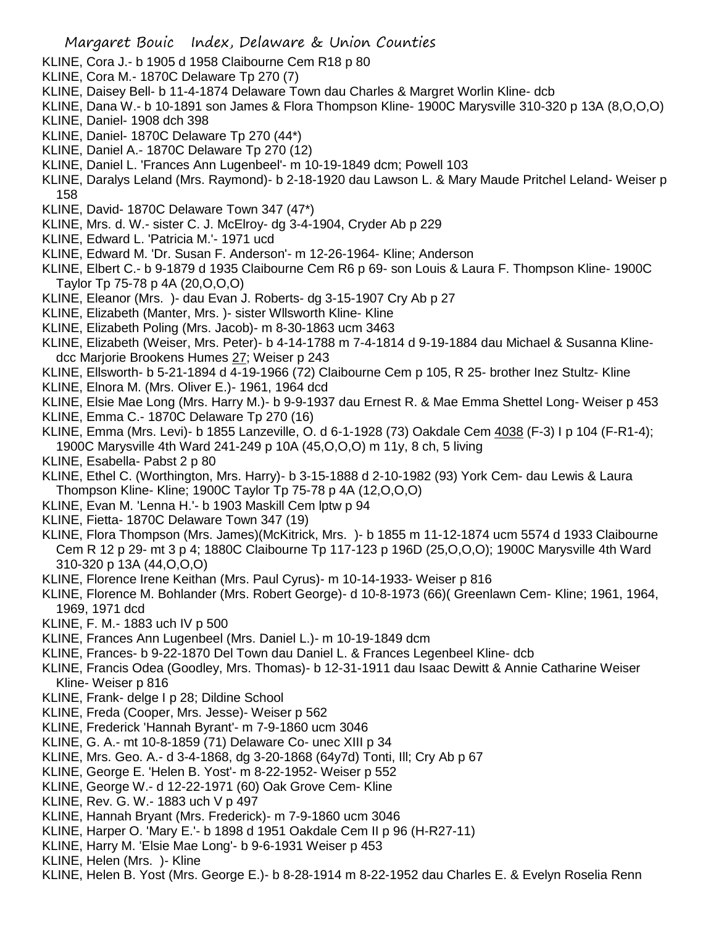- KLINE, Cora J.- b 1905 d 1958 Claibourne Cem R18 p 80
- KLINE, Cora M.- 1870C Delaware Tp 270 (7)
- KLINE, Daisey Bell- b 11-4-1874 Delaware Town dau Charles & Margret Worlin Kline- dcb
- KLINE, Dana W.- b 10-1891 son James & Flora Thompson Kline- 1900C Marysville 310-320 p 13A (8,O,O,O) KLINE, Daniel- 1908 dch 398
- KLINE, Daniel- 1870C Delaware Tp 270 (44\*)
- KLINE, Daniel A.- 1870C Delaware Tp 270 (12)
- KLINE, Daniel L. 'Frances Ann Lugenbeel'- m 10-19-1849 dcm; Powell 103
- KLINE, Daralys Leland (Mrs. Raymond)- b 2-18-1920 dau Lawson L. & Mary Maude Pritchel Leland- Weiser p 158
- KLINE, David- 1870C Delaware Town 347 (47\*)
- KLINE, Mrs. d. W.- sister C. J. McElroy- dg 3-4-1904, Cryder Ab p 229
- KLINE, Edward L. 'Patricia M.'- 1971 ucd
- KLINE, Edward M. 'Dr. Susan F. Anderson'- m 12-26-1964- Kline; Anderson
- KLINE, Elbert C.- b 9-1879 d 1935 Claibourne Cem R6 p 69- son Louis & Laura F. Thompson Kline- 1900C Taylor Tp 75-78 p 4A (20,O,O,O)
- KLINE, Eleanor (Mrs. )- dau Evan J. Roberts- dg 3-15-1907 Cry Ab p 27
- KLINE, Elizabeth (Manter, Mrs. )- sister Wllsworth Kline- Kline
- KLINE, Elizabeth Poling (Mrs. Jacob)- m 8-30-1863 ucm 3463
- KLINE, Elizabeth (Weiser, Mrs. Peter)- b 4-14-1788 m 7-4-1814 d 9-19-1884 dau Michael & Susanna Klinedcc Marjorie Brookens Humes 27; Weiser p 243
- KLINE, Ellsworth- b 5-21-1894 d 4-19-1966 (72) Claibourne Cem p 105, R 25- brother Inez Stultz- Kline
- KLINE, Elnora M. (Mrs. Oliver E.)- 1961, 1964 dcd
- KLINE, Elsie Mae Long (Mrs. Harry M.)- b 9-9-1937 dau Ernest R. & Mae Emma Shettel Long- Weiser p 453
- KLINE, Emma C.- 1870C Delaware Tp 270 (16)
- KLINE, Emma (Mrs. Levi)- b 1855 Lanzeville, O. d 6-1-1928 (73) Oakdale Cem 4038 (F-3) I p 104 (F-R1-4); 1900C Marysville 4th Ward 241-249 p 10A (45,O,O,O) m 11y, 8 ch, 5 living
- KLINE, Esabella- Pabst 2 p 80
- KLINE, Ethel C. (Worthington, Mrs. Harry)- b 3-15-1888 d 2-10-1982 (93) York Cem- dau Lewis & Laura Thompson Kline- Kline; 1900C Taylor Tp 75-78 p 4A (12,O,O,O)
- KLINE, Evan M. 'Lenna H.'- b 1903 Maskill Cem lptw p 94
- KLINE, Fietta- 1870C Delaware Town 347 (19)
- KLINE, Flora Thompson (Mrs. James)(McKitrick, Mrs. )- b 1855 m 11-12-1874 ucm 5574 d 1933 Claibourne Cem R 12 p 29- mt 3 p 4; 1880C Claibourne Tp 117-123 p 196D (25,O,O,O); 1900C Marysville 4th Ward 310-320 p 13A (44,O,O,O)
- KLINE, Florence Irene Keithan (Mrs. Paul Cyrus)- m 10-14-1933- Weiser p 816
- KLINE, Florence M. Bohlander (Mrs. Robert George)- d 10-8-1973 (66)( Greenlawn Cem- Kline; 1961, 1964, 1969, 1971 dcd
- KLINE, F. M.- 1883 uch IV p 500
- KLINE, Frances Ann Lugenbeel (Mrs. Daniel L.)- m 10-19-1849 dcm
- KLINE, Frances- b 9-22-1870 Del Town dau Daniel L. & Frances Legenbeel Kline- dcb
- KLINE, Francis Odea (Goodley, Mrs. Thomas)- b 12-31-1911 dau Isaac Dewitt & Annie Catharine Weiser Kline- Weiser p 816
- KLINE, Frank- delge I p 28; Dildine School
- KLINE, Freda (Cooper, Mrs. Jesse)- Weiser p 562
- KLINE, Frederick 'Hannah Byrant'- m 7-9-1860 ucm 3046
- KLINE, G. A.- mt 10-8-1859 (71) Delaware Co- unec XIII p 34
- KLINE, Mrs. Geo. A.- d 3-4-1868, dg 3-20-1868 (64y7d) Tonti, Ill; Cry Ab p 67
- KLINE, George E. 'Helen B. Yost'- m 8-22-1952- Weiser p 552
- KLINE, George W.- d 12-22-1971 (60) Oak Grove Cem- Kline
- KLINE, Rev. G. W.- 1883 uch V p 497
- KLINE, Hannah Bryant (Mrs. Frederick)- m 7-9-1860 ucm 3046
- KLINE, Harper O. 'Mary E.'- b 1898 d 1951 Oakdale Cem II p 96 (H-R27-11)
- KLINE, Harry M. 'Elsie Mae Long'- b 9-6-1931 Weiser p 453
- KLINE, Helen (Mrs. )- Kline
- KLINE, Helen B. Yost (Mrs. George E.)- b 8-28-1914 m 8-22-1952 dau Charles E. & Evelyn Roselia Renn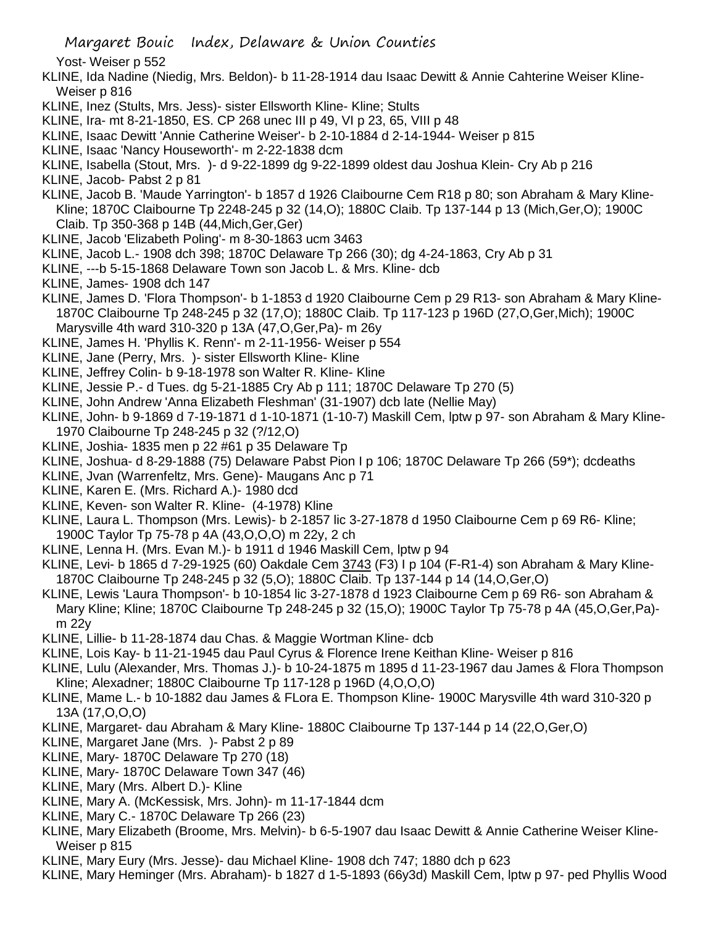Margaret Bouic Index, Delaware & Union Counties

Yost- Weiser p 552

- KLINE, Ida Nadine (Niedig, Mrs. Beldon)- b 11-28-1914 dau Isaac Dewitt & Annie Cahterine Weiser Kline-Weiser p 816
- KLINE, Inez (Stults, Mrs. Jess)- sister Ellsworth Kline- Kline; Stults
- KLINE, Ira- mt 8-21-1850, ES. CP 268 unec III p 49, VI p 23, 65, VIII p 48
- KLINE, Isaac Dewitt 'Annie Catherine Weiser'- b 2-10-1884 d 2-14-1944- Weiser p 815
- KLINE, Isaac 'Nancy Houseworth'- m 2-22-1838 dcm
- KLINE, Isabella (Stout, Mrs. )- d 9-22-1899 dg 9-22-1899 oldest dau Joshua Klein- Cry Ab p 216
- KLINE, Jacob- Pabst 2 p 81
- KLINE, Jacob B. 'Maude Yarrington'- b 1857 d 1926 Claibourne Cem R18 p 80; son Abraham & Mary Kline-Kline; 1870C Claibourne Tp 2248-245 p 32 (14,O); 1880C Claib. Tp 137-144 p 13 (Mich,Ger,O); 1900C Claib. Tp 350-368 p 14B (44,Mich,Ger,Ger)
- KLINE, Jacob 'Elizabeth Poling'- m 8-30-1863 ucm 3463
- KLINE, Jacob L.- 1908 dch 398; 1870C Delaware Tp 266 (30); dg 4-24-1863, Cry Ab p 31
- KLINE, ---b 5-15-1868 Delaware Town son Jacob L. & Mrs. Kline- dcb
- KLINE, James- 1908 dch 147
- KLINE, James D. 'Flora Thompson'- b 1-1853 d 1920 Claibourne Cem p 29 R13- son Abraham & Mary Kline-1870C Claibourne Tp 248-245 p 32 (17,O); 1880C Claib. Tp 117-123 p 196D (27,O,Ger,Mich); 1900C Marysville 4th ward 310-320 p 13A (47,O,Ger,Pa)- m 26y
- KLINE, James H. 'Phyllis K. Renn'- m 2-11-1956- Weiser p 554
- KLINE, Jane (Perry, Mrs. )- sister Ellsworth Kline- Kline
- KLINE, Jeffrey Colin- b 9-18-1978 son Walter R. Kline- Kline
- KLINE, Jessie P.- d Tues. dg 5-21-1885 Cry Ab p 111; 1870C Delaware Tp 270 (5)
- KLINE, John Andrew 'Anna Elizabeth Fleshman' (31-1907) dcb late (Nellie May)
- KLINE, John- b 9-1869 d 7-19-1871 d 1-10-1871 (1-10-7) Maskill Cem, lptw p 97- son Abraham & Mary Kline-1970 Claibourne Tp 248-245 p 32 (?/12,O)
- KLINE, Joshia- 1835 men p 22 #61 p 35 Delaware Tp
- KLINE, Joshua- d 8-29-1888 (75) Delaware Pabst Pion I p 106; 1870C Delaware Tp 266 (59\*); dcdeaths
- KLINE, Jvan (Warrenfeltz, Mrs. Gene)- Maugans Anc p 71
- KLINE, Karen E. (Mrs. Richard A.)- 1980 dcd
- KLINE, Keven- son Walter R. Kline- (4-1978) Kline
- KLINE, Laura L. Thompson (Mrs. Lewis)- b 2-1857 lic 3-27-1878 d 1950 Claibourne Cem p 69 R6- Kline; 1900C Taylor Tp 75-78 p 4A (43,O,O,O) m 22y, 2 ch
- KLINE, Lenna H. (Mrs. Evan M.)- b 1911 d 1946 Maskill Cem, lptw p 94
- KLINE, Levi- b 1865 d 7-29-1925 (60) Oakdale Cem 3743 (F3) I p 104 (F-R1-4) son Abraham & Mary Kline-1870C Claibourne Tp 248-245 p 32 (5,O); 1880C Claib. Tp 137-144 p 14 (14,O,Ger,O)
- KLINE, Lewis 'Laura Thompson'- b 10-1854 lic 3-27-1878 d 1923 Claibourne Cem p 69 R6- son Abraham & Mary Kline; Kline; 1870C Claibourne Tp 248-245 p 32 (15,O); 1900C Taylor Tp 75-78 p 4A (45,O,Ger,Pa) m 22y
- KLINE, Lillie- b 11-28-1874 dau Chas. & Maggie Wortman Kline- dcb
- KLINE, Lois Kay- b 11-21-1945 dau Paul Cyrus & Florence Irene Keithan Kline- Weiser p 816
- KLINE, Lulu (Alexander, Mrs. Thomas J.)- b 10-24-1875 m 1895 d 11-23-1967 dau James & Flora Thompson Kline; Alexadner; 1880C Claibourne Tp 117-128 p 196D (4,O,O,O)
- KLINE, Mame L.- b 10-1882 dau James & FLora E. Thompson Kline- 1900C Marysville 4th ward 310-320 p 13A (17,O,O,O)
- KLINE, Margaret- dau Abraham & Mary Kline- 1880C Claibourne Tp 137-144 p 14 (22,O,Ger,O)
- KLINE, Margaret Jane (Mrs. )- Pabst 2 p 89
- KLINE, Mary- 1870C Delaware Tp 270 (18)
- KLINE, Mary- 1870C Delaware Town 347 (46)
- KLINE, Mary (Mrs. Albert D.)- Kline
- KLINE, Mary A. (McKessisk, Mrs. John)- m 11-17-1844 dcm
- KLINE, Mary C.- 1870C Delaware Tp 266 (23)
- KLINE, Mary Elizabeth (Broome, Mrs. Melvin)- b 6-5-1907 dau Isaac Dewitt & Annie Catherine Weiser Kline-Weiser p 815
- KLINE, Mary Eury (Mrs. Jesse)- dau Michael Kline- 1908 dch 747; 1880 dch p 623
- KLINE, Mary Heminger (Mrs. Abraham)- b 1827 d 1-5-1893 (66y3d) Maskill Cem, lptw p 97- ped Phyllis Wood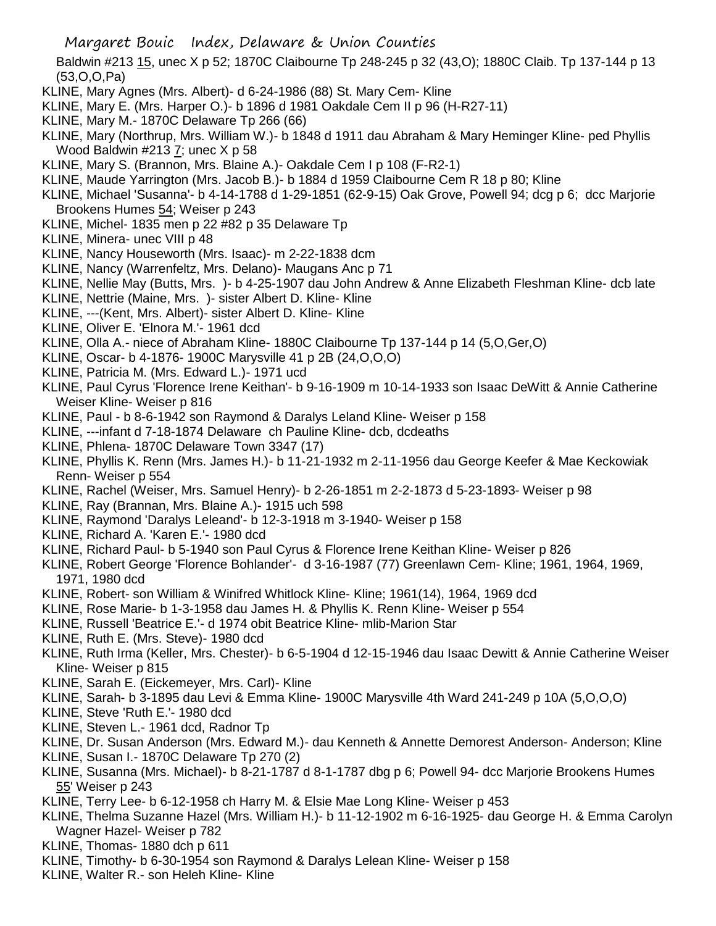Margaret Bouic Index, Delaware & Union Counties

Baldwin #213 15, unec X p 52; 1870C Claibourne Tp 248-245 p 32 (43,O); 1880C Claib. Tp 137-144 p 13 (53,O,O,Pa)

- KLINE, Mary Agnes (Mrs. Albert)- d 6-24-1986 (88) St. Mary Cem- Kline
- KLINE, Mary E. (Mrs. Harper O.)- b 1896 d 1981 Oakdale Cem II p 96 (H-R27-11)
- KLINE, Mary M.- 1870C Delaware Tp 266 (66)
- KLINE, Mary (Northrup, Mrs. William W.)- b 1848 d 1911 dau Abraham & Mary Heminger Kline- ped Phyllis Wood Baldwin #213 7; unec X p 58
- KLINE, Mary S. (Brannon, Mrs. Blaine A.)- Oakdale Cem I p 108 (F-R2-1)
- KLINE, Maude Yarrington (Mrs. Jacob B.)- b 1884 d 1959 Claibourne Cem R 18 p 80; Kline
- KLINE, Michael 'Susanna'- b 4-14-1788 d 1-29-1851 (62-9-15) Oak Grove, Powell 94; dcg p 6; dcc Marjorie Brookens Humes 54; Weiser p 243
- KLINE, Michel- 1835 men p 22 #82 p 35 Delaware Tp
- KLINE, Minera- unec VIII p 48
- KLINE, Nancy Houseworth (Mrs. Isaac)- m 2-22-1838 dcm
- KLINE, Nancy (Warrenfeltz, Mrs. Delano)- Maugans Anc p 71
- KLINE, Nellie May (Butts, Mrs. )- b 4-25-1907 dau John Andrew & Anne Elizabeth Fleshman Kline- dcb late
- KLINE, Nettrie (Maine, Mrs. )- sister Albert D. Kline- Kline
- KLINE, ---(Kent, Mrs. Albert)- sister Albert D. Kline- Kline
- KLINE, Oliver E. 'Elnora M.'- 1961 dcd
- KLINE, Olla A.- niece of Abraham Kline- 1880C Claibourne Tp 137-144 p 14 (5,O,Ger,O)
- KLINE, Oscar- b 4-1876- 1900C Marysville 41 p 2B (24,O,O,O)
- KLINE, Patricia M. (Mrs. Edward L.)- 1971 ucd
- KLINE, Paul Cyrus 'Florence Irene Keithan'- b 9-16-1909 m 10-14-1933 son Isaac DeWitt & Annie Catherine Weiser Kline- Weiser p 816
- KLINE, Paul b 8-6-1942 son Raymond & Daralys Leland Kline- Weiser p 158
- KLINE, ---infant d 7-18-1874 Delaware ch Pauline Kline- dcb, dcdeaths
- KLINE, Phlena- 1870C Delaware Town 3347 (17)
- KLINE, Phyllis K. Renn (Mrs. James H.)- b 11-21-1932 m 2-11-1956 dau George Keefer & Mae Keckowiak Renn- Weiser p 554
- KLINE, Rachel (Weiser, Mrs. Samuel Henry)- b 2-26-1851 m 2-2-1873 d 5-23-1893- Weiser p 98
- KLINE, Ray (Brannan, Mrs. Blaine A.)- 1915 uch 598
- KLINE, Raymond 'Daralys Leleand'- b 12-3-1918 m 3-1940- Weiser p 158
- KLINE, Richard A. 'Karen E.'- 1980 dcd
- KLINE, Richard Paul- b 5-1940 son Paul Cyrus & Florence Irene Keithan Kline- Weiser p 826
- KLINE, Robert George 'Florence Bohlander'- d 3-16-1987 (77) Greenlawn Cem- Kline; 1961, 1964, 1969, 1971, 1980 dcd
- KLINE, Robert- son William & Winifred Whitlock Kline- Kline; 1961(14), 1964, 1969 dcd
- KLINE, Rose Marie- b 1-3-1958 dau James H. & Phyllis K. Renn Kline- Weiser p 554
- KLINE, Russell 'Beatrice E.'- d 1974 obit Beatrice Kline- mlib-Marion Star
- KLINE, Ruth E. (Mrs. Steve)- 1980 dcd
- KLINE, Ruth Irma (Keller, Mrs. Chester)- b 6-5-1904 d 12-15-1946 dau Isaac Dewitt & Annie Catherine Weiser Kline- Weiser p 815
- KLINE, Sarah E. (Eickemeyer, Mrs. Carl)- Kline
- KLINE, Sarah- b 3-1895 dau Levi & Emma Kline- 1900C Marysville 4th Ward 241-249 p 10A (5,O,O,O)
- KLINE, Steve 'Ruth E.'- 1980 dcd
- KLINE, Steven L.- 1961 dcd, Radnor Tp
- KLINE, Dr. Susan Anderson (Mrs. Edward M.)- dau Kenneth & Annette Demorest Anderson- Anderson; Kline
- KLINE, Susan I.- 1870C Delaware Tp 270 (2)
- KLINE, Susanna (Mrs. Michael)- b 8-21-1787 d 8-1-1787 dbg p 6; Powell 94- dcc Marjorie Brookens Humes 55' Weiser p 243
- KLINE, Terry Lee- b 6-12-1958 ch Harry M. & Elsie Mae Long Kline- Weiser p 453
- KLINE, Thelma Suzanne Hazel (Mrs. William H.)- b 11-12-1902 m 6-16-1925- dau George H. & Emma Carolyn Wagner Hazel- Weiser p 782
- KLINE, Thomas- 1880 dch p 611
- KLINE, Timothy- b 6-30-1954 son Raymond & Daralys Lelean Kline- Weiser p 158
- KLINE, Walter R.- son Heleh Kline- Kline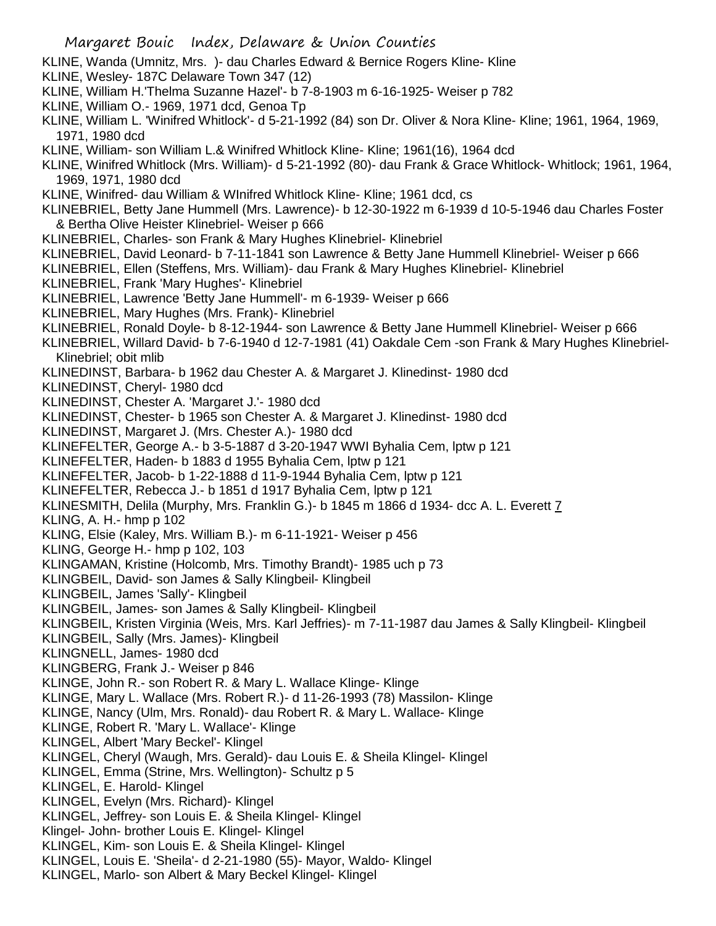- KLINE, Wanda (Umnitz, Mrs. )- dau Charles Edward & Bernice Rogers Kline- Kline
- KLINE, Wesley- 187C Delaware Town 347 (12)
- KLINE, William H.'Thelma Suzanne Hazel'- b 7-8-1903 m 6-16-1925- Weiser p 782
- KLINE, William O.- 1969, 1971 dcd, Genoa Tp
- KLINE, William L. 'Winifred Whitlock'- d 5-21-1992 (84) son Dr. Oliver & Nora Kline- Kline; 1961, 1964, 1969, 1971, 1980 dcd
- KLINE, William- son William L.& Winifred Whitlock Kline- Kline; 1961(16), 1964 dcd
- KLINE, Winifred Whitlock (Mrs. William)- d 5-21-1992 (80)- dau Frank & Grace Whitlock- Whitlock; 1961, 1964, 1969, 1971, 1980 dcd
- KLINE, Winifred- dau William & WInifred Whitlock Kline- Kline; 1961 dcd, cs
- KLINEBRIEL, Betty Jane Hummell (Mrs. Lawrence)- b 12-30-1922 m 6-1939 d 10-5-1946 dau Charles Foster & Bertha Olive Heister Klinebriel- Weiser p 666
- KLINEBRIEL, Charles- son Frank & Mary Hughes Klinebriel- Klinebriel
- KLINEBRIEL, David Leonard- b 7-11-1841 son Lawrence & Betty Jane Hummell Klinebriel- Weiser p 666
- KLINEBRIEL, Ellen (Steffens, Mrs. William)- dau Frank & Mary Hughes Klinebriel- Klinebriel
- KLINEBRIEL, Frank 'Mary Hughes'- Klinebriel
- KLINEBRIEL, Lawrence 'Betty Jane Hummell'- m 6-1939- Weiser p 666
- KLINEBRIEL, Mary Hughes (Mrs. Frank)- Klinebriel
- KLINEBRIEL, Ronald Doyle- b 8-12-1944- son Lawrence & Betty Jane Hummell Klinebriel- Weiser p 666
- KLINEBRIEL, Willard David- b 7-6-1940 d 12-7-1981 (41) Oakdale Cem -son Frank & Mary Hughes Klinebriel-Klinebriel; obit mlib
- KLINEDINST, Barbara- b 1962 dau Chester A. & Margaret J. Klinedinst- 1980 dcd
- KLINEDINST, Cheryl- 1980 dcd
- KLINEDINST, Chester A. 'Margaret J.'- 1980 dcd
- KLINEDINST, Chester- b 1965 son Chester A. & Margaret J. Klinedinst- 1980 dcd
- KLINEDINST, Margaret J. (Mrs. Chester A.)- 1980 dcd
- KLINEFELTER, George A.- b 3-5-1887 d 3-20-1947 WWI Byhalia Cem, lptw p 121
- KLINEFELTER, Haden- b 1883 d 1955 Byhalia Cem, lptw p 121
- KLINEFELTER, Jacob- b 1-22-1888 d 11-9-1944 Byhalia Cem, lptw p 121
- KLINEFELTER, Rebecca J.- b 1851 d 1917 Byhalia Cem, lptw p 121
- KLINESMITH, Delila (Murphy, Mrs. Franklin G.)- b 1845 m 1866 d 1934- dcc A. L. Everett 7
- KLING, A. H.- hmp p 102
- KLING, Elsie (Kaley, Mrs. William B.)- m 6-11-1921- Weiser p 456
- KLING, George H.- hmp p 102, 103
- KLINGAMAN, Kristine (Holcomb, Mrs. Timothy Brandt)- 1985 uch p 73
- KLINGBEIL, David- son James & Sally Klingbeil- Klingbeil
- KLINGBEIL, James 'Sally'- Klingbeil
- KLINGBEIL, James- son James & Sally Klingbeil- Klingbeil
- KLINGBEIL, Kristen Virginia (Weis, Mrs. Karl Jeffries)- m 7-11-1987 dau James & Sally Klingbeil- Klingbeil
- KLINGBEIL, Sally (Mrs. James)- Klingbeil
- KLINGNELL, James- 1980 dcd
- KLINGBERG, Frank J.- Weiser p 846
- KLINGE, John R.- son Robert R. & Mary L. Wallace Klinge- Klinge
- KLINGE, Mary L. Wallace (Mrs. Robert R.)- d 11-26-1993 (78) Massilon- Klinge
- KLINGE, Nancy (Ulm, Mrs. Ronald)- dau Robert R. & Mary L. Wallace- Klinge
- KLINGE, Robert R. 'Mary L. Wallace'- Klinge
- KLINGEL, Albert 'Mary Beckel'- Klingel
- KLINGEL, Cheryl (Waugh, Mrs. Gerald)- dau Louis E. & Sheila Klingel- Klingel
- KLINGEL, Emma (Strine, Mrs. Wellington)- Schultz p 5
- KLINGEL, E. Harold- Klingel
- KLINGEL, Evelyn (Mrs. Richard)- Klingel
- KLINGEL, Jeffrey- son Louis E. & Sheila Klingel- Klingel
- Klingel- John- brother Louis E. Klingel- Klingel
- KLINGEL, Kim- son Louis E. & Sheila Klingel- Klingel
- KLINGEL, Louis E. 'Sheila'- d 2-21-1980 (55)- Mayor, Waldo- Klingel
- KLINGEL, Marlo- son Albert & Mary Beckel Klingel- Klingel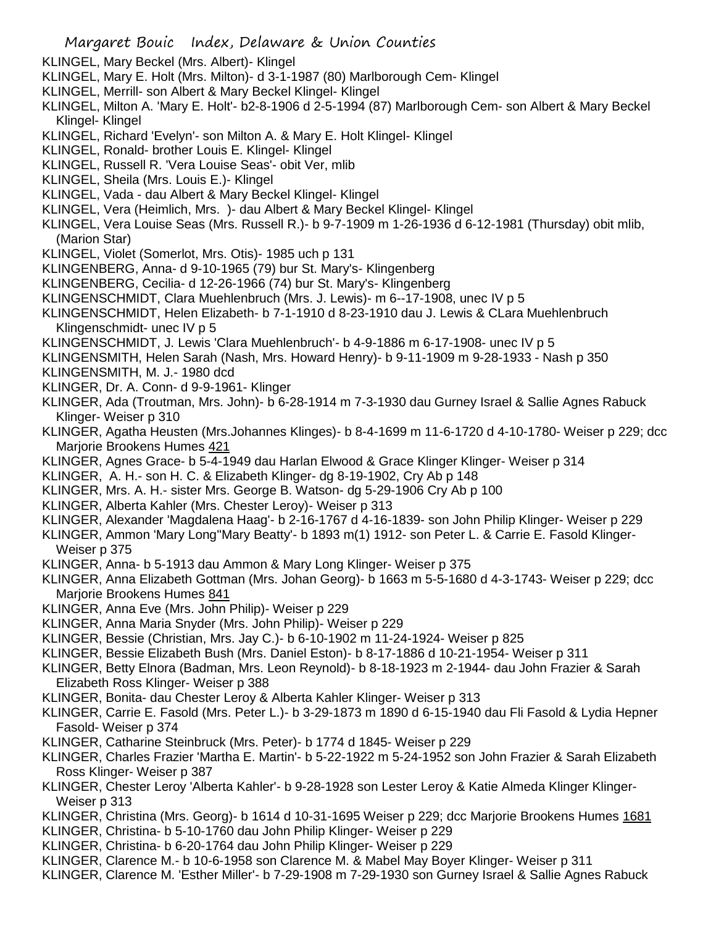- KLINGEL, Mary Beckel (Mrs. Albert)- Klingel
- KLINGEL, Mary E. Holt (Mrs. Milton)- d 3-1-1987 (80) Marlborough Cem- Klingel
- KLINGEL, Merrill- son Albert & Mary Beckel Klingel- Klingel
- KLINGEL, Milton A. 'Mary E. Holt'- b2-8-1906 d 2-5-1994 (87) Marlborough Cem- son Albert & Mary Beckel Klingel- Klingel
- KLINGEL, Richard 'Evelyn'- son Milton A. & Mary E. Holt Klingel- Klingel
- KLINGEL, Ronald- brother Louis E. Klingel- Klingel
- KLINGEL, Russell R. 'Vera Louise Seas'- obit Ver, mlib
- KLINGEL, Sheila (Mrs. Louis E.)- Klingel
- KLINGEL, Vada dau Albert & Mary Beckel Klingel- Klingel
- KLINGEL, Vera (Heimlich, Mrs. )- dau Albert & Mary Beckel Klingel- Klingel
- KLINGEL, Vera Louise Seas (Mrs. Russell R.)- b 9-7-1909 m 1-26-1936 d 6-12-1981 (Thursday) obit mlib, (Marion Star)
- KLINGEL, Violet (Somerlot, Mrs. Otis)- 1985 uch p 131
- KLINGENBERG, Anna- d 9-10-1965 (79) bur St. Mary's- Klingenberg
- KLINGENBERG, Cecilia- d 12-26-1966 (74) bur St. Mary's- Klingenberg
- KLINGENSCHMIDT, Clara Muehlenbruch (Mrs. J. Lewis)- m 6--17-1908, unec IV p 5
- KLINGENSCHMIDT, Helen Elizabeth- b 7-1-1910 d 8-23-1910 dau J. Lewis & CLara Muehlenbruch Klingenschmidt- unec IV p 5
- KLINGENSCHMIDT, J. Lewis 'Clara Muehlenbruch'- b 4-9-1886 m 6-17-1908- unec IV p 5
- KLINGENSMITH, Helen Sarah (Nash, Mrs. Howard Henry)- b 9-11-1909 m 9-28-1933 Nash p 350
- KLINGENSMITH, M. J.- 1980 dcd
- KLINGER, Dr. A. Conn- d 9-9-1961- Klinger
- KLINGER, Ada (Troutman, Mrs. John)- b 6-28-1914 m 7-3-1930 dau Gurney Israel & Sallie Agnes Rabuck Klinger- Weiser p 310
- KLINGER, Agatha Heusten (Mrs.Johannes Klinges)- b 8-4-1699 m 11-6-1720 d 4-10-1780- Weiser p 229; dcc Marjorie Brookens Humes 421
- KLINGER, Agnes Grace- b 5-4-1949 dau Harlan Elwood & Grace Klinger Klinger- Weiser p 314
- KLINGER, A. H.- son H. C. & Elizabeth Klinger- dg 8-19-1902, Cry Ab p 148
- KLINGER, Mrs. A. H.- sister Mrs. George B. Watson- dg 5-29-1906 Cry Ab p 100
- KLINGER, Alberta Kahler (Mrs. Chester Leroy)- Weiser p 313
- KLINGER, Alexander 'Magdalena Haag'- b 2-16-1767 d 4-16-1839- son John Philip Klinger- Weiser p 229
- KLINGER, Ammon 'Mary Long''Mary Beatty'- b 1893 m(1) 1912- son Peter L. & Carrie E. Fasold Klinger-Weiser p 375
- KLINGER, Anna- b 5-1913 dau Ammon & Mary Long Klinger- Weiser p 375
- KLINGER, Anna Elizabeth Gottman (Mrs. Johan Georg)- b 1663 m 5-5-1680 d 4-3-1743- Weiser p 229; dcc Marjorie Brookens Humes 841
- KLINGER, Anna Eve (Mrs. John Philip)- Weiser p 229
- KLINGER, Anna Maria Snyder (Mrs. John Philip)- Weiser p 229
- KLINGER, Bessie (Christian, Mrs. Jay C.)- b 6-10-1902 m 11-24-1924- Weiser p 825
- KLINGER, Bessie Elizabeth Bush (Mrs. Daniel Eston)- b 8-17-1886 d 10-21-1954- Weiser p 311
- KLINGER, Betty Elnora (Badman, Mrs. Leon Reynold)- b 8-18-1923 m 2-1944- dau John Frazier & Sarah Elizabeth Ross Klinger- Weiser p 388
- KLINGER, Bonita- dau Chester Leroy & Alberta Kahler Klinger- Weiser p 313
- KLINGER, Carrie E. Fasold (Mrs. Peter L.)- b 3-29-1873 m 1890 d 6-15-1940 dau Fli Fasold & Lydia Hepner Fasold- Weiser p 374
- KLINGER, Catharine Steinbruck (Mrs. Peter)- b 1774 d 1845- Weiser p 229
- KLINGER, Charles Frazier 'Martha E. Martin'- b 5-22-1922 m 5-24-1952 son John Frazier & Sarah Elizabeth Ross Klinger- Weiser p 387
- KLINGER, Chester Leroy 'Alberta Kahler'- b 9-28-1928 son Lester Leroy & Katie Almeda Klinger Klinger-Weiser p 313
- KLINGER, Christina (Mrs. Georg)- b 1614 d 10-31-1695 Weiser p 229; dcc Marjorie Brookens Humes 1681
- KLINGER, Christina- b 5-10-1760 dau John Philip Klinger- Weiser p 229
- KLINGER, Christina- b 6-20-1764 dau John Philip Klinger- Weiser p 229
- KLINGER, Clarence M.- b 10-6-1958 son Clarence M. & Mabel May Boyer Klinger- Weiser p 311
- KLINGER, Clarence M. 'Esther Miller'- b 7-29-1908 m 7-29-1930 son Gurney Israel & Sallie Agnes Rabuck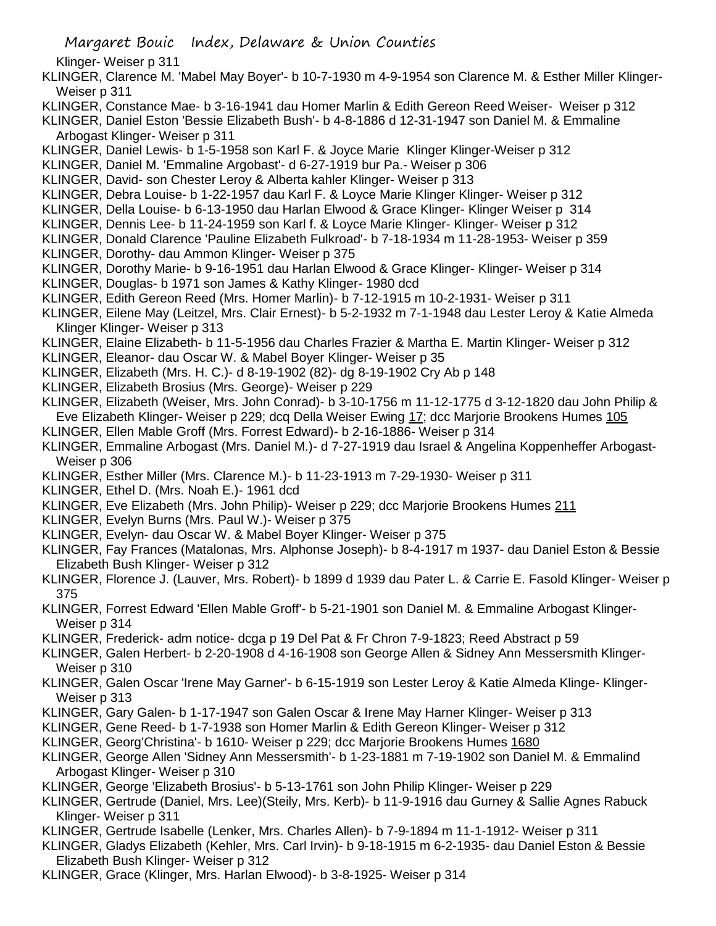Margaret Bouic Index, Delaware & Union Counties

Klinger- Weiser p 311

- KLINGER, Clarence M. 'Mabel May Boyer'- b 10-7-1930 m 4-9-1954 son Clarence M. & Esther Miller Klinger-Weiser p 311
- KLINGER, Constance Mae- b 3-16-1941 dau Homer Marlin & Edith Gereon Reed Weiser- Weiser p 312
- KLINGER, Daniel Eston 'Bessie Elizabeth Bush'- b 4-8-1886 d 12-31-1947 son Daniel M. & Emmaline Arbogast Klinger- Weiser p 311
- KLINGER, Daniel Lewis- b 1-5-1958 son Karl F. & Joyce Marie Klinger Klinger-Weiser p 312
- KLINGER, Daniel M. 'Emmaline Argobast'- d 6-27-1919 bur Pa.- Weiser p 306
- KLINGER, David- son Chester Leroy & Alberta kahler Klinger- Weiser p 313
- KLINGER, Debra Louise- b 1-22-1957 dau Karl F. & Loyce Marie Klinger Klinger- Weiser p 312
- KLINGER, Della Louise- b 6-13-1950 dau Harlan Elwood & Grace Klinger- Klinger Weiser p 314
- KLINGER, Dennis Lee- b 11-24-1959 son Karl f. & Loyce Marie Klinger- Klinger- Weiser p 312
- KLINGER, Donald Clarence 'Pauline Elizabeth Fulkroad'- b 7-18-1934 m 11-28-1953- Weiser p 359
- KLINGER, Dorothy- dau Ammon Klinger- Weiser p 375
- KLINGER, Dorothy Marie- b 9-16-1951 dau Harlan Elwood & Grace Klinger- Klinger- Weiser p 314
- KLINGER, Douglas- b 1971 son James & Kathy Klinger- 1980 dcd KLINGER, Edith Gereon Reed (Mrs. Homer Marlin)- b 7-12-1915 m 10-2-1931- Weiser p 311
- KLINGER, Eilene May (Leitzel, Mrs. Clair Ernest)- b 5-2-1932 m 7-1-1948 dau Lester Leroy & Katie Almeda Klinger Klinger- Weiser p 313
- KLINGER, Elaine Elizabeth- b 11-5-1956 dau Charles Frazier & Martha E. Martin Klinger- Weiser p 312
- KLINGER, Eleanor- dau Oscar W. & Mabel Boyer Klinger- Weiser p 35
- KLINGER, Elizabeth (Mrs. H. C.)- d 8-19-1902 (82)- dg 8-19-1902 Cry Ab p 148
- KLINGER, Elizabeth Brosius (Mrs. George)- Weiser p 229
- KLINGER, Elizabeth (Weiser, Mrs. John Conrad)- b 3-10-1756 m 11-12-1775 d 3-12-1820 dau John Philip & Eve Elizabeth Klinger- Weiser p 229; dcq Della Weiser Ewing 17; dcc Marjorie Brookens Humes 105
- KLINGER, Ellen Mable Groff (Mrs. Forrest Edward)- b 2-16-1886- Weiser p 314
- KLINGER, Emmaline Arbogast (Mrs. Daniel M.)- d 7-27-1919 dau Israel & Angelina Koppenheffer Arbogast-Weiser p 306
- KLINGER, Esther Miller (Mrs. Clarence M.)- b 11-23-1913 m 7-29-1930- Weiser p 311
- KLINGER, Ethel D. (Mrs. Noah E.)- 1961 dcd
- KLINGER, Eve Elizabeth (Mrs. John Philip)- Weiser p 229; dcc Marjorie Brookens Humes 211
- KLINGER, Evelyn Burns (Mrs. Paul W.)- Weiser p 375
- KLINGER, Evelyn- dau Oscar W. & Mabel Boyer Klinger- Weiser p 375
- KLINGER, Fay Frances (Matalonas, Mrs. Alphonse Joseph)- b 8-4-1917 m 1937- dau Daniel Eston & Bessie Elizabeth Bush Klinger- Weiser p 312
- KLINGER, Florence J. (Lauver, Mrs. Robert)- b 1899 d 1939 dau Pater L. & Carrie E. Fasold Klinger- Weiser p 375
- KLINGER, Forrest Edward 'Ellen Mable Groff'- b 5-21-1901 son Daniel M. & Emmaline Arbogast Klinger-Weiser p 314
- KLINGER, Frederick- adm notice- dcga p 19 Del Pat & Fr Chron 7-9-1823; Reed Abstract p 59
- KLINGER, Galen Herbert- b 2-20-1908 d 4-16-1908 son George Allen & Sidney Ann Messersmith Klinger-Weiser p 310
- KLINGER, Galen Oscar 'Irene May Garner'- b 6-15-1919 son Lester Leroy & Katie Almeda Klinge- Klinger-Weiser p 313
- KLINGER, Gary Galen- b 1-17-1947 son Galen Oscar & Irene May Harner Klinger- Weiser p 313
- KLINGER, Gene Reed- b 1-7-1938 son Homer Marlin & Edith Gereon Klinger- Weiser p 312
- KLINGER, Georg'Christina'- b 1610- Weiser p 229; dcc Marjorie Brookens Humes 1680
- KLINGER, George Allen 'Sidney Ann Messersmith'- b 1-23-1881 m 7-19-1902 son Daniel M. & Emmalind Arbogast Klinger- Weiser p 310
- KLINGER, George 'Elizabeth Brosius'- b 5-13-1761 son John Philip Klinger- Weiser p 229
- KLINGER, Gertrude (Daniel, Mrs. Lee)(Steily, Mrs. Kerb)- b 11-9-1916 dau Gurney & Sallie Agnes Rabuck Klinger- Weiser p 311
- KLINGER, Gertrude Isabelle (Lenker, Mrs. Charles Allen)- b 7-9-1894 m 11-1-1912- Weiser p 311
- KLINGER, Gladys Elizabeth (Kehler, Mrs. Carl Irvin)- b 9-18-1915 m 6-2-1935- dau Daniel Eston & Bessie Elizabeth Bush Klinger- Weiser p 312
- KLINGER, Grace (Klinger, Mrs. Harlan Elwood)- b 3-8-1925- Weiser p 314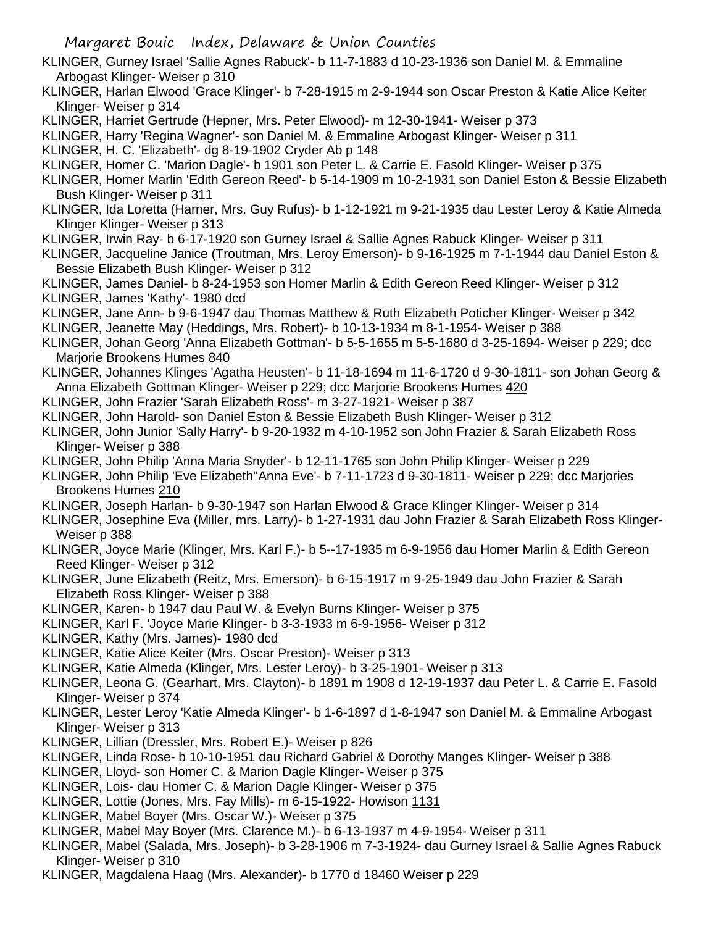- KLINGER, Gurney Israel 'Sallie Agnes Rabuck'- b 11-7-1883 d 10-23-1936 son Daniel M. & Emmaline Arbogast Klinger- Weiser p 310
- KLINGER, Harlan Elwood 'Grace Klinger'- b 7-28-1915 m 2-9-1944 son Oscar Preston & Katie Alice Keiter Klinger- Weiser p 314
- KLINGER, Harriet Gertrude (Hepner, Mrs. Peter Elwood)- m 12-30-1941- Weiser p 373
- KLINGER, Harry 'Regina Wagner'- son Daniel M. & Emmaline Arbogast Klinger- Weiser p 311
- KLINGER, H. C. 'Elizabeth'- dg 8-19-1902 Cryder Ab p 148
- KLINGER, Homer C. 'Marion Dagle'- b 1901 son Peter L. & Carrie E. Fasold Klinger- Weiser p 375
- KLINGER, Homer Marlin 'Edith Gereon Reed'- b 5-14-1909 m 10-2-1931 son Daniel Eston & Bessie Elizabeth Bush Klinger- Weiser p 311
- KLINGER, Ida Loretta (Harner, Mrs. Guy Rufus)- b 1-12-1921 m 9-21-1935 dau Lester Leroy & Katie Almeda Klinger Klinger- Weiser p 313
- KLINGER, Irwin Ray- b 6-17-1920 son Gurney Israel & Sallie Agnes Rabuck Klinger- Weiser p 311
- KLINGER, Jacqueline Janice (Troutman, Mrs. Leroy Emerson)- b 9-16-1925 m 7-1-1944 dau Daniel Eston & Bessie Elizabeth Bush Klinger- Weiser p 312
- KLINGER, James Daniel- b 8-24-1953 son Homer Marlin & Edith Gereon Reed Klinger- Weiser p 312 KLINGER, James 'Kathy'- 1980 dcd
- KLINGER, Jane Ann- b 9-6-1947 dau Thomas Matthew & Ruth Elizabeth Poticher Klinger- Weiser p 342
- KLINGER, Jeanette May (Heddings, Mrs. Robert)- b 10-13-1934 m 8-1-1954- Weiser p 388
- KLINGER, Johan Georg 'Anna Elizabeth Gottman'- b 5-5-1655 m 5-5-1680 d 3-25-1694- Weiser p 229; dcc Marjorie Brookens Humes 840
- KLINGER, Johannes Klinges 'Agatha Heusten'- b 11-18-1694 m 11-6-1720 d 9-30-1811- son Johan Georg & Anna Elizabeth Gottman Klinger- Weiser p 229; dcc Marjorie Brookens Humes 420
- KLINGER, John Frazier 'Sarah Elizabeth Ross'- m 3-27-1921- Weiser p 387
- KLINGER, John Harold- son Daniel Eston & Bessie Elizabeth Bush Klinger- Weiser p 312
- KLINGER, John Junior 'Sally Harry'- b 9-20-1932 m 4-10-1952 son John Frazier & Sarah Elizabeth Ross Klinger- Weiser p 388
- KLINGER, John Philip 'Anna Maria Snyder'- b 12-11-1765 son John Philip Klinger- Weiser p 229
- KLINGER, John Philip 'Eve Elizabeth''Anna Eve'- b 7-11-1723 d 9-30-1811- Weiser p 229; dcc Marjories Brookens Humes 210
- KLINGER, Joseph Harlan- b 9-30-1947 son Harlan Elwood & Grace Klinger Klinger- Weiser p 314
- KLINGER, Josephine Eva (Miller, mrs. Larry)- b 1-27-1931 dau John Frazier & Sarah Elizabeth Ross Klinger-Weiser p 388
- KLINGER, Joyce Marie (Klinger, Mrs. Karl F.)- b 5--17-1935 m 6-9-1956 dau Homer Marlin & Edith Gereon Reed Klinger- Weiser p 312
- KLINGER, June Elizabeth (Reitz, Mrs. Emerson)- b 6-15-1917 m 9-25-1949 dau John Frazier & Sarah Elizabeth Ross Klinger- Weiser p 388
- KLINGER, Karen- b 1947 dau Paul W. & Evelyn Burns Klinger- Weiser p 375
- KLINGER, Karl F. 'Joyce Marie Klinger- b 3-3-1933 m 6-9-1956- Weiser p 312
- KLINGER, Kathy (Mrs. James)- 1980 dcd
- KLINGER, Katie Alice Keiter (Mrs. Oscar Preston)- Weiser p 313
- KLINGER, Katie Almeda (Klinger, Mrs. Lester Leroy)- b 3-25-1901- Weiser p 313
- KLINGER, Leona G. (Gearhart, Mrs. Clayton)- b 1891 m 1908 d 12-19-1937 dau Peter L. & Carrie E. Fasold Klinger- Weiser p 374
- KLINGER, Lester Leroy 'Katie Almeda Klinger'- b 1-6-1897 d 1-8-1947 son Daniel M. & Emmaline Arbogast Klinger- Weiser p 313
- KLINGER, Lillian (Dressler, Mrs. Robert E.)- Weiser p 826
- KLINGER, Linda Rose- b 10-10-1951 dau Richard Gabriel & Dorothy Manges Klinger- Weiser p 388
- KLINGER, Lloyd- son Homer C. & Marion Dagle Klinger- Weiser p 375
- KLINGER, Lois- dau Homer C. & Marion Dagle Klinger- Weiser p 375
- KLINGER, Lottie (Jones, Mrs. Fay Mills)- m 6-15-1922- Howison 1131
- KLINGER, Mabel Boyer (Mrs. Oscar W.)- Weiser p 375
- KLINGER, Mabel May Boyer (Mrs. Clarence M.)- b 6-13-1937 m 4-9-1954- Weiser p 311
- KLINGER, Mabel (Salada, Mrs. Joseph)- b 3-28-1906 m 7-3-1924- dau Gurney Israel & Sallie Agnes Rabuck Klinger- Weiser p 310
- KLINGER, Magdalena Haag (Mrs. Alexander)- b 1770 d 18460 Weiser p 229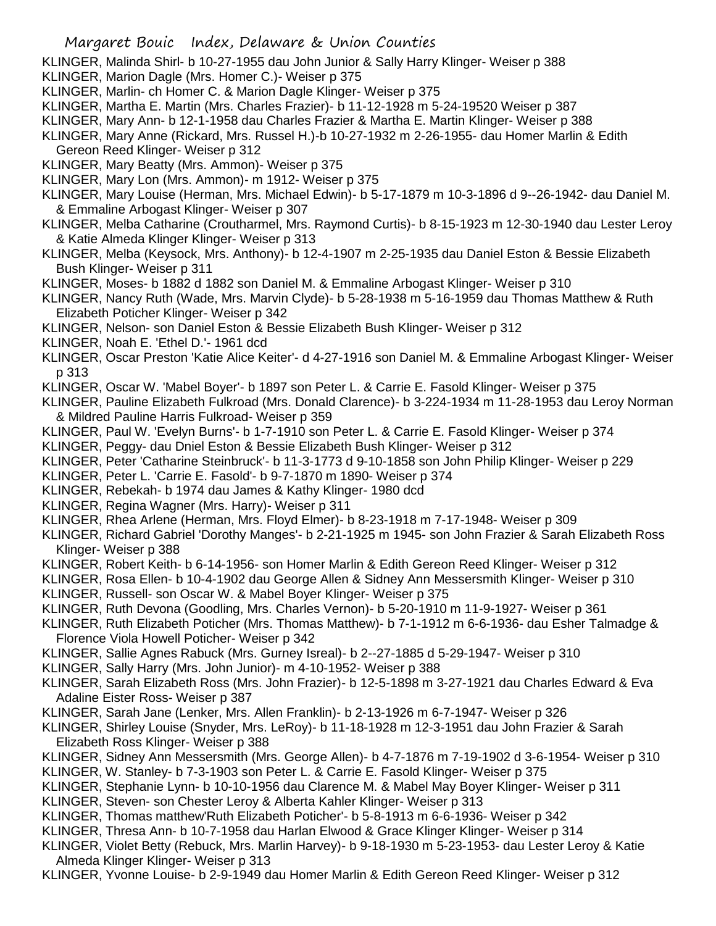- KLINGER, Malinda Shirl- b 10-27-1955 dau John Junior & Sally Harry Klinger- Weiser p 388
- KLINGER, Marion Dagle (Mrs. Homer C.)- Weiser p 375
- KLINGER, Marlin- ch Homer C. & Marion Dagle Klinger- Weiser p 375
- KLINGER, Martha E. Martin (Mrs. Charles Frazier)- b 11-12-1928 m 5-24-19520 Weiser p 387
- KLINGER, Mary Ann- b 12-1-1958 dau Charles Frazier & Martha E. Martin Klinger- Weiser p 388
- KLINGER, Mary Anne (Rickard, Mrs. Russel H.)-b 10-27-1932 m 2-26-1955- dau Homer Marlin & Edith Gereon Reed Klinger- Weiser p 312
- KLINGER, Mary Beatty (Mrs. Ammon)- Weiser p 375
- KLINGER, Mary Lon (Mrs. Ammon)- m 1912- Weiser p 375
- KLINGER, Mary Louise (Herman, Mrs. Michael Edwin)- b 5-17-1879 m 10-3-1896 d 9--26-1942- dau Daniel M. & Emmaline Arbogast Klinger- Weiser p 307
- KLINGER, Melba Catharine (Croutharmel, Mrs. Raymond Curtis)- b 8-15-1923 m 12-30-1940 dau Lester Leroy & Katie Almeda Klinger Klinger- Weiser p 313
- KLINGER, Melba (Keysock, Mrs. Anthony)- b 12-4-1907 m 2-25-1935 dau Daniel Eston & Bessie Elizabeth Bush Klinger- Weiser p 311
- KLINGER, Moses- b 1882 d 1882 son Daniel M. & Emmaline Arbogast Klinger- Weiser p 310
- KLINGER, Nancy Ruth (Wade, Mrs. Marvin Clyde)- b 5-28-1938 m 5-16-1959 dau Thomas Matthew & Ruth Elizabeth Poticher Klinger- Weiser p 342
- KLINGER, Nelson- son Daniel Eston & Bessie Elizabeth Bush Klinger- Weiser p 312
- KLINGER, Noah E. 'Ethel D.'- 1961 dcd
- KLINGER, Oscar Preston 'Katie Alice Keiter'- d 4-27-1916 son Daniel M. & Emmaline Arbogast Klinger- Weiser p 313
- KLINGER, Oscar W. 'Mabel Boyer'- b 1897 son Peter L. & Carrie E. Fasold Klinger- Weiser p 375
- KLINGER, Pauline Elizabeth Fulkroad (Mrs. Donald Clarence)- b 3-224-1934 m 11-28-1953 dau Leroy Norman & Mildred Pauline Harris Fulkroad- Weiser p 359
- KLINGER, Paul W. 'Evelyn Burns'- b 1-7-1910 son Peter L. & Carrie E. Fasold Klinger- Weiser p 374
- KLINGER, Peggy- dau Dniel Eston & Bessie Elizabeth Bush Klinger- Weiser p 312
- KLINGER, Peter 'Catharine Steinbruck'- b 11-3-1773 d 9-10-1858 son John Philip Klinger- Weiser p 229
- KLINGER, Peter L. 'Carrie E. Fasold'- b 9-7-1870 m 1890- Weiser p 374
- KLINGER, Rebekah- b 1974 dau James & Kathy Klinger- 1980 dcd
- KLINGER, Regina Wagner (Mrs. Harry)- Weiser p 311
- KLINGER, Rhea Arlene (Herman, Mrs. Floyd Elmer)- b 8-23-1918 m 7-17-1948- Weiser p 309

KLINGER, Richard Gabriel 'Dorothy Manges'- b 2-21-1925 m 1945- son John Frazier & Sarah Elizabeth Ross Klinger- Weiser p 388

- KLINGER, Robert Keith- b 6-14-1956- son Homer Marlin & Edith Gereon Reed Klinger- Weiser p 312
- KLINGER, Rosa Ellen- b 10-4-1902 dau George Allen & Sidney Ann Messersmith Klinger- Weiser p 310
- KLINGER, Russell- son Oscar W. & Mabel Boyer Klinger- Weiser p 375
- KLINGER, Ruth Devona (Goodling, Mrs. Charles Vernon)- b 5-20-1910 m 11-9-1927- Weiser p 361
- KLINGER, Ruth Elizabeth Poticher (Mrs. Thomas Matthew)- b 7-1-1912 m 6-6-1936- dau Esher Talmadge & Florence Viola Howell Poticher- Weiser p 342
- KLINGER, Sallie Agnes Rabuck (Mrs. Gurney Isreal)- b 2--27-1885 d 5-29-1947- Weiser p 310
- KLINGER, Sally Harry (Mrs. John Junior)- m 4-10-1952- Weiser p 388
- KLINGER, Sarah Elizabeth Ross (Mrs. John Frazier)- b 12-5-1898 m 3-27-1921 dau Charles Edward & Eva Adaline Eister Ross- Weiser p 387
- KLINGER, Sarah Jane (Lenker, Mrs. Allen Franklin)- b 2-13-1926 m 6-7-1947- Weiser p 326
- KLINGER, Shirley Louise (Snyder, Mrs. LeRoy)- b 11-18-1928 m 12-3-1951 dau John Frazier & Sarah Elizabeth Ross Klinger- Weiser p 388
- KLINGER, Sidney Ann Messersmith (Mrs. George Allen)- b 4-7-1876 m 7-19-1902 d 3-6-1954- Weiser p 310
- KLINGER, W. Stanley- b 7-3-1903 son Peter L. & Carrie E. Fasold Klinger- Weiser p 375
- KLINGER, Stephanie Lynn- b 10-10-1956 dau Clarence M. & Mabel May Boyer Klinger- Weiser p 311
- KLINGER, Steven- son Chester Leroy & Alberta Kahler Klinger- Weiser p 313
- KLINGER, Thomas matthew'Ruth Elizabeth Poticher'- b 5-8-1913 m 6-6-1936- Weiser p 342
- KLINGER, Thresa Ann- b 10-7-1958 dau Harlan Elwood & Grace Klinger Klinger- Weiser p 314
- KLINGER, Violet Betty (Rebuck, Mrs. Marlin Harvey)- b 9-18-1930 m 5-23-1953- dau Lester Leroy & Katie Almeda Klinger Klinger- Weiser p 313
- KLINGER, Yvonne Louise- b 2-9-1949 dau Homer Marlin & Edith Gereon Reed Klinger- Weiser p 312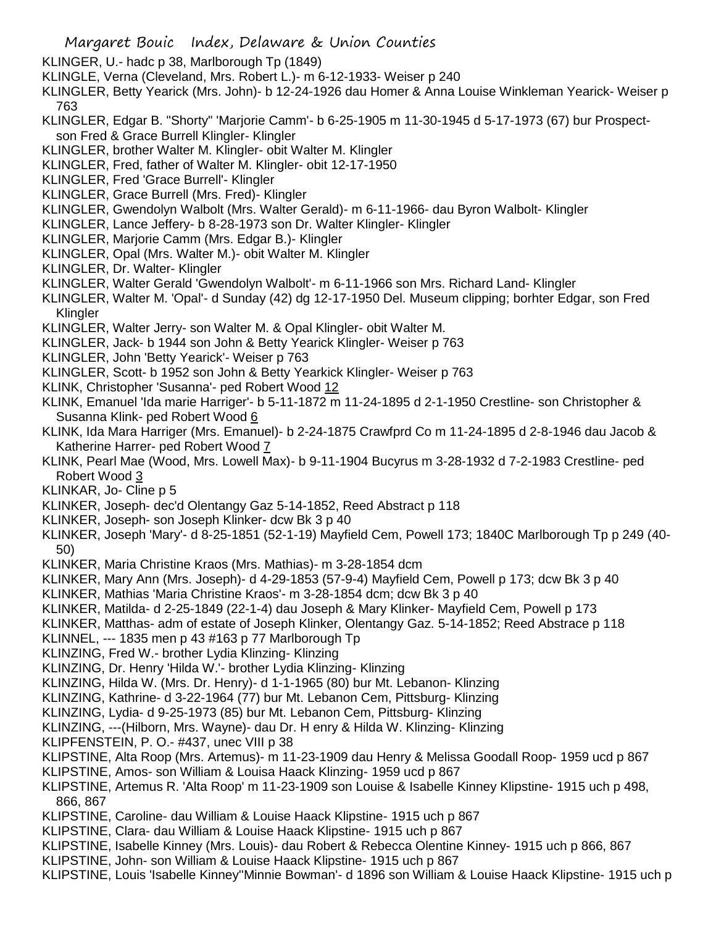- KLINGER, U.- hadc p 38, Marlborough Tp (1849)
- KLINGLE, Verna (Cleveland, Mrs. Robert L.)- m 6-12-1933- Weiser p 240
- KLINGLER, Betty Yearick (Mrs. John)- b 12-24-1926 dau Homer & Anna Louise Winkleman Yearick- Weiser p 763
- KLINGLER, Edgar B. "Shorty" 'Marjorie Camm'- b 6-25-1905 m 11-30-1945 d 5-17-1973 (67) bur Prospectson Fred & Grace Burrell Klingler- Klingler
- KLINGLER, brother Walter M. Klingler- obit Walter M. Klingler
- KLINGLER, Fred, father of Walter M. Klingler- obit 12-17-1950
- KLINGLER, Fred 'Grace Burrell'- Klingler
- KLINGLER, Grace Burrell (Mrs. Fred)- Klingler
- KLINGLER, Gwendolyn Walbolt (Mrs. Walter Gerald)- m 6-11-1966- dau Byron Walbolt- Klingler
- KLINGLER, Lance Jeffery- b 8-28-1973 son Dr. Walter Klingler- Klingler
- KLINGLER, Marjorie Camm (Mrs. Edgar B.)- Klingler
- KLINGLER, Opal (Mrs. Walter M.)- obit Walter M. Klingler
- KLINGLER, Dr. Walter- Klingler
- KLINGLER, Walter Gerald 'Gwendolyn Walbolt'- m 6-11-1966 son Mrs. Richard Land- Klingler
- KLINGLER, Walter M. 'Opal'- d Sunday (42) dg 12-17-1950 Del. Museum clipping; borhter Edgar, son Fred Klingler
- KLINGLER, Walter Jerry- son Walter M. & Opal Klingler- obit Walter M.
- KLINGLER, Jack- b 1944 son John & Betty Yearick Klingler- Weiser p 763
- KLINGLER, John 'Betty Yearick'- Weiser p 763
- KLINGLER, Scott- b 1952 son John & Betty Yearkick Klingler- Weiser p 763
- KLINK, Christopher 'Susanna'- ped Robert Wood 12
- KLINK, Emanuel 'Ida marie Harriger'- b 5-11-1872 m 11-24-1895 d 2-1-1950 Crestline- son Christopher & Susanna Klink- ped Robert Wood 6
- KLINK, Ida Mara Harriger (Mrs. Emanuel)- b 2-24-1875 Crawfprd Co m 11-24-1895 d 2-8-1946 dau Jacob & Katherine Harrer- ped Robert Wood 7
- KLINK, Pearl Mae (Wood, Mrs. Lowell Max)- b 9-11-1904 Bucyrus m 3-28-1932 d 7-2-1983 Crestline- ped Robert Wood 3
- KLINKAR, Jo- Cline p 5
- KLINKER, Joseph- dec'd Olentangy Gaz 5-14-1852, Reed Abstract p 118
- KLINKER, Joseph- son Joseph Klinker- dcw Bk 3 p 40
- KLINKER, Joseph 'Mary'- d 8-25-1851 (52-1-19) Mayfield Cem, Powell 173; 1840C Marlborough Tp p 249 (40- 50)
- KLINKER, Maria Christine Kraos (Mrs. Mathias)- m 3-28-1854 dcm
- KLINKER, Mary Ann (Mrs. Joseph)- d 4-29-1853 (57-9-4) Mayfield Cem, Powell p 173; dcw Bk 3 p 40
- KLINKER, Mathias 'Maria Christine Kraos'- m 3-28-1854 dcm; dcw Bk 3 p 40
- KLINKER, Matilda- d 2-25-1849 (22-1-4) dau Joseph & Mary Klinker- Mayfield Cem, Powell p 173
- KLINKER, Matthas- adm of estate of Joseph Klinker, Olentangy Gaz. 5-14-1852; Reed Abstrace p 118
- KLINNEL, --- 1835 men p 43 #163 p 77 Marlborough Tp
- KLINZING, Fred W.- brother Lydia Klinzing- Klinzing
- KLINZING, Dr. Henry 'Hilda W.'- brother Lydia Klinzing- Klinzing
- KLINZING, Hilda W. (Mrs. Dr. Henry)- d 1-1-1965 (80) bur Mt. Lebanon- Klinzing
- KLINZING, Kathrine- d 3-22-1964 (77) bur Mt. Lebanon Cem, Pittsburg- Klinzing
- KLINZING, Lydia- d 9-25-1973 (85) bur Mt. Lebanon Cem, Pittsburg- Klinzing
- KLINZING, ---(Hilborn, Mrs. Wayne)- dau Dr. H enry & Hilda W. Klinzing- Klinzing
- KLIPFENSTEIN, P. O.- #437, unec VIII p 38
- KLIPSTINE, Alta Roop (Mrs. Artemus)- m 11-23-1909 dau Henry & Melissa Goodall Roop- 1959 ucd p 867
- KLIPSTINE, Amos- son William & Louisa Haack Klinzing- 1959 ucd p 867
- KLIPSTINE, Artemus R. 'Alta Roop' m 11-23-1909 son Louise & Isabelle Kinney Klipstine- 1915 uch p 498, 866, 867
- KLIPSTINE, Caroline- dau William & Louise Haack Klipstine- 1915 uch p 867
- KLIPSTINE, Clara- dau William & Louise Haack Klipstine- 1915 uch p 867
- KLIPSTINE, Isabelle Kinney (Mrs. Louis)- dau Robert & Rebecca Olentine Kinney- 1915 uch p 866, 867
- KLIPSTINE, John- son William & Louise Haack Klipstine- 1915 uch p 867
- KLIPSTINE, Louis 'Isabelle Kinney''Minnie Bowman'- d 1896 son William & Louise Haack Klipstine- 1915 uch p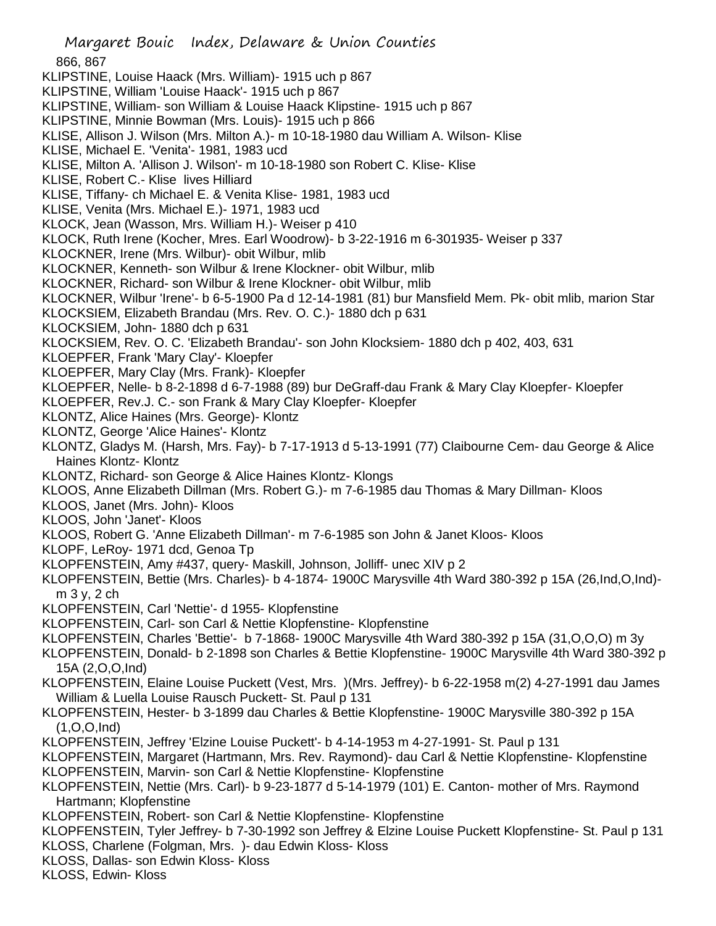Margaret Bouic Index, Delaware & Union Counties 866, 867 KLIPSTINE, Louise Haack (Mrs. William)- 1915 uch p 867 KLIPSTINE, William 'Louise Haack'- 1915 uch p 867 KLIPSTINE, William- son William & Louise Haack Klipstine- 1915 uch p 867 KLIPSTINE, Minnie Bowman (Mrs. Louis)- 1915 uch p 866 KLISE, Allison J. Wilson (Mrs. Milton A.)- m 10-18-1980 dau William A. Wilson- Klise KLISE, Michael E. 'Venita'- 1981, 1983 ucd KLISE, Milton A. 'Allison J. Wilson'- m 10-18-1980 son Robert C. Klise- Klise KLISE, Robert C.- Klise lives Hilliard KLISE, Tiffany- ch Michael E. & Venita Klise- 1981, 1983 ucd KLISE, Venita (Mrs. Michael E.)- 1971, 1983 ucd KLOCK, Jean (Wasson, Mrs. William H.)- Weiser p 410 KLOCK, Ruth Irene (Kocher, Mres. Earl Woodrow)- b 3-22-1916 m 6-301935- Weiser p 337 KLOCKNER, Irene (Mrs. Wilbur)- obit Wilbur, mlib KLOCKNER, Kenneth- son Wilbur & Irene Klockner- obit Wilbur, mlib KLOCKNER, Richard- son Wilbur & Irene Klockner- obit Wilbur, mlib KLOCKNER, Wilbur 'Irene'- b 6-5-1900 Pa d 12-14-1981 (81) bur Mansfield Mem. Pk- obit mlib, marion Star KLOCKSIEM, Elizabeth Brandau (Mrs. Rev. O. C.)- 1880 dch p 631 KLOCKSIEM, John- 1880 dch p 631 KLOCKSIEM, Rev. O. C. 'Elizabeth Brandau'- son John Klocksiem- 1880 dch p 402, 403, 631 KLOEPFER, Frank 'Mary Clay'- Kloepfer KLOEPFER, Mary Clay (Mrs. Frank)- Kloepfer KLOEPFER, Nelle- b 8-2-1898 d 6-7-1988 (89) bur DeGraff-dau Frank & Mary Clay Kloepfer- Kloepfer KLOEPFER, Rev.J. C.- son Frank & Mary Clay Kloepfer- Kloepfer KLONTZ, Alice Haines (Mrs. George)- Klontz KLONTZ, George 'Alice Haines'- Klontz KLONTZ, Gladys M. (Harsh, Mrs. Fay)- b 7-17-1913 d 5-13-1991 (77) Claibourne Cem- dau George & Alice Haines Klontz- Klontz KLONTZ, Richard- son George & Alice Haines Klontz- Klongs KLOOS, Anne Elizabeth Dillman (Mrs. Robert G.)- m 7-6-1985 dau Thomas & Mary Dillman- Kloos KLOOS, Janet (Mrs. John)- Kloos KLOOS, John 'Janet'- Kloos KLOOS, Robert G. 'Anne Elizabeth Dillman'- m 7-6-1985 son John & Janet Kloos- Kloos KLOPF, LeRoy- 1971 dcd, Genoa Tp KLOPFENSTEIN, Amy #437, query- Maskill, Johnson, Jolliff- unec XIV p 2 KLOPFENSTEIN, Bettie (Mrs. Charles)- b 4-1874- 1900C Marysville 4th Ward 380-392 p 15A (26,Ind,O,Ind) m 3 y, 2 ch KLOPFENSTEIN, Carl 'Nettie'- d 1955- Klopfenstine KLOPFENSTEIN, Carl- son Carl & Nettie Klopfenstine- Klopfenstine KLOPFENSTEIN, Charles 'Bettie'- b 7-1868- 1900C Marysville 4th Ward 380-392 p 15A (31,O,O,O) m 3y KLOPFENSTEIN, Donald- b 2-1898 son Charles & Bettie Klopfenstine- 1900C Marysville 4th Ward 380-392 p 15A (2,O,O,Ind) KLOPFENSTEIN, Elaine Louise Puckett (Vest, Mrs. )(Mrs. Jeffrey)- b 6-22-1958 m(2) 4-27-1991 dau James William & Luella Louise Rausch Puckett- St. Paul p 131 KLOPFENSTEIN, Hester- b 3-1899 dau Charles & Bettie Klopfenstine- 1900C Marysville 380-392 p 15A (1,O,O,Ind) KLOPFENSTEIN, Jeffrey 'Elzine Louise Puckett'- b 4-14-1953 m 4-27-1991- St. Paul p 131 KLOPFENSTEIN, Margaret (Hartmann, Mrs. Rev. Raymond)- dau Carl & Nettie Klopfenstine- Klopfenstine KLOPFENSTEIN, Marvin- son Carl & Nettie Klopfenstine- Klopfenstine KLOPFENSTEIN, Nettie (Mrs. Carl)- b 9-23-1877 d 5-14-1979 (101) E. Canton- mother of Mrs. Raymond Hartmann; Klopfenstine KLOPFENSTEIN, Robert- son Carl & Nettie Klopfenstine- Klopfenstine KLOPFENSTEIN, Tyler Jeffrey- b 7-30-1992 son Jeffrey & Elzine Louise Puckett Klopfenstine- St. Paul p 131 KLOSS, Charlene (Folgman, Mrs. )- dau Edwin Kloss- Kloss KLOSS, Dallas- son Edwin Kloss- Kloss KLOSS, Edwin- Kloss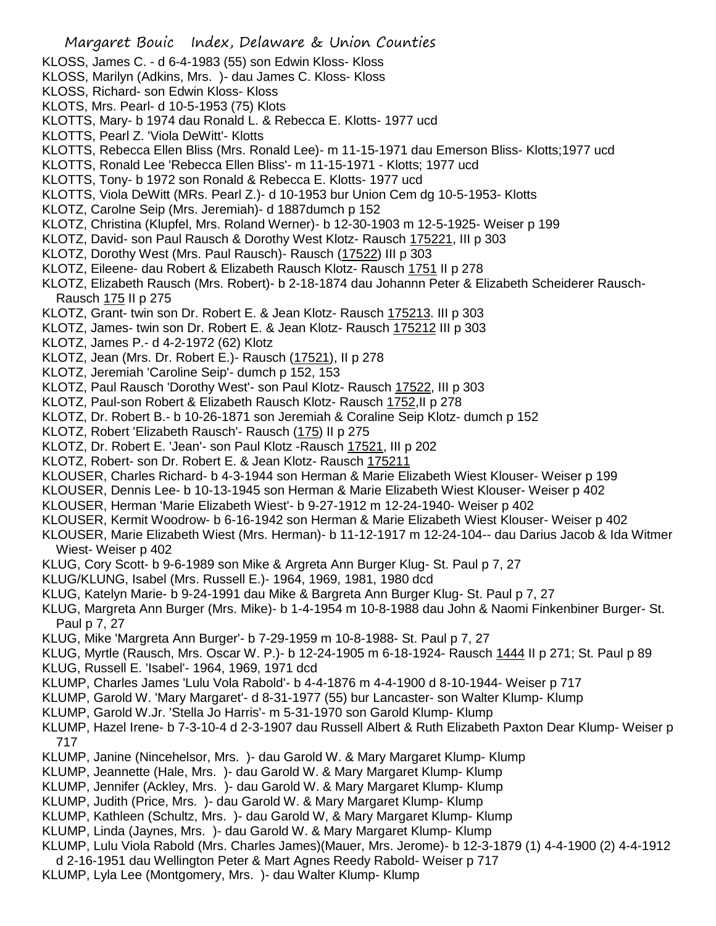- KLOSS, James C. d 6-4-1983 (55) son Edwin Kloss- Kloss
- KLOSS, Marilyn (Adkins, Mrs. )- dau James C. Kloss- Kloss
- KLOSS, Richard- son Edwin Kloss- Kloss
- KLOTS, Mrs. Pearl- d 10-5-1953 (75) Klots
- KLOTTS, Mary- b 1974 dau Ronald L. & Rebecca E. Klotts- 1977 ucd
- KLOTTS, Pearl Z. 'Viola DeWitt'- Klotts
- KLOTTS, Rebecca Ellen Bliss (Mrs. Ronald Lee)- m 11-15-1971 dau Emerson Bliss- Klotts;1977 ucd
- KLOTTS, Ronald Lee 'Rebecca Ellen Bliss'- m 11-15-1971 Klotts; 1977 ucd
- KLOTTS, Tony- b 1972 son Ronald & Rebecca E. Klotts- 1977 ucd
- KLOTTS, Viola DeWitt (MRs. Pearl Z.)- d 10-1953 bur Union Cem dg 10-5-1953- Klotts
- KLOTZ, Carolne Seip (Mrs. Jeremiah)- d 1887dumch p 152
- KLOTZ, Christina (Klupfel, Mrs. Roland Werner)- b 12-30-1903 m 12-5-1925- Weiser p 199
- KLOTZ, David- son Paul Rausch & Dorothy West Klotz- Rausch 175221, III p 303
- KLOTZ, Dorothy West (Mrs. Paul Rausch)- Rausch (17522) III p 303
- KLOTZ, Eileene- dau Robert & Elizabeth Rausch Klotz- Rausch 1751 II p 278
- KLOTZ, Elizabeth Rausch (Mrs. Robert)- b 2-18-1874 dau Johannn Peter & Elizabeth Scheiderer Rausch-Rausch 175 II p 275
- KLOTZ, Grant- twin son Dr. Robert E. & Jean Klotz- Rausch 175213. III p 303
- KLOTZ, James- twin son Dr. Robert E. & Jean Klotz- Rausch 175212 III p 303
- KLOTZ, James P.- d 4-2-1972 (62) Klotz
- KLOTZ, Jean (Mrs. Dr. Robert E.)- Rausch (17521), II p 278
- KLOTZ, Jeremiah 'Caroline Seip'- dumch p 152, 153
- KLOTZ, Paul Rausch 'Dorothy West'- son Paul Klotz- Rausch 17522, III p 303
- KLOTZ, Paul-son Robert & Elizabeth Rausch Klotz- Rausch 1752,II p 278
- KLOTZ, Dr. Robert B.- b 10-26-1871 son Jeremiah & Coraline Seip Klotz- dumch p 152
- KLOTZ, Robert 'Elizabeth Rausch'- Rausch (175) II p 275
- KLOTZ, Dr. Robert E. 'Jean'- son Paul Klotz -Rausch 17521, III p 202
- KLOTZ, Robert- son Dr. Robert E. & Jean Klotz- Rausch 175211
- KLOUSER, Charles Richard- b 4-3-1944 son Herman & Marie Elizabeth Wiest Klouser- Weiser p 199
- KLOUSER, Dennis Lee- b 10-13-1945 son Herman & Marie Elizabeth Wiest Klouser- Weiser p 402
- KLOUSER, Herman 'Marie Elizabeth Wiest'- b 9-27-1912 m 12-24-1940- Weiser p 402
- KLOUSER, Kermit Woodrow- b 6-16-1942 son Herman & Marie Elizabeth Wiest Klouser- Weiser p 402
- KLOUSER, Marie Elizabeth Wiest (Mrs. Herman)- b 11-12-1917 m 12-24-104-- dau Darius Jacob & Ida Witmer Wiest- Weiser p 402
- KLUG, Cory Scott- b 9-6-1989 son Mike & Argreta Ann Burger Klug- St. Paul p 7, 27
- KLUG/KLUNG, Isabel (Mrs. Russell E.)- 1964, 1969, 1981, 1980 dcd
- KLUG, Katelyn Marie- b 9-24-1991 dau Mike & Bargreta Ann Burger Klug- St. Paul p 7, 27
- KLUG, Margreta Ann Burger (Mrs. Mike)- b 1-4-1954 m 10-8-1988 dau John & Naomi Finkenbiner Burger- St. Paul p 7, 27
- KLUG, Mike 'Margreta Ann Burger'- b 7-29-1959 m 10-8-1988- St. Paul p 7, 27

KLUG, Myrtle (Rausch, Mrs. Oscar W. P.)- b 12-24-1905 m 6-18-1924- Rausch 1444 II p 271; St. Paul p 89 KLUG, Russell E. 'Isabel'- 1964, 1969, 1971 dcd

- KLUMP, Charles James 'Lulu Vola Rabold'- b 4-4-1876 m 4-4-1900 d 8-10-1944- Weiser p 717
- KLUMP, Garold W. 'Mary Margaret'- d 8-31-1977 (55) bur Lancaster- son Walter Klump- Klump
- KLUMP, Garold W.Jr. 'Stella Jo Harris'- m 5-31-1970 son Garold Klump- Klump
- KLUMP, Hazel Irene- b 7-3-10-4 d 2-3-1907 dau Russell Albert & Ruth Elizabeth Paxton Dear Klump- Weiser p 717
- KLUMP, Janine (Nincehelsor, Mrs. )- dau Garold W. & Mary Margaret Klump- Klump
- KLUMP, Jeannette (Hale, Mrs. )- dau Garold W. & Mary Margaret Klump- Klump
- KLUMP, Jennifer (Ackley, Mrs. )- dau Garold W. & Mary Margaret Klump- Klump
- KLUMP, Judith (Price, Mrs. )- dau Garold W. & Mary Margaret Klump- Klump
- KLUMP, Kathleen (Schultz, Mrs. )- dau Garold W, & Mary Margaret Klump- Klump
- KLUMP, Linda (Jaynes, Mrs. )- dau Garold W. & Mary Margaret Klump- Klump
- KLUMP, Lulu Viola Rabold (Mrs. Charles James)(Mauer, Mrs. Jerome)- b 12-3-1879 (1) 4-4-1900 (2) 4-4-1912
- d 2-16-1951 dau Wellington Peter & Mart Agnes Reedy Rabold- Weiser p 717
- KLUMP, Lyla Lee (Montgomery, Mrs. )- dau Walter Klump- Klump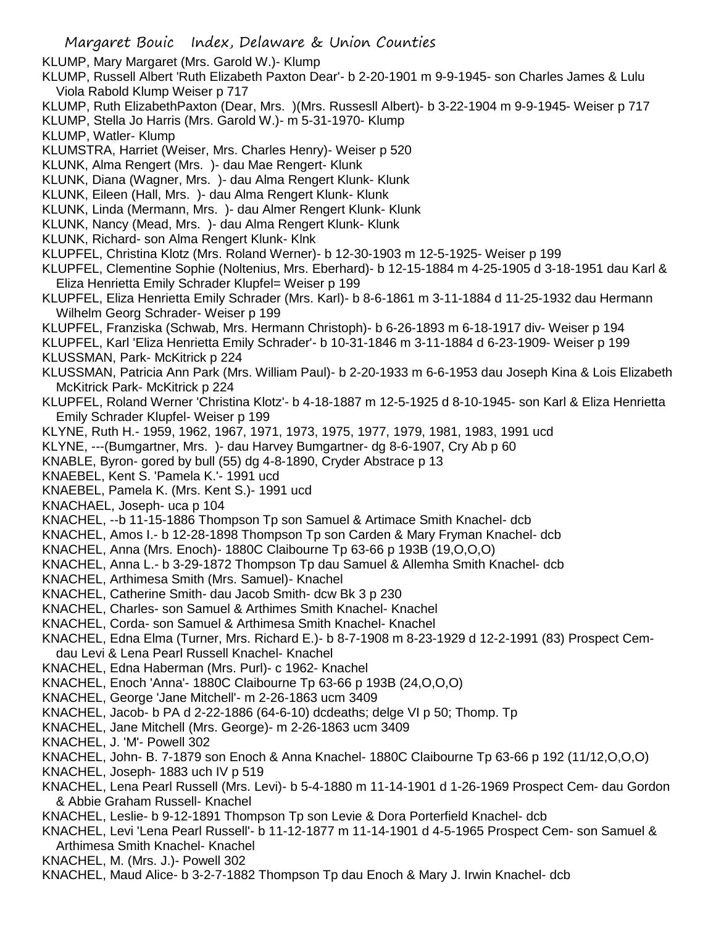KLUMP, Mary Margaret (Mrs. Garold W.)- Klump

- KLUMP, Russell Albert 'Ruth Elizabeth Paxton Dear'- b 2-20-1901 m 9-9-1945- son Charles James & Lulu Viola Rabold Klump Weiser p 717
- KLUMP, Ruth ElizabethPaxton (Dear, Mrs. )(Mrs. Russesll Albert)- b 3-22-1904 m 9-9-1945- Weiser p 717
- KLUMP, Stella Jo Harris (Mrs. Garold W.)- m 5-31-1970- Klump
- KLUMP, Watler- Klump
- KLUMSTRA, Harriet (Weiser, Mrs. Charles Henry)- Weiser p 520
- KLUNK, Alma Rengert (Mrs. )- dau Mae Rengert- Klunk
- KLUNK, Diana (Wagner, Mrs. )- dau Alma Rengert Klunk- Klunk
- KLUNK, Eileen (Hall, Mrs. )- dau Alma Rengert Klunk- Klunk
- KLUNK, Linda (Mermann, Mrs. )- dau Almer Rengert Klunk- Klunk
- KLUNK, Nancy (Mead, Mrs. )- dau Alma Rengert Klunk- Klunk
- KLUNK, Richard- son Alma Rengert Klunk- Klnk
- KLUPFEL, Christina Klotz (Mrs. Roland Werner)- b 12-30-1903 m 12-5-1925- Weiser p 199
- KLUPFEL, Clementine Sophie (Noltenius, Mrs. Eberhard)- b 12-15-1884 m 4-25-1905 d 3-18-1951 dau Karl & Eliza Henrietta Emily Schrader Klupfel= Weiser p 199
- KLUPFEL, Eliza Henrietta Emily Schrader (Mrs. Karl)- b 8-6-1861 m 3-11-1884 d 11-25-1932 dau Hermann Wilhelm Georg Schrader- Weiser p 199
- KLUPFEL, Franziska (Schwab, Mrs. Hermann Christoph)- b 6-26-1893 m 6-18-1917 div- Weiser p 194
- KLUPFEL, Karl 'Eliza Henrietta Emily Schrader'- b 10-31-1846 m 3-11-1884 d 6-23-1909- Weiser p 199
- KLUSSMAN, Park- McKitrick p 224
- KLUSSMAN, Patricia Ann Park (Mrs. William Paul)- b 2-20-1933 m 6-6-1953 dau Joseph Kina & Lois Elizabeth McKitrick Park- McKitrick p 224
- KLUPFEL, Roland Werner 'Christina Klotz'- b 4-18-1887 m 12-5-1925 d 8-10-1945- son Karl & Eliza Henrietta Emily Schrader Klupfel- Weiser p 199
- KLYNE, Ruth H.- 1959, 1962, 1967, 1971, 1973, 1975, 1977, 1979, 1981, 1983, 1991 ucd
- KLYNE, ---(Bumgartner, Mrs. )- dau Harvey Bumgartner- dg 8-6-1907, Cry Ab p 60
- KNABLE, Byron- gored by bull (55) dg 4-8-1890, Cryder Abstrace p 13
- KNAEBEL, Kent S. 'Pamela K.'- 1991 ucd
- KNAEBEL, Pamela K. (Mrs. Kent S.)- 1991 ucd
- KNACHAEL, Joseph- uca p 104
- KNACHEL, --b 11-15-1886 Thompson Tp son Samuel & Artimace Smith Knachel- dcb
- KNACHEL, Amos I.- b 12-28-1898 Thompson Tp son Carden & Mary Fryman Knachel- dcb
- KNACHEL, Anna (Mrs. Enoch)- 1880C Claibourne Tp 63-66 p 193B (19,O,O,O)
- KNACHEL, Anna L.- b 3-29-1872 Thompson Tp dau Samuel & Allemha Smith Knachel- dcb
- KNACHEL, Arthimesa Smith (Mrs. Samuel)- Knachel
- KNACHEL, Catherine Smith- dau Jacob Smith- dcw Bk 3 p 230
- KNACHEL, Charles- son Samuel & Arthimes Smith Knachel- Knachel
- KNACHEL, Corda- son Samuel & Arthimesa Smith Knachel- Knachel
- KNACHEL, Edna Elma (Turner, Mrs. Richard E.)- b 8-7-1908 m 8-23-1929 d 12-2-1991 (83) Prospect Cemdau Levi & Lena Pearl Russell Knachel- Knachel
- KNACHEL, Edna Haberman (Mrs. Purl)- c 1962- Knachel
- KNACHEL, Enoch 'Anna'- 1880C Claibourne Tp 63-66 p 193B (24,O,O,O)
- KNACHEL, George 'Jane Mitchell'- m 2-26-1863 ucm 3409
- KNACHEL, Jacob- b PA d 2-22-1886 (64-6-10) dcdeaths; delge VI p 50; Thomp. Tp
- KNACHEL, Jane Mitchell (Mrs. George)- m 2-26-1863 ucm 3409
- KNACHEL, J. 'M'- Powell 302
- KNACHEL, John- B. 7-1879 son Enoch & Anna Knachel- 1880C Claibourne Tp 63-66 p 192 (11/12,O,O,O)
- KNACHEL, Joseph- 1883 uch IV p 519
- KNACHEL, Lena Pearl Russell (Mrs. Levi)- b 5-4-1880 m 11-14-1901 d 1-26-1969 Prospect Cem- dau Gordon & Abbie Graham Russell- Knachel
- KNACHEL, Leslie- b 9-12-1891 Thompson Tp son Levie & Dora Porterfield Knachel- dcb
- KNACHEL, Levi 'Lena Pearl Russell'- b 11-12-1877 m 11-14-1901 d 4-5-1965 Prospect Cem- son Samuel & Arthimesa Smith Knachel- Knachel
- KNACHEL, M. (Mrs. J.)- Powell 302
- KNACHEL, Maud Alice- b 3-2-7-1882 Thompson Tp dau Enoch & Mary J. Irwin Knachel- dcb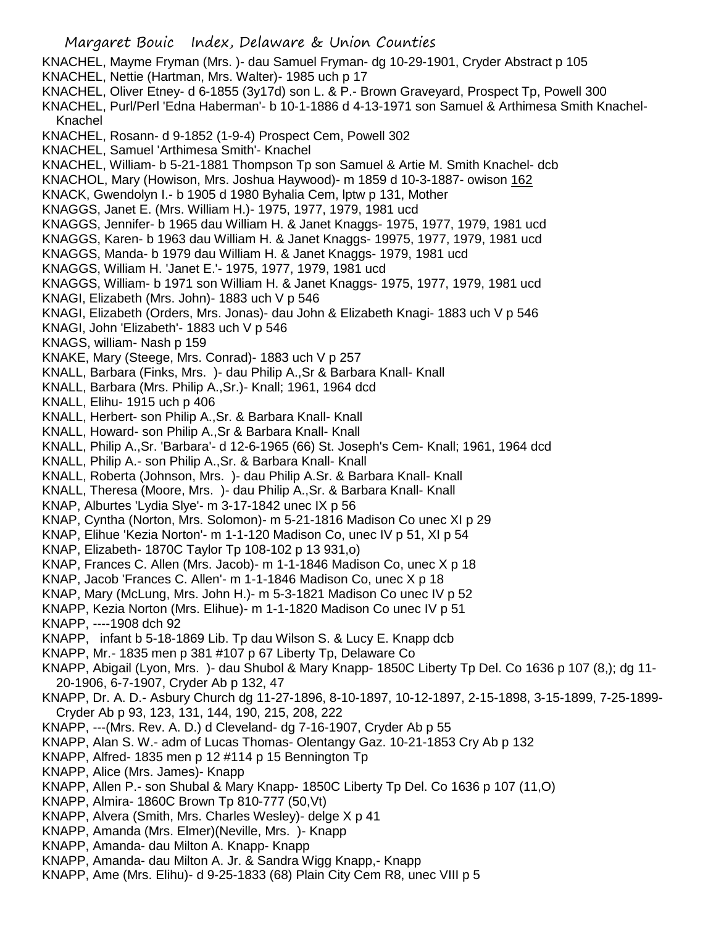- KNACHEL, Mayme Fryman (Mrs. )- dau Samuel Fryman- dg 10-29-1901, Cryder Abstract p 105
- KNACHEL, Nettie (Hartman, Mrs. Walter)- 1985 uch p 17
- KNACHEL, Oliver Etney- d 6-1855 (3y17d) son L. & P.- Brown Graveyard, Prospect Tp, Powell 300
- KNACHEL, Purl/Perl 'Edna Haberman'- b 10-1-1886 d 4-13-1971 son Samuel & Arthimesa Smith Knachel-Knachel
- KNACHEL, Rosann- d 9-1852 (1-9-4) Prospect Cem, Powell 302
- KNACHEL, Samuel 'Arthimesa Smith'- Knachel
- KNACHEL, William- b 5-21-1881 Thompson Tp son Samuel & Artie M. Smith Knachel- dcb
- KNACHOL, Mary (Howison, Mrs. Joshua Haywood)- m 1859 d 10-3-1887- owison 162
- KNACK, Gwendolyn I.- b 1905 d 1980 Byhalia Cem, lptw p 131, Mother
- KNAGGS, Janet E. (Mrs. William H.)- 1975, 1977, 1979, 1981 ucd
- KNAGGS, Jennifer- b 1965 dau William H. & Janet Knaggs- 1975, 1977, 1979, 1981 ucd
- KNAGGS, Karen- b 1963 dau William H. & Janet Knaggs- 19975, 1977, 1979, 1981 ucd
- KNAGGS, Manda- b 1979 dau William H. & Janet Knaggs- 1979, 1981 ucd
- KNAGGS, William H. 'Janet E.'- 1975, 1977, 1979, 1981 ucd
- KNAGGS, William- b 1971 son William H. & Janet Knaggs- 1975, 1977, 1979, 1981 ucd
- KNAGI, Elizabeth (Mrs. John)- 1883 uch V p 546
- KNAGI, Elizabeth (Orders, Mrs. Jonas)- dau John & Elizabeth Knagi- 1883 uch V p 546
- KNAGI, John 'Elizabeth'- 1883 uch V p 546
- KNAGS, william- Nash p 159
- KNAKE, Mary (Steege, Mrs. Conrad)- 1883 uch V p 257
- KNALL, Barbara (Finks, Mrs. )- dau Philip A.,Sr & Barbara Knall- Knall
- KNALL, Barbara (Mrs. Philip A.,Sr.)- Knall; 1961, 1964 dcd
- KNALL, Elihu- 1915 uch p 406
- KNALL, Herbert- son Philip A.,Sr. & Barbara Knall- Knall
- KNALL, Howard- son Philip A.,Sr & Barbara Knall- Knall
- KNALL, Philip A.,Sr. 'Barbara'- d 12-6-1965 (66) St. Joseph's Cem- Knall; 1961, 1964 dcd
- KNALL, Philip A.- son Philip A.,Sr. & Barbara Knall- Knall
- KNALL, Roberta (Johnson, Mrs. )- dau Philip A.Sr. & Barbara Knall- Knall
- KNALL, Theresa (Moore, Mrs. )- dau Philip A.,Sr. & Barbara Knall- Knall
- KNAP, Alburtes 'Lydia Slye'- m 3-17-1842 unec IX p 56
- KNAP, Cyntha (Norton, Mrs. Solomon)- m 5-21-1816 Madison Co unec XI p 29
- KNAP, Elihue 'Kezia Norton'- m 1-1-120 Madison Co, unec IV p 51, XI p 54
- KNAP, Elizabeth- 1870C Taylor Tp 108-102 p 13 931,o)
- KNAP, Frances C. Allen (Mrs. Jacob)- m 1-1-1846 Madison Co, unec X p 18
- KNAP, Jacob 'Frances C. Allen'- m 1-1-1846 Madison Co, unec X p 18
- KNAP, Mary (McLung, Mrs. John H.)- m 5-3-1821 Madison Co unec IV p 52
- KNAPP, Kezia Norton (Mrs. Elihue)- m 1-1-1820 Madison Co unec IV p 51
- KNAPP, ----1908 dch 92
- KNAPP, infant b 5-18-1869 Lib. Tp dau Wilson S. & Lucy E. Knapp dcb
- KNAPP, Mr.- 1835 men p 381 #107 p 67 Liberty Tp, Delaware Co
- KNAPP, Abigail (Lyon, Mrs. )- dau Shubol & Mary Knapp- 1850C Liberty Tp Del. Co 1636 p 107 (8,); dg 11- 20-1906, 6-7-1907, Cryder Ab p 132, 47
- KNAPP, Dr. A. D.- Asbury Church dg 11-27-1896, 8-10-1897, 10-12-1897, 2-15-1898, 3-15-1899, 7-25-1899- Cryder Ab p 93, 123, 131, 144, 190, 215, 208, 222
- KNAPP, ---(Mrs. Rev. A. D.) d Cleveland- dg 7-16-1907, Cryder Ab p 55
- KNAPP, Alan S. W.- adm of Lucas Thomas- Olentangy Gaz. 10-21-1853 Cry Ab p 132
- KNAPP, Alfred- 1835 men p 12 #114 p 15 Bennington Tp
- KNAPP, Alice (Mrs. James)- Knapp
- KNAPP, Allen P.- son Shubal & Mary Knapp- 1850C Liberty Tp Del. Co 1636 p 107 (11,O)
- KNAPP, Almira- 1860C Brown Tp 810-777 (50,Vt)
- KNAPP, Alvera (Smith, Mrs. Charles Wesley)- delge X p 41
- KNAPP, Amanda (Mrs. Elmer)(Neville, Mrs. )- Knapp
- KNAPP, Amanda- dau Milton A. Knapp- Knapp
- KNAPP, Amanda- dau Milton A. Jr. & Sandra Wigg Knapp,- Knapp
- KNAPP, Ame (Mrs. Elihu)- d 9-25-1833 (68) Plain City Cem R8, unec VIII p 5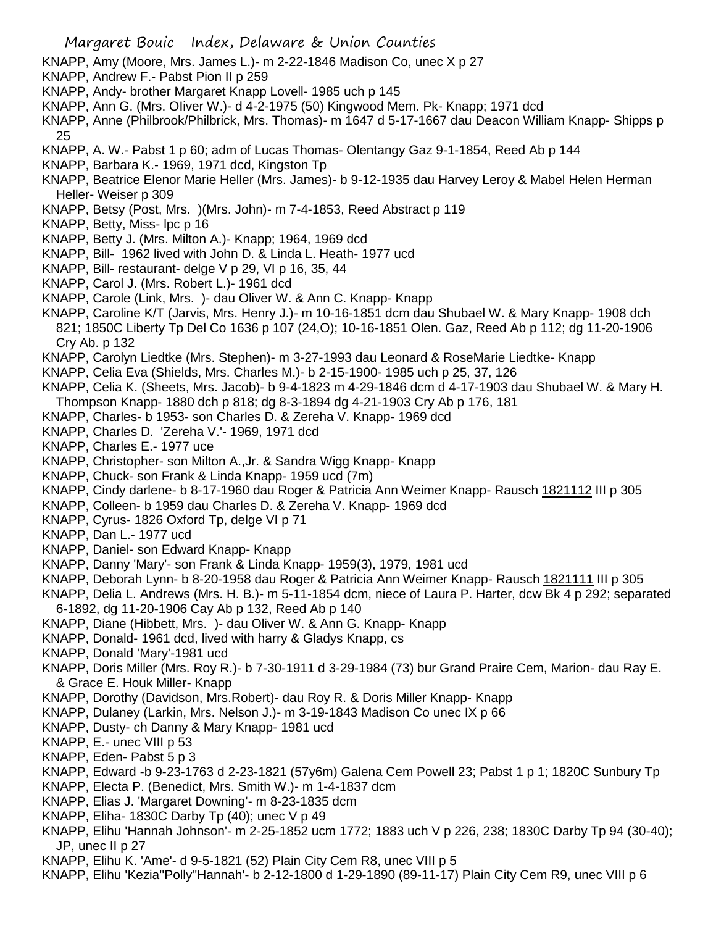- KNAPP, Amy (Moore, Mrs. James L.)- m 2-22-1846 Madison Co, unec X p 27
- KNAPP, Andrew F.- Pabst Pion II p 259
- KNAPP, Andy- brother Margaret Knapp Lovell- 1985 uch p 145
- KNAPP, Ann G. (Mrs. OIiver W.)- d 4-2-1975 (50) Kingwood Mem. Pk- Knapp; 1971 dcd
- KNAPP, Anne (Philbrook/Philbrick, Mrs. Thomas)- m 1647 d 5-17-1667 dau Deacon William Knapp- Shipps p 25
- KNAPP, A. W.- Pabst 1 p 60; adm of Lucas Thomas- Olentangy Gaz 9-1-1854, Reed Ab p 144
- KNAPP, Barbara K.- 1969, 1971 dcd, Kingston Tp
- KNAPP, Beatrice Elenor Marie Heller (Mrs. James)- b 9-12-1935 dau Harvey Leroy & Mabel Helen Herman Heller- Weiser p 309
- KNAPP, Betsy (Post, Mrs. )(Mrs. John)- m 7-4-1853, Reed Abstract p 119
- KNAPP, Betty, Miss- lpc p 16
- KNAPP, Betty J. (Mrs. Milton A.)- Knapp; 1964, 1969 dcd
- KNAPP, Bill- 1962 lived with John D. & Linda L. Heath- 1977 ucd
- KNAPP, Bill- restaurant- delge V p 29, VI p 16, 35, 44
- KNAPP, Carol J. (Mrs. Robert L.)- 1961 dcd
- KNAPP, Carole (Link, Mrs. )- dau Oliver W. & Ann C. Knapp- Knapp
- KNAPP, Caroline K/T (Jarvis, Mrs. Henry J.)- m 10-16-1851 dcm dau Shubael W. & Mary Knapp- 1908 dch 821; 1850C Liberty Tp Del Co 1636 p 107 (24,O); 10-16-1851 Olen. Gaz, Reed Ab p 112; dg 11-20-1906 Cry Ab. p 132
- KNAPP, Carolyn Liedtke (Mrs. Stephen)- m 3-27-1993 dau Leonard & RoseMarie Liedtke- Knapp
- KNAPP, Celia Eva (Shields, Mrs. Charles M.)- b 2-15-1900- 1985 uch p 25, 37, 126
- KNAPP, Celia K. (Sheets, Mrs. Jacob)- b 9-4-1823 m 4-29-1846 dcm d 4-17-1903 dau Shubael W. & Mary H. Thompson Knapp- 1880 dch p 818; dg 8-3-1894 dg 4-21-1903 Cry Ab p 176, 181
- KNAPP, Charles- b 1953- son Charles D. & Zereha V. Knapp- 1969 dcd
- KNAPP, Charles D. 'Zereha V.'- 1969, 1971 dcd
- KNAPP, Charles E.- 1977 uce
- KNAPP, Christopher- son Milton A.,Jr. & Sandra Wigg Knapp- Knapp
- KNAPP, Chuck- son Frank & Linda Knapp- 1959 ucd (7m)
- KNAPP, Cindy darlene- b 8-17-1960 dau Roger & Patricia Ann Weimer Knapp- Rausch 1821112 III p 305
- KNAPP, Colleen- b 1959 dau Charles D. & Zereha V. Knapp- 1969 dcd
- KNAPP, Cyrus- 1826 Oxford Tp, delge VI p 71
- KNAPP, Dan L.- 1977 ucd
- KNAPP, Daniel- son Edward Knapp- Knapp
- KNAPP, Danny 'Mary'- son Frank & Linda Knapp- 1959(3), 1979, 1981 ucd
- KNAPP, Deborah Lynn- b 8-20-1958 dau Roger & Patricia Ann Weimer Knapp- Rausch 1821111 III p 305
- KNAPP, Delia L. Andrews (Mrs. H. B.)- m 5-11-1854 dcm, niece of Laura P. Harter, dcw Bk 4 p 292; separated 6-1892, dg 11-20-1906 Cay Ab p 132, Reed Ab p 140
- KNAPP, Diane (Hibbett, Mrs. )- dau Oliver W. & Ann G. Knapp- Knapp
- KNAPP, Donald- 1961 dcd, lived with harry & Gladys Knapp, cs
- KNAPP, Donald 'Mary'-1981 ucd
- KNAPP, Doris Miller (Mrs. Roy R.)- b 7-30-1911 d 3-29-1984 (73) bur Grand Praire Cem, Marion- dau Ray E. & Grace E. Houk Miller- Knapp
- KNAPP, Dorothy (Davidson, Mrs.Robert)- dau Roy R. & Doris Miller Knapp- Knapp
- KNAPP, Dulaney (Larkin, Mrs. Nelson J.)- m 3-19-1843 Madison Co unec IX p 66
- KNAPP, Dusty- ch Danny & Mary Knapp- 1981 ucd
- KNAPP, E.- unec VIII p 53
- KNAPP, Eden- Pabst 5 p 3
- KNAPP, Edward -b 9-23-1763 d 2-23-1821 (57y6m) Galena Cem Powell 23; Pabst 1 p 1; 1820C Sunbury Tp
- KNAPP, Electa P. (Benedict, Mrs. Smith W.)- m 1-4-1837 dcm
- KNAPP, Elias J. 'Margaret Downing'- m 8-23-1835 dcm
- KNAPP, Eliha- 1830C Darby Tp (40); unec V p 49
- KNAPP, Elihu 'Hannah Johnson'- m 2-25-1852 ucm 1772; 1883 uch V p 226, 238; 1830C Darby Tp 94 (30-40); JP, unec II p 27
- KNAPP, Elihu K. 'Ame'- d 9-5-1821 (52) Plain City Cem R8, unec VIII p 5
- KNAPP, Elihu 'Kezia''Polly''Hannah'- b 2-12-1800 d 1-29-1890 (89-11-17) Plain City Cem R9, unec VIII p 6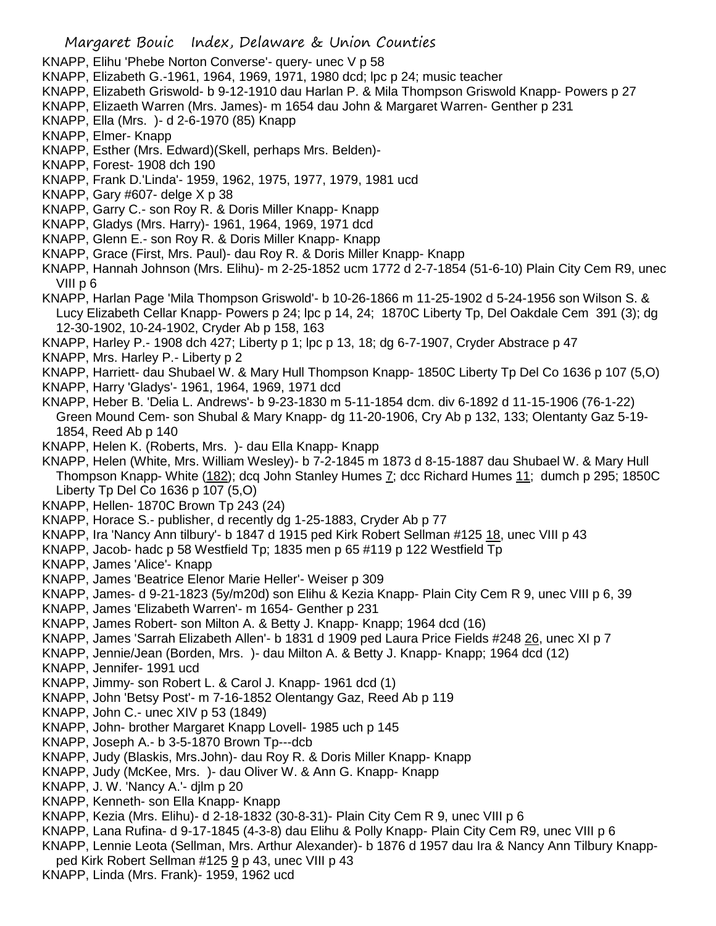- KNAPP, Elihu 'Phebe Norton Converse'- query- unec V p 58
- KNAPP, Elizabeth G.-1961, 1964, 1969, 1971, 1980 dcd; lpc p 24; music teacher
- KNAPP, Elizabeth Griswold- b 9-12-1910 dau Harlan P. & Mila Thompson Griswold Knapp- Powers p 27
- KNAPP, Elizaeth Warren (Mrs. James)- m 1654 dau John & Margaret Warren- Genther p 231
- KNAPP, Ella (Mrs. )- d 2-6-1970 (85) Knapp
- KNAPP, Elmer- Knapp
- KNAPP, Esther (Mrs. Edward)(Skell, perhaps Mrs. Belden)-
- KNAPP, Forest- 1908 dch 190
- KNAPP, Frank D.'Linda'- 1959, 1962, 1975, 1977, 1979, 1981 ucd
- KNAPP, Gary #607- delge X p 38
- KNAPP, Garry C.- son Roy R. & Doris Miller Knapp- Knapp
- KNAPP, Gladys (Mrs. Harry)- 1961, 1964, 1969, 1971 dcd
- KNAPP, Glenn E.- son Roy R. & Doris Miller Knapp- Knapp
- KNAPP, Grace (First, Mrs. Paul)- dau Roy R. & Doris Miller Knapp- Knapp
- KNAPP, Hannah Johnson (Mrs. Elihu)- m 2-25-1852 ucm 1772 d 2-7-1854 (51-6-10) Plain City Cem R9, unec VIII p 6
- KNAPP, Harlan Page 'Mila Thompson Griswold'- b 10-26-1866 m 11-25-1902 d 5-24-1956 son Wilson S. & Lucy Elizabeth Cellar Knapp- Powers p 24; lpc p 14, 24; 1870C Liberty Tp, Del Oakdale Cem 391 (3); dg 12-30-1902, 10-24-1902, Cryder Ab p 158, 163
- KNAPP, Harley P.- 1908 dch 427; Liberty p 1; lpc p 13, 18; dg 6-7-1907, Cryder Abstrace p 47
- KNAPP, Mrs. Harley P.- Liberty p 2
- KNAPP, Harriett- dau Shubael W. & Mary Hull Thompson Knapp- 1850C Liberty Tp Del Co 1636 p 107 (5,O)
- KNAPP, Harry 'Gladys'- 1961, 1964, 1969, 1971 dcd
- KNAPP, Heber B. 'Delia L. Andrews'- b 9-23-1830 m 5-11-1854 dcm. div 6-1892 d 11-15-1906 (76-1-22) Green Mound Cem- son Shubal & Mary Knapp- dg 11-20-1906, Cry Ab p 132, 133; Olentanty Gaz 5-19- 1854, Reed Ab p 140
- KNAPP, Helen K. (Roberts, Mrs. )- dau Ella Knapp- Knapp
- KNAPP, Helen (White, Mrs. William Wesley)- b 7-2-1845 m 1873 d 8-15-1887 dau Shubael W. & Mary Hull Thompson Knapp- White (182); dcq John Stanley Humes 7; dcc Richard Humes 11; dumch p 295; 1850C Liberty Tp Del Co 1636 p 107 (5,O)
- KNAPP, Hellen- 1870C Brown Tp 243 (24)
- KNAPP, Horace S.- publisher, d recently dg 1-25-1883, Cryder Ab p 77
- KNAPP, Ira 'Nancy Ann tilbury'- b 1847 d 1915 ped Kirk Robert Sellman #125 18, unec VIII p 43
- KNAPP, Jacob- hadc p 58 Westfield Tp; 1835 men p 65 #119 p 122 Westfield Tp
- KNAPP, James 'Alice'- Knapp
- KNAPP, James 'Beatrice Elenor Marie Heller'- Weiser p 309
- KNAPP, James- d 9-21-1823 (5y/m20d) son Elihu & Kezia Knapp- Plain City Cem R 9, unec VIII p 6, 39
- KNAPP, James 'Elizabeth Warren'- m 1654- Genther p 231
- KNAPP, James Robert- son Milton A. & Betty J. Knapp- Knapp; 1964 dcd (16)
- KNAPP, James 'Sarrah Elizabeth Allen'- b 1831 d 1909 ped Laura Price Fields #248 26, unec XI p 7
- KNAPP, Jennie/Jean (Borden, Mrs. )- dau Milton A. & Betty J. Knapp- Knapp; 1964 dcd (12)
- KNAPP, Jennifer- 1991 ucd
- KNAPP, Jimmy- son Robert L. & Carol J. Knapp- 1961 dcd (1)
- KNAPP, John 'Betsy Post'- m 7-16-1852 Olentangy Gaz, Reed Ab p 119
- KNAPP, John C.- unec XIV p 53 (1849)
- KNAPP, John- brother Margaret Knapp Lovell- 1985 uch p 145
- KNAPP, Joseph A.- b 3-5-1870 Brown Tp---dcb
- KNAPP, Judy (Blaskis, Mrs.John)- dau Roy R. & Doris Miller Knapp- Knapp
- KNAPP, Judy (McKee, Mrs. )- dau Oliver W. & Ann G. Knapp- Knapp
- KNAPP, J. W. 'Nancy A.'- djlm p 20
- KNAPP, Kenneth- son Ella Knapp- Knapp
- KNAPP, Kezia (Mrs. Elihu)- d 2-18-1832 (30-8-31)- Plain City Cem R 9, unec VIII p 6
- KNAPP, Lana Rufina- d 9-17-1845 (4-3-8) dau Elihu & Polly Knapp- Plain City Cem R9, unec VIII p 6
- KNAPP, Lennie Leota (Sellman, Mrs. Arthur Alexander)- b 1876 d 1957 dau Ira & Nancy Ann Tilbury Knapp-
- ped Kirk Robert Sellman #125 9 p 43, unec VIII p 43
- KNAPP, Linda (Mrs. Frank)- 1959, 1962 ucd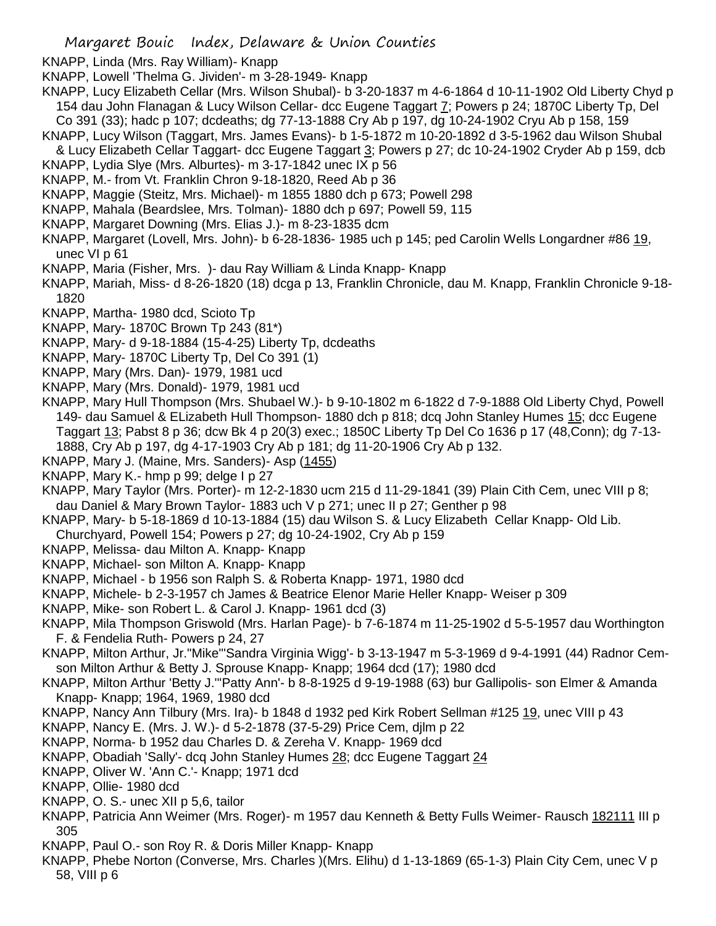- KNAPP, Linda (Mrs. Ray William)- Knapp
- KNAPP, Lowell 'Thelma G. Jividen'- m 3-28-1949- Knapp
- KNAPP, Lucy Elizabeth Cellar (Mrs. Wilson Shubal)- b 3-20-1837 m 4-6-1864 d 10-11-1902 Old Liberty Chyd p 154 dau John Flanagan & Lucy Wilson Cellar- dcc Eugene Taggart 7; Powers p 24; 1870C Liberty Tp, Del
- Co 391 (33); hadc p 107; dcdeaths; dg 77-13-1888 Cry Ab p 197, dg 10-24-1902 Cryu Ab p 158, 159 KNAPP, Lucy Wilson (Taggart, Mrs. James Evans)- b 1-5-1872 m 10-20-1892 d 3-5-1962 dau Wilson Shubal
- & Lucy Elizabeth Cellar Taggart- dcc Eugene Taggart 3; Powers p 27; dc 10-24-1902 Cryder Ab p 159, dcb KNAPP, Lydia Slye (Mrs. Alburtes)- m 3-17-1842 unec IX p 56
- KNAPP, M.- from Vt. Franklin Chron 9-18-1820, Reed Ab p 36
- KNAPP, Maggie (Steitz, Mrs. Michael)- m 1855 1880 dch p 673; Powell 298
- KNAPP, Mahala (Beardslee, Mrs. Tolman)- 1880 dch p 697; Powell 59, 115
- KNAPP, Margaret Downing (Mrs. Elias J.)- m 8-23-1835 dcm
- KNAPP, Margaret (Lovell, Mrs. John)- b 6-28-1836- 1985 uch p 145; ped Carolin Wells Longardner #86 19, unec VI p 61
- KNAPP, Maria (Fisher, Mrs. )- dau Ray William & Linda Knapp- Knapp
- KNAPP, Mariah, Miss- d 8-26-1820 (18) dcga p 13, Franklin Chronicle, dau M. Knapp, Franklin Chronicle 9-18- 1820
- KNAPP, Martha- 1980 dcd, Scioto Tp
- KNAPP, Mary- 1870C Brown Tp 243 (81\*)
- KNAPP, Mary- d 9-18-1884 (15-4-25) Liberty Tp, dcdeaths
- KNAPP, Mary- 1870C Liberty Tp, Del Co 391 (1)
- KNAPP, Mary (Mrs. Dan)- 1979, 1981 ucd
- KNAPP, Mary (Mrs. Donald)- 1979, 1981 ucd
- KNAPP, Mary Hull Thompson (Mrs. Shubael W.)- b 9-10-1802 m 6-1822 d 7-9-1888 Old Liberty Chyd, Powell 149- dau Samuel & ELizabeth Hull Thompson- 1880 dch p 818; dcq John Stanley Humes 15; dcc Eugene Taggart 13; Pabst 8 p 36; dcw Bk 4 p 20(3) exec.; 1850C Liberty Tp Del Co 1636 p 17 (48,Conn); dg 7-13- 1888, Cry Ab p 197, dg 4-17-1903 Cry Ab p 181; dg 11-20-1906 Cry Ab p 132.
- KNAPP, Mary J. (Maine, Mrs. Sanders)- Asp (1455)
- KNAPP, Mary K.- hmp p 99; delge I p 27
- KNAPP, Mary Taylor (Mrs. Porter)- m 12-2-1830 ucm 215 d 11-29-1841 (39) Plain Cith Cem, unec VIII p 8; dau Daniel & Mary Brown Taylor- 1883 uch V p 271; unec II p 27; Genther p 98
- KNAPP, Mary- b 5-18-1869 d 10-13-1884 (15) dau Wilson S. & Lucy Elizabeth Cellar Knapp- Old Lib.
- Churchyard, Powell 154; Powers p 27; dg 10-24-1902, Cry Ab p 159
- KNAPP, Melissa- dau Milton A. Knapp- Knapp
- KNAPP, Michael- son Milton A. Knapp- Knapp
- KNAPP, Michael b 1956 son Ralph S. & Roberta Knapp- 1971, 1980 dcd
- KNAPP, Michele- b 2-3-1957 ch James & Beatrice Elenor Marie Heller Knapp- Weiser p 309
- KNAPP, Mike- son Robert L. & Carol J. Knapp- 1961 dcd (3)
- KNAPP, Mila Thompson Griswold (Mrs. Harlan Page)- b 7-6-1874 m 11-25-1902 d 5-5-1957 dau Worthington F. & Fendelia Ruth- Powers p 24, 27
- KNAPP, Milton Arthur, Jr."Mike"'Sandra Virginia Wigg'- b 3-13-1947 m 5-3-1969 d 9-4-1991 (44) Radnor Cemson Milton Arthur & Betty J. Sprouse Knapp- Knapp; 1964 dcd (17); 1980 dcd
- KNAPP, Milton Arthur 'Betty J.'''Patty Ann'- b 8-8-1925 d 9-19-1988 (63) bur Gallipolis- son Elmer & Amanda Knapp- Knapp; 1964, 1969, 1980 dcd
- KNAPP, Nancy Ann Tilbury (Mrs. Ira)- b 1848 d 1932 ped Kirk Robert Sellman #125 19, unec VIII p 43
- KNAPP, Nancy E. (Mrs. J. W.)- d 5-2-1878 (37-5-29) Price Cem, djlm p 22
- KNAPP, Norma- b 1952 dau Charles D. & Zereha V. Knapp- 1969 dcd
- KNAPP, Obadiah 'Sally'- dcq John Stanley Humes 28; dcc Eugene Taggart 24
- KNAPP, Oliver W. 'Ann C.'- Knapp; 1971 dcd
- KNAPP, Ollie- 1980 dcd
- KNAPP, O. S.- unec XII p 5,6, tailor
- KNAPP, Patricia Ann Weimer (Mrs. Roger)- m 1957 dau Kenneth & Betty Fulls Weimer- Rausch 182111 III p 305
- KNAPP, Paul O.- son Roy R. & Doris Miller Knapp- Knapp
- KNAPP, Phebe Norton (Converse, Mrs. Charles )(Mrs. Elihu) d 1-13-1869 (65-1-3) Plain City Cem, unec V p 58, VIII p 6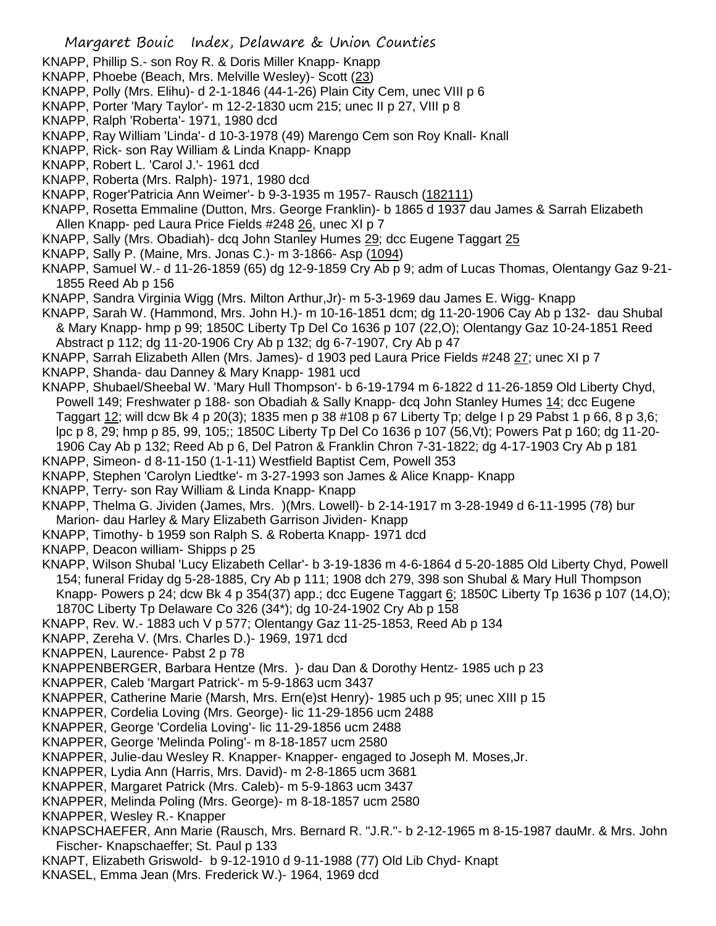- KNAPP, Phillip S.- son Roy R. & Doris Miller Knapp- Knapp
- KNAPP, Phoebe (Beach, Mrs. Melville Wesley)- Scott (23)
- KNAPP, Polly (Mrs. Elihu)- d 2-1-1846 (44-1-26) Plain City Cem, unec VIII p 6
- KNAPP, Porter 'Mary Taylor'- m 12-2-1830 ucm 215; unec II p 27, VIII p 8
- KNAPP, Ralph 'Roberta'- 1971, 1980 dcd
- KNAPP, Ray William 'Linda'- d 10-3-1978 (49) Marengo Cem son Roy Knall- Knall
- KNAPP, Rick- son Ray William & Linda Knapp- Knapp
- KNAPP, Robert L. 'Carol J.'- 1961 dcd
- KNAPP, Roberta (Mrs. Ralph)- 1971, 1980 dcd
- KNAPP, Roger'Patricia Ann Weimer'- b 9-3-1935 m 1957- Rausch (182111)
- KNAPP, Rosetta Emmaline (Dutton, Mrs. George Franklin)- b 1865 d 1937 dau James & Sarrah Elizabeth Allen Knapp- ped Laura Price Fields #248 26, unec XI p 7
- KNAPP, Sally (Mrs. Obadiah)- dcq John Stanley Humes 29; dcc Eugene Taggart 25
- KNAPP, Sally P. (Maine, Mrs. Jonas C.)- m 3-1866- Asp (1094)
- KNAPP, Samuel W.- d 11-26-1859 (65) dg 12-9-1859 Cry Ab p 9; adm of Lucas Thomas, Olentangy Gaz 9-21- 1855 Reed Ab p 156
- KNAPP, Sandra Virginia Wigg (Mrs. Milton Arthur,Jr)- m 5-3-1969 dau James E. Wigg- Knapp
- KNAPP, Sarah W. (Hammond, Mrs. John H.)- m 10-16-1851 dcm; dg 11-20-1906 Cay Ab p 132- dau Shubal & Mary Knapp- hmp p 99; 1850C Liberty Tp Del Co 1636 p 107 (22,O); Olentangy Gaz 10-24-1851 Reed Abstract p 112; dg 11-20-1906 Cry Ab p 132; dg 6-7-1907, Cry Ab p 47
- KNAPP, Sarrah Elizabeth Allen (Mrs. James)- d 1903 ped Laura Price Fields #248 27; unec XI p 7
- KNAPP, Shanda- dau Danney & Mary Knapp- 1981 ucd
- KNAPP, Shubael/Sheebal W. 'Mary Hull Thompson'- b 6-19-1794 m 6-1822 d 11-26-1859 Old Liberty Chyd, Powell 149; Freshwater p 188- son Obadiah & Sally Knapp- dcq John Stanley Humes 14; dcc Eugene Taggart 12; will dcw Bk 4 p 20(3); 1835 men p 38 #108 p 67 Liberty Tp; delge I p 29 Pabst 1 p 66, 8 p 3,6; lpc p 8, 29; hmp p 85, 99, 105;; 1850C Liberty Tp Del Co 1636 p 107 (56,Vt); Powers Pat p 160; dg 11-20- 1906 Cay Ab p 132; Reed Ab p 6, Del Patron & Franklin Chron 7-31-1822; dg 4-17-1903 Cry Ab p 181
- KNAPP, Simeon- d 8-11-150 (1-1-11) Westfield Baptist Cem, Powell 353
- KNAPP, Stephen 'Carolyn Liedtke'- m 3-27-1993 son James & Alice Knapp- Knapp
- KNAPP, Terry- son Ray William & Linda Knapp- Knapp
- KNAPP, Thelma G. Jividen (James, Mrs. )(Mrs. Lowell)- b 2-14-1917 m 3-28-1949 d 6-11-1995 (78) bur Marion- dau Harley & Mary Elizabeth Garrison Jividen- Knapp
- KNAPP, Timothy- b 1959 son Ralph S. & Roberta Knapp- 1971 dcd
- KNAPP, Deacon william- Shipps p 25
- KNAPP, Wilson Shubal 'Lucy Elizabeth Cellar'- b 3-19-1836 m 4-6-1864 d 5-20-1885 Old Liberty Chyd, Powell 154; funeral Friday dg 5-28-1885, Cry Ab p 111; 1908 dch 279, 398 son Shubal & Mary Hull Thompson Knapp- Powers p 24; dcw Bk 4 p 354(37) app.; dcc Eugene Taggart 6; 1850C Liberty Tp 1636 p 107 (14,O);
- 1870C Liberty Tp Delaware Co 326 (34\*); dg 10-24-1902 Cry Ab p 158
- KNAPP, Rev. W.- 1883 uch V p 577; Olentangy Gaz 11-25-1853, Reed Ab p 134
- KNAPP, Zereha V. (Mrs. Charles D.)- 1969, 1971 dcd
- KNAPPEN, Laurence- Pabst 2 p 78
- KNAPPENBERGER, Barbara Hentze (Mrs. )- dau Dan & Dorothy Hentz- 1985 uch p 23
- KNAPPER, Caleb 'Margart Patrick'- m 5-9-1863 ucm 3437
- KNAPPER, Catherine Marie (Marsh, Mrs. Ern(e)st Henry)- 1985 uch p 95; unec XIII p 15
- KNAPPER, Cordelia Loving (Mrs. George)- lic 11-29-1856 ucm 2488
- KNAPPER, George 'Cordelia Loving'- lic 11-29-1856 ucm 2488
- KNAPPER, George 'Melinda Poling'- m 8-18-1857 ucm 2580
- KNAPPER, Julie-dau Wesley R. Knapper- Knapper- engaged to Joseph M. Moses,Jr.
- KNAPPER, Lydia Ann (Harris, Mrs. David)- m 2-8-1865 ucm 3681
- KNAPPER, Margaret Patrick (Mrs. Caleb)- m 5-9-1863 ucm 3437
- KNAPPER, Melinda Poling (Mrs. George)- m 8-18-1857 ucm 2580
- KNAPPER, Wesley R.- Knapper
- KNAPSCHAEFER, Ann Marie (Rausch, Mrs. Bernard R. "J.R."- b 2-12-1965 m 8-15-1987 dauMr. & Mrs. John Fischer- Knapschaeffer; St. Paul p 133
- KNAPT, Elizabeth Griswold- b 9-12-1910 d 9-11-1988 (77) Old Lib Chyd- Knapt
- KNASEL, Emma Jean (Mrs. Frederick W.)- 1964, 1969 dcd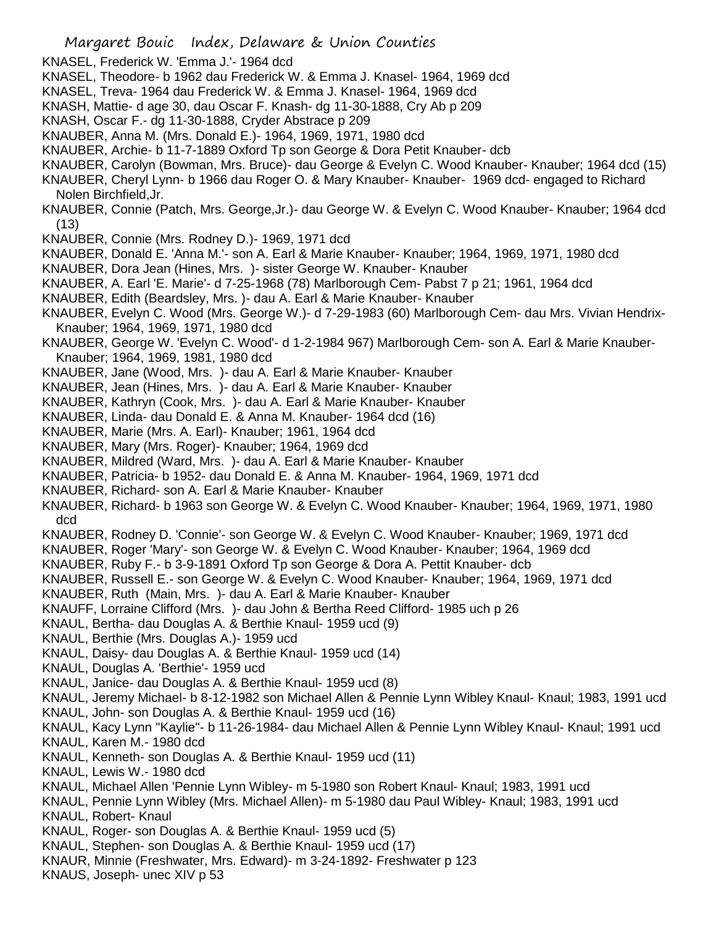- KNASEL, Frederick W. 'Emma J.'- 1964 dcd KNASEL, Theodore- b 1962 dau Frederick W. & Emma J. Knasel- 1964, 1969 dcd KNASEL, Treva- 1964 dau Frederick W. & Emma J. Knasel- 1964, 1969 dcd KNASH, Mattie- d age 30, dau Oscar F. Knash- dg 11-30-1888, Cry Ab p 209 KNASH, Oscar F.- dg 11-30-1888, Cryder Abstrace p 209 KNAUBER, Anna M. (Mrs. Donald E.)- 1964, 1969, 1971, 1980 dcd KNAUBER, Archie- b 11-7-1889 Oxford Tp son George & Dora Petit Knauber- dcb KNAUBER, Carolyn (Bowman, Mrs. Bruce)- dau George & Evelyn C. Wood Knauber- Knauber; 1964 dcd (15) KNAUBER, Cheryl Lynn- b 1966 dau Roger O. & Mary Knauber- Knauber- 1969 dcd- engaged to Richard Nolen Birchfield,Jr. KNAUBER, Connie (Patch, Mrs. George,Jr.)- dau George W. & Evelyn C. Wood Knauber- Knauber; 1964 dcd (13) KNAUBER, Connie (Mrs. Rodney D.)- 1969, 1971 dcd KNAUBER, Donald E. 'Anna M.'- son A. Earl & Marie Knauber- Knauber; 1964, 1969, 1971, 1980 dcd KNAUBER, Dora Jean (Hines, Mrs. )- sister George W. Knauber- Knauber KNAUBER, A. Earl 'E. Marie'- d 7-25-1968 (78) Marlborough Cem- Pabst 7 p 21; 1961, 1964 dcd KNAUBER, Edith (Beardsley, Mrs. )- dau A. Earl & Marie Knauber- Knauber KNAUBER, Evelyn C. Wood (Mrs. George W.)- d 7-29-1983 (60) Marlborough Cem- dau Mrs. Vivian Hendrix-Knauber; 1964, 1969, 1971, 1980 dcd KNAUBER, George W. 'Evelyn C. Wood'- d 1-2-1984 967) Marlborough Cem- son A. Earl & Marie Knauber-Knauber; 1964, 1969, 1981, 1980 dcd KNAUBER, Jane (Wood, Mrs. )- dau A. Earl & Marie Knauber- Knauber KNAUBER, Jean (Hines, Mrs. )- dau A. Earl & Marie Knauber- Knauber KNAUBER, Kathryn (Cook, Mrs. )- dau A. Earl & Marie Knauber- Knauber KNAUBER, Linda- dau Donald E. & Anna M. Knauber- 1964 dcd (16) KNAUBER, Marie (Mrs. A. Earl)- Knauber; 1961, 1964 dcd KNAUBER, Mary (Mrs. Roger)- Knauber; 1964, 1969 dcd KNAUBER, Mildred (Ward, Mrs. )- dau A. Earl & Marie Knauber- Knauber KNAUBER, Patricia- b 1952- dau Donald E. & Anna M. Knauber- 1964, 1969, 1971 dcd KNAUBER, Richard- son A. Earl & Marie Knauber- Knauber KNAUBER, Richard- b 1963 son George W. & Evelyn C. Wood Knauber- Knauber; 1964, 1969, 1971, 1980 dcd KNAUBER, Rodney D. 'Connie'- son George W. & Evelyn C. Wood Knauber- Knauber; 1969, 1971 dcd KNAUBER, Roger 'Mary'- son George W. & Evelyn C. Wood Knauber- Knauber; 1964, 1969 dcd KNAUBER, Ruby F.- b 3-9-1891 Oxford Tp son George & Dora A. Pettit Knauber- dcb KNAUBER, Russell E.- son George W. & Evelyn C. Wood Knauber- Knauber; 1964, 1969, 1971 dcd KNAUBER, Ruth (Main, Mrs. )- dau A. Earl & Marie Knauber- Knauber KNAUFF, Lorraine Clifford (Mrs. )- dau John & Bertha Reed Clifford- 1985 uch p 26 KNAUL, Bertha- dau Douglas A. & Berthie Knaul- 1959 ucd (9) KNAUL, Berthie (Mrs. Douglas A.)- 1959 ucd KNAUL, Daisy- dau Douglas A. & Berthie Knaul- 1959 ucd (14) KNAUL, Douglas A. 'Berthie'- 1959 ucd KNAUL, Janice- dau Douglas A. & Berthie Knaul- 1959 ucd (8) KNAUL, Jeremy Michael- b 8-12-1982 son Michael Allen & Pennie Lynn Wibley Knaul- Knaul; 1983, 1991 ucd KNAUL, John- son Douglas A. & Berthie Knaul- 1959 ucd (16) KNAUL, Kacy Lynn "Kaylie"- b 11-26-1984- dau Michael Allen & Pennie Lynn Wibley Knaul- Knaul; 1991 ucd KNAUL, Karen M.- 1980 dcd KNAUL, Kenneth- son Douglas A. & Berthie Knaul- 1959 ucd (11) KNAUL, Lewis W.- 1980 dcd KNAUL, Michael Allen 'Pennie Lynn Wibley- m 5-1980 son Robert Knaul- Knaul; 1983, 1991 ucd KNAUL, Pennie Lynn Wibley (Mrs. Michael Allen)- m 5-1980 dau Paul Wibley- Knaul; 1983, 1991 ucd KNAUL, Robert- Knaul
- KNAUL, Roger- son Douglas A. & Berthie Knaul- 1959 ucd (5)
- KNAUL, Stephen- son Douglas A. & Berthie Knaul- 1959 ucd (17)
- KNAUR, Minnie (Freshwater, Mrs. Edward)- m 3-24-1892- Freshwater p 123

Margaret Bouic Index, Delaware & Union Counties

KNAUS, Joseph- unec XIV p 53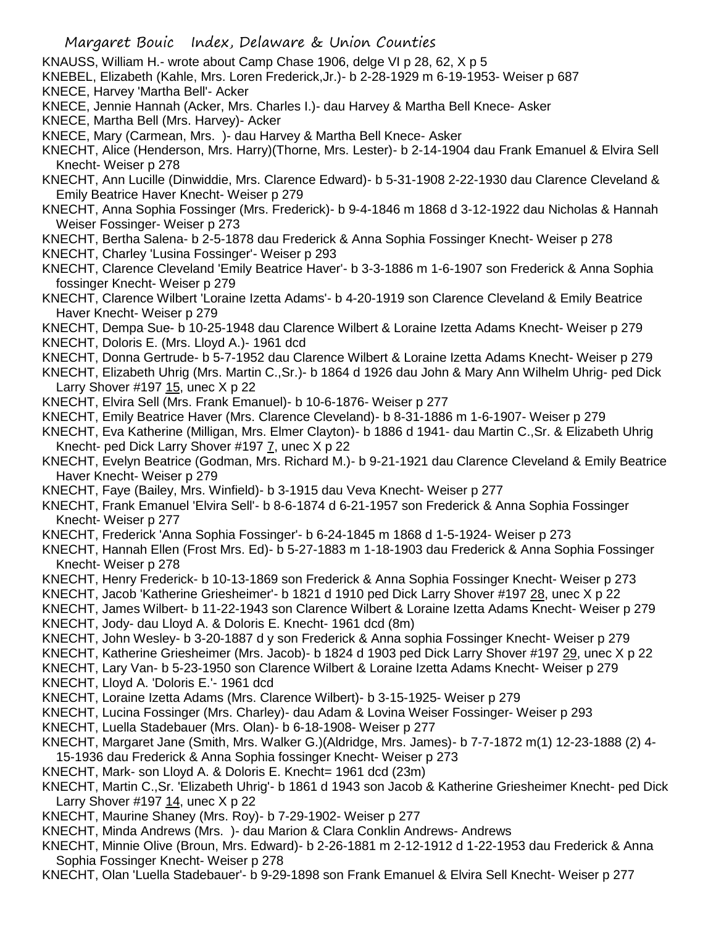- KNAUSS, William H.- wrote about Camp Chase 1906, delge VI p 28, 62, X p 5
- KNEBEL, Elizabeth (Kahle, Mrs. Loren Frederick,Jr.)- b 2-28-1929 m 6-19-1953- Weiser p 687
- KNECE, Harvey 'Martha Bell'- Acker
- KNECE, Jennie Hannah (Acker, Mrs. Charles I.)- dau Harvey & Martha Bell Knece- Asker
- KNECE, Martha Bell (Mrs. Harvey)- Acker

KNECE, Mary (Carmean, Mrs. )- dau Harvey & Martha Bell Knece- Asker

- KNECHT, Alice (Henderson, Mrs. Harry)(Thorne, Mrs. Lester)- b 2-14-1904 dau Frank Emanuel & Elvira Sell Knecht- Weiser p 278
- KNECHT, Ann Lucille (Dinwiddie, Mrs. Clarence Edward)- b 5-31-1908 2-22-1930 dau Clarence Cleveland & Emily Beatrice Haver Knecht- Weiser p 279
- KNECHT, Anna Sophia Fossinger (Mrs. Frederick)- b 9-4-1846 m 1868 d 3-12-1922 dau Nicholas & Hannah Weiser Fossinger- Weiser p 273
- KNECHT, Bertha Salena- b 2-5-1878 dau Frederick & Anna Sophia Fossinger Knecht- Weiser p 278
- KNECHT, Charley 'Lusina Fossinger'- Weiser p 293
- KNECHT, Clarence Cleveland 'Emily Beatrice Haver'- b 3-3-1886 m 1-6-1907 son Frederick & Anna Sophia fossinger Knecht- Weiser p 279
- KNECHT, Clarence Wilbert 'Loraine Izetta Adams'- b 4-20-1919 son Clarence Cleveland & Emily Beatrice Haver Knecht- Weiser p 279
- KNECHT, Dempa Sue- b 10-25-1948 dau Clarence Wilbert & Loraine Izetta Adams Knecht- Weiser p 279
- KNECHT, Doloris E. (Mrs. Lloyd A.)- 1961 dcd
- KNECHT, Donna Gertrude- b 5-7-1952 dau Clarence Wilbert & Loraine Izetta Adams Knecht- Weiser p 279
- KNECHT, Elizabeth Uhrig (Mrs. Martin C.,Sr.)- b 1864 d 1926 dau John & Mary Ann Wilhelm Uhrig- ped Dick Larry Shover  $\#197$  15, unec X p 22
- KNECHT, Elvira Sell (Mrs. Frank Emanuel)- b 10-6-1876- Weiser p 277
- KNECHT, Emily Beatrice Haver (Mrs. Clarence Cleveland)- b 8-31-1886 m 1-6-1907- Weiser p 279
- KNECHT, Eva Katherine (Milligan, Mrs. Elmer Clayton)- b 1886 d 1941- dau Martin C.,Sr. & Elizabeth Uhrig Knecht- ped Dick Larry Shover #197 7, unec X p 22
- KNECHT, Evelyn Beatrice (Godman, Mrs. Richard M.)- b 9-21-1921 dau Clarence Cleveland & Emily Beatrice Haver Knecht- Weiser p 279
- KNECHT, Faye (Bailey, Mrs. Winfield)- b 3-1915 dau Veva Knecht- Weiser p 277
- KNECHT, Frank Emanuel 'Elvira Sell'- b 8-6-1874 d 6-21-1957 son Frederick & Anna Sophia Fossinger Knecht- Weiser p 277
- KNECHT, Frederick 'Anna Sophia Fossinger'- b 6-24-1845 m 1868 d 1-5-1924- Weiser p 273
- KNECHT, Hannah Ellen (Frost Mrs. Ed)- b 5-27-1883 m 1-18-1903 dau Frederick & Anna Sophia Fossinger Knecht- Weiser p 278
- KNECHT, Henry Frederick- b 10-13-1869 son Frederick & Anna Sophia Fossinger Knecht- Weiser p 273
- KNECHT, Jacob 'Katherine Griesheimer'- b 1821 d 1910 ped Dick Larry Shover #197 28, unec X p 22
- KNECHT, James Wilbert- b 11-22-1943 son Clarence Wilbert & Loraine Izetta Adams Knecht- Weiser p 279 KNECHT, Jody- dau Lloyd A. & Doloris E. Knecht- 1961 dcd (8m)
- KNECHT, John Wesley- b 3-20-1887 d y son Frederick & Anna sophia Fossinger Knecht- Weiser p 279
- KNECHT, Katherine Griesheimer (Mrs. Jacob)- b 1824 d 1903 ped Dick Larry Shover #197 29, unec X p 22
- KNECHT, Lary Van- b 5-23-1950 son Clarence Wilbert & Loraine Izetta Adams Knecht- Weiser p 279
- KNECHT, Lloyd A. 'Doloris E.'- 1961 dcd
- KNECHT, Loraine Izetta Adams (Mrs. Clarence Wilbert)- b 3-15-1925- Weiser p 279
- KNECHT, Lucina Fossinger (Mrs. Charley)- dau Adam & Lovina Weiser Fossinger- Weiser p 293
- KNECHT, Luella Stadebauer (Mrs. Olan)- b 6-18-1908- Weiser p 277
- KNECHT, Margaret Jane (Smith, Mrs. Walker G.)(Aldridge, Mrs. James)- b 7-7-1872 m(1) 12-23-1888 (2) 4- 15-1936 dau Frederick & Anna Sophia fossinger Knecht- Weiser p 273
- KNECHT, Mark- son Lloyd A. & Doloris E. Knecht= 1961 dcd (23m)
- KNECHT, Martin C.,Sr. 'Elizabeth Uhrig'- b 1861 d 1943 son Jacob & Katherine Griesheimer Knecht- ped Dick Larry Shover  $\#197$  14, unec X p 22
- KNECHT, Maurine Shaney (Mrs. Roy)- b 7-29-1902- Weiser p 277
- KNECHT, Minda Andrews (Mrs. )- dau Marion & Clara Conklin Andrews- Andrews
- KNECHT, Minnie Olive (Broun, Mrs. Edward)- b 2-26-1881 m 2-12-1912 d 1-22-1953 dau Frederick & Anna Sophia Fossinger Knecht- Weiser p 278
- KNECHT, Olan 'Luella Stadebauer'- b 9-29-1898 son Frank Emanuel & Elvira Sell Knecht- Weiser p 277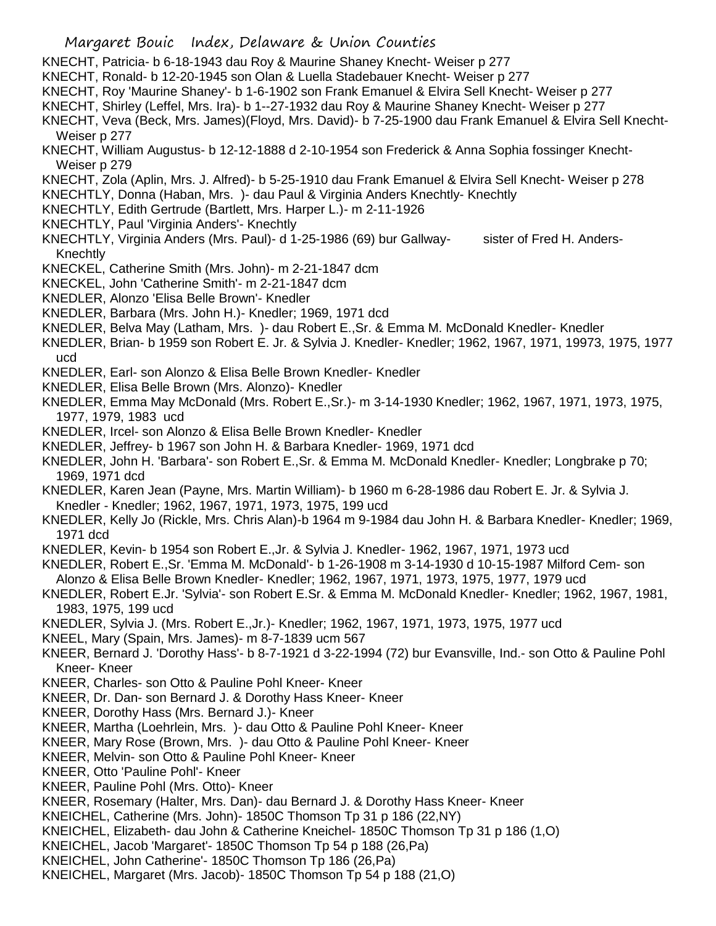- KNECHT, Patricia- b 6-18-1943 dau Roy & Maurine Shaney Knecht- Weiser p 277
- KNECHT, Ronald- b 12-20-1945 son Olan & Luella Stadebauer Knecht- Weiser p 277
- KNECHT, Roy 'Maurine Shaney'- b 1-6-1902 son Frank Emanuel & Elvira Sell Knecht- Weiser p 277
- KNECHT, Shirley (Leffel, Mrs. Ira)- b 1--27-1932 dau Roy & Maurine Shaney Knecht- Weiser p 277
- KNECHT, Veva (Beck, Mrs. James)(Floyd, Mrs. David)- b 7-25-1900 dau Frank Emanuel & Elvira Sell Knecht-Weiser p 277
- KNECHT, William Augustus- b 12-12-1888 d 2-10-1954 son Frederick & Anna Sophia fossinger Knecht-Weiser p 279
- KNECHT, Zola (Aplin, Mrs. J. Alfred)- b 5-25-1910 dau Frank Emanuel & Elvira Sell Knecht- Weiser p 278
- KNECHTLY, Donna (Haban, Mrs. )- dau Paul & Virginia Anders Knechtly- Knechtly
- KNECHTLY, Edith Gertrude (Bartlett, Mrs. Harper L.)- m 2-11-1926
- KNECHTLY, Paul 'Virginia Anders'- Knechtly
- KNECHTLY, Virginia Anders (Mrs. Paul)- d 1-25-1986 (69) bur Gallway- sister of Fred H. Anders-Knechtly
- KNECKEL, Catherine Smith (Mrs. John)- m 2-21-1847 dcm
- KNECKEL, John 'Catherine Smith'- m 2-21-1847 dcm
- KNEDLER, Alonzo 'Elisa Belle Brown'- Knedler
- KNEDLER, Barbara (Mrs. John H.)- Knedler; 1969, 1971 dcd
- KNEDLER, Belva May (Latham, Mrs. )- dau Robert E.,Sr. & Emma M. McDonald Knedler- Knedler
- KNEDLER, Brian- b 1959 son Robert E. Jr. & Sylvia J. Knedler- Knedler; 1962, 1967, 1971, 19973, 1975, 1977 ucd
- KNEDLER, Earl- son Alonzo & Elisa Belle Brown Knedler- Knedler
- KNEDLER, Elisa Belle Brown (Mrs. Alonzo)- Knedler
- KNEDLER, Emma May McDonald (Mrs. Robert E.,Sr.)- m 3-14-1930 Knedler; 1962, 1967, 1971, 1973, 1975, 1977, 1979, 1983 ucd
- KNEDLER, Ircel- son Alonzo & Elisa Belle Brown Knedler- Knedler
- KNEDLER, Jeffrey- b 1967 son John H. & Barbara Knedler- 1969, 1971 dcd
- KNEDLER, John H. 'Barbara'- son Robert E.,Sr. & Emma M. McDonald Knedler- Knedler; Longbrake p 70; 1969, 1971 dcd
- KNEDLER, Karen Jean (Payne, Mrs. Martin William)- b 1960 m 6-28-1986 dau Robert E. Jr. & Sylvia J. Knedler - Knedler; 1962, 1967, 1971, 1973, 1975, 199 ucd
- KNEDLER, Kelly Jo (Rickle, Mrs. Chris Alan)-b 1964 m 9-1984 dau John H. & Barbara Knedler- Knedler; 1969, 1971 dcd
- KNEDLER, Kevin- b 1954 son Robert E.,Jr. & Sylvia J. Knedler- 1962, 1967, 1971, 1973 ucd
- KNEDLER, Robert E.,Sr. 'Emma M. McDonald'- b 1-26-1908 m 3-14-1930 d 10-15-1987 Milford Cem- son Alonzo & Elisa Belle Brown Knedler- Knedler; 1962, 1967, 1971, 1973, 1975, 1977, 1979 ucd
- KNEDLER, Robert E.Jr. 'Sylvia'- son Robert E.Sr. & Emma M. McDonald Knedler- Knedler; 1962, 1967, 1981, 1983, 1975, 199 ucd
- KNEDLER, Sylvia J. (Mrs. Robert E.,Jr.)- Knedler; 1962, 1967, 1971, 1973, 1975, 1977 ucd
- KNEEL, Mary (Spain, Mrs. James)- m 8-7-1839 ucm 567
- KNEER, Bernard J. 'Dorothy Hass'- b 8-7-1921 d 3-22-1994 (72) bur Evansville, Ind.- son Otto & Pauline Pohl Kneer- Kneer
- KNEER, Charles- son Otto & Pauline Pohl Kneer- Kneer
- KNEER, Dr. Dan- son Bernard J. & Dorothy Hass Kneer- Kneer
- KNEER, Dorothy Hass (Mrs. Bernard J.)- Kneer
- KNEER, Martha (Loehrlein, Mrs. )- dau Otto & Pauline Pohl Kneer- Kneer
- KNEER, Mary Rose (Brown, Mrs. )- dau Otto & Pauline Pohl Kneer- Kneer
- KNEER, Melvin- son Otto & Pauline Pohl Kneer- Kneer
- KNEER, Otto 'Pauline Pohl'- Kneer
- KNEER, Pauline Pohl (Mrs. Otto)- Kneer
- KNEER, Rosemary (Halter, Mrs. Dan)- dau Bernard J. & Dorothy Hass Kneer- Kneer
- KNEICHEL, Catherine (Mrs. John)- 1850C Thomson Tp 31 p 186 (22,NY)
- KNEICHEL, Elizabeth- dau John & Catherine Kneichel- 1850C Thomson Tp 31 p 186 (1,O)
- KNEICHEL, Jacob 'Margaret'- 1850C Thomson Tp 54 p 188 (26,Pa)
- KNEICHEL, John Catherine'- 1850C Thomson Tp 186 (26,Pa)
- KNEICHEL, Margaret (Mrs. Jacob)- 1850C Thomson Tp 54 p 188 (21,O)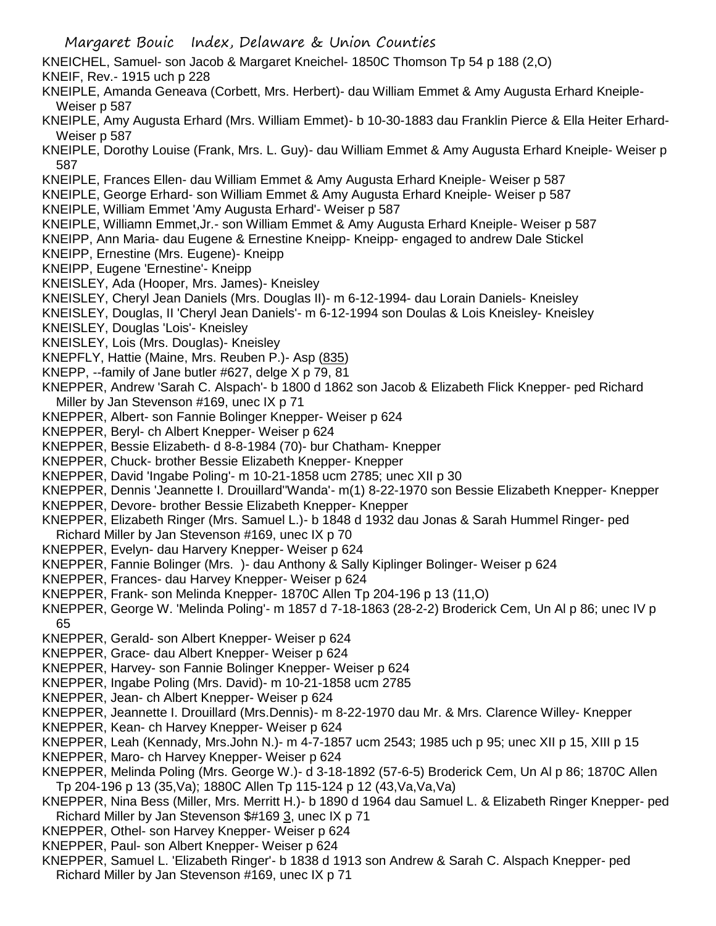- KNEICHEL, Samuel- son Jacob & Margaret Kneichel- 1850C Thomson Tp 54 p 188 (2,O)
- KNEIF, Rev.- 1915 uch p 228
- KNEIPLE, Amanda Geneava (Corbett, Mrs. Herbert)- dau William Emmet & Amy Augusta Erhard Kneiple-Weiser p 587
- KNEIPLE, Amy Augusta Erhard (Mrs. William Emmet)- b 10-30-1883 dau Franklin Pierce & Ella Heiter Erhard-Weiser p 587
- KNEIPLE, Dorothy Louise (Frank, Mrs. L. Guy)- dau William Emmet & Amy Augusta Erhard Kneiple- Weiser p 587
- KNEIPLE, Frances Ellen- dau William Emmet & Amy Augusta Erhard Kneiple- Weiser p 587
- KNEIPLE, George Erhard- son William Emmet & Amy Augusta Erhard Kneiple- Weiser p 587
- KNEIPLE, William Emmet 'Amy Augusta Erhard'- Weiser p 587
- KNEIPLE, Williamn Emmet,Jr.- son William Emmet & Amy Augusta Erhard Kneiple- Weiser p 587
- KNEIPP, Ann Maria- dau Eugene & Ernestine Kneipp- Kneipp- engaged to andrew Dale Stickel
- KNEIPP, Ernestine (Mrs. Eugene)- Kneipp
- KNEIPP, Eugene 'Ernestine'- Kneipp
- KNEISLEY, Ada (Hooper, Mrs. James)- Kneisley
- KNEISLEY, Cheryl Jean Daniels (Mrs. Douglas II)- m 6-12-1994- dau Lorain Daniels- Kneisley
- KNEISLEY, Douglas, II 'Cheryl Jean Daniels'- m 6-12-1994 son Doulas & Lois Kneisley- Kneisley
- KNEISLEY, Douglas 'Lois'- Kneisley
- KNEISLEY, Lois (Mrs. Douglas)- Kneisley
- KNEPFLY, Hattie (Maine, Mrs. Reuben P.)- Asp (835)
- KNEPP, --family of Jane butler #627, delge X p 79, 81
- KNEPPER, Andrew 'Sarah C. Alspach'- b 1800 d 1862 son Jacob & Elizabeth Flick Knepper- ped Richard Miller by Jan Stevenson #169, unec IX p 71
- KNEPPER, Albert- son Fannie Bolinger Knepper- Weiser p 624
- KNEPPER, Beryl- ch Albert Knepper- Weiser p 624
- KNEPPER, Bessie Elizabeth- d 8-8-1984 (70)- bur Chatham- Knepper
- KNEPPER, Chuck- brother Bessie Elizabeth Knepper- Knepper
- KNEPPER, David 'Ingabe Poling'- m 10-21-1858 ucm 2785; unec XII p 30
- KNEPPER, Dennis 'Jeannette I. Drouillard''Wanda'- m(1) 8-22-1970 son Bessie Elizabeth Knepper- Knepper
- KNEPPER, Devore- brother Bessie Elizabeth Knepper- Knepper
- KNEPPER, Elizabeth Ringer (Mrs. Samuel L.)- b 1848 d 1932 dau Jonas & Sarah Hummel Ringer- ped
- Richard Miller by Jan Stevenson #169, unec IX p 70
- KNEPPER, Evelyn- dau Harvery Knepper- Weiser p 624
- KNEPPER, Fannie Bolinger (Mrs. )- dau Anthony & Sally Kiplinger Bolinger- Weiser p 624
- KNEPPER, Frances- dau Harvey Knepper- Weiser p 624
- KNEPPER, Frank- son Melinda Knepper- 1870C Allen Tp 204-196 p 13 (11,O)
- KNEPPER, George W. 'Melinda Poling'- m 1857 d 7-18-1863 (28-2-2) Broderick Cem, Un Al p 86; unec IV p 65
- KNEPPER, Gerald- son Albert Knepper- Weiser p 624
- KNEPPER, Grace- dau Albert Knepper- Weiser p 624
- KNEPPER, Harvey- son Fannie Bolinger Knepper- Weiser p 624
- KNEPPER, Ingabe Poling (Mrs. David)- m 10-21-1858 ucm 2785
- KNEPPER, Jean- ch Albert Knepper- Weiser p 624
- KNEPPER, Jeannette I. Drouillard (Mrs.Dennis)- m 8-22-1970 dau Mr. & Mrs. Clarence Willey- Knepper
- KNEPPER, Kean- ch Harvey Knepper- Weiser p 624
- KNEPPER, Leah (Kennady, Mrs.John N.)- m 4-7-1857 ucm 2543; 1985 uch p 95; unec XII p 15, XIII p 15
- KNEPPER, Maro- ch Harvey Knepper- Weiser p 624
- KNEPPER, Melinda Poling (Mrs. George W.)- d 3-18-1892 (57-6-5) Broderick Cem, Un Al p 86; 1870C Allen Tp 204-196 p 13 (35,Va); 1880C Allen Tp 115-124 p 12 (43,Va,Va,Va)
- KNEPPER, Nina Bess (Miller, Mrs. Merritt H.)- b 1890 d 1964 dau Samuel L. & Elizabeth Ringer Knepper- ped Richard Miller by Jan Stevenson \$#169 3, unec IX p 71
- KNEPPER, Othel- son Harvey Knepper- Weiser p 624
- KNEPPER, Paul- son Albert Knepper- Weiser p 624
- KNEPPER, Samuel L. 'Elizabeth Ringer'- b 1838 d 1913 son Andrew & Sarah C. Alspach Knepper- ped Richard Miller by Jan Stevenson #169, unec IX p 71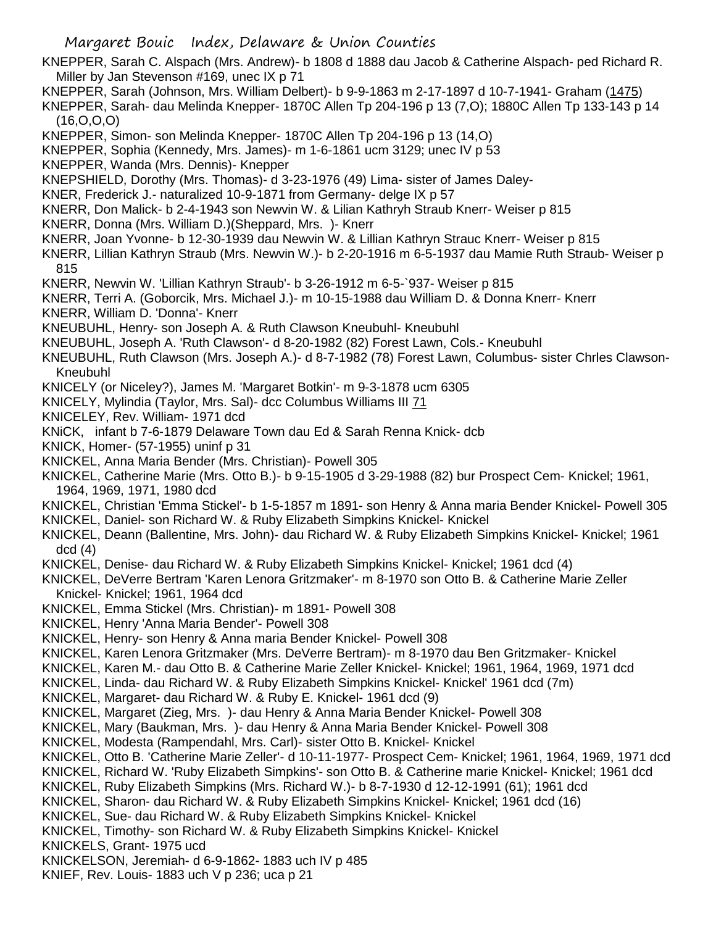- KNEPPER, Sarah C. Alspach (Mrs. Andrew)- b 1808 d 1888 dau Jacob & Catherine Alspach- ped Richard R. Miller by Jan Stevenson #169, unec IX p 71
- KNEPPER, Sarah (Johnson, Mrs. William Delbert)- b 9-9-1863 m 2-17-1897 d 10-7-1941- Graham (1475)

KNEPPER, Sarah- dau Melinda Knepper- 1870C Allen Tp 204-196 p 13 (7,O); 1880C Allen Tp 133-143 p 14 (16,O,O,O)

- KNEPPER, Simon- son Melinda Knepper- 1870C Allen Tp 204-196 p 13 (14,O)
- KNEPPER, Sophia (Kennedy, Mrs. James)- m 1-6-1861 ucm 3129; unec IV p 53
- KNEPPER, Wanda (Mrs. Dennis)- Knepper
- KNEPSHIELD, Dorothy (Mrs. Thomas)- d 3-23-1976 (49) Lima- sister of James Daley-
- KNER, Frederick J.- naturalized 10-9-1871 from Germany- delge IX p 57
- KNERR, Don Malick- b 2-4-1943 son Newvin W. & Lilian Kathryh Straub Knerr- Weiser p 815
- KNERR, Donna (Mrs. William D.)(Sheppard, Mrs. )- Knerr
- KNERR, Joan Yvonne- b 12-30-1939 dau Newvin W. & Lillian Kathryn Strauc Knerr- Weiser p 815
- KNERR, Lillian Kathryn Straub (Mrs. Newvin W.)- b 2-20-1916 m 6-5-1937 dau Mamie Ruth Straub- Weiser p 815
- KNERR, Newvin W. 'Lillian Kathryn Straub'- b 3-26-1912 m 6-5-`937- Weiser p 815
- KNERR, Terri A. (Goborcik, Mrs. Michael J.)- m 10-15-1988 dau William D. & Donna Knerr- Knerr
- KNERR, William D. 'Donna'- Knerr
- KNEUBUHL, Henry- son Joseph A. & Ruth Clawson Kneubuhl- Kneubuhl
- KNEUBUHL, Joseph A. 'Ruth Clawson'- d 8-20-1982 (82) Forest Lawn, Cols.- Kneubuhl
- KNEUBUHL, Ruth Clawson (Mrs. Joseph A.)- d 8-7-1982 (78) Forest Lawn, Columbus- sister Chrles Clawson-Kneubuhl
- KNICELY (or Niceley?), James M. 'Margaret Botkin'- m 9-3-1878 ucm 6305
- KNICELY, Mylindia (Taylor, Mrs. Sal)- dcc Columbus Williams III 71
- KNICELEY, Rev. William- 1971 dcd
- KNiCK, infant b 7-6-1879 Delaware Town dau Ed & Sarah Renna Knick- dcb
- KNICK, Homer- (57-1955) uninf p 31
- KNICKEL, Anna Maria Bender (Mrs. Christian)- Powell 305
- KNICKEL, Catherine Marie (Mrs. Otto B.)- b 9-15-1905 d 3-29-1988 (82) bur Prospect Cem- Knickel; 1961, 1964, 1969, 1971, 1980 dcd
- KNICKEL, Christian 'Emma Stickel'- b 1-5-1857 m 1891- son Henry & Anna maria Bender Knickel- Powell 305
- KNICKEL, Daniel- son Richard W. & Ruby Elizabeth Simpkins Knickel- Knickel
- KNICKEL, Deann (Ballentine, Mrs. John)- dau Richard W. & Ruby Elizabeth Simpkins Knickel- Knickel; 1961 dcd (4)
- KNICKEL, Denise- dau Richard W. & Ruby Elizabeth Simpkins Knickel- Knickel; 1961 dcd (4)
- KNICKEL, DeVerre Bertram 'Karen Lenora Gritzmaker'- m 8-1970 son Otto B. & Catherine Marie Zeller Knickel- Knickel; 1961, 1964 dcd
- KNICKEL, Emma Stickel (Mrs. Christian)- m 1891- Powell 308
- KNICKEL, Henry 'Anna Maria Bender'- Powell 308
- KNICKEL, Henry- son Henry & Anna maria Bender Knickel- Powell 308
- KNICKEL, Karen Lenora Gritzmaker (Mrs. DeVerre Bertram)- m 8-1970 dau Ben Gritzmaker- Knickel
- KNICKEL, Karen M.- dau Otto B. & Catherine Marie Zeller Knickel- Knickel; 1961, 1964, 1969, 1971 dcd
- KNICKEL, Linda- dau Richard W. & Ruby Elizabeth Simpkins Knickel- Knickel' 1961 dcd (7m)
- KNICKEL, Margaret- dau Richard W. & Ruby E. Knickel- 1961 dcd (9)
- KNICKEL, Margaret (Zieg, Mrs. )- dau Henry & Anna Maria Bender Knickel- Powell 308
- KNICKEL, Mary (Baukman, Mrs. )- dau Henry & Anna Maria Bender Knickel- Powell 308
- KNICKEL, Modesta (Rampendahl, Mrs. Carl)- sister Otto B. Knickel- Knickel
- KNICKEL, Otto B. 'Catherine Marie Zeller'- d 10-11-1977- Prospect Cem- Knickel; 1961, 1964, 1969, 1971 dcd
- KNICKEL, Richard W. 'Ruby Elizabeth Simpkins'- son Otto B. & Catherine marie Knickel- Knickel; 1961 dcd
- KNICKEL, Ruby Elizabeth Simpkins (Mrs. Richard W.)- b 8-7-1930 d 12-12-1991 (61); 1961 dcd
- KNICKEL, Sharon- dau Richard W. & Ruby Elizabeth Simpkins Knickel- Knickel; 1961 dcd (16)
- KNICKEL, Sue- dau Richard W. & Ruby Elizabeth Simpkins Knickel- Knickel
- KNICKEL, Timothy- son Richard W. & Ruby Elizabeth Simpkins Knickel- Knickel
- KNICKELS, Grant- 1975 ucd
- KNICKELSON, Jeremiah- d 6-9-1862- 1883 uch IV p 485
- KNIEF, Rev. Louis- 1883 uch V p 236; uca p 21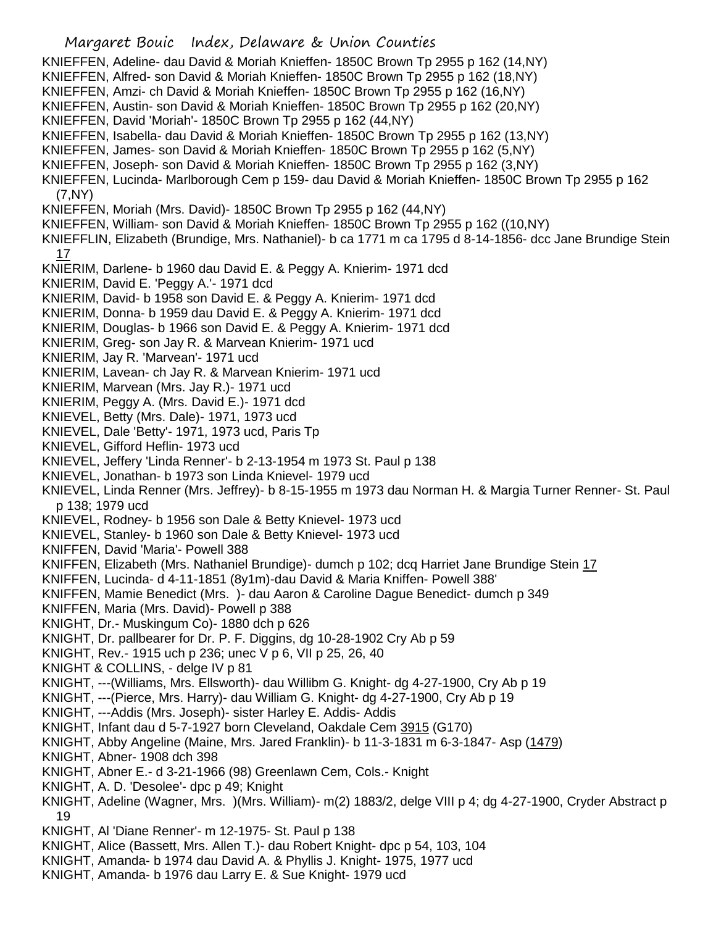- Margaret Bouic Index, Delaware & Union Counties KNIEFFEN, Adeline- dau David & Moriah Knieffen- 1850C Brown Tp 2955 p 162 (14,NY) KNIEFFEN, Alfred- son David & Moriah Knieffen- 1850C Brown Tp 2955 p 162 (18,NY) KNIEFFEN, Amzi- ch David & Moriah Knieffen- 1850C Brown Tp 2955 p 162 (16,NY) KNIEFFEN, Austin- son David & Moriah Knieffen- 1850C Brown Tp 2955 p 162 (20,NY) KNIEFFEN, David 'Moriah'- 1850C Brown Tp 2955 p 162 (44,NY) KNIEFFEN, Isabella- dau David & Moriah Knieffen- 1850C Brown Tp 2955 p 162 (13,NY) KNIEFFEN, James- son David & Moriah Knieffen- 1850C Brown Tp 2955 p 162 (5,NY) KNIEFFEN, Joseph- son David & Moriah Knieffen- 1850C Brown Tp 2955 p 162 (3,NY) KNIEFFEN, Lucinda- Marlborough Cem p 159- dau David & Moriah Knieffen- 1850C Brown Tp 2955 p 162 (7,NY) KNIEFFEN, Moriah (Mrs. David)- 1850C Brown Tp 2955 p 162 (44,NY) KNIEFFEN, William- son David & Moriah Knieffen- 1850C Brown Tp 2955 p 162 ((10,NY) KNIEFFLIN, Elizabeth (Brundige, Mrs. Nathaniel)- b ca 1771 m ca 1795 d 8-14-1856- dcc Jane Brundige Stein 17 KNIERIM, Darlene- b 1960 dau David E. & Peggy A. Knierim- 1971 dcd KNIERIM, David E. 'Peggy A.'- 1971 dcd KNIERIM, David- b 1958 son David E. & Peggy A. Knierim- 1971 dcd KNIERIM, Donna- b 1959 dau David E. & Peggy A. Knierim- 1971 dcd KNIERIM, Douglas- b 1966 son David E. & Peggy A. Knierim- 1971 dcd KNIERIM, Greg- son Jay R. & Marvean Knierim- 1971 ucd KNIERIM, Jay R. 'Marvean'- 1971 ucd KNIERIM, Lavean- ch Jay R. & Marvean Knierim- 1971 ucd KNIERIM, Marvean (Mrs. Jay R.)- 1971 ucd KNIERIM, Peggy A. (Mrs. David E.)- 1971 dcd KNIEVEL, Betty (Mrs. Dale)- 1971, 1973 ucd KNIEVEL, Dale 'Betty'- 1971, 1973 ucd, Paris Tp KNIEVEL, Gifford Heflin- 1973 ucd KNIEVEL, Jeffery 'Linda Renner'- b 2-13-1954 m 1973 St. Paul p 138 KNIEVEL, Jonathan- b 1973 son Linda Knievel- 1979 ucd KNIEVEL, Linda Renner (Mrs. Jeffrey)- b 8-15-1955 m 1973 dau Norman H. & Margia Turner Renner- St. Paul p 138; 1979 ucd KNIEVEL, Rodney- b 1956 son Dale & Betty Knievel- 1973 ucd KNIEVEL, Stanley- b 1960 son Dale & Betty Knievel- 1973 ucd KNIFFEN, David 'Maria'- Powell 388 KNIFFEN, Elizabeth (Mrs. Nathaniel Brundige)- dumch p 102; dcq Harriet Jane Brundige Stein 17 KNIFFEN, Lucinda- d 4-11-1851 (8y1m)-dau David & Maria Kniffen- Powell 388' KNIFFEN, Mamie Benedict (Mrs. )- dau Aaron & Caroline Dague Benedict- dumch p 349 KNIFFEN, Maria (Mrs. David)- Powell p 388 KNIGHT, Dr.- Muskingum Co)- 1880 dch p 626 KNIGHT, Dr. pallbearer for Dr. P. F. Diggins, dg 10-28-1902 Cry Ab p 59 KNIGHT, Rev.- 1915 uch p 236; unec V p 6, VII p 25, 26, 40 KNIGHT & COLLINS, - delge IV p 81 KNIGHT, ---(Williams, Mrs. Ellsworth)- dau Willibm G. Knight- dg 4-27-1900, Cry Ab p 19 KNIGHT, ---(Pierce, Mrs. Harry)- dau William G. Knight- dg 4-27-1900, Cry Ab p 19 KNIGHT, ---Addis (Mrs. Joseph)- sister Harley E. Addis- Addis KNIGHT, Infant dau d 5-7-1927 born Cleveland, Oakdale Cem 3915 (G170) KNIGHT, Abby Angeline (Maine, Mrs. Jared Franklin)- b 11-3-1831 m 6-3-1847- Asp (1479) KNIGHT, Abner- 1908 dch 398 KNIGHT, Abner E.- d 3-21-1966 (98) Greenlawn Cem, Cols.- Knight KNIGHT, A. D. 'Desolee'- dpc p 49; Knight KNIGHT, Adeline (Wagner, Mrs. )(Mrs. William)- m(2) 1883/2, delge VIII p 4; dg 4-27-1900, Cryder Abstract p 19 KNIGHT, Al 'Diane Renner'- m 12-1975- St. Paul p 138 KNIGHT, Alice (Bassett, Mrs. Allen T.)- dau Robert Knight- dpc p 54, 103, 104 KNIGHT, Amanda- b 1974 dau David A. & Phyllis J. Knight- 1975, 1977 ucd
- KNIGHT, Amanda- b 1976 dau Larry E. & Sue Knight- 1979 ucd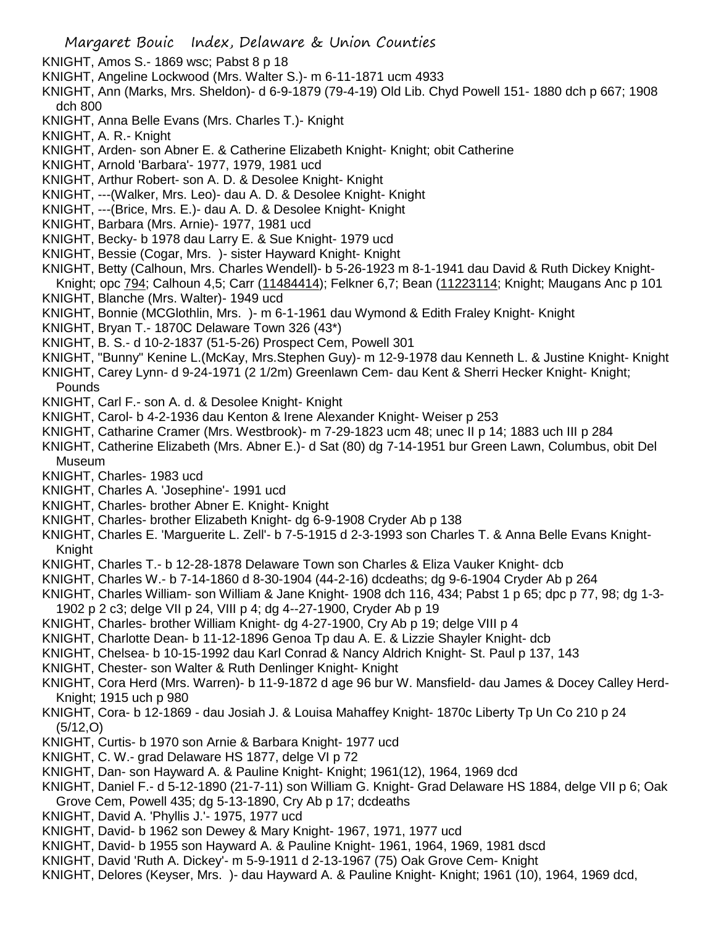- KNIGHT, Amos S.- 1869 wsc; Pabst 8 p 18
- KNIGHT, Angeline Lockwood (Mrs. Walter S.)- m 6-11-1871 ucm 4933
- KNIGHT, Ann (Marks, Mrs. Sheldon)- d 6-9-1879 (79-4-19) Old Lib. Chyd Powell 151- 1880 dch p 667; 1908 dch 800
- KNIGHT, Anna Belle Evans (Mrs. Charles T.)- Knight
- KNIGHT, A. R.- Knight
- KNIGHT, Arden- son Abner E. & Catherine Elizabeth Knight- Knight; obit Catherine
- KNIGHT, Arnold 'Barbara'- 1977, 1979, 1981 ucd
- KNIGHT, Arthur Robert- son A. D. & Desolee Knight- Knight
- KNIGHT, ---(Walker, Mrs. Leo)- dau A. D. & Desolee Knight- Knight
- KNIGHT, ---(Brice, Mrs. E.)- dau A. D. & Desolee Knight- Knight
- KNIGHT, Barbara (Mrs. Arnie)- 1977, 1981 ucd
- KNIGHT, Becky- b 1978 dau Larry E. & Sue Knight- 1979 ucd
- KNIGHT, Bessie (Cogar, Mrs. )- sister Hayward Knight- Knight
- KNIGHT, Betty (Calhoun, Mrs. Charles Wendell)- b 5-26-1923 m 8-1-1941 dau David & Ruth Dickey Knight-Knight; opc 794; Calhoun 4,5; Carr (11484414); Felkner 6,7; Bean (11223114; Knight; Maugans Anc p 101
- KNIGHT, Blanche (Mrs. Walter)- 1949 ucd
- KNIGHT, Bonnie (MCGlothlin, Mrs. )- m 6-1-1961 dau Wymond & Edith Fraley Knight- Knight
- KNIGHT, Bryan T.- 1870C Delaware Town 326 (43\*)
- KNIGHT, B. S.- d 10-2-1837 (51-5-26) Prospect Cem, Powell 301
- KNIGHT, "Bunny" Kenine L.(McKay, Mrs.Stephen Guy)- m 12-9-1978 dau Kenneth L. & Justine Knight- Knight
- KNIGHT, Carey Lynn- d 9-24-1971 (2 1/2m) Greenlawn Cem- dau Kent & Sherri Hecker Knight- Knight; Pounds
- KNIGHT, Carl F.- son A. d. & Desolee Knight- Knight
- KNIGHT, Carol- b 4-2-1936 dau Kenton & Irene Alexander Knight- Weiser p 253
- KNIGHT, Catharine Cramer (Mrs. Westbrook)- m 7-29-1823 ucm 48; unec II p 14; 1883 uch III p 284
- KNIGHT, Catherine Elizabeth (Mrs. Abner E.)- d Sat (80) dg 7-14-1951 bur Green Lawn, Columbus, obit Del Museum
- KNIGHT, Charles- 1983 ucd
- KNIGHT, Charles A. 'Josephine'- 1991 ucd
- KNIGHT, Charles- brother Abner E. Knight- Knight
- KNIGHT, Charles- brother Elizabeth Knight- dg 6-9-1908 Cryder Ab p 138
- KNIGHT, Charles E. 'Marguerite L. Zell'- b 7-5-1915 d 2-3-1993 son Charles T. & Anna Belle Evans Knight-Knight
- KNIGHT, Charles T.- b 12-28-1878 Delaware Town son Charles & Eliza Vauker Knight- dcb
- KNIGHT, Charles W.- b 7-14-1860 d 8-30-1904 (44-2-16) dcdeaths; dg 9-6-1904 Cryder Ab p 264
- KNIGHT, Charles William- son William & Jane Knight- 1908 dch 116, 434; Pabst 1 p 65; dpc p 77, 98; dg 1-3-
- 1902 p 2 c3; delge VII p 24, VIII p 4; dg 4--27-1900, Cryder Ab p 19
- KNIGHT, Charles- brother William Knight- dg 4-27-1900, Cry Ab p 19; delge VIII p 4
- KNIGHT, Charlotte Dean- b 11-12-1896 Genoa Tp dau A. E. & Lizzie Shayler Knight- dcb
- KNIGHT, Chelsea- b 10-15-1992 dau Karl Conrad & Nancy Aldrich Knight- St. Paul p 137, 143
- KNIGHT, Chester- son Walter & Ruth Denlinger Knight- Knight
- KNIGHT, Cora Herd (Mrs. Warren)- b 11-9-1872 d age 96 bur W. Mansfield- dau James & Docey Calley Herd-Knight; 1915 uch p 980
- KNIGHT, Cora- b 12-1869 dau Josiah J. & Louisa Mahaffey Knight- 1870c Liberty Tp Un Co 210 p 24 (5/12,O)
- KNIGHT, Curtis- b 1970 son Arnie & Barbara Knight- 1977 ucd
- KNIGHT, C. W.- grad Delaware HS 1877, delge VI p 72
- KNIGHT, Dan- son Hayward A. & Pauline Knight- Knight; 1961(12), 1964, 1969 dcd
- KNIGHT, Daniel F.- d 5-12-1890 (21-7-11) son William G. Knight- Grad Delaware HS 1884, delge VII p 6; Oak
- Grove Cem, Powell 435; dg 5-13-1890, Cry Ab p 17; dcdeaths
- KNIGHT, David A. 'Phyllis J.'- 1975, 1977 ucd
- KNIGHT, David- b 1962 son Dewey & Mary Knight- 1967, 1971, 1977 ucd
- KNIGHT, David- b 1955 son Hayward A. & Pauline Knight- 1961, 1964, 1969, 1981 dscd
- KNIGHT, David 'Ruth A. Dickey'- m 5-9-1911 d 2-13-1967 (75) Oak Grove Cem- Knight
- KNIGHT, Delores (Keyser, Mrs. )- dau Hayward A. & Pauline Knight- Knight; 1961 (10), 1964, 1969 dcd,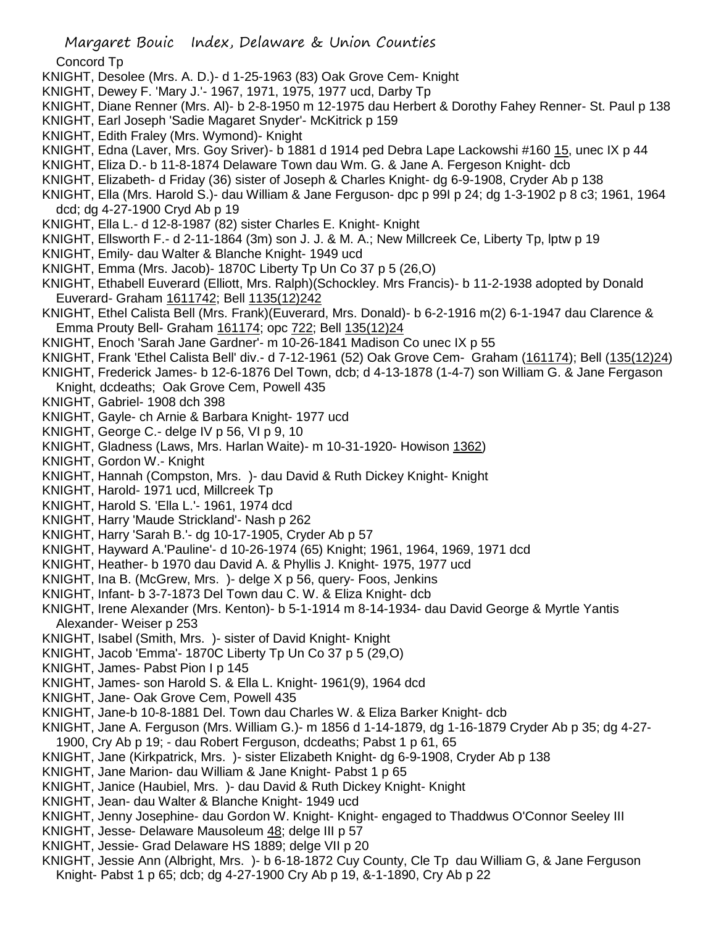## Concord Tp

- KNIGHT, Desolee (Mrs. A. D.)- d 1-25-1963 (83) Oak Grove Cem- Knight
- KNIGHT, Dewey F. 'Mary J.'- 1967, 1971, 1975, 1977 ucd, Darby Tp
- KNIGHT, Diane Renner (Mrs. Al)- b 2-8-1950 m 12-1975 dau Herbert & Dorothy Fahey Renner- St. Paul p 138
- KNIGHT, Earl Joseph 'Sadie Magaret Snyder'- McKitrick p 159
- KNIGHT, Edith Fraley (Mrs. Wymond)- Knight
- KNIGHT, Edna (Laver, Mrs. Goy Sriver)- b 1881 d 1914 ped Debra Lape Lackowshi #160 15, unec IX p 44
- KNIGHT, Eliza D.- b 11-8-1874 Delaware Town dau Wm. G. & Jane A. Fergeson Knight- dcb
- KNIGHT, Elizabeth- d Friday (36) sister of Joseph & Charles Knight- dg 6-9-1908, Cryder Ab p 138
- KNIGHT, Ella (Mrs. Harold S.)- dau William & Jane Ferguson- dpc p 99I p 24; dg 1-3-1902 p 8 c3; 1961, 1964 dcd; dg 4-27-1900 Cryd Ab p 19
- KNIGHT, Ella L.- d 12-8-1987 (82) sister Charles E. Knight- Knight
- KNIGHT, Ellsworth F.- d 2-11-1864 (3m) son J. J. & M. A.; New Millcreek Ce, Liberty Tp, lptw p 19
- KNIGHT, Emily- dau Walter & Blanche Knight- 1949 ucd
- KNIGHT, Emma (Mrs. Jacob)- 1870C Liberty Tp Un Co 37 p 5 (26,O)
- KNIGHT, Ethabell Euverard (Elliott, Mrs. Ralph)(Schockley. Mrs Francis)- b 11-2-1938 adopted by Donald Euverard- Graham 1611742; Bell 1135(12)242
- KNIGHT, Ethel Calista Bell (Mrs. Frank)(Euverard, Mrs. Donald)- b 6-2-1916 m(2) 6-1-1947 dau Clarence & Emma Prouty Bell- Graham 161174; opc 722; Bell 135(12)24
- KNIGHT, Enoch 'Sarah Jane Gardner'- m 10-26-1841 Madison Co unec IX p 55
- KNIGHT, Frank 'Ethel Calista Bell' div.- d 7-12-1961 (52) Oak Grove Cem- Graham (161174); Bell (135(12)24)
- KNIGHT, Frederick James- b 12-6-1876 Del Town, dcb; d 4-13-1878 (1-4-7) son William G. & Jane Fergason Knight, dcdeaths; Oak Grove Cem, Powell 435
- KNIGHT, Gabriel- 1908 dch 398
- KNIGHT, Gayle- ch Arnie & Barbara Knight- 1977 ucd
- KNIGHT, George C.- delge IV p 56, VI p 9, 10
- KNIGHT, Gladness (Laws, Mrs. Harlan Waite)- m 10-31-1920- Howison 1362)
- KNIGHT, Gordon W.- Knight
- KNIGHT, Hannah (Compston, Mrs. )- dau David & Ruth Dickey Knight- Knight
- KNIGHT, Harold- 1971 ucd, Millcreek Tp
- KNIGHT, Harold S. 'Ella L.'- 1961, 1974 dcd
- KNIGHT, Harry 'Maude Strickland'- Nash p 262
- KNIGHT, Harry 'Sarah B.'- dg 10-17-1905, Cryder Ab p 57
- KNIGHT, Hayward A.'Pauline'- d 10-26-1974 (65) Knight; 1961, 1964, 1969, 1971 dcd
- KNIGHT, Heather- b 1970 dau David A. & Phyllis J. Knight- 1975, 1977 ucd
- KNIGHT, Ina B. (McGrew, Mrs. )- delge X p 56, query- Foos, Jenkins
- KNIGHT, Infant- b 3-7-1873 Del Town dau C. W. & Eliza Knight- dcb
- KNIGHT, Irene Alexander (Mrs. Kenton)- b 5-1-1914 m 8-14-1934- dau David George & Myrtle Yantis Alexander- Weiser p 253
- KNIGHT, Isabel (Smith, Mrs. )- sister of David Knight- Knight
- KNIGHT, Jacob 'Emma'- 1870C Liberty Tp Un Co 37 p 5 (29,O)
- KNIGHT, James- Pabst Pion I p 145
- KNIGHT, James- son Harold S. & Ella L. Knight- 1961(9), 1964 dcd
- KNIGHT, Jane- Oak Grove Cem, Powell 435
- KNIGHT, Jane-b 10-8-1881 Del. Town dau Charles W. & Eliza Barker Knight- dcb
- KNIGHT, Jane A. Ferguson (Mrs. William G.)- m 1856 d 1-14-1879, dg 1-16-1879 Cryder Ab p 35; dg 4-27- 1900, Cry Ab p 19; - dau Robert Ferguson, dcdeaths; Pabst 1 p 61, 65
- KNIGHT, Jane (Kirkpatrick, Mrs. )- sister Elizabeth Knight- dg 6-9-1908, Cryder Ab p 138
- KNIGHT, Jane Marion- dau William & Jane Knight- Pabst 1 p 65
- KNIGHT, Janice (Haubiel, Mrs. )- dau David & Ruth Dickey Knight- Knight
- KNIGHT, Jean- dau Walter & Blanche Knight- 1949 ucd
- KNIGHT, Jenny Josephine- dau Gordon W. Knight- Knight- engaged to Thaddwus O'Connor Seeley III
- KNIGHT, Jesse- Delaware Mausoleum 48; delge III p 57
- KNIGHT, Jessie- Grad Delaware HS 1889; delge VII p 20
- KNIGHT, Jessie Ann (Albright, Mrs. )- b 6-18-1872 Cuy County, Cle Tp dau William G, & Jane Ferguson Knight- Pabst 1 p 65; dcb; dg 4-27-1900 Cry Ab p 19, &-1-1890, Cry Ab p 22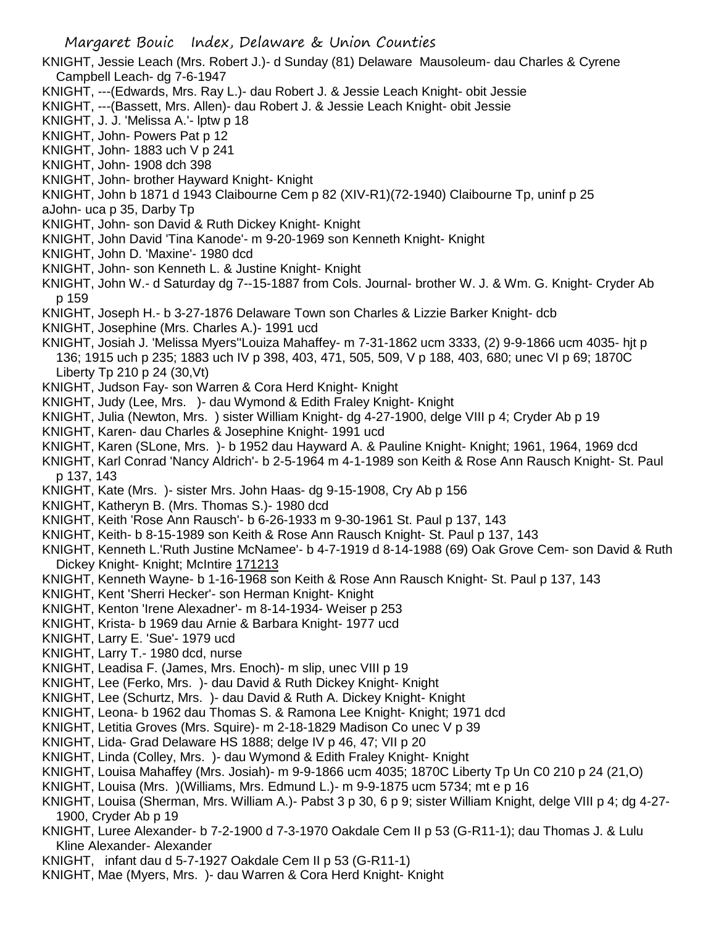- KNIGHT, Jessie Leach (Mrs. Robert J.)- d Sunday (81) Delaware Mausoleum- dau Charles & Cyrene Campbell Leach- dg 7-6-1947
- KNIGHT, ---(Edwards, Mrs. Ray L.)- dau Robert J. & Jessie Leach Knight- obit Jessie
- KNIGHT, ---(Bassett, Mrs. Allen)- dau Robert J. & Jessie Leach Knight- obit Jessie
- KNIGHT, J. J. 'Melissa A.'- lptw p 18
- KNIGHT, John- Powers Pat p 12
- KNIGHT, John- 1883 uch V p 241
- KNIGHT, John- 1908 dch 398
- KNIGHT, John- brother Hayward Knight- Knight
- KNIGHT, John b 1871 d 1943 Claibourne Cem p 82 (XIV-R1)(72-1940) Claibourne Tp, uninf p 25
- aJohn- uca p 35, Darby Tp
- KNIGHT, John- son David & Ruth Dickey Knight- Knight
- KNIGHT, John David 'Tina Kanode'- m 9-20-1969 son Kenneth Knight- Knight
- KNIGHT, John D. 'Maxine'- 1980 dcd
- KNIGHT, John- son Kenneth L. & Justine Knight- Knight
- KNIGHT, John W.- d Saturday dg 7--15-1887 from Cols. Journal- brother W. J. & Wm. G. Knight- Cryder Ab p 159
- KNIGHT, Joseph H.- b 3-27-1876 Delaware Town son Charles & Lizzie Barker Knight- dcb
- KNIGHT, Josephine (Mrs. Charles A.)- 1991 ucd
- KNIGHT, Josiah J. 'Melissa Myers''Louiza Mahaffey- m 7-31-1862 ucm 3333, (2) 9-9-1866 ucm 4035- hjt p 136; 1915 uch p 235; 1883 uch IV p 398, 403, 471, 505, 509, V p 188, 403, 680; unec VI p 69; 1870C Liberty Tp 210 p 24 (30,Vt)
- KNIGHT, Judson Fay- son Warren & Cora Herd Knight- Knight
- KNIGHT, Judy (Lee, Mrs. )- dau Wymond & Edith Fraley Knight- Knight
- KNIGHT, Julia (Newton, Mrs. ) sister William Knight- dg 4-27-1900, delge VIII p 4; Cryder Ab p 19
- KNIGHT, Karen- dau Charles & Josephine Knight- 1991 ucd
- KNIGHT, Karen (SLone, Mrs. )- b 1952 dau Hayward A. & Pauline Knight- Knight; 1961, 1964, 1969 dcd
- KNIGHT, Karl Conrad 'Nancy Aldrich'- b 2-5-1964 m 4-1-1989 son Keith & Rose Ann Rausch Knight- St. Paul p 137, 143
- KNIGHT, Kate (Mrs. )- sister Mrs. John Haas- dg 9-15-1908, Cry Ab p 156
- KNIGHT, Katheryn B. (Mrs. Thomas S.)- 1980 dcd
- KNIGHT, Keith 'Rose Ann Rausch'- b 6-26-1933 m 9-30-1961 St. Paul p 137, 143
- KNIGHT, Keith- b 8-15-1989 son Keith & Rose Ann Rausch Knight- St. Paul p 137, 143
- KNIGHT, Kenneth L.'Ruth Justine McNamee'- b 4-7-1919 d 8-14-1988 (69) Oak Grove Cem- son David & Ruth Dickey Knight- Knight; McIntire 171213
- KNIGHT, Kenneth Wayne- b 1-16-1968 son Keith & Rose Ann Rausch Knight- St. Paul p 137, 143
- KNIGHT, Kent 'Sherri Hecker'- son Herman Knight- Knight
- KNIGHT, Kenton 'Irene Alexadner'- m 8-14-1934- Weiser p 253
- KNIGHT, Krista- b 1969 dau Arnie & Barbara Knight- 1977 ucd
- KNIGHT, Larry E. 'Sue'- 1979 ucd
- KNIGHT, Larry T.- 1980 dcd, nurse
- KNIGHT, Leadisa F. (James, Mrs. Enoch)- m slip, unec VIII p 19
- KNIGHT, Lee (Ferko, Mrs. )- dau David & Ruth Dickey Knight- Knight
- KNIGHT, Lee (Schurtz, Mrs. )- dau David & Ruth A. Dickey Knight- Knight
- KNIGHT, Leona- b 1962 dau Thomas S. & Ramona Lee Knight- Knight; 1971 dcd
- KNIGHT, Letitia Groves (Mrs. Squire)- m 2-18-1829 Madison Co unec V p 39
- KNIGHT, Lida- Grad Delaware HS 1888; delge IV p 46, 47; VII p 20
- KNIGHT, Linda (Colley, Mrs. )- dau Wymond & Edith Fraley Knight- Knight
- KNIGHT, Louisa Mahaffey (Mrs. Josiah)- m 9-9-1866 ucm 4035; 1870C Liberty Tp Un C0 210 p 24 (21,O)
- KNIGHT, Louisa (Mrs. )(Williams, Mrs. Edmund L.)- m 9-9-1875 ucm 5734; mt e p 16
- KNIGHT, Louisa (Sherman, Mrs. William A.)- Pabst 3 p 30, 6 p 9; sister William Knight, delge VIII p 4; dg 4-27- 1900, Cryder Ab p 19
- KNIGHT, Luree Alexander- b 7-2-1900 d 7-3-1970 Oakdale Cem II p 53 (G-R11-1); dau Thomas J. & Lulu Kline Alexander- Alexander
- KNIGHT, infant dau d 5-7-1927 Oakdale Cem II p 53 (G-R11-1)
- KNIGHT, Mae (Myers, Mrs. )- dau Warren & Cora Herd Knight- Knight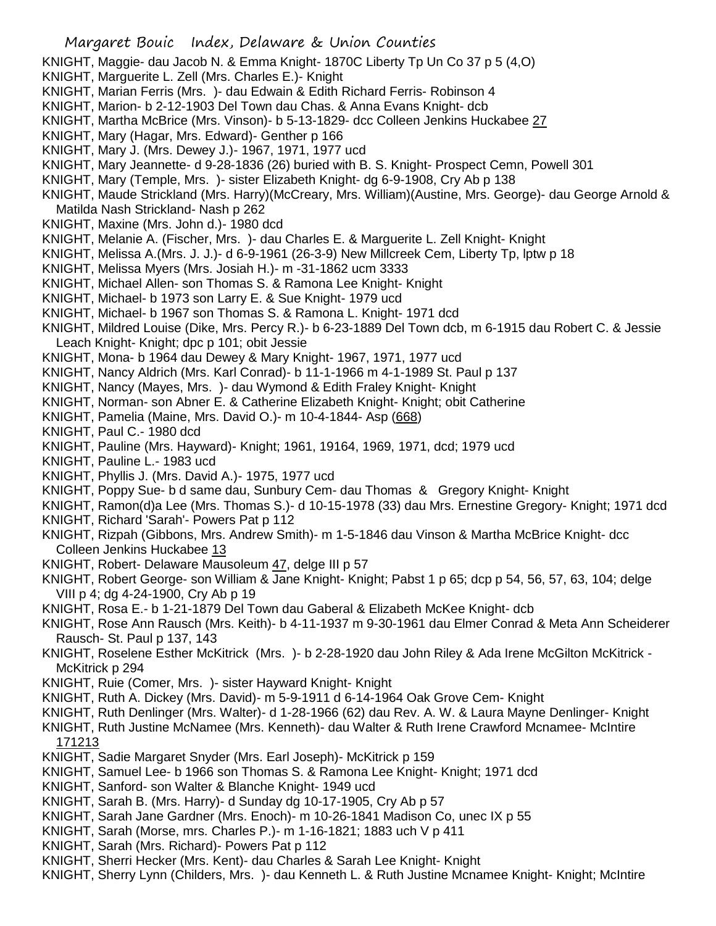- KNIGHT, Maggie- dau Jacob N. & Emma Knight- 1870C Liberty Tp Un Co 37 p 5 (4,O)
- KNIGHT, Marguerite L. Zell (Mrs. Charles E.)- Knight
- KNIGHT, Marian Ferris (Mrs. )- dau Edwain & Edith Richard Ferris- Robinson 4
- KNIGHT, Marion- b 2-12-1903 Del Town dau Chas. & Anna Evans Knight- dcb
- KNIGHT, Martha McBrice (Mrs. Vinson)- b 5-13-1829- dcc Colleen Jenkins Huckabee 27
- KNIGHT, Mary (Hagar, Mrs. Edward)- Genther p 166
- KNIGHT, Mary J. (Mrs. Dewey J.)- 1967, 1971, 1977 ucd
- KNIGHT, Mary Jeannette- d 9-28-1836 (26) buried with B. S. Knight- Prospect Cemn, Powell 301
- KNIGHT, Mary (Temple, Mrs. )- sister Elizabeth Knight- dg 6-9-1908, Cry Ab p 138
- KNIGHT, Maude Strickland (Mrs. Harry)(McCreary, Mrs. William)(Austine, Mrs. George)- dau George Arnold & Matilda Nash Strickland- Nash p 262
- KNIGHT, Maxine (Mrs. John d.)- 1980 dcd
- KNIGHT, Melanie A. (Fischer, Mrs. )- dau Charles E. & Marguerite L. Zell Knight- Knight
- KNIGHT, Melissa A.(Mrs. J. J.)- d 6-9-1961 (26-3-9) New Millcreek Cem, Liberty Tp, lptw p 18
- KNIGHT, Melissa Myers (Mrs. Josiah H.)- m -31-1862 ucm 3333
- KNIGHT, Michael Allen- son Thomas S. & Ramona Lee Knight- Knight
- KNIGHT, Michael- b 1973 son Larry E. & Sue Knight- 1979 ucd
- KNIGHT, Michael- b 1967 son Thomas S. & Ramona L. Knight- 1971 dcd
- KNIGHT, Mildred Louise (Dike, Mrs. Percy R.)- b 6-23-1889 Del Town dcb, m 6-1915 dau Robert C. & Jessie Leach Knight- Knight; dpc p 101; obit Jessie
- KNIGHT, Mona- b 1964 dau Dewey & Mary Knight- 1967, 1971, 1977 ucd
- KNIGHT, Nancy Aldrich (Mrs. Karl Conrad)- b 11-1-1966 m 4-1-1989 St. Paul p 137
- KNIGHT, Nancy (Mayes, Mrs. )- dau Wymond & Edith Fraley Knight- Knight
- KNIGHT, Norman- son Abner E. & Catherine Elizabeth Knight- Knight; obit Catherine
- KNIGHT, Pamelia (Maine, Mrs. David O.)- m 10-4-1844- Asp (668)
- KNIGHT, Paul C.- 1980 dcd
- KNIGHT, Pauline (Mrs. Hayward)- Knight; 1961, 19164, 1969, 1971, dcd; 1979 ucd
- KNIGHT, Pauline L.- 1983 ucd
- KNIGHT, Phyllis J. (Mrs. David A.)- 1975, 1977 ucd
- KNIGHT, Poppy Sue- b d same dau, Sunbury Cem- dau Thomas & Gregory Knight- Knight
- KNIGHT, Ramon(d)a Lee (Mrs. Thomas S.)- d 10-15-1978 (33) dau Mrs. Ernestine Gregory- Knight; 1971 dcd
- KNIGHT, Richard 'Sarah'- Powers Pat p 112
- KNIGHT, Rizpah (Gibbons, Mrs. Andrew Smith)- m 1-5-1846 dau Vinson & Martha McBrice Knight- dcc Colleen Jenkins Huckabee 13
- KNIGHT, Robert- Delaware Mausoleum 47, delge III p 57
- KNIGHT, Robert George- son William & Jane Knight- Knight; Pabst 1 p 65; dcp p 54, 56, 57, 63, 104; delge VIII p 4; dg 4-24-1900, Cry Ab p 19
- KNIGHT, Rosa E.- b 1-21-1879 Del Town dau Gaberal & Elizabeth McKee Knight- dcb
- KNIGHT, Rose Ann Rausch (Mrs. Keith)- b 4-11-1937 m 9-30-1961 dau Elmer Conrad & Meta Ann Scheiderer Rausch- St. Paul p 137, 143
- KNIGHT, Roselene Esther McKitrick (Mrs. )- b 2-28-1920 dau John Riley & Ada Irene McGilton McKitrick McKitrick p 294
- KNIGHT, Ruie (Comer, Mrs. )- sister Hayward Knight- Knight
- KNIGHT, Ruth A. Dickey (Mrs. David)- m 5-9-1911 d 6-14-1964 Oak Grove Cem- Knight
- KNIGHT, Ruth Denlinger (Mrs. Walter)- d 1-28-1966 (62) dau Rev. A. W. & Laura Mayne Denlinger- Knight
- KNIGHT, Ruth Justine McNamee (Mrs. Kenneth)- dau Walter & Ruth Irene Crawford Mcnamee- McIntire
- 171213
- KNIGHT, Sadie Margaret Snyder (Mrs. Earl Joseph)- McKitrick p 159
- KNIGHT, Samuel Lee- b 1966 son Thomas S. & Ramona Lee Knight- Knight; 1971 dcd
- KNIGHT, Sanford- son Walter & Blanche Knight- 1949 ucd
- KNIGHT, Sarah B. (Mrs. Harry)- d Sunday dg 10-17-1905, Cry Ab p 57
- KNIGHT, Sarah Jane Gardner (Mrs. Enoch)- m 10-26-1841 Madison Co, unec IX p 55
- KNIGHT, Sarah (Morse, mrs. Charles P.)- m 1-16-1821; 1883 uch V p 411
- KNIGHT, Sarah (Mrs. Richard)- Powers Pat p 112
- KNIGHT, Sherri Hecker (Mrs. Kent)- dau Charles & Sarah Lee Knight- Knight
- KNIGHT, Sherry Lynn (Childers, Mrs. )- dau Kenneth L. & Ruth Justine Mcnamee Knight- Knight; McIntire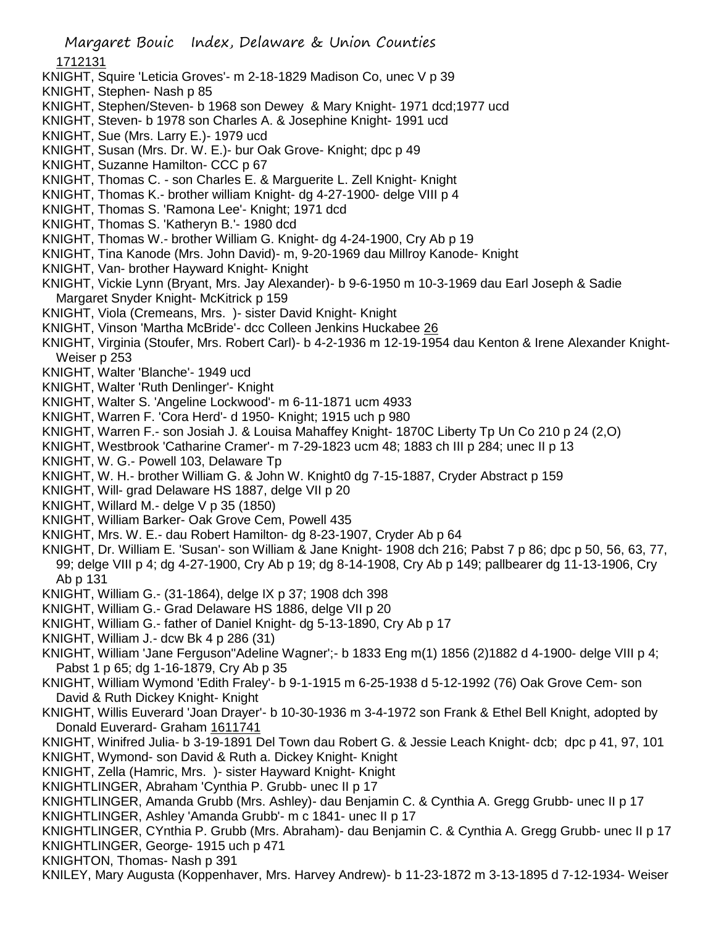1712131

- KNIGHT, Squire 'Leticia Groves'- m 2-18-1829 Madison Co, unec V p 39
- KNIGHT, Stephen- Nash p 85
- KNIGHT, Stephen/Steven- b 1968 son Dewey & Mary Knight- 1971 dcd;1977 ucd
- KNIGHT, Steven- b 1978 son Charles A. & Josephine Knight- 1991 ucd
- KNIGHT, Sue (Mrs. Larry E.)- 1979 ucd
- KNIGHT, Susan (Mrs. Dr. W. E.)- bur Oak Grove- Knight; dpc p 49
- KNIGHT, Suzanne Hamilton- CCC p 67
- KNIGHT, Thomas C. son Charles E. & Marguerite L. Zell Knight- Knight
- KNIGHT, Thomas K.- brother william Knight- dg 4-27-1900- delge VIII p 4
- KNIGHT, Thomas S. 'Ramona Lee'- Knight; 1971 dcd
- KNIGHT, Thomas S. 'Katheryn B.'- 1980 dcd
- KNIGHT, Thomas W.- brother William G. Knight- dg 4-24-1900, Cry Ab p 19
- KNIGHT, Tina Kanode (Mrs. John David)- m, 9-20-1969 dau Millroy Kanode- Knight
- KNIGHT, Van- brother Hayward Knight- Knight
- KNIGHT, Vickie Lynn (Bryant, Mrs. Jay Alexander)- b 9-6-1950 m 10-3-1969 dau Earl Joseph & Sadie Margaret Snyder Knight- McKitrick p 159
- KNIGHT, Viola (Cremeans, Mrs. )- sister David Knight- Knight
- KNIGHT, Vinson 'Martha McBride'- dcc Colleen Jenkins Huckabee 26
- KNIGHT, Virginia (Stoufer, Mrs. Robert Carl)- b 4-2-1936 m 12-19-1954 dau Kenton & Irene Alexander Knight-Weiser p 253
- KNIGHT, Walter 'Blanche'- 1949 ucd
- KNIGHT, Walter 'Ruth Denlinger'- Knight
- KNIGHT, Walter S. 'Angeline Lockwood'- m 6-11-1871 ucm 4933
- KNIGHT, Warren F. 'Cora Herd'- d 1950- Knight; 1915 uch p 980
- KNIGHT, Warren F.- son Josiah J. & Louisa Mahaffey Knight- 1870C Liberty Tp Un Co 210 p 24 (2,O)
- KNIGHT, Westbrook 'Catharine Cramer'- m 7-29-1823 ucm 48; 1883 ch III p 284; unec II p 13
- KNIGHT, W. G.- Powell 103, Delaware Tp
- KNIGHT, W. H.- brother William G. & John W. Knight0 dg 7-15-1887, Cryder Abstract p 159
- KNIGHT, Will- grad Delaware HS 1887, delge VII p 20
- KNIGHT, Willard M.- delge V p 35 (1850)
- KNIGHT, William Barker- Oak Grove Cem, Powell 435
- KNIGHT, Mrs. W. E.- dau Robert Hamilton- dg 8-23-1907, Cryder Ab p 64
- KNIGHT, Dr. William E. 'Susan'- son William & Jane Knight- 1908 dch 216; Pabst 7 p 86; dpc p 50, 56, 63, 77, 99; delge VIII p 4; dg 4-27-1900, Cry Ab p 19; dg 8-14-1908, Cry Ab p 149; pallbearer dg 11-13-1906, Cry Ab p 131
- KNIGHT, William G.- (31-1864), delge IX p 37; 1908 dch 398
- KNIGHT, William G.- Grad Delaware HS 1886, delge VII p 20
- KNIGHT, William G.- father of Daniel Knight- dg 5-13-1890, Cry Ab p 17
- KNIGHT, William J.- dcw Bk 4 p 286 (31)
- KNIGHT, William 'Jane Ferguson''Adeline Wagner';- b 1833 Eng m(1) 1856 (2)1882 d 4-1900- delge VIII p 4; Pabst 1 p 65; dg 1-16-1879, Cry Ab p 35
- KNIGHT, William Wymond 'Edith Fraley'- b 9-1-1915 m 6-25-1938 d 5-12-1992 (76) Oak Grove Cem- son David & Ruth Dickey Knight- Knight
- KNIGHT, Willis Euverard 'Joan Drayer'- b 10-30-1936 m 3-4-1972 son Frank & Ethel Bell Knight, adopted by Donald Euverard- Graham 1611741
- KNIGHT, Winifred Julia- b 3-19-1891 Del Town dau Robert G. & Jessie Leach Knight- dcb; dpc p 41, 97, 101
- KNIGHT, Wymond- son David & Ruth a. Dickey Knight- Knight
- KNIGHT, Zella (Hamric, Mrs. )- sister Hayward Knight- Knight
- KNIGHTLINGER, Abraham 'Cynthia P. Grubb- unec II p 17
- KNIGHTLINGER, Amanda Grubb (Mrs. Ashley)- dau Benjamin C. & Cynthia A. Gregg Grubb- unec II p 17 KNIGHTLINGER, Ashley 'Amanda Grubb'- m c 1841- unec II p 17
- KNIGHTLINGER, CYnthia P. Grubb (Mrs. Abraham)- dau Benjamin C. & Cynthia A. Gregg Grubb- unec II p 17 KNIGHTLINGER, George- 1915 uch p 471
- KNIGHTON, Thomas- Nash p 391
- KNILEY, Mary Augusta (Koppenhaver, Mrs. Harvey Andrew)- b 11-23-1872 m 3-13-1895 d 7-12-1934- Weiser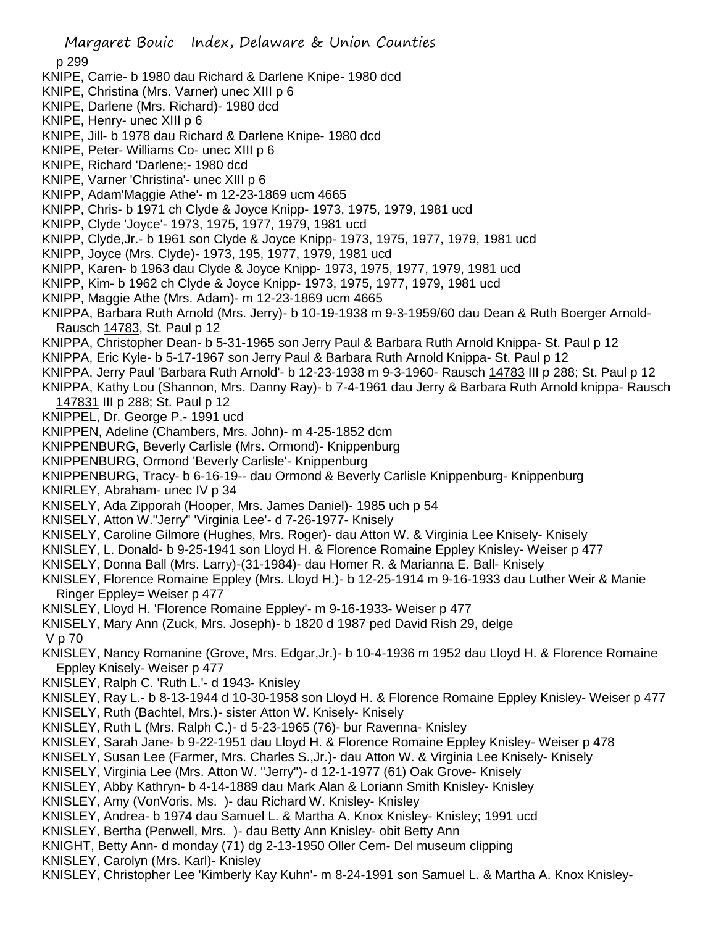p 299

- KNIPE, Carrie- b 1980 dau Richard & Darlene Knipe- 1980 dcd
- KNIPE, Christina (Mrs. Varner) unec XIII p 6
- KNIPE, Darlene (Mrs. Richard)- 1980 dcd
- KNIPE, Henry- unec XIII p 6
- KNIPE, Jill- b 1978 dau Richard & Darlene Knipe- 1980 dcd
- KNIPE, Peter- Williams Co- unec XIII p 6
- KNIPE, Richard 'Darlene;- 1980 dcd
- KNIPE, Varner 'Christina'- unec XIII p 6
- KNIPP, Adam'Maggie Athe'- m 12-23-1869 ucm 4665
- KNIPP, Chris- b 1971 ch Clyde & Joyce Knipp- 1973, 1975, 1979, 1981 ucd
- KNIPP, Clyde 'Joyce'- 1973, 1975, 1977, 1979, 1981 ucd
- KNIPP, Clyde,Jr.- b 1961 son Clyde & Joyce Knipp- 1973, 1975, 1977, 1979, 1981 ucd
- KNIPP, Joyce (Mrs. Clyde)- 1973, 195, 1977, 1979, 1981 ucd
- KNIPP, Karen- b 1963 dau Clyde & Joyce Knipp- 1973, 1975, 1977, 1979, 1981 ucd
- KNIPP, Kim- b 1962 ch Clyde & Joyce Knipp- 1973, 1975, 1977, 1979, 1981 ucd
- KNIPP, Maggie Athe (Mrs. Adam)- m 12-23-1869 ucm 4665
- KNIPPA, Barbara Ruth Arnold (Mrs. Jerry)- b 10-19-1938 m 9-3-1959/60 dau Dean & Ruth Boerger Arnold-Rausch 14783, St. Paul p 12
- KNIPPA, Christopher Dean- b 5-31-1965 son Jerry Paul & Barbara Ruth Arnold Knippa- St. Paul p 12
- KNIPPA, Eric Kyle- b 5-17-1967 son Jerry Paul & Barbara Ruth Arnold Knippa- St. Paul p 12
- KNIPPA, Jerry Paul 'Barbara Ruth Arnold'- b 12-23-1938 m 9-3-1960- Rausch 14783 III p 288; St. Paul p 12
- KNIPPA, Kathy Lou (Shannon, Mrs. Danny Ray)- b 7-4-1961 dau Jerry & Barbara Ruth Arnold knippa- Rausch
- 147831 III p 288; St. Paul p 12
- KNIPPEL, Dr. George P.- 1991 ucd
- KNIPPEN, Adeline (Chambers, Mrs. John)- m 4-25-1852 dcm
- KNIPPENBURG, Beverly Carlisle (Mrs. Ormond)- Knippenburg
- KNIPPENBURG, Ormond 'Beverly Carlisle'- Knippenburg
- KNIPPENBURG, Tracy- b 6-16-19-- dau Ormond & Beverly Carlisle Knippenburg- Knippenburg
- KNIRLEY, Abraham- unec IV p 34
- KNISELY, Ada Zipporah (Hooper, Mrs. James Daniel)- 1985 uch p 54
- KNISELY, Atton W."Jerry" 'Virginia Lee'- d 7-26-1977- Knisely
- KNISELY, Caroline Gilmore (Hughes, Mrs. Roger)- dau Atton W. & Virginia Lee Knisely- Knisely
- KNISLEY, L. Donald- b 9-25-1941 son Lloyd H. & Florence Romaine Eppley Knisley- Weiser p 477
- KNISELY, Donna Ball (Mrs. Larry)-(31-1984)- dau Homer R. & Marianna E. Ball- Knisely
- KNISLEY, Florence Romaine Eppley (Mrs. Lloyd H.)- b 12-25-1914 m 9-16-1933 dau Luther Weir & Manie Ringer Eppley= Weiser p 477
- KNISLEY, Lloyd H. 'Florence Romaine Eppley'- m 9-16-1933- Weiser p 477
- KNISELY, Mary Ann (Zuck, Mrs. Joseph)- b 1820 d 1987 ped David Rish 29, delge

V p 70

- KNISLEY, Nancy Romanine (Grove, Mrs. Edgar,Jr.)- b 10-4-1936 m 1952 dau Lloyd H. & Florence Romaine Eppley Knisely- Weiser p 477
- KNISLEY, Ralph C. 'Ruth L.'- d 1943- Knisley
- KNISLEY, Ray L.- b 8-13-1944 d 10-30-1958 son Lloyd H. & Florence Romaine Eppley Knisley- Weiser p 477
- KNISELY, Ruth (Bachtel, Mrs.)- sister Atton W. Knisely- Knisely
- KNISLEY, Ruth L (Mrs. Ralph C.)- d 5-23-1965 (76)- bur Ravenna- Knisley
- KNISLEY, Sarah Jane- b 9-22-1951 dau Lloyd H. & Florence Romaine Eppley Knisley- Weiser p 478
- KNISELY, Susan Lee (Farmer, Mrs. Charles S.,Jr.)- dau Atton W. & Virginia Lee Knisely- Knisely
- KNISELY, Virginia Lee (Mrs. Atton W. "Jerry")- d 12-1-1977 (61) Oak Grove- Knisely
- KNISLEY, Abby Kathryn- b 4-14-1889 dau Mark Alan & Loriann Smith Knisley- Knisley
- KNISLEY, Amy (VonVoris, Ms. )- dau Richard W. Knisley- Knisley
- KNISLEY, Andrea- b 1974 dau Samuel L. & Martha A. Knox Knisley- Knisley; 1991 ucd
- KNISLEY, Bertha (Penwell, Mrs. )- dau Betty Ann Knisley- obit Betty Ann
- KNIGHT, Betty Ann- d monday (71) dg 2-13-1950 Oller Cem- Del museum clipping
- KNISLEY, Carolyn (Mrs. Karl)- Knisley
- KNISLEY, Christopher Lee 'Kimberly Kay Kuhn'- m 8-24-1991 son Samuel L. & Martha A. Knox Knisley-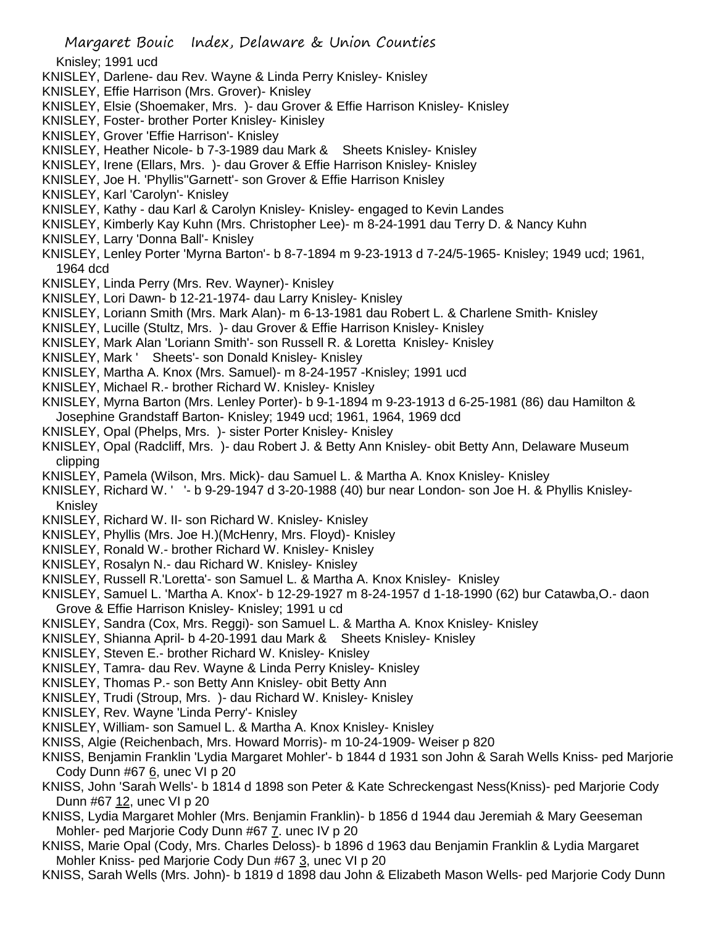- Knisley; 1991 ucd
- KNISLEY, Darlene- dau Rev. Wayne & Linda Perry Knisley- Knisley
- KNISLEY, Effie Harrison (Mrs. Grover)- Knisley
- KNISLEY, Elsie (Shoemaker, Mrs. )- dau Grover & Effie Harrison Knisley- Knisley
- KNISLEY, Foster- brother Porter Knisley- Kinisley
- KNISLEY, Grover 'Effie Harrison'- Knisley
- KNISLEY, Heather Nicole- b 7-3-1989 dau Mark & Sheets Knisley- Knisley
- KNISLEY, Irene (Ellars, Mrs. )- dau Grover & Effie Harrison Knisley- Knisley
- KNISLEY, Joe H. 'Phyllis''Garnett'- son Grover & Effie Harrison Knisley
- KNISLEY, Karl 'Carolyn'- Knisley
- KNISLEY, Kathy dau Karl & Carolyn Knisley- Knisley- engaged to Kevin Landes
- KNISLEY, Kimberly Kay Kuhn (Mrs. Christopher Lee)- m 8-24-1991 dau Terry D. & Nancy Kuhn
- KNISLEY, Larry 'Donna Ball'- Knisley
- KNISLEY, Lenley Porter 'Myrna Barton'- b 8-7-1894 m 9-23-1913 d 7-24/5-1965- Knisley; 1949 ucd; 1961, 1964 dcd
- KNISLEY, Linda Perry (Mrs. Rev. Wayner)- Knisley
- KNISLEY, Lori Dawn- b 12-21-1974- dau Larry Knisley- Knisley
- KNISLEY, Loriann Smith (Mrs. Mark Alan)- m 6-13-1981 dau Robert L. & Charlene Smith- Knisley
- KNISLEY, Lucille (Stultz, Mrs. )- dau Grover & Effie Harrison Knisley- Knisley
- KNISLEY, Mark Alan 'Loriann Smith'- son Russell R. & Loretta Knisley- Knisley
- KNISLEY, Mark ' Sheets'- son Donald Knisley- Knisley
- KNISLEY, Martha A. Knox (Mrs. Samuel)- m 8-24-1957 -Knisley; 1991 ucd
- KNISLEY, Michael R.- brother Richard W. Knisley- Knisley
- KNISLEY, Myrna Barton (Mrs. Lenley Porter)- b 9-1-1894 m 9-23-1913 d 6-25-1981 (86) dau Hamilton & Josephine Grandstaff Barton- Knisley; 1949 ucd; 1961, 1964, 1969 dcd
- KNISLEY, Opal (Phelps, Mrs. )- sister Porter Knisley- Knisley
- KNISLEY, Opal (Radcliff, Mrs. )- dau Robert J. & Betty Ann Knisley- obit Betty Ann, Delaware Museum clipping
- KNISLEY, Pamela (Wilson, Mrs. Mick)- dau Samuel L. & Martha A. Knox Knisley- Knisley
- KNISLEY, Richard W. ' '- b 9-29-1947 d 3-20-1988 (40) bur near London- son Joe H. & Phyllis Knisley-Knisley
- KNISLEY, Richard W. II- son Richard W. Knisley- Knisley
- KNISLEY, Phyllis (Mrs. Joe H.)(McHenry, Mrs. Floyd)- Knisley
- KNISLEY, Ronald W.- brother Richard W. Knisley- Knisley
- KNISLEY, Rosalyn N.- dau Richard W. Knisley- Knisley
- KNISLEY, Russell R.'Loretta'- son Samuel L. & Martha A. Knox Knisley- Knisley
- KNISLEY, Samuel L. 'Martha A. Knox'- b 12-29-1927 m 8-24-1957 d 1-18-1990 (62) bur Catawba,O.- daon Grove & Effie Harrison Knisley- Knisley; 1991 u cd
- KNISLEY, Sandra (Cox, Mrs. Reggi)- son Samuel L. & Martha A. Knox Knisley- Knisley
- KNISLEY, Shianna April- b 4-20-1991 dau Mark & Sheets Knisley- Knisley
- KNISLEY, Steven E.- brother Richard W. Knisley- Knisley
- KNISLEY, Tamra- dau Rev. Wayne & Linda Perry Knisley- Knisley
- KNISLEY, Thomas P.- son Betty Ann Knisley- obit Betty Ann
- KNISLEY, Trudi (Stroup, Mrs. )- dau Richard W. Knisley- Knisley
- KNISLEY, Rev. Wayne 'Linda Perry'- Knisley
- KNISLEY, William- son Samuel L. & Martha A. Knox Knisley- Knisley
- KNISS, Algie (Reichenbach, Mrs. Howard Morris)- m 10-24-1909- Weiser p 820
- KNISS, Benjamin Franklin 'Lydia Margaret Mohler'- b 1844 d 1931 son John & Sarah Wells Kniss- ped Marjorie Cody Dunn #67 6, unec VI p 20
- KNISS, John 'Sarah Wells'- b 1814 d 1898 son Peter & Kate Schreckengast Ness(Kniss)- ped Marjorie Cody Dunn #67 12, unec VI p 20
- KNISS, Lydia Margaret Mohler (Mrs. Benjamin Franklin)- b 1856 d 1944 dau Jeremiah & Mary Geeseman Mohler- ped Marjorie Cody Dunn #67 7. unec IV p 20
- KNISS, Marie Opal (Cody, Mrs. Charles Deloss)- b 1896 d 1963 dau Benjamin Franklin & Lydia Margaret Mohler Kniss- ped Marjorie Cody Dun #67 3, unec VI p 20
- KNISS, Sarah Wells (Mrs. John)- b 1819 d 1898 dau John & Elizabeth Mason Wells- ped Marjorie Cody Dunn